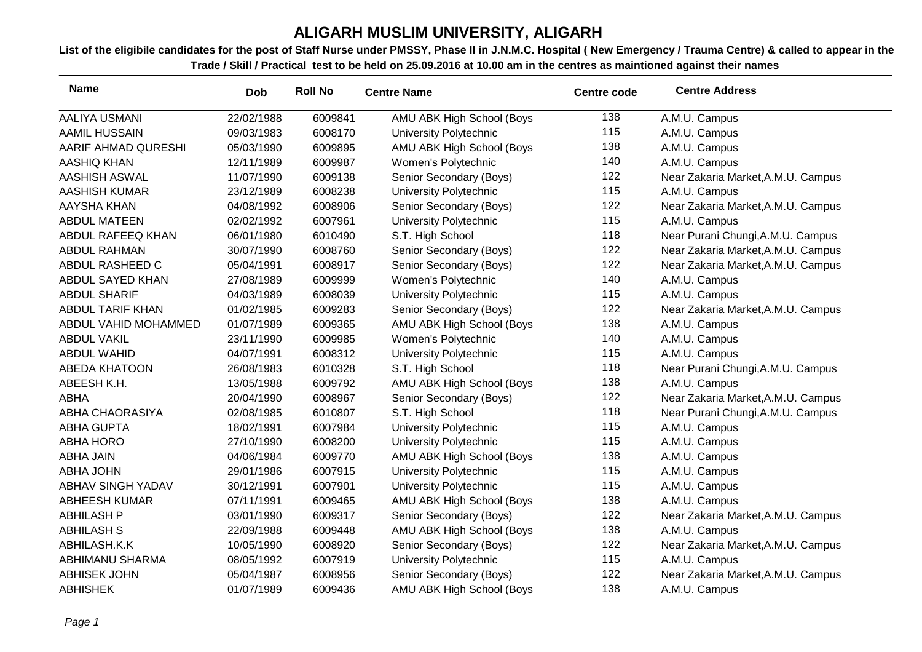| <b>Name</b>             | Dob        | <b>Roll No</b> | <b>Centre Name</b>        | <b>Centre code</b> | <b>Centre Address</b>              |
|-------------------------|------------|----------------|---------------------------|--------------------|------------------------------------|
| <b>AALIYA USMANI</b>    | 22/02/1988 | 6009841        | AMU ABK High School (Boys | 138                | A.M.U. Campus                      |
| <b>AAMIL HUSSAIN</b>    | 09/03/1983 | 6008170        | University Polytechnic    | 115                | A.M.U. Campus                      |
| AARIF AHMAD QURESHI     | 05/03/1990 | 6009895        | AMU ABK High School (Boys | 138                | A.M.U. Campus                      |
| AASHIQ KHAN             | 12/11/1989 | 6009987        | Women's Polytechnic       | 140                | A.M.U. Campus                      |
| <b>AASHISH ASWAL</b>    | 11/07/1990 | 6009138        | Senior Secondary (Boys)   | 122                | Near Zakaria Market, A.M.U. Campus |
| <b>AASHISH KUMAR</b>    | 23/12/1989 | 6008238        | University Polytechnic    | 115                | A.M.U. Campus                      |
| AAYSHA KHAN             | 04/08/1992 | 6008906        | Senior Secondary (Boys)   | 122                | Near Zakaria Market, A.M.U. Campus |
| <b>ABDUL MATEEN</b>     | 02/02/1992 | 6007961        | University Polytechnic    | 115                | A.M.U. Campus                      |
| ABDUL RAFEEQ KHAN       | 06/01/1980 | 6010490        | S.T. High School          | 118                | Near Purani Chungi, A.M.U. Campus  |
| <b>ABDUL RAHMAN</b>     | 30/07/1990 | 6008760        | Senior Secondary (Boys)   | 122                | Near Zakaria Market, A.M.U. Campus |
| ABDUL RASHEED C         | 05/04/1991 | 6008917        | Senior Secondary (Boys)   | 122                | Near Zakaria Market, A.M.U. Campus |
| ABDUL SAYED KHAN        | 27/08/1989 | 6009999        | Women's Polytechnic       | 140                | A.M.U. Campus                      |
| <b>ABDUL SHARIF</b>     | 04/03/1989 | 6008039        | University Polytechnic    | 115                | A.M.U. Campus                      |
| <b>ABDUL TARIF KHAN</b> | 01/02/1985 | 6009283        | Senior Secondary (Boys)   | 122                | Near Zakaria Market, A.M.U. Campus |
| ABDUL VAHID MOHAMMED    | 01/07/1989 | 6009365        | AMU ABK High School (Boys | 138                | A.M.U. Campus                      |
| <b>ABDUL VAKIL</b>      | 23/11/1990 | 6009985        | Women's Polytechnic       | 140                | A.M.U. Campus                      |
| <b>ABDUL WAHID</b>      | 04/07/1991 | 6008312        | University Polytechnic    | 115                | A.M.U. Campus                      |
| <b>ABEDA KHATOON</b>    | 26/08/1983 | 6010328        | S.T. High School          | 118                | Near Purani Chungi, A.M.U. Campus  |
| ABEESH K.H.             | 13/05/1988 | 6009792        | AMU ABK High School (Boys | 138                | A.M.U. Campus                      |
| <b>ABHA</b>             | 20/04/1990 | 6008967        | Senior Secondary (Boys)   | 122                | Near Zakaria Market, A.M.U. Campus |
| ABHA CHAORASIYA         | 02/08/1985 | 6010807        | S.T. High School          | 118                | Near Purani Chungi, A.M.U. Campus  |
| <b>ABHA GUPTA</b>       | 18/02/1991 | 6007984        | University Polytechnic    | 115                | A.M.U. Campus                      |
| <b>ABHA HORO</b>        | 27/10/1990 | 6008200        | University Polytechnic    | 115                | A.M.U. Campus                      |
| <b>ABHA JAIN</b>        | 04/06/1984 | 6009770        | AMU ABK High School (Boys | 138                | A.M.U. Campus                      |
| <b>ABHA JOHN</b>        | 29/01/1986 | 6007915        | University Polytechnic    | 115                | A.M.U. Campus                      |
| ABHAV SINGH YADAV       | 30/12/1991 | 6007901        | University Polytechnic    | 115                | A.M.U. Campus                      |
| <b>ABHEESH KUMAR</b>    | 07/11/1991 | 6009465        | AMU ABK High School (Boys | 138                | A.M.U. Campus                      |
| <b>ABHILASH P</b>       | 03/01/1990 | 6009317        | Senior Secondary (Boys)   | 122                | Near Zakaria Market, A.M.U. Campus |
| <b>ABHILASH S</b>       | 22/09/1988 | 6009448        | AMU ABK High School (Boys | 138                | A.M.U. Campus                      |
| ABHILASH.K.K            | 10/05/1990 | 6008920        | Senior Secondary (Boys)   | 122                | Near Zakaria Market, A.M.U. Campus |
| ABHIMANU SHARMA         | 08/05/1992 | 6007919        | University Polytechnic    | 115                | A.M.U. Campus                      |
| <b>ABHISEK JOHN</b>     | 05/04/1987 | 6008956        | Senior Secondary (Boys)   | 122                | Near Zakaria Market, A.M.U. Campus |
| <b>ABHISHEK</b>         | 01/07/1989 | 6009436        | AMU ABK High School (Boys | 138                | A.M.U. Campus                      |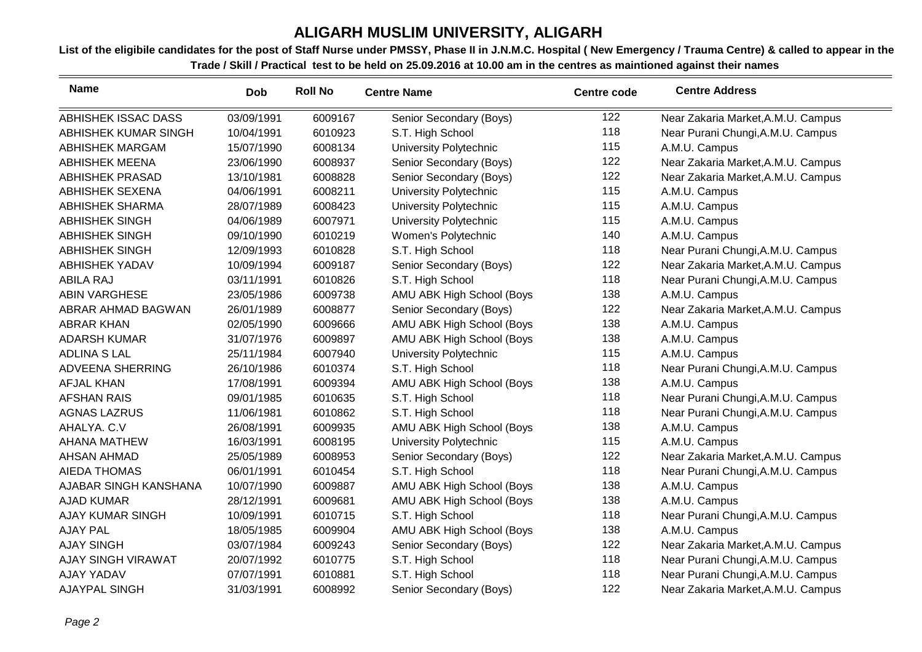| <b>Name</b>                | <b>Dob</b> | <b>Roll No</b> | <b>Centre Name</b>        | <b>Centre code</b> | <b>Centre Address</b>              |
|----------------------------|------------|----------------|---------------------------|--------------------|------------------------------------|
| <b>ABHISHEK ISSAC DASS</b> | 03/09/1991 | 6009167        | Senior Secondary (Boys)   | 122                | Near Zakaria Market, A.M.U. Campus |
| ABHISHEK KUMAR SINGH       | 10/04/1991 | 6010923        | S.T. High School          | 118                | Near Purani Chungi, A.M.U. Campus  |
| <b>ABHISHEK MARGAM</b>     | 15/07/1990 | 6008134        | University Polytechnic    | 115                | A.M.U. Campus                      |
| <b>ABHISHEK MEENA</b>      | 23/06/1990 | 6008937        | Senior Secondary (Boys)   | 122                | Near Zakaria Market, A.M.U. Campus |
| <b>ABHISHEK PRASAD</b>     | 13/10/1981 | 6008828        | Senior Secondary (Boys)   | 122                | Near Zakaria Market, A.M.U. Campus |
| <b>ABHISHEK SEXENA</b>     | 04/06/1991 | 6008211        | University Polytechnic    | 115                | A.M.U. Campus                      |
| <b>ABHISHEK SHARMA</b>     | 28/07/1989 | 6008423        | University Polytechnic    | 115                | A.M.U. Campus                      |
| <b>ABHISHEK SINGH</b>      | 04/06/1989 | 6007971        | University Polytechnic    | 115                | A.M.U. Campus                      |
| <b>ABHISHEK SINGH</b>      | 09/10/1990 | 6010219        | Women's Polytechnic       | 140                | A.M.U. Campus                      |
| <b>ABHISHEK SINGH</b>      | 12/09/1993 | 6010828        | S.T. High School          | 118                | Near Purani Chungi, A.M.U. Campus  |
| <b>ABHISHEK YADAV</b>      | 10/09/1994 | 6009187        | Senior Secondary (Boys)   | 122                | Near Zakaria Market, A.M.U. Campus |
| <b>ABILA RAJ</b>           | 03/11/1991 | 6010826        | S.T. High School          | 118                | Near Purani Chungi, A.M.U. Campus  |
| <b>ABIN VARGHESE</b>       | 23/05/1986 | 6009738        | AMU ABK High School (Boys | 138                | A.M.U. Campus                      |
| ABRAR AHMAD BAGWAN         | 26/01/1989 | 6008877        | Senior Secondary (Boys)   | 122                | Near Zakaria Market, A.M.U. Campus |
| <b>ABRAR KHAN</b>          | 02/05/1990 | 6009666        | AMU ABK High School (Boys | 138                | A.M.U. Campus                      |
| <b>ADARSH KUMAR</b>        | 31/07/1976 | 6009897        | AMU ABK High School (Boys | 138                | A.M.U. Campus                      |
| <b>ADLINA S LAL</b>        | 25/11/1984 | 6007940        | University Polytechnic    | 115                | A.M.U. Campus                      |
| <b>ADVEENA SHERRING</b>    | 26/10/1986 | 6010374        | S.T. High School          | 118                | Near Purani Chungi, A.M.U. Campus  |
| AFJAL KHAN                 | 17/08/1991 | 6009394        | AMU ABK High School (Boys | 138                | A.M.U. Campus                      |
| <b>AFSHAN RAIS</b>         | 09/01/1985 | 6010635        | S.T. High School          | 118                | Near Purani Chungi, A.M.U. Campus  |
| <b>AGNAS LAZRUS</b>        | 11/06/1981 | 6010862        | S.T. High School          | 118                | Near Purani Chungi, A.M.U. Campus  |
| AHALYA. C.V                | 26/08/1991 | 6009935        | AMU ABK High School (Boys | 138                | A.M.U. Campus                      |
| <b>AHANA MATHEW</b>        | 16/03/1991 | 6008195        | University Polytechnic    | 115                | A.M.U. Campus                      |
| <b>AHSAN AHMAD</b>         | 25/05/1989 | 6008953        | Senior Secondary (Boys)   | 122                | Near Zakaria Market, A.M.U. Campus |
| <b>AIEDA THOMAS</b>        | 06/01/1991 | 6010454        | S.T. High School          | 118                | Near Purani Chungi, A.M.U. Campus  |
| AJABAR SINGH KANSHANA      | 10/07/1990 | 6009887        | AMU ABK High School (Boys | 138                | A.M.U. Campus                      |
| <b>AJAD KUMAR</b>          | 28/12/1991 | 6009681        | AMU ABK High School (Boys | 138                | A.M.U. Campus                      |
| <b>AJAY KUMAR SINGH</b>    | 10/09/1991 | 6010715        | S.T. High School          | 118                | Near Purani Chungi, A.M.U. Campus  |
| <b>AJAY PAL</b>            | 18/05/1985 | 6009904        | AMU ABK High School (Boys | 138                | A.M.U. Campus                      |
| <b>AJAY SINGH</b>          | 03/07/1984 | 6009243        | Senior Secondary (Boys)   | 122                | Near Zakaria Market, A.M.U. Campus |
| <b>AJAY SINGH VIRAWAT</b>  | 20/07/1992 | 6010775        | S.T. High School          | 118                | Near Purani Chungi, A.M.U. Campus  |
| <b>AJAY YADAV</b>          | 07/07/1991 | 6010881        | S.T. High School          | 118                | Near Purani Chungi, A.M.U. Campus  |
| <b>AJAYPAL SINGH</b>       | 31/03/1991 | 6008992        | Senior Secondary (Boys)   | 122                | Near Zakaria Market, A.M.U. Campus |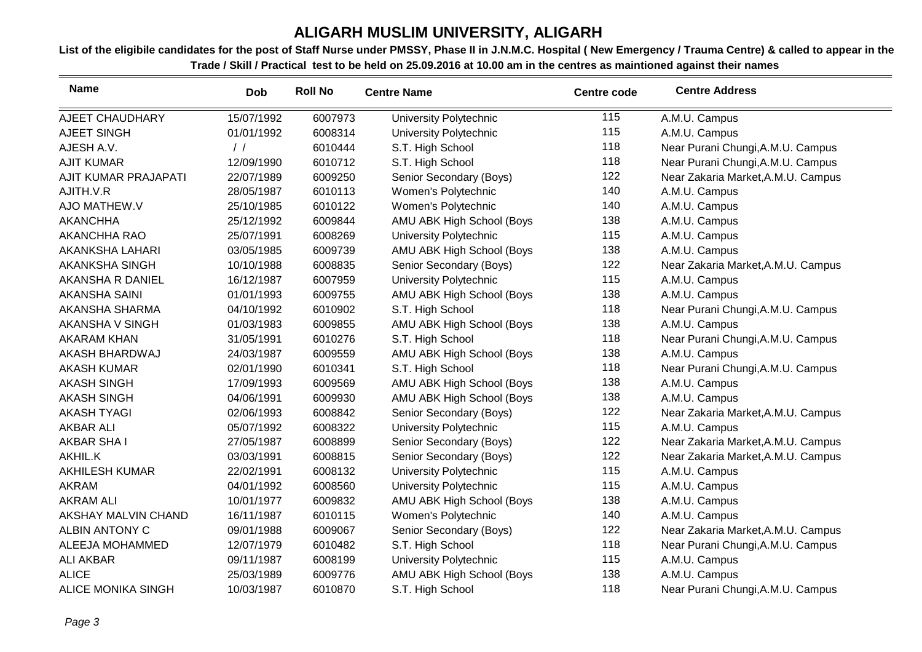| <b>Name</b>               | <b>Dob</b>    | <b>Roll No</b> | <b>Centre Name</b>            | <b>Centre code</b> | <b>Centre Address</b>              |
|---------------------------|---------------|----------------|-------------------------------|--------------------|------------------------------------|
| AJEET CHAUDHARY           | 15/07/1992    | 6007973        | <b>University Polytechnic</b> | 115                | A.M.U. Campus                      |
| AJEET SINGH               | 01/01/1992    | 6008314        | <b>University Polytechnic</b> | 115                | A.M.U. Campus                      |
| AJESH A.V.                | $\frac{1}{2}$ | 6010444        | S.T. High School              | 118                | Near Purani Chungi, A.M.U. Campus  |
| <b>AJIT KUMAR</b>         | 12/09/1990    | 6010712        | S.T. High School              | 118                | Near Purani Chungi, A.M.U. Campus  |
| AJIT KUMAR PRAJAPATI      | 22/07/1989    | 6009250        | Senior Secondary (Boys)       | 122                | Near Zakaria Market, A.M.U. Campus |
| AJITH.V.R                 | 28/05/1987    | 6010113        | Women's Polytechnic           | 140                | A.M.U. Campus                      |
| AJO MATHEW.V              | 25/10/1985    | 6010122        | Women's Polytechnic           | 140                | A.M.U. Campus                      |
| <b>AKANCHHA</b>           | 25/12/1992    | 6009844        | AMU ABK High School (Boys     | 138                | A.M.U. Campus                      |
| <b>AKANCHHA RAO</b>       | 25/07/1991    | 6008269        | <b>University Polytechnic</b> | 115                | A.M.U. Campus                      |
| AKANKSHA LAHARI           | 03/05/1985    | 6009739        | AMU ABK High School (Boys     | 138                | A.M.U. Campus                      |
| AKANKSHA SINGH            | 10/10/1988    | 6008835        | Senior Secondary (Boys)       | 122                | Near Zakaria Market, A.M.U. Campus |
| AKANSHA R DANIEL          | 16/12/1987    | 6007959        | University Polytechnic        | 115                | A.M.U. Campus                      |
| <b>AKANSHA SAINI</b>      | 01/01/1993    | 6009755        | AMU ABK High School (Boys     | 138                | A.M.U. Campus                      |
| AKANSHA SHARMA            | 04/10/1992    | 6010902        | S.T. High School              | 118                | Near Purani Chungi, A.M.U. Campus  |
| AKANSHA V SINGH           | 01/03/1983    | 6009855        | AMU ABK High School (Boys     | 138                | A.M.U. Campus                      |
| <b>AKARAM KHAN</b>        | 31/05/1991    | 6010276        | S.T. High School              | 118                | Near Purani Chungi, A.M.U. Campus  |
| AKASH BHARDWAJ            | 24/03/1987    | 6009559        | AMU ABK High School (Boys     | 138                | A.M.U. Campus                      |
| <b>AKASH KUMAR</b>        | 02/01/1990    | 6010341        | S.T. High School              | 118                | Near Purani Chungi, A.M.U. Campus  |
| <b>AKASH SINGH</b>        | 17/09/1993    | 6009569        | AMU ABK High School (Boys     | 138                | A.M.U. Campus                      |
| <b>AKASH SINGH</b>        | 04/06/1991    | 6009930        | AMU ABK High School (Boys     | 138                | A.M.U. Campus                      |
| <b>AKASH TYAGI</b>        | 02/06/1993    | 6008842        | Senior Secondary (Boys)       | 122                | Near Zakaria Market, A.M.U. Campus |
| <b>AKBAR ALI</b>          | 05/07/1992    | 6008322        | University Polytechnic        | 115                | A.M.U. Campus                      |
| <b>AKBAR SHAI</b>         | 27/05/1987    | 6008899        | Senior Secondary (Boys)       | 122                | Near Zakaria Market, A.M.U. Campus |
| AKHIL.K                   | 03/03/1991    | 6008815        | Senior Secondary (Boys)       | 122                | Near Zakaria Market, A.M.U. Campus |
| <b>AKHILESH KUMAR</b>     | 22/02/1991    | 6008132        | University Polytechnic        | 115                | A.M.U. Campus                      |
| <b>AKRAM</b>              | 04/01/1992    | 6008560        | University Polytechnic        | 115                | A.M.U. Campus                      |
| <b>AKRAM ALI</b>          | 10/01/1977    | 6009832        | AMU ABK High School (Boys     | 138                | A.M.U. Campus                      |
| AKSHAY MALVIN CHAND       | 16/11/1987    | 6010115        | Women's Polytechnic           | 140                | A.M.U. Campus                      |
| <b>ALBIN ANTONY C</b>     | 09/01/1988    | 6009067        | Senior Secondary (Boys)       | 122                | Near Zakaria Market, A.M.U. Campus |
| ALEEJA MOHAMMED           | 12/07/1979    | 6010482        | S.T. High School              | 118                | Near Purani Chungi, A.M.U. Campus  |
| <b>ALI AKBAR</b>          | 09/11/1987    | 6008199        | University Polytechnic        | 115                | A.M.U. Campus                      |
| <b>ALICE</b>              | 25/03/1989    | 6009776        | AMU ABK High School (Boys     | 138                | A.M.U. Campus                      |
| <b>ALICE MONIKA SINGH</b> | 10/03/1987    | 6010870        | S.T. High School              | 118                | Near Purani Chungi, A.M.U. Campus  |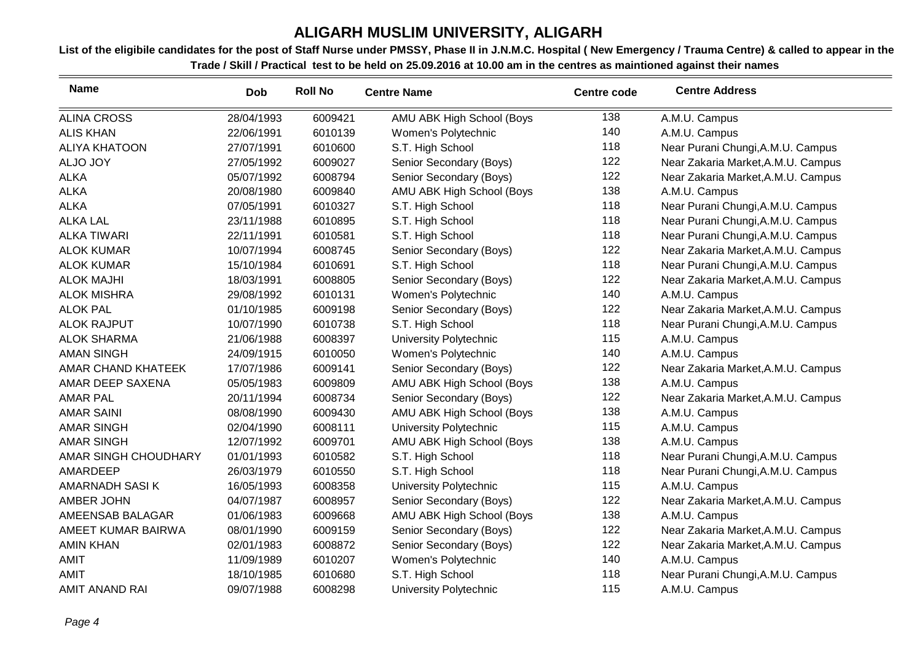| <b>Name</b>           | Dob        | <b>Roll No</b> | <b>Centre Name</b>            | <b>Centre code</b> | <b>Centre Address</b>              |
|-----------------------|------------|----------------|-------------------------------|--------------------|------------------------------------|
| <b>ALINA CROSS</b>    | 28/04/1993 | 6009421        | AMU ABK High School (Boys     | 138                | A.M.U. Campus                      |
| <b>ALIS KHAN</b>      | 22/06/1991 | 6010139        | Women's Polytechnic           | 140                | A.M.U. Campus                      |
| <b>ALIYA KHATOON</b>  | 27/07/1991 | 6010600        | S.T. High School              | 118                | Near Purani Chungi, A.M.U. Campus  |
| ALJO JOY              | 27/05/1992 | 6009027        | Senior Secondary (Boys)       | 122                | Near Zakaria Market, A.M.U. Campus |
| <b>ALKA</b>           | 05/07/1992 | 6008794        | Senior Secondary (Boys)       | 122                | Near Zakaria Market, A.M.U. Campus |
| <b>ALKA</b>           | 20/08/1980 | 6009840        | AMU ABK High School (Boys     | 138                | A.M.U. Campus                      |
| <b>ALKA</b>           | 07/05/1991 | 6010327        | S.T. High School              | 118                | Near Purani Chungi, A.M.U. Campus  |
| <b>ALKA LAL</b>       | 23/11/1988 | 6010895        | S.T. High School              | 118                | Near Purani Chungi, A.M.U. Campus  |
| <b>ALKA TIWARI</b>    | 22/11/1991 | 6010581        | S.T. High School              | 118                | Near Purani Chungi, A.M.U. Campus  |
| <b>ALOK KUMAR</b>     | 10/07/1994 | 6008745        | Senior Secondary (Boys)       | 122                | Near Zakaria Market, A.M.U. Campus |
| <b>ALOK KUMAR</b>     | 15/10/1984 | 6010691        | S.T. High School              | 118                | Near Purani Chungi, A.M.U. Campus  |
| <b>ALOK MAJHI</b>     | 18/03/1991 | 6008805        | Senior Secondary (Boys)       | 122                | Near Zakaria Market, A.M.U. Campus |
| <b>ALOK MISHRA</b>    | 29/08/1992 | 6010131        | Women's Polytechnic           | 140                | A.M.U. Campus                      |
| <b>ALOK PAL</b>       | 01/10/1985 | 6009198        | Senior Secondary (Boys)       | 122                | Near Zakaria Market, A.M.U. Campus |
| <b>ALOK RAJPUT</b>    | 10/07/1990 | 6010738        | S.T. High School              | 118                | Near Purani Chungi, A.M.U. Campus  |
| <b>ALOK SHARMA</b>    | 21/06/1988 | 6008397        | University Polytechnic        | 115                | A.M.U. Campus                      |
| <b>AMAN SINGH</b>     | 24/09/1915 | 6010050        | Women's Polytechnic           | 140                | A.M.U. Campus                      |
| AMAR CHAND KHATEEK    | 17/07/1986 | 6009141        | Senior Secondary (Boys)       | 122                | Near Zakaria Market, A.M.U. Campus |
| AMAR DEEP SAXENA      | 05/05/1983 | 6009809        | AMU ABK High School (Boys     | 138                | A.M.U. Campus                      |
| <b>AMAR PAL</b>       | 20/11/1994 | 6008734        | Senior Secondary (Boys)       | 122                | Near Zakaria Market, A.M.U. Campus |
| <b>AMAR SAINI</b>     | 08/08/1990 | 6009430        | AMU ABK High School (Boys     | 138                | A.M.U. Campus                      |
| <b>AMAR SINGH</b>     | 02/04/1990 | 6008111        | University Polytechnic        | 115                | A.M.U. Campus                      |
| <b>AMAR SINGH</b>     | 12/07/1992 | 6009701        | AMU ABK High School (Boys     | 138                | A.M.U. Campus                      |
| AMAR SINGH CHOUDHARY  | 01/01/1993 | 6010582        | S.T. High School              | 118                | Near Purani Chungi, A.M.U. Campus  |
| AMARDEEP              | 26/03/1979 | 6010550        | S.T. High School              | 118                | Near Purani Chungi, A.M.U. Campus  |
| AMARNADH SASI K       | 16/05/1993 | 6008358        | University Polytechnic        | 115                | A.M.U. Campus                      |
| AMBER JOHN            | 04/07/1987 | 6008957        | Senior Secondary (Boys)       | 122                | Near Zakaria Market, A.M.U. Campus |
| AMEENSAB BALAGAR      | 01/06/1983 | 6009668        | AMU ABK High School (Boys     | 138                | A.M.U. Campus                      |
| AMEET KUMAR BAIRWA    | 08/01/1990 | 6009159        | Senior Secondary (Boys)       | 122                | Near Zakaria Market, A.M.U. Campus |
| <b>AMIN KHAN</b>      | 02/01/1983 | 6008872        | Senior Secondary (Boys)       | 122                | Near Zakaria Market, A.M.U. Campus |
| <b>AMIT</b>           | 11/09/1989 | 6010207        | Women's Polytechnic           | 140                | A.M.U. Campus                      |
| <b>AMIT</b>           | 18/10/1985 | 6010680        | S.T. High School              | 118                | Near Purani Chungi, A.M.U. Campus  |
| <b>AMIT ANAND RAI</b> | 09/07/1988 | 6008298        | <b>University Polytechnic</b> | 115                | A.M.U. Campus                      |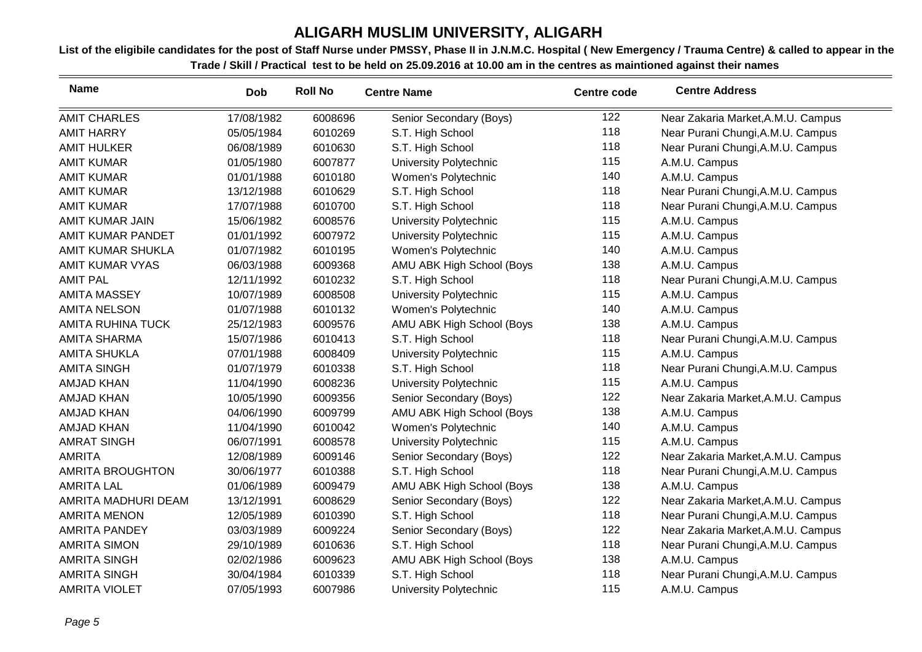| <b>Name</b>            | <b>Dob</b> | <b>Roll No</b> | <b>Centre Name</b>        | <b>Centre code</b> | <b>Centre Address</b>              |
|------------------------|------------|----------------|---------------------------|--------------------|------------------------------------|
| <b>AMIT CHARLES</b>    | 17/08/1982 | 6008696        | Senior Secondary (Boys)   | 122                | Near Zakaria Market, A.M.U. Campus |
| <b>AMIT HARRY</b>      | 05/05/1984 | 6010269        | S.T. High School          | 118                | Near Purani Chungi, A.M.U. Campus  |
| <b>AMIT HULKER</b>     | 06/08/1989 | 6010630        | S.T. High School          | 118                | Near Purani Chungi, A.M.U. Campus  |
| <b>AMIT KUMAR</b>      | 01/05/1980 | 6007877        | University Polytechnic    | 115                | A.M.U. Campus                      |
| <b>AMIT KUMAR</b>      | 01/01/1988 | 6010180        | Women's Polytechnic       | 140                | A.M.U. Campus                      |
| <b>AMIT KUMAR</b>      | 13/12/1988 | 6010629        | S.T. High School          | 118                | Near Purani Chungi, A.M.U. Campus  |
| <b>AMIT KUMAR</b>      | 17/07/1988 | 6010700        | S.T. High School          | 118                | Near Purani Chungi, A.M.U. Campus  |
| AMIT KUMAR JAIN        | 15/06/1982 | 6008576        | University Polytechnic    | 115                | A.M.U. Campus                      |
| AMIT KUMAR PANDET      | 01/01/1992 | 6007972        | University Polytechnic    | 115                | A.M.U. Campus                      |
| AMIT KUMAR SHUKLA      | 01/07/1982 | 6010195        | Women's Polytechnic       | 140                | A.M.U. Campus                      |
| <b>AMIT KUMAR VYAS</b> | 06/03/1988 | 6009368        | AMU ABK High School (Boys | 138                | A.M.U. Campus                      |
| <b>AMIT PAL</b>        | 12/11/1992 | 6010232        | S.T. High School          | 118                | Near Purani Chungi, A.M.U. Campus  |
| <b>AMITA MASSEY</b>    | 10/07/1989 | 6008508        | University Polytechnic    | 115                | A.M.U. Campus                      |
| <b>AMITA NELSON</b>    | 01/07/1988 | 6010132        | Women's Polytechnic       | 140                | A.M.U. Campus                      |
| AMITA RUHINA TUCK      | 25/12/1983 | 6009576        | AMU ABK High School (Boys | 138                | A.M.U. Campus                      |
| <b>AMITA SHARMA</b>    | 15/07/1986 | 6010413        | S.T. High School          | 118                | Near Purani Chungi, A.M.U. Campus  |
| <b>AMITA SHUKLA</b>    | 07/01/1988 | 6008409        | University Polytechnic    | 115                | A.M.U. Campus                      |
| <b>AMITA SINGH</b>     | 01/07/1979 | 6010338        | S.T. High School          | 118                | Near Purani Chungi, A.M.U. Campus  |
| <b>AMJAD KHAN</b>      | 11/04/1990 | 6008236        | University Polytechnic    | 115                | A.M.U. Campus                      |
| <b>AMJAD KHAN</b>      | 10/05/1990 | 6009356        | Senior Secondary (Boys)   | 122                | Near Zakaria Market, A.M.U. Campus |
| <b>AMJAD KHAN</b>      | 04/06/1990 | 6009799        | AMU ABK High School (Boys | 138                | A.M.U. Campus                      |
| <b>AMJAD KHAN</b>      | 11/04/1990 | 6010042        | Women's Polytechnic       | 140                | A.M.U. Campus                      |
| <b>AMRAT SINGH</b>     | 06/07/1991 | 6008578        | University Polytechnic    | 115                | A.M.U. Campus                      |
| <b>AMRITA</b>          | 12/08/1989 | 6009146        | Senior Secondary (Boys)   | 122                | Near Zakaria Market, A.M.U. Campus |
| AMRITA BROUGHTON       | 30/06/1977 | 6010388        | S.T. High School          | 118                | Near Purani Chungi, A.M.U. Campus  |
| <b>AMRITA LAL</b>      | 01/06/1989 | 6009479        | AMU ABK High School (Boys | 138                | A.M.U. Campus                      |
| AMRITA MADHURI DEAM    | 13/12/1991 | 6008629        | Senior Secondary (Boys)   | 122                | Near Zakaria Market, A.M.U. Campus |
| <b>AMRITA MENON</b>    | 12/05/1989 | 6010390        | S.T. High School          | 118                | Near Purani Chungi, A.M.U. Campus  |
| <b>AMRITA PANDEY</b>   | 03/03/1989 | 6009224        | Senior Secondary (Boys)   | 122                | Near Zakaria Market, A.M.U. Campus |
| <b>AMRITA SIMON</b>    | 29/10/1989 | 6010636        | S.T. High School          | 118                | Near Purani Chungi, A.M.U. Campus  |
| <b>AMRITA SINGH</b>    | 02/02/1986 | 6009623        | AMU ABK High School (Boys | 138                | A.M.U. Campus                      |
| <b>AMRITA SINGH</b>    | 30/04/1984 | 6010339        | S.T. High School          | 118                | Near Purani Chungi, A.M.U. Campus  |
| <b>AMRITA VIOLET</b>   | 07/05/1993 | 6007986        | University Polytechnic    | 115                | A.M.U. Campus                      |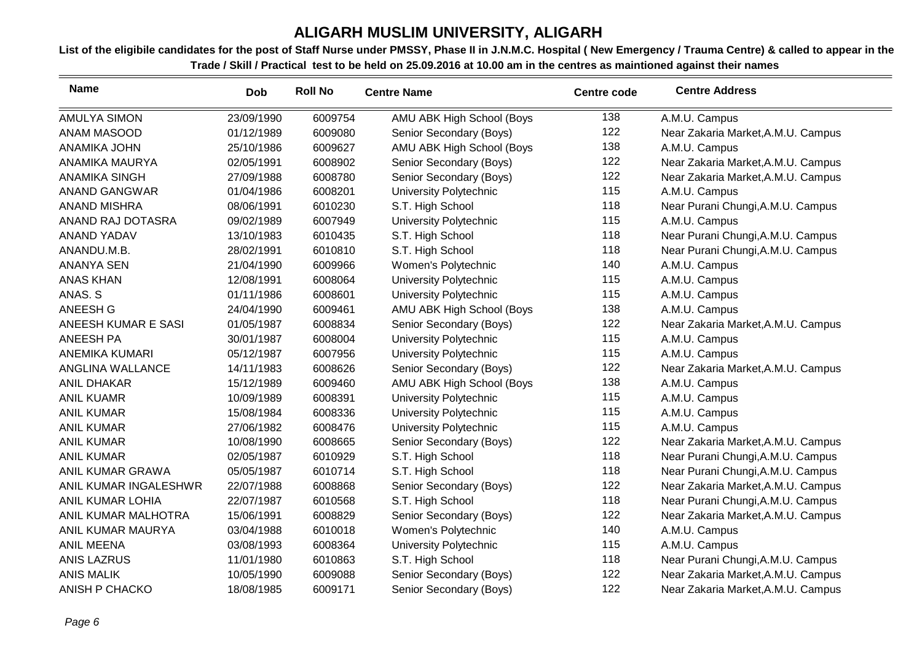| <b>Name</b>           | <b>Dob</b> | <b>Roll No</b> | <b>Centre Name</b>        | <b>Centre code</b> | <b>Centre Address</b>              |
|-----------------------|------------|----------------|---------------------------|--------------------|------------------------------------|
| <b>AMULYA SIMON</b>   | 23/09/1990 | 6009754        | AMU ABK High School (Boys | 138                | A.M.U. Campus                      |
| ANAM MASOOD           | 01/12/1989 | 6009080        | Senior Secondary (Boys)   | 122                | Near Zakaria Market, A.M.U. Campus |
| <b>ANAMIKA JOHN</b>   | 25/10/1986 | 6009627        | AMU ABK High School (Boys | 138                | A.M.U. Campus                      |
| ANAMIKA MAURYA        | 02/05/1991 | 6008902        | Senior Secondary (Boys)   | 122                | Near Zakaria Market, A.M.U. Campus |
| <b>ANAMIKA SINGH</b>  | 27/09/1988 | 6008780        | Senior Secondary (Boys)   | 122                | Near Zakaria Market, A.M.U. Campus |
| ANAND GANGWAR         | 01/04/1986 | 6008201        | University Polytechnic    | 115                | A.M.U. Campus                      |
| <b>ANAND MISHRA</b>   | 08/06/1991 | 6010230        | S.T. High School          | 118                | Near Purani Chungi, A.M.U. Campus  |
| ANAND RAJ DOTASRA     | 09/02/1989 | 6007949        | University Polytechnic    | 115                | A.M.U. Campus                      |
| <b>ANAND YADAV</b>    | 13/10/1983 | 6010435        | S.T. High School          | 118                | Near Purani Chungi, A.M.U. Campus  |
| ANANDU.M.B.           | 28/02/1991 | 6010810        | S.T. High School          | 118                | Near Purani Chungi, A.M.U. Campus  |
| <b>ANANYA SEN</b>     | 21/04/1990 | 6009966        | Women's Polytechnic       | 140                | A.M.U. Campus                      |
| <b>ANAS KHAN</b>      | 12/08/1991 | 6008064        | University Polytechnic    | 115                | A.M.U. Campus                      |
| ANAS. S               | 01/11/1986 | 6008601        | University Polytechnic    | 115                | A.M.U. Campus                      |
| ANEESH G              | 24/04/1990 | 6009461        | AMU ABK High School (Boys | 138                | A.M.U. Campus                      |
| ANEESH KUMAR E SASI   | 01/05/1987 | 6008834        | Senior Secondary (Boys)   | 122                | Near Zakaria Market, A.M.U. Campus |
| <b>ANEESH PA</b>      | 30/01/1987 | 6008004        | University Polytechnic    | 115                | A.M.U. Campus                      |
| <b>ANEMIKA KUMARI</b> | 05/12/1987 | 6007956        | University Polytechnic    | 115                | A.M.U. Campus                      |
| ANGLINA WALLANCE      | 14/11/1983 | 6008626        | Senior Secondary (Boys)   | 122                | Near Zakaria Market, A.M.U. Campus |
| <b>ANIL DHAKAR</b>    | 15/12/1989 | 6009460        | AMU ABK High School (Boys | 138                | A.M.U. Campus                      |
| <b>ANIL KUAMR</b>     | 10/09/1989 | 6008391        | University Polytechnic    | 115                | A.M.U. Campus                      |
| <b>ANIL KUMAR</b>     | 15/08/1984 | 6008336        | University Polytechnic    | 115                | A.M.U. Campus                      |
| <b>ANIL KUMAR</b>     | 27/06/1982 | 6008476        | University Polytechnic    | 115                | A.M.U. Campus                      |
| <b>ANIL KUMAR</b>     | 10/08/1990 | 6008665        | Senior Secondary (Boys)   | 122                | Near Zakaria Market, A.M.U. Campus |
| <b>ANIL KUMAR</b>     | 02/05/1987 | 6010929        | S.T. High School          | 118                | Near Purani Chungi, A.M.U. Campus  |
| ANIL KUMAR GRAWA      | 05/05/1987 | 6010714        | S.T. High School          | 118                | Near Purani Chungi, A.M.U. Campus  |
| ANIL KUMAR INGALESHWR | 22/07/1988 | 6008868        | Senior Secondary (Boys)   | 122                | Near Zakaria Market, A.M.U. Campus |
| ANIL KUMAR LOHIA      | 22/07/1987 | 6010568        | S.T. High School          | 118                | Near Purani Chungi, A.M.U. Campus  |
| ANIL KUMAR MALHOTRA   | 15/06/1991 | 6008829        | Senior Secondary (Boys)   | 122                | Near Zakaria Market, A.M.U. Campus |
| ANIL KUMAR MAURYA     | 03/04/1988 | 6010018        | Women's Polytechnic       | 140                | A.M.U. Campus                      |
| <b>ANIL MEENA</b>     | 03/08/1993 | 6008364        | University Polytechnic    | 115                | A.M.U. Campus                      |
| <b>ANIS LAZRUS</b>    | 11/01/1980 | 6010863        | S.T. High School          | 118                | Near Purani Chungi, A.M.U. Campus  |
| <b>ANIS MALIK</b>     | 10/05/1990 | 6009088        | Senior Secondary (Boys)   | 122                | Near Zakaria Market, A.M.U. Campus |
| <b>ANISH P CHACKO</b> | 18/08/1985 | 6009171        | Senior Secondary (Boys)   | 122                | Near Zakaria Market, A.M.U. Campus |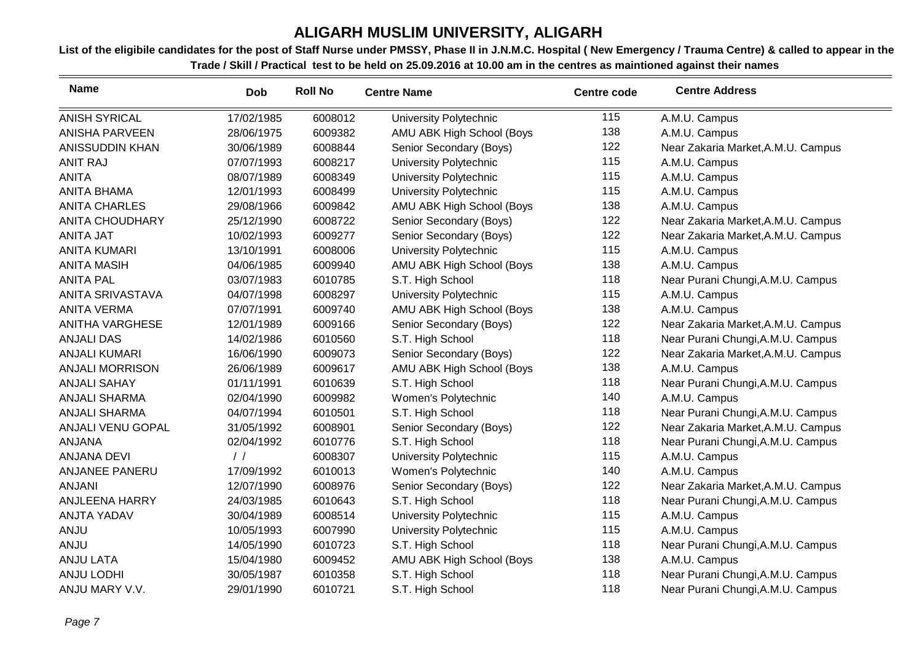| <b>Name</b>              | <b>Dob</b>    | <b>Roll No</b> | <b>Centre Name</b>            | <b>Centre code</b> | <b>Centre Address</b>              |
|--------------------------|---------------|----------------|-------------------------------|--------------------|------------------------------------|
| <b>ANISH SYRICAL</b>     | 17/02/1985    | 6008012        | University Polytechnic        | 115                | A.M.U. Campus                      |
| <b>ANISHA PARVEEN</b>    | 28/06/1975    | 6009382        | AMU ABK High School (Boys     | 138                | A.M.U. Campus                      |
| ANISSUDDIN KHAN          | 30/06/1989    | 6008844        | Senior Secondary (Boys)       | 122                | Near Zakaria Market, A.M.U. Campus |
| <b>ANIT RAJ</b>          | 07/07/1993    | 6008217        | University Polytechnic        | 115                | A.M.U. Campus                      |
| <b>ANITA</b>             | 08/07/1989    | 6008349        | University Polytechnic        | 115                | A.M.U. Campus                      |
| <b>ANITA BHAMA</b>       | 12/01/1993    | 6008499        | University Polytechnic        | 115                | A.M.U. Campus                      |
| <b>ANITA CHARLES</b>     | 29/08/1966    | 6009842        | AMU ABK High School (Boys     | 138                | A.M.U. Campus                      |
| <b>ANITA CHOUDHARY</b>   | 25/12/1990    | 6008722        | Senior Secondary (Boys)       | 122                | Near Zakaria Market, A.M.U. Campus |
| ANITA JAT                | 10/02/1993    | 6009277        | Senior Secondary (Boys)       | 122                | Near Zakaria Market, A.M.U. Campus |
| <b>ANITA KUMARI</b>      | 13/10/1991    | 6008006        | University Polytechnic        | 115                | A.M.U. Campus                      |
| <b>ANITA MASIH</b>       | 04/06/1985    | 6009940        | AMU ABK High School (Boys     | 138                | A.M.U. Campus                      |
| <b>ANITA PAL</b>         | 03/07/1983    | 6010785        | S.T. High School              | 118                | Near Purani Chungi, A.M.U. Campus  |
| <b>ANITA SRIVASTAVA</b>  | 04/07/1998    | 6008297        | University Polytechnic        | 115                | A.M.U. Campus                      |
| <b>ANITA VERMA</b>       | 07/07/1991    | 6009740        | AMU ABK High School (Boys     | 138                | A.M.U. Campus                      |
| <b>ANITHA VARGHESE</b>   | 12/01/1989    | 6009166        | Senior Secondary (Boys)       | 122                | Near Zakaria Market, A.M.U. Campus |
| <b>ANJALI DAS</b>        | 14/02/1986    | 6010560        | S.T. High School              | 118                | Near Purani Chungi, A.M.U. Campus  |
| <b>ANJALI KUMARI</b>     | 16/06/1990    | 6009073        | Senior Secondary (Boys)       | 122                | Near Zakaria Market, A.M.U. Campus |
| <b>ANJALI MORRISON</b>   | 26/06/1989    | 6009617        | AMU ABK High School (Boys     | 138                | A.M.U. Campus                      |
| <b>ANJALI SAHAY</b>      | 01/11/1991    | 6010639        | S.T. High School              | 118                | Near Purani Chungi, A.M.U. Campus  |
| <b>ANJALI SHARMA</b>     | 02/04/1990    | 6009982        | Women's Polytechnic           | 140                | A.M.U. Campus                      |
| <b>ANJALI SHARMA</b>     | 04/07/1994    | 6010501        | S.T. High School              | 118                | Near Purani Chungi, A.M.U. Campus  |
| <b>ANJALI VENU GOPAL</b> | 31/05/1992    | 6008901        | Senior Secondary (Boys)       | 122                | Near Zakaria Market, A.M.U. Campus |
| ANJANA                   | 02/04/1992    | 6010776        | S.T. High School              | 118                | Near Purani Chungi, A.M.U. Campus  |
| <b>ANJANA DEVI</b>       | $\frac{1}{2}$ | 6008307        | <b>University Polytechnic</b> | 115                | A.M.U. Campus                      |
| ANJANEE PANERU           | 17/09/1992    | 6010013        | Women's Polytechnic           | 140                | A.M.U. Campus                      |
| <b>ANJANI</b>            | 12/07/1990    | 6008976        | Senior Secondary (Boys)       | 122                | Near Zakaria Market, A.M.U. Campus |
| <b>ANJLEENA HARRY</b>    | 24/03/1985    | 6010643        | S.T. High School              | 118                | Near Purani Chungi, A.M.U. Campus  |
| ANJTA YADAV              | 30/04/1989    | 6008514        | University Polytechnic        | 115                | A.M.U. Campus                      |
| <b>ANJU</b>              | 10/05/1993    | 6007990        | University Polytechnic        | 115                | A.M.U. Campus                      |
| <b>ANJU</b>              | 14/05/1990    | 6010723        | S.T. High School              | 118                | Near Purani Chungi, A.M.U. Campus  |
| <b>ANJU LATA</b>         | 15/04/1980    | 6009452        | AMU ABK High School (Boys     | 138                | A.M.U. Campus                      |
| <b>ANJU LODHI</b>        | 30/05/1987    | 6010358        | S.T. High School              | 118                | Near Purani Chungi, A.M.U. Campus  |
| ANJU MARY V.V.           | 29/01/1990    | 6010721        | S.T. High School              | 118                | Near Purani Chungi, A.M.U. Campus  |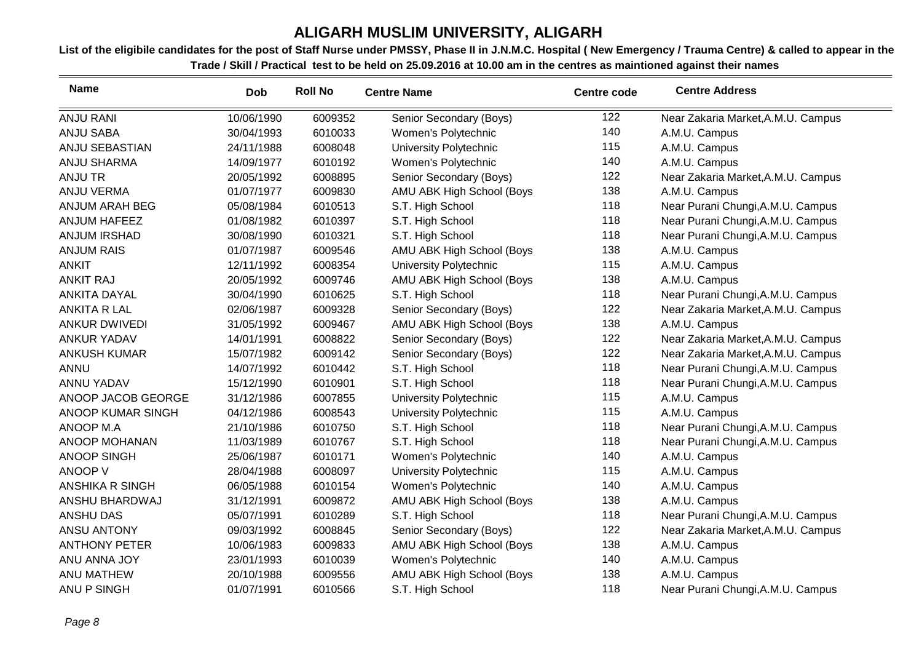| <b>Name</b>            | <b>Dob</b> | <b>Roll No</b> | <b>Centre Name</b>        | <b>Centre code</b> | <b>Centre Address</b>              |
|------------------------|------------|----------------|---------------------------|--------------------|------------------------------------|
| <b>ANJU RANI</b>       | 10/06/1990 | 6009352        | Senior Secondary (Boys)   | 122                | Near Zakaria Market, A.M.U. Campus |
| <b>ANJU SABA</b>       | 30/04/1993 | 6010033        | Women's Polytechnic       | 140                | A.M.U. Campus                      |
| ANJU SEBASTIAN         | 24/11/1988 | 6008048        | University Polytechnic    | 115                | A.M.U. Campus                      |
| ANJU SHARMA            | 14/09/1977 | 6010192        | Women's Polytechnic       | 140                | A.M.U. Campus                      |
| <b>ANJU TR</b>         | 20/05/1992 | 6008895        | Senior Secondary (Boys)   | 122                | Near Zakaria Market, A.M.U. Campus |
| <b>ANJU VERMA</b>      | 01/07/1977 | 6009830        | AMU ABK High School (Boys | 138                | A.M.U. Campus                      |
| ANJUM ARAH BEG         | 05/08/1984 | 6010513        | S.T. High School          | 118                | Near Purani Chungi, A.M.U. Campus  |
| ANJUM HAFEEZ           | 01/08/1982 | 6010397        | S.T. High School          | 118                | Near Purani Chungi, A.M.U. Campus  |
| <b>ANJUM IRSHAD</b>    | 30/08/1990 | 6010321        | S.T. High School          | 118                | Near Purani Chungi, A.M.U. Campus  |
| <b>ANJUM RAIS</b>      | 01/07/1987 | 6009546        | AMU ABK High School (Boys | 138                | A.M.U. Campus                      |
| <b>ANKIT</b>           | 12/11/1992 | 6008354        | University Polytechnic    | 115                | A.M.U. Campus                      |
| <b>ANKIT RAJ</b>       | 20/05/1992 | 6009746        | AMU ABK High School (Boys | 138                | A.M.U. Campus                      |
| <b>ANKITA DAYAL</b>    | 30/04/1990 | 6010625        | S.T. High School          | 118                | Near Purani Chungi, A.M.U. Campus  |
| <b>ANKITA R LAL</b>    | 02/06/1987 | 6009328        | Senior Secondary (Boys)   | 122                | Near Zakaria Market, A.M.U. Campus |
| <b>ANKUR DWIVEDI</b>   | 31/05/1992 | 6009467        | AMU ABK High School (Boys | 138                | A.M.U. Campus                      |
| <b>ANKUR YADAV</b>     | 14/01/1991 | 6008822        | Senior Secondary (Boys)   | 122                | Near Zakaria Market, A.M.U. Campus |
| <b>ANKUSH KUMAR</b>    | 15/07/1982 | 6009142        | Senior Secondary (Boys)   | 122                | Near Zakaria Market, A.M.U. Campus |
| <b>ANNU</b>            | 14/07/1992 | 6010442        | S.T. High School          | 118                | Near Purani Chungi, A.M.U. Campus  |
| <b>ANNU YADAV</b>      | 15/12/1990 | 6010901        | S.T. High School          | 118                | Near Purani Chungi, A.M.U. Campus  |
| ANOOP JACOB GEORGE     | 31/12/1986 | 6007855        | University Polytechnic    | 115                | A.M.U. Campus                      |
| ANOOP KUMAR SINGH      | 04/12/1986 | 6008543        | University Polytechnic    | 115                | A.M.U. Campus                      |
| ANOOP M.A              | 21/10/1986 | 6010750        | S.T. High School          | 118                | Near Purani Chungi, A.M.U. Campus  |
| ANOOP MOHANAN          | 11/03/1989 | 6010767        | S.T. High School          | 118                | Near Purani Chungi, A.M.U. Campus  |
| <b>ANOOP SINGH</b>     | 25/06/1987 | 6010171        | Women's Polytechnic       | 140                | A.M.U. Campus                      |
| ANOOP V                | 28/04/1988 | 6008097        | University Polytechnic    | 115                | A.M.U. Campus                      |
| <b>ANSHIKA R SINGH</b> | 06/05/1988 | 6010154        | Women's Polytechnic       | 140                | A.M.U. Campus                      |
| ANSHU BHARDWAJ         | 31/12/1991 | 6009872        | AMU ABK High School (Boys | 138                | A.M.U. Campus                      |
| ANSHU DAS              | 05/07/1991 | 6010289        | S.T. High School          | 118                | Near Purani Chungi, A.M.U. Campus  |
| <b>ANSU ANTONY</b>     | 09/03/1992 | 6008845        | Senior Secondary (Boys)   | 122                | Near Zakaria Market, A.M.U. Campus |
| <b>ANTHONY PETER</b>   | 10/06/1983 | 6009833        | AMU ABK High School (Boys | 138                | A.M.U. Campus                      |
| ANU ANNA JOY           | 23/01/1993 | 6010039        | Women's Polytechnic       | 140                | A.M.U. Campus                      |
| <b>ANU MATHEW</b>      | 20/10/1988 | 6009556        | AMU ABK High School (Boys | 138                | A.M.U. Campus                      |
| ANU P SINGH            | 01/07/1991 | 6010566        | S.T. High School          | 118                | Near Purani Chungi, A.M.U. Campus  |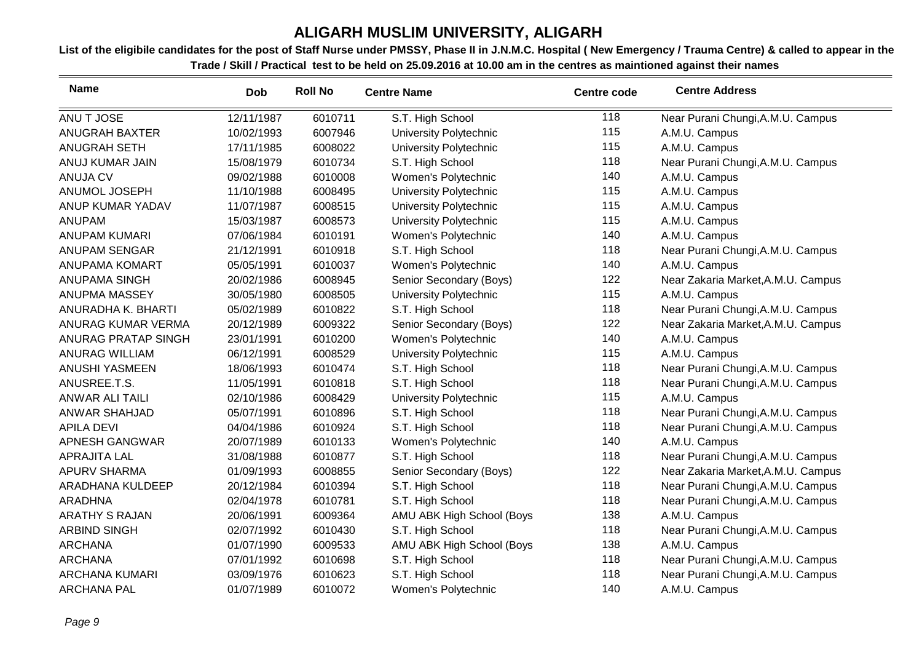| <b>Name</b>           | <b>Dob</b> | <b>Roll No</b> | <b>Centre Name</b>        | <b>Centre code</b> | <b>Centre Address</b>              |
|-----------------------|------------|----------------|---------------------------|--------------------|------------------------------------|
| ANU T JOSE            | 12/11/1987 | 6010711        | S.T. High School          | 118                | Near Purani Chungi, A.M.U. Campus  |
| ANUGRAH BAXTER        | 10/02/1993 | 6007946        | University Polytechnic    | 115                | A.M.U. Campus                      |
| <b>ANUGRAH SETH</b>   | 17/11/1985 | 6008022        | University Polytechnic    | 115                | A.M.U. Campus                      |
| ANUJ KUMAR JAIN       | 15/08/1979 | 6010734        | S.T. High School          | 118                | Near Purani Chungi, A.M.U. Campus  |
| <b>ANUJA CV</b>       | 09/02/1988 | 6010008        | Women's Polytechnic       | 140                | A.M.U. Campus                      |
| ANUMOL JOSEPH         | 11/10/1988 | 6008495        | University Polytechnic    | 115                | A.M.U. Campus                      |
| ANUP KUMAR YADAV      | 11/07/1987 | 6008515        | University Polytechnic    | 115                | A.M.U. Campus                      |
| <b>ANUPAM</b>         | 15/03/1987 | 6008573        | University Polytechnic    | 115                | A.M.U. Campus                      |
| <b>ANUPAM KUMARI</b>  | 07/06/1984 | 6010191        | Women's Polytechnic       | 140                | A.M.U. Campus                      |
| ANUPAM SENGAR         | 21/12/1991 | 6010918        | S.T. High School          | 118                | Near Purani Chungi, A.M.U. Campus  |
| ANUPAMA KOMART        | 05/05/1991 | 6010037        | Women's Polytechnic       | 140                | A.M.U. Campus                      |
| <b>ANUPAMA SINGH</b>  | 20/02/1986 | 6008945        | Senior Secondary (Boys)   | 122                | Near Zakaria Market, A.M.U. Campus |
| ANUPMA MASSEY         | 30/05/1980 | 6008505        | University Polytechnic    | 115                | A.M.U. Campus                      |
| ANURADHA K. BHARTI    | 05/02/1989 | 6010822        | S.T. High School          | 118                | Near Purani Chungi, A.M.U. Campus  |
| ANURAG KUMAR VERMA    | 20/12/1989 | 6009322        | Senior Secondary (Boys)   | 122                | Near Zakaria Market, A.M.U. Campus |
| ANURAG PRATAP SINGH   | 23/01/1991 | 6010200        | Women's Polytechnic       | 140                | A.M.U. Campus                      |
| <b>ANURAG WILLIAM</b> | 06/12/1991 | 6008529        | University Polytechnic    | 115                | A.M.U. Campus                      |
| <b>ANUSHI YASMEEN</b> | 18/06/1993 | 6010474        | S.T. High School          | 118                | Near Purani Chungi, A.M.U. Campus  |
| ANUSREE.T.S.          | 11/05/1991 | 6010818        | S.T. High School          | 118                | Near Purani Chungi, A.M.U. Campus  |
| ANWAR ALI TAILI       | 02/10/1986 | 6008429        | University Polytechnic    | 115                | A.M.U. Campus                      |
| <b>ANWAR SHAHJAD</b>  | 05/07/1991 | 6010896        | S.T. High School          | 118                | Near Purani Chungi, A.M.U. Campus  |
| <b>APILA DEVI</b>     | 04/04/1986 | 6010924        | S.T. High School          | 118                | Near Purani Chungi, A.M.U. Campus  |
| APNESH GANGWAR        | 20/07/1989 | 6010133        | Women's Polytechnic       | 140                | A.M.U. Campus                      |
| <b>APRAJITA LAL</b>   | 31/08/1988 | 6010877        | S.T. High School          | 118                | Near Purani Chungi, A.M.U. Campus  |
| <b>APURV SHARMA</b>   | 01/09/1993 | 6008855        | Senior Secondary (Boys)   | 122                | Near Zakaria Market, A.M.U. Campus |
| ARADHANA KULDEEP      | 20/12/1984 | 6010394        | S.T. High School          | 118                | Near Purani Chungi, A.M.U. Campus  |
| <b>ARADHNA</b>        | 02/04/1978 | 6010781        | S.T. High School          | 118                | Near Purani Chungi, A.M.U. Campus  |
| <b>ARATHY S RAJAN</b> | 20/06/1991 | 6009364        | AMU ABK High School (Boys | 138                | A.M.U. Campus                      |
| <b>ARBIND SINGH</b>   | 02/07/1992 | 6010430        | S.T. High School          | 118                | Near Purani Chungi, A.M.U. Campus  |
| <b>ARCHANA</b>        | 01/07/1990 | 6009533        | AMU ABK High School (Boys | 138                | A.M.U. Campus                      |
| <b>ARCHANA</b>        | 07/01/1992 | 6010698        | S.T. High School          | 118                | Near Purani Chungi, A.M.U. Campus  |
| <b>ARCHANA KUMARI</b> | 03/09/1976 | 6010623        | S.T. High School          | 118                | Near Purani Chungi, A.M.U. Campus  |
| <b>ARCHANA PAL</b>    | 01/07/1989 | 6010072        | Women's Polytechnic       | 140                | A.M.U. Campus                      |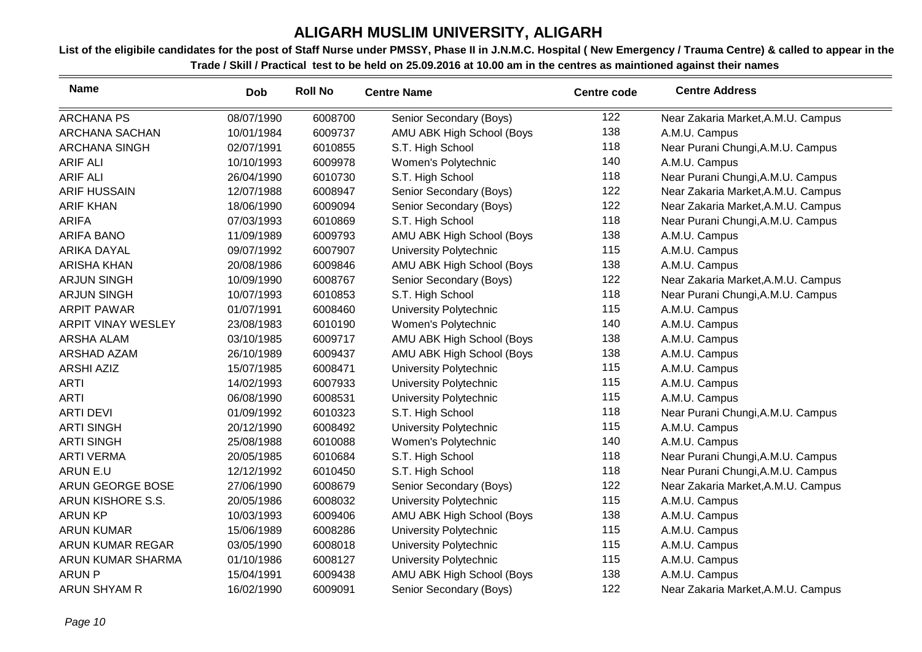| <b>Name</b>               | <b>Dob</b> | <b>Roll No</b> | <b>Centre Name</b>        | <b>Centre code</b> | <b>Centre Address</b>              |
|---------------------------|------------|----------------|---------------------------|--------------------|------------------------------------|
| <b>ARCHANA PS</b>         | 08/07/1990 | 6008700        | Senior Secondary (Boys)   | 122                | Near Zakaria Market, A.M.U. Campus |
| ARCHANA SACHAN            | 10/01/1984 | 6009737        | AMU ABK High School (Boys | 138                | A.M.U. Campus                      |
| ARCHANA SINGH             | 02/07/1991 | 6010855        | S.T. High School          | 118                | Near Purani Chungi, A.M.U. Campus  |
| <b>ARIF ALI</b>           | 10/10/1993 | 6009978        | Women's Polytechnic       | 140                | A.M.U. Campus                      |
| <b>ARIF ALI</b>           | 26/04/1990 | 6010730        | S.T. High School          | 118                | Near Purani Chungi, A.M.U. Campus  |
| <b>ARIF HUSSAIN</b>       | 12/07/1988 | 6008947        | Senior Secondary (Boys)   | 122                | Near Zakaria Market, A.M.U. Campus |
| <b>ARIF KHAN</b>          | 18/06/1990 | 6009094        | Senior Secondary (Boys)   | 122                | Near Zakaria Market, A.M.U. Campus |
| <b>ARIFA</b>              | 07/03/1993 | 6010869        | S.T. High School          | 118                | Near Purani Chungi, A.M.U. Campus  |
| <b>ARIFA BANO</b>         | 11/09/1989 | 6009793        | AMU ABK High School (Boys | 138                | A.M.U. Campus                      |
| <b>ARIKA DAYAL</b>        | 09/07/1992 | 6007907        | University Polytechnic    | 115                | A.M.U. Campus                      |
| <b>ARISHA KHAN</b>        | 20/08/1986 | 6009846        | AMU ABK High School (Boys | 138                | A.M.U. Campus                      |
| <b>ARJUN SINGH</b>        | 10/09/1990 | 6008767        | Senior Secondary (Boys)   | 122                | Near Zakaria Market, A.M.U. Campus |
| <b>ARJUN SINGH</b>        | 10/07/1993 | 6010853        | S.T. High School          | 118                | Near Purani Chungi, A.M.U. Campus  |
| <b>ARPIT PAWAR</b>        | 01/07/1991 | 6008460        | University Polytechnic    | 115                | A.M.U. Campus                      |
| <b>ARPIT VINAY WESLEY</b> | 23/08/1983 | 6010190        | Women's Polytechnic       | 140                | A.M.U. Campus                      |
| ARSHA ALAM                | 03/10/1985 | 6009717        | AMU ABK High School (Boys | 138                | A.M.U. Campus                      |
| ARSHAD AZAM               | 26/10/1989 | 6009437        | AMU ABK High School (Boys | 138                | A.M.U. Campus                      |
| <b>ARSHI AZIZ</b>         | 15/07/1985 | 6008471        | University Polytechnic    | 115                | A.M.U. Campus                      |
| <b>ARTI</b>               | 14/02/1993 | 6007933        | University Polytechnic    | 115                | A.M.U. Campus                      |
| <b>ARTI</b>               | 06/08/1990 | 6008531        | University Polytechnic    | 115                | A.M.U. Campus                      |
| <b>ARTI DEVI</b>          | 01/09/1992 | 6010323        | S.T. High School          | 118                | Near Purani Chungi, A.M.U. Campus  |
| <b>ARTI SINGH</b>         | 20/12/1990 | 6008492        | University Polytechnic    | 115                | A.M.U. Campus                      |
| <b>ARTI SINGH</b>         | 25/08/1988 | 6010088        | Women's Polytechnic       | 140                | A.M.U. Campus                      |
| <b>ARTI VERMA</b>         | 20/05/1985 | 6010684        | S.T. High School          | 118                | Near Purani Chungi, A.M.U. Campus  |
| ARUN E.U                  | 12/12/1992 | 6010450        | S.T. High School          | 118                | Near Purani Chungi, A.M.U. Campus  |
| ARUN GEORGE BOSE          | 27/06/1990 | 6008679        | Senior Secondary (Boys)   | 122                | Near Zakaria Market, A.M.U. Campus |
| ARUN KISHORE S.S.         | 20/05/1986 | 6008032        | University Polytechnic    | 115                | A.M.U. Campus                      |
| <b>ARUN KP</b>            | 10/03/1993 | 6009406        | AMU ABK High School (Boys | 138                | A.M.U. Campus                      |
| <b>ARUN KUMAR</b>         | 15/06/1989 | 6008286        | University Polytechnic    | 115                | A.M.U. Campus                      |
| ARUN KUMAR REGAR          | 03/05/1990 | 6008018        | University Polytechnic    | 115                | A.M.U. Campus                      |
| ARUN KUMAR SHARMA         | 01/10/1986 | 6008127        | University Polytechnic    | 115                | A.M.U. Campus                      |
| <b>ARUN P</b>             | 15/04/1991 | 6009438        | AMU ABK High School (Boys | 138                | A.M.U. Campus                      |
| ARUN SHYAM R              | 16/02/1990 | 6009091        | Senior Secondary (Boys)   | 122                | Near Zakaria Market, A.M.U. Campus |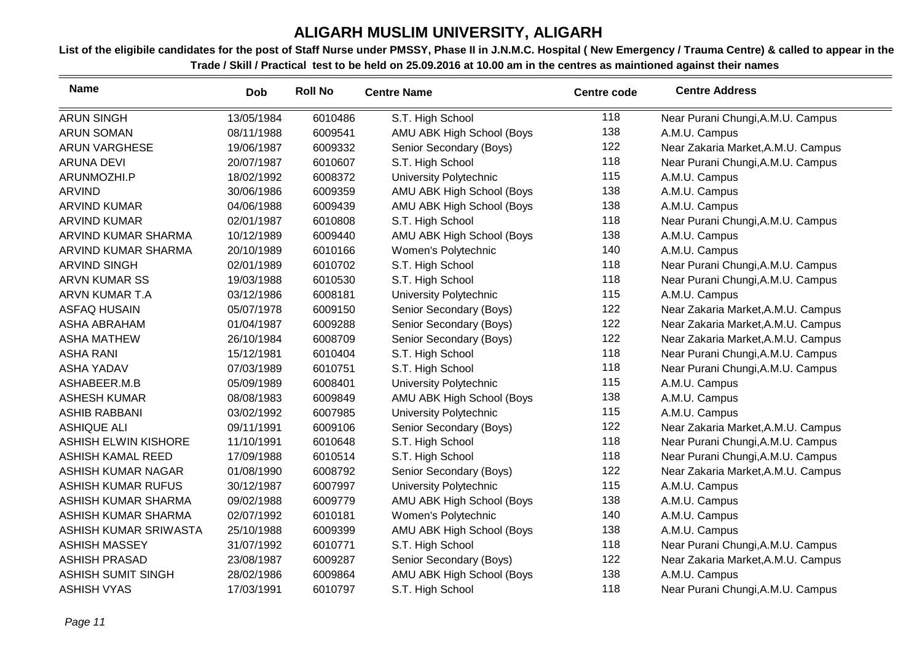| <b>Name</b>                 | <b>Dob</b> | <b>Roll No</b> | <b>Centre Name</b>            | <b>Centre code</b> | <b>Centre Address</b>              |
|-----------------------------|------------|----------------|-------------------------------|--------------------|------------------------------------|
| <b>ARUN SINGH</b>           | 13/05/1984 | 6010486        | S.T. High School              | 118                | Near Purani Chungi, A.M.U. Campus  |
| <b>ARUN SOMAN</b>           | 08/11/1988 | 6009541        | AMU ABK High School (Boys     | 138                | A.M.U. Campus                      |
| <b>ARUN VARGHESE</b>        | 19/06/1987 | 6009332        | Senior Secondary (Boys)       | 122                | Near Zakaria Market, A.M.U. Campus |
| <b>ARUNA DEVI</b>           | 20/07/1987 | 6010607        | S.T. High School              | 118                | Near Purani Chungi, A.M.U. Campus  |
| ARUNMOZHI.P                 | 18/02/1992 | 6008372        | <b>University Polytechnic</b> | 115                | A.M.U. Campus                      |
| <b>ARVIND</b>               | 30/06/1986 | 6009359        | AMU ABK High School (Boys     | 138                | A.M.U. Campus                      |
| <b>ARVIND KUMAR</b>         | 04/06/1988 | 6009439        | AMU ABK High School (Boys     | 138                | A.M.U. Campus                      |
| <b>ARVIND KUMAR</b>         | 02/01/1987 | 6010808        | S.T. High School              | 118                | Near Purani Chungi, A.M.U. Campus  |
| ARVIND KUMAR SHARMA         | 10/12/1989 | 6009440        | AMU ABK High School (Boys     | 138                | A.M.U. Campus                      |
| ARVIND KUMAR SHARMA         | 20/10/1989 | 6010166        | Women's Polytechnic           | 140                | A.M.U. Campus                      |
| <b>ARVIND SINGH</b>         | 02/01/1989 | 6010702        | S.T. High School              | 118                | Near Purani Chungi, A.M.U. Campus  |
| <b>ARVN KUMAR SS</b>        | 19/03/1988 | 6010530        | S.T. High School              | 118                | Near Purani Chungi, A.M.U. Campus  |
| ARVN KUMAR T.A              | 03/12/1986 | 6008181        | University Polytechnic        | 115                | A.M.U. Campus                      |
| <b>ASFAQ HUSAIN</b>         | 05/07/1978 | 6009150        | Senior Secondary (Boys)       | 122                | Near Zakaria Market, A.M.U. Campus |
| <b>ASHA ABRAHAM</b>         | 01/04/1987 | 6009288        | Senior Secondary (Boys)       | 122                | Near Zakaria Market, A.M.U. Campus |
| <b>ASHA MATHEW</b>          | 26/10/1984 | 6008709        | Senior Secondary (Boys)       | 122                | Near Zakaria Market, A.M.U. Campus |
| <b>ASHA RANI</b>            | 15/12/1981 | 6010404        | S.T. High School              | 118                | Near Purani Chungi, A.M.U. Campus  |
| <b>ASHA YADAV</b>           | 07/03/1989 | 6010751        | S.T. High School              | 118                | Near Purani Chungi, A.M.U. Campus  |
| ASHABEER.M.B                | 05/09/1989 | 6008401        | <b>University Polytechnic</b> | 115                | A.M.U. Campus                      |
| <b>ASHESH KUMAR</b>         | 08/08/1983 | 6009849        | AMU ABK High School (Boys     | 138                | A.M.U. Campus                      |
| <b>ASHIB RABBANI</b>        | 03/02/1992 | 6007985        | University Polytechnic        | 115                | A.M.U. Campus                      |
| <b>ASHIQUE ALI</b>          | 09/11/1991 | 6009106        | Senior Secondary (Boys)       | 122                | Near Zakaria Market, A.M.U. Campus |
| <b>ASHISH ELWIN KISHORE</b> | 11/10/1991 | 6010648        | S.T. High School              | 118                | Near Purani Chungi, A.M.U. Campus  |
| <b>ASHISH KAMAL REED</b>    | 17/09/1988 | 6010514        | S.T. High School              | 118                | Near Purani Chungi, A.M.U. Campus  |
| ASHISH KUMAR NAGAR          | 01/08/1990 | 6008792        | Senior Secondary (Boys)       | 122                | Near Zakaria Market, A.M.U. Campus |
| <b>ASHISH KUMAR RUFUS</b>   | 30/12/1987 | 6007997        | <b>University Polytechnic</b> | 115                | A.M.U. Campus                      |
| ASHISH KUMAR SHARMA         | 09/02/1988 | 6009779        | AMU ABK High School (Boys     | 138                | A.M.U. Campus                      |
| ASHISH KUMAR SHARMA         | 02/07/1992 | 6010181        | Women's Polytechnic           | 140                | A.M.U. Campus                      |
| ASHISH KUMAR SRIWASTA       | 25/10/1988 | 6009399        | AMU ABK High School (Boys     | 138                | A.M.U. Campus                      |
| <b>ASHISH MASSEY</b>        | 31/07/1992 | 6010771        | S.T. High School              | 118                | Near Purani Chungi, A.M.U. Campus  |
| <b>ASHISH PRASAD</b>        | 23/08/1987 | 6009287        | Senior Secondary (Boys)       | 122                | Near Zakaria Market, A.M.U. Campus |
| <b>ASHISH SUMIT SINGH</b>   | 28/02/1986 | 6009864        | AMU ABK High School (Boys     | 138                | A.M.U. Campus                      |
| <b>ASHISH VYAS</b>          | 17/03/1991 | 6010797        | S.T. High School              | 118                | Near Purani Chungi, A.M.U. Campus  |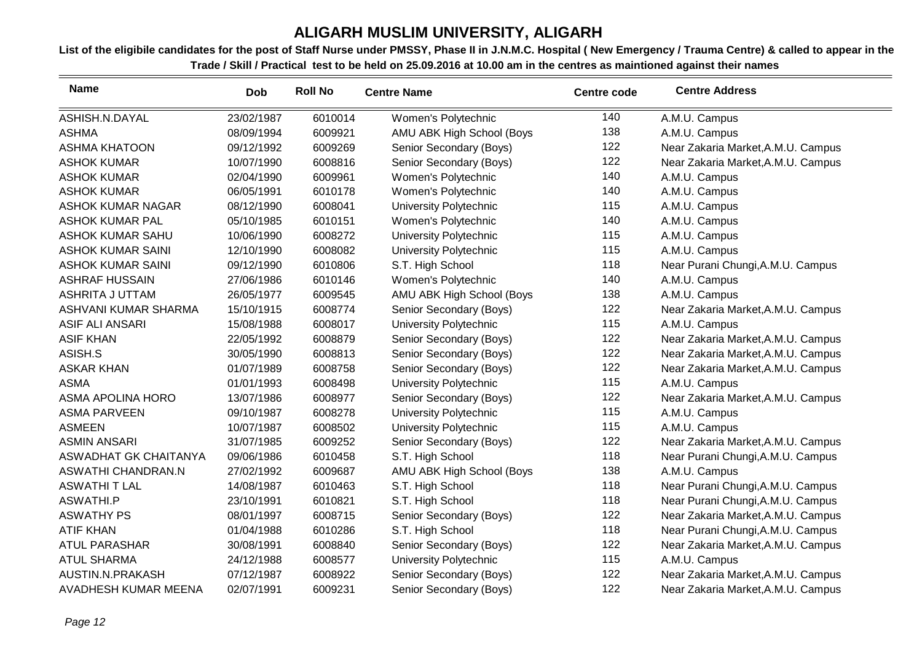| <b>Name</b>               | <b>Dob</b> | <b>Roll No</b> | <b>Centre Name</b>            | <b>Centre code</b> | <b>Centre Address</b>              |
|---------------------------|------------|----------------|-------------------------------|--------------------|------------------------------------|
| ASHISH.N.DAYAL            | 23/02/1987 | 6010014        | Women's Polytechnic           | 140                | A.M.U. Campus                      |
| <b>ASHMA</b>              | 08/09/1994 | 6009921        | AMU ABK High School (Boys     | 138                | A.M.U. Campus                      |
| <b>ASHMA KHATOON</b>      | 09/12/1992 | 6009269        | Senior Secondary (Boys)       | 122                | Near Zakaria Market, A.M.U. Campus |
| <b>ASHOK KUMAR</b>        | 10/07/1990 | 6008816        | Senior Secondary (Boys)       | 122                | Near Zakaria Market, A.M.U. Campus |
| <b>ASHOK KUMAR</b>        | 02/04/1990 | 6009961        | Women's Polytechnic           | 140                | A.M.U. Campus                      |
| <b>ASHOK KUMAR</b>        | 06/05/1991 | 6010178        | Women's Polytechnic           | 140                | A.M.U. Campus                      |
| <b>ASHOK KUMAR NAGAR</b>  | 08/12/1990 | 6008041        | University Polytechnic        | 115                | A.M.U. Campus                      |
| <b>ASHOK KUMAR PAL</b>    | 05/10/1985 | 6010151        | Women's Polytechnic           | 140                | A.M.U. Campus                      |
| <b>ASHOK KUMAR SAHU</b>   | 10/06/1990 | 6008272        | <b>University Polytechnic</b> | 115                | A.M.U. Campus                      |
| <b>ASHOK KUMAR SAINI</b>  | 12/10/1990 | 6008082        | University Polytechnic        | 115                | A.M.U. Campus                      |
| <b>ASHOK KUMAR SAINI</b>  | 09/12/1990 | 6010806        | S.T. High School              | 118                | Near Purani Chungi, A.M.U. Campus  |
| <b>ASHRAF HUSSAIN</b>     | 27/06/1986 | 6010146        | Women's Polytechnic           | 140                | A.M.U. Campus                      |
| ASHRITA J UTTAM           | 26/05/1977 | 6009545        | AMU ABK High School (Boys     | 138                | A.M.U. Campus                      |
| ASHVANI KUMAR SHARMA      | 15/10/1915 | 6008774        | Senior Secondary (Boys)       | 122                | Near Zakaria Market, A.M.U. Campus |
| <b>ASIF ALI ANSARI</b>    | 15/08/1988 | 6008017        | University Polytechnic        | 115                | A.M.U. Campus                      |
| <b>ASIF KHAN</b>          | 22/05/1992 | 6008879        | Senior Secondary (Boys)       | 122                | Near Zakaria Market, A.M.U. Campus |
| ASISH.S                   | 30/05/1990 | 6008813        | Senior Secondary (Boys)       | 122                | Near Zakaria Market, A.M.U. Campus |
| <b>ASKAR KHAN</b>         | 01/07/1989 | 6008758        | Senior Secondary (Boys)       | 122                | Near Zakaria Market, A.M.U. Campus |
| <b>ASMA</b>               | 01/01/1993 | 6008498        | University Polytechnic        | 115                | A.M.U. Campus                      |
| <b>ASMA APOLINA HORO</b>  | 13/07/1986 | 6008977        | Senior Secondary (Boys)       | 122                | Near Zakaria Market, A.M.U. Campus |
| <b>ASMA PARVEEN</b>       | 09/10/1987 | 6008278        | University Polytechnic        | 115                | A.M.U. Campus                      |
| <b>ASMEEN</b>             | 10/07/1987 | 6008502        | University Polytechnic        | 115                | A.M.U. Campus                      |
| <b>ASMIN ANSARI</b>       | 31/07/1985 | 6009252        | Senior Secondary (Boys)       | 122                | Near Zakaria Market, A.M.U. Campus |
| ASWADHAT GK CHAITANYA     | 09/06/1986 | 6010458        | S.T. High School              | 118                | Near Purani Chungi, A.M.U. Campus  |
| <b>ASWATHI CHANDRAN.N</b> | 27/02/1992 | 6009687        | AMU ABK High School (Boys     | 138                | A.M.U. Campus                      |
| <b>ASWATHI T LAL</b>      | 14/08/1987 | 6010463        | S.T. High School              | 118                | Near Purani Chungi, A.M.U. Campus  |
| <b>ASWATHI.P</b>          | 23/10/1991 | 6010821        | S.T. High School              | 118                | Near Purani Chungi, A.M.U. Campus  |
| <b>ASWATHY PS</b>         | 08/01/1997 | 6008715        | Senior Secondary (Boys)       | 122                | Near Zakaria Market, A.M.U. Campus |
| <b>ATIF KHAN</b>          | 01/04/1988 | 6010286        | S.T. High School              | 118                | Near Purani Chungi, A.M.U. Campus  |
| <b>ATUL PARASHAR</b>      | 30/08/1991 | 6008840        | Senior Secondary (Boys)       | 122                | Near Zakaria Market, A.M.U. Campus |
| <b>ATUL SHARMA</b>        | 24/12/1988 | 6008577        | University Polytechnic        | 115                | A.M.U. Campus                      |
| AUSTIN.N.PRAKASH          | 07/12/1987 | 6008922        | Senior Secondary (Boys)       | 122                | Near Zakaria Market, A.M.U. Campus |
| AVADHESH KUMAR MEENA      | 02/07/1991 | 6009231        | Senior Secondary (Boys)       | 122                | Near Zakaria Market, A.M.U. Campus |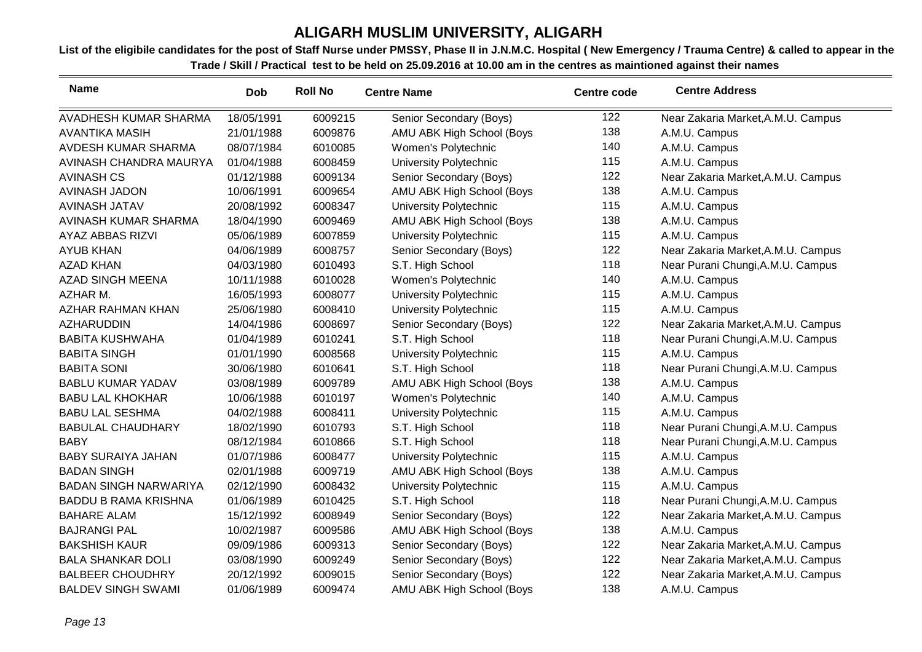| <b>Name</b>                  | <b>Dob</b> | <b>Roll No</b> | <b>Centre Name</b>        | <b>Centre code</b> | <b>Centre Address</b>              |
|------------------------------|------------|----------------|---------------------------|--------------------|------------------------------------|
| AVADHESH KUMAR SHARMA        | 18/05/1991 | 6009215        | Senior Secondary (Boys)   | 122                | Near Zakaria Market, A.M.U. Campus |
| <b>AVANTIKA MASIH</b>        | 21/01/1988 | 6009876        | AMU ABK High School (Boys | 138                | A.M.U. Campus                      |
| AVDESH KUMAR SHARMA          | 08/07/1984 | 6010085        | Women's Polytechnic       | 140                | A.M.U. Campus                      |
| AVINASH CHANDRA MAURYA       | 01/04/1988 | 6008459        | University Polytechnic    | 115                | A.M.U. Campus                      |
| <b>AVINASH CS</b>            | 01/12/1988 | 6009134        | Senior Secondary (Boys)   | 122                | Near Zakaria Market, A.M.U. Campus |
| AVINASH JADON                | 10/06/1991 | 6009654        | AMU ABK High School (Boys | 138                | A.M.U. Campus                      |
| <b>AVINASH JATAV</b>         | 20/08/1992 | 6008347        | University Polytechnic    | 115                | A.M.U. Campus                      |
| AVINASH KUMAR SHARMA         | 18/04/1990 | 6009469        | AMU ABK High School (Boys | 138                | A.M.U. Campus                      |
| <b>AYAZ ABBAS RIZVI</b>      | 05/06/1989 | 6007859        | University Polytechnic    | 115                | A.M.U. Campus                      |
| <b>AYUB KHAN</b>             | 04/06/1989 | 6008757        | Senior Secondary (Boys)   | 122                | Near Zakaria Market, A.M.U. Campus |
| <b>AZAD KHAN</b>             | 04/03/1980 | 6010493        | S.T. High School          | 118                | Near Purani Chungi, A.M.U. Campus  |
| <b>AZAD SINGH MEENA</b>      | 10/11/1988 | 6010028        | Women's Polytechnic       | 140                | A.M.U. Campus                      |
| AZHAR M.                     | 16/05/1993 | 6008077        | University Polytechnic    | 115                | A.M.U. Campus                      |
| <b>AZHAR RAHMAN KHAN</b>     | 25/06/1980 | 6008410        | University Polytechnic    | 115                | A.M.U. Campus                      |
| <b>AZHARUDDIN</b>            | 14/04/1986 | 6008697        | Senior Secondary (Boys)   | 122                | Near Zakaria Market, A.M.U. Campus |
| <b>BABITA KUSHWAHA</b>       | 01/04/1989 | 6010241        | S.T. High School          | 118                | Near Purani Chungi, A.M.U. Campus  |
| <b>BABITA SINGH</b>          | 01/01/1990 | 6008568        | University Polytechnic    | 115                | A.M.U. Campus                      |
| <b>BABITA SONI</b>           | 30/06/1980 | 6010641        | S.T. High School          | 118                | Near Purani Chungi, A.M.U. Campus  |
| <b>BABLU KUMAR YADAV</b>     | 03/08/1989 | 6009789        | AMU ABK High School (Boys | 138                | A.M.U. Campus                      |
| <b>BABU LAL KHOKHAR</b>      | 10/06/1988 | 6010197        | Women's Polytechnic       | 140                | A.M.U. Campus                      |
| <b>BABU LAL SESHMA</b>       | 04/02/1988 | 6008411        | University Polytechnic    | 115                | A.M.U. Campus                      |
| <b>BABULAL CHAUDHARY</b>     | 18/02/1990 | 6010793        | S.T. High School          | 118                | Near Purani Chungi, A.M.U. Campus  |
| <b>BABY</b>                  | 08/12/1984 | 6010866        | S.T. High School          | 118                | Near Purani Chungi, A.M.U. Campus  |
| <b>BABY SURAIYA JAHAN</b>    | 01/07/1986 | 6008477        | University Polytechnic    | 115                | A.M.U. Campus                      |
| <b>BADAN SINGH</b>           | 02/01/1988 | 6009719        | AMU ABK High School (Boys | 138                | A.M.U. Campus                      |
| <b>BADAN SINGH NARWARIYA</b> | 02/12/1990 | 6008432        | University Polytechnic    | 115                | A.M.U. Campus                      |
| <b>BADDU B RAMA KRISHNA</b>  | 01/06/1989 | 6010425        | S.T. High School          | 118                | Near Purani Chungi, A.M.U. Campus  |
| <b>BAHARE ALAM</b>           | 15/12/1992 | 6008949        | Senior Secondary (Boys)   | 122                | Near Zakaria Market, A.M.U. Campus |
| <b>BAJRANGI PAL</b>          | 10/02/1987 | 6009586        | AMU ABK High School (Boys | 138                | A.M.U. Campus                      |
| <b>BAKSHISH KAUR</b>         | 09/09/1986 | 6009313        | Senior Secondary (Boys)   | 122                | Near Zakaria Market, A.M.U. Campus |
| <b>BALA SHANKAR DOLI</b>     | 03/08/1990 | 6009249        | Senior Secondary (Boys)   | 122                | Near Zakaria Market, A.M.U. Campus |
| <b>BALBEER CHOUDHRY</b>      | 20/12/1992 | 6009015        | Senior Secondary (Boys)   | 122                | Near Zakaria Market, A.M.U. Campus |
| <b>BALDEV SINGH SWAMI</b>    | 01/06/1989 | 6009474        | AMU ABK High School (Boys | 138                | A.M.U. Campus                      |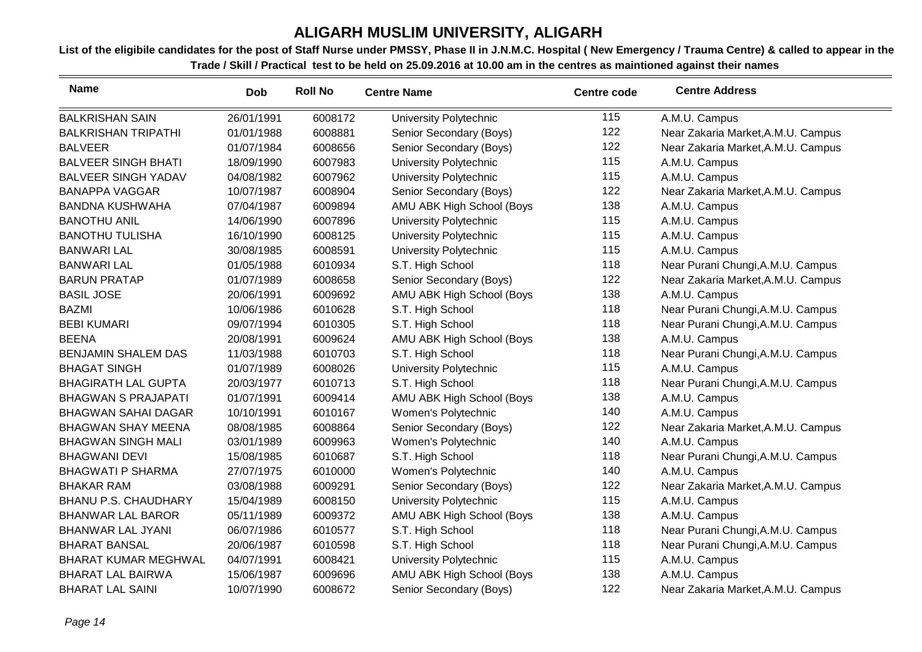| <b>Name</b>                 | <b>Dob</b> | <b>Roll No</b> | <b>Centre Name</b>        | <b>Centre code</b> | <b>Centre Address</b>              |
|-----------------------------|------------|----------------|---------------------------|--------------------|------------------------------------|
| <b>BALKRISHAN SAIN</b>      | 26/01/1991 | 6008172        | University Polytechnic    | 115                | A.M.U. Campus                      |
| <b>BALKRISHAN TRIPATHI</b>  | 01/01/1988 | 6008881        | Senior Secondary (Boys)   | 122                | Near Zakaria Market, A.M.U. Campus |
| <b>BALVEER</b>              | 01/07/1984 | 6008656        | Senior Secondary (Boys)   | 122                | Near Zakaria Market, A.M.U. Campus |
| <b>BALVEER SINGH BHATI</b>  | 18/09/1990 | 6007983        | University Polytechnic    | 115                | A.M.U. Campus                      |
| <b>BALVEER SINGH YADAV</b>  | 04/08/1982 | 6007962        | University Polytechnic    | 115                | A.M.U. Campus                      |
| <b>BANAPPA VAGGAR</b>       | 10/07/1987 | 6008904        | Senior Secondary (Boys)   | 122                | Near Zakaria Market, A.M.U. Campus |
| <b>BANDNA KUSHWAHA</b>      | 07/04/1987 | 6009894        | AMU ABK High School (Boys | 138                | A.M.U. Campus                      |
| <b>BANOTHU ANIL</b>         | 14/06/1990 | 6007896        | University Polytechnic    | 115                | A.M.U. Campus                      |
| <b>BANOTHU TULISHA</b>      | 16/10/1990 | 6008125        | University Polytechnic    | 115                | A.M.U. Campus                      |
| <b>BANWARI LAL</b>          | 30/08/1985 | 6008591        | University Polytechnic    | 115                | A.M.U. Campus                      |
| <b>BANWARI LAL</b>          | 01/05/1988 | 6010934        | S.T. High School          | 118                | Near Purani Chungi, A.M.U. Campus  |
| <b>BARUN PRATAP</b>         | 01/07/1989 | 6008658        | Senior Secondary (Boys)   | 122                | Near Zakaria Market, A.M.U. Campus |
| <b>BASIL JOSE</b>           | 20/06/1991 | 6009692        | AMU ABK High School (Boys | 138                | A.M.U. Campus                      |
| <b>BAZMI</b>                | 10/06/1986 | 6010628        | S.T. High School          | 118                | Near Purani Chungi, A.M.U. Campus  |
| <b>BEBI KUMARI</b>          | 09/07/1994 | 6010305        | S.T. High School          | 118                | Near Purani Chungi, A.M.U. Campus  |
| <b>BEENA</b>                | 20/08/1991 | 6009624        | AMU ABK High School (Boys | 138                | A.M.U. Campus                      |
| <b>BENJAMIN SHALEM DAS</b>  | 11/03/1988 | 6010703        | S.T. High School          | 118                | Near Purani Chungi, A.M.U. Campus  |
| <b>BHAGAT SINGH</b>         | 01/07/1989 | 6008026        | University Polytechnic    | 115                | A.M.U. Campus                      |
| <b>BHAGIRATH LAL GUPTA</b>  | 20/03/1977 | 6010713        | S.T. High School          | 118                | Near Purani Chungi, A.M.U. Campus  |
| <b>BHAGWAN S PRAJAPATI</b>  | 01/07/1991 | 6009414        | AMU ABK High School (Boys | 138                | A.M.U. Campus                      |
| <b>BHAGWAN SAHAI DAGAR</b>  | 10/10/1991 | 6010167        | Women's Polytechnic       | 140                | A.M.U. Campus                      |
| <b>BHAGWAN SHAY MEENA</b>   | 08/08/1985 | 6008864        | Senior Secondary (Boys)   | 122                | Near Zakaria Market, A.M.U. Campus |
| <b>BHAGWAN SINGH MALI</b>   | 03/01/1989 | 6009963        | Women's Polytechnic       | 140                | A.M.U. Campus                      |
| <b>BHAGWANI DEVI</b>        | 15/08/1985 | 6010687        | S.T. High School          | 118                | Near Purani Chungi, A.M.U. Campus  |
| <b>BHAGWATI P SHARMA</b>    | 27/07/1975 | 6010000        | Women's Polytechnic       | 140                | A.M.U. Campus                      |
| <b>BHAKAR RAM</b>           | 03/08/1988 | 6009291        | Senior Secondary (Boys)   | 122                | Near Zakaria Market, A.M.U. Campus |
| <b>BHANU P.S. CHAUDHARY</b> | 15/04/1989 | 6008150        | University Polytechnic    | 115                | A.M.U. Campus                      |
| <b>BHANWAR LAL BAROR</b>    | 05/11/1989 | 6009372        | AMU ABK High School (Boys | 138                | A.M.U. Campus                      |
| <b>BHANWAR LAL JYANI</b>    | 06/07/1986 | 6010577        | S.T. High School          | 118                | Near Purani Chungi, A.M.U. Campus  |
| <b>BHARAT BANSAL</b>        | 20/06/1987 | 6010598        | S.T. High School          | 118                | Near Purani Chungi, A.M.U. Campus  |
| <b>BHARAT KUMAR MEGHWAL</b> | 04/07/1991 | 6008421        | University Polytechnic    | 115                | A.M.U. Campus                      |
| <b>BHARAT LAL BAIRWA</b>    | 15/06/1987 | 6009696        | AMU ABK High School (Boys | 138                | A.M.U. Campus                      |
| <b>BHARAT LAL SAINI</b>     | 10/07/1990 | 6008672        | Senior Secondary (Boys)   | 122                | Near Zakaria Market, A.M.U. Campus |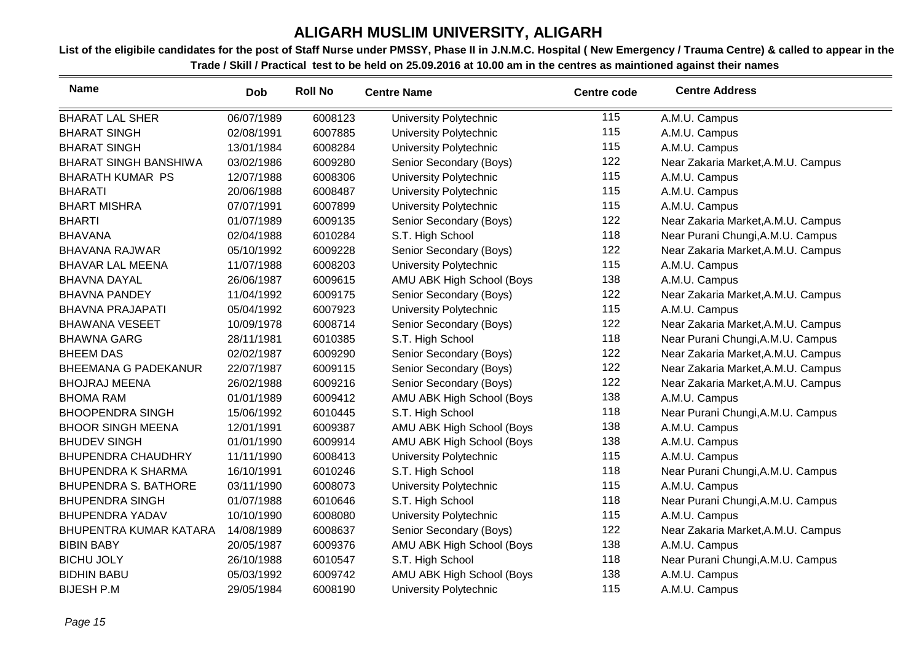| <b>Name</b>                   | <b>Dob</b> | <b>Roll No</b> | <b>Centre Name</b>        | <b>Centre code</b> | <b>Centre Address</b>              |
|-------------------------------|------------|----------------|---------------------------|--------------------|------------------------------------|
| <b>BHARAT LAL SHER</b>        | 06/07/1989 | 6008123        | University Polytechnic    | 115                | A.M.U. Campus                      |
| <b>BHARAT SINGH</b>           | 02/08/1991 | 6007885        | University Polytechnic    | 115                | A.M.U. Campus                      |
| <b>BHARAT SINGH</b>           | 13/01/1984 | 6008284        | University Polytechnic    | 115                | A.M.U. Campus                      |
| <b>BHARAT SINGH BANSHIWA</b>  | 03/02/1986 | 6009280        | Senior Secondary (Boys)   | 122                | Near Zakaria Market, A.M.U. Campus |
| <b>BHARATH KUMAR PS</b>       | 12/07/1988 | 6008306        | University Polytechnic    | 115                | A.M.U. Campus                      |
| <b>BHARATI</b>                | 20/06/1988 | 6008487        | University Polytechnic    | 115                | A.M.U. Campus                      |
| <b>BHART MISHRA</b>           | 07/07/1991 | 6007899        | University Polytechnic    | 115                | A.M.U. Campus                      |
| <b>BHARTI</b>                 | 01/07/1989 | 6009135        | Senior Secondary (Boys)   | 122                | Near Zakaria Market, A.M.U. Campus |
| <b>BHAVANA</b>                | 02/04/1988 | 6010284        | S.T. High School          | 118                | Near Purani Chungi, A.M.U. Campus  |
| <b>BHAVANA RAJWAR</b>         | 05/10/1992 | 6009228        | Senior Secondary (Boys)   | 122                | Near Zakaria Market, A.M.U. Campus |
| <b>BHAVAR LAL MEENA</b>       | 11/07/1988 | 6008203        | University Polytechnic    | 115                | A.M.U. Campus                      |
| <b>BHAVNA DAYAL</b>           | 26/06/1987 | 6009615        | AMU ABK High School (Boys | 138                | A.M.U. Campus                      |
| <b>BHAVNA PANDEY</b>          | 11/04/1992 | 6009175        | Senior Secondary (Boys)   | 122                | Near Zakaria Market, A.M.U. Campus |
| <b>BHAVNA PRAJAPATI</b>       | 05/04/1992 | 6007923        | University Polytechnic    | 115                | A.M.U. Campus                      |
| <b>BHAWANA VESEET</b>         | 10/09/1978 | 6008714        | Senior Secondary (Boys)   | 122                | Near Zakaria Market, A.M.U. Campus |
| <b>BHAWNA GARG</b>            | 28/11/1981 | 6010385        | S.T. High School          | 118                | Near Purani Chungi, A.M.U. Campus  |
| <b>BHEEM DAS</b>              | 02/02/1987 | 6009290        | Senior Secondary (Boys)   | 122                | Near Zakaria Market, A.M.U. Campus |
| <b>BHEEMANA G PADEKANUR</b>   | 22/07/1987 | 6009115        | Senior Secondary (Boys)   | 122                | Near Zakaria Market, A.M.U. Campus |
| <b>BHOJRAJ MEENA</b>          | 26/02/1988 | 6009216        | Senior Secondary (Boys)   | 122                | Near Zakaria Market, A.M.U. Campus |
| <b>BHOMA RAM</b>              | 01/01/1989 | 6009412        | AMU ABK High School (Boys | 138                | A.M.U. Campus                      |
| <b>BHOOPENDRA SINGH</b>       | 15/06/1992 | 6010445        | S.T. High School          | 118                | Near Purani Chungi, A.M.U. Campus  |
| <b>BHOOR SINGH MEENA</b>      | 12/01/1991 | 6009387        | AMU ABK High School (Boys | 138                | A.M.U. Campus                      |
| <b>BHUDEV SINGH</b>           | 01/01/1990 | 6009914        | AMU ABK High School (Boys | 138                | A.M.U. Campus                      |
| <b>BHUPENDRA CHAUDHRY</b>     | 11/11/1990 | 6008413        | University Polytechnic    | 115                | A.M.U. Campus                      |
| <b>BHUPENDRA K SHARMA</b>     | 16/10/1991 | 6010246        | S.T. High School          | 118                | Near Purani Chungi, A.M.U. Campus  |
| <b>BHUPENDRA S. BATHORE</b>   | 03/11/1990 | 6008073        | University Polytechnic    | 115                | A.M.U. Campus                      |
| <b>BHUPENDRA SINGH</b>        | 01/07/1988 | 6010646        | S.T. High School          | 118                | Near Purani Chungi, A.M.U. Campus  |
| <b>BHUPENDRA YADAV</b>        | 10/10/1990 | 6008080        | University Polytechnic    | 115                | A.M.U. Campus                      |
| <b>BHUPENTRA KUMAR KATARA</b> | 14/08/1989 | 6008637        | Senior Secondary (Boys)   | 122                | Near Zakaria Market, A.M.U. Campus |
| <b>BIBIN BABY</b>             | 20/05/1987 | 6009376        | AMU ABK High School (Boys | 138                | A.M.U. Campus                      |
| <b>BICHU JOLY</b>             | 26/10/1988 | 6010547        | S.T. High School          | 118                | Near Purani Chungi, A.M.U. Campus  |
| <b>BIDHIN BABU</b>            | 05/03/1992 | 6009742        | AMU ABK High School (Boys | 138                | A.M.U. Campus                      |
| <b>BIJESH P.M</b>             | 29/05/1984 | 6008190        | University Polytechnic    | 115                | A.M.U. Campus                      |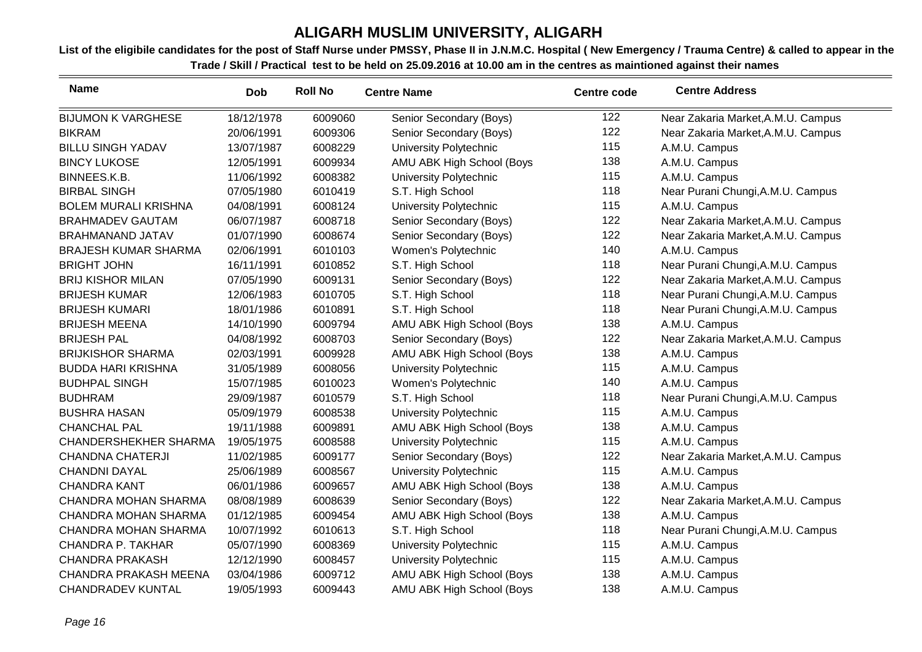| <b>Name</b>                  | Dob        | <b>Roll No</b> | <b>Centre Name</b>        | <b>Centre code</b> | <b>Centre Address</b>              |
|------------------------------|------------|----------------|---------------------------|--------------------|------------------------------------|
| <b>BIJUMON K VARGHESE</b>    | 18/12/1978 | 6009060        | Senior Secondary (Boys)   | 122                | Near Zakaria Market, A.M.U. Campus |
| <b>BIKRAM</b>                | 20/06/1991 | 6009306        | Senior Secondary (Boys)   | 122                | Near Zakaria Market, A.M.U. Campus |
| <b>BILLU SINGH YADAV</b>     | 13/07/1987 | 6008229        | University Polytechnic    | 115                | A.M.U. Campus                      |
| <b>BINCY LUKOSE</b>          | 12/05/1991 | 6009934        | AMU ABK High School (Boys | 138                | A.M.U. Campus                      |
| BINNEES.K.B.                 | 11/06/1992 | 6008382        | University Polytechnic    | 115                | A.M.U. Campus                      |
| <b>BIRBAL SINGH</b>          | 07/05/1980 | 6010419        | S.T. High School          | 118                | Near Purani Chungi, A.M.U. Campus  |
| <b>BOLEM MURALI KRISHNA</b>  | 04/08/1991 | 6008124        | University Polytechnic    | 115                | A.M.U. Campus                      |
| <b>BRAHMADEV GAUTAM</b>      | 06/07/1987 | 6008718        | Senior Secondary (Boys)   | 122                | Near Zakaria Market, A.M.U. Campus |
| <b>BRAHMANAND JATAV</b>      | 01/07/1990 | 6008674        | Senior Secondary (Boys)   | 122                | Near Zakaria Market, A.M.U. Campus |
| <b>BRAJESH KUMAR SHARMA</b>  | 02/06/1991 | 6010103        | Women's Polytechnic       | 140                | A.M.U. Campus                      |
| <b>BRIGHT JOHN</b>           | 16/11/1991 | 6010852        | S.T. High School          | 118                | Near Purani Chungi, A.M.U. Campus  |
| <b>BRIJ KISHOR MILAN</b>     | 07/05/1990 | 6009131        | Senior Secondary (Boys)   | 122                | Near Zakaria Market, A.M.U. Campus |
| <b>BRIJESH KUMAR</b>         | 12/06/1983 | 6010705        | S.T. High School          | 118                | Near Purani Chungi, A.M.U. Campus  |
| <b>BRIJESH KUMARI</b>        | 18/01/1986 | 6010891        | S.T. High School          | 118                | Near Purani Chungi, A.M.U. Campus  |
| <b>BRIJESH MEENA</b>         | 14/10/1990 | 6009794        | AMU ABK High School (Boys | 138                | A.M.U. Campus                      |
| <b>BRIJESH PAL</b>           | 04/08/1992 | 6008703        | Senior Secondary (Boys)   | 122                | Near Zakaria Market, A.M.U. Campus |
| <b>BRIJKISHOR SHARMA</b>     | 02/03/1991 | 6009928        | AMU ABK High School (Boys | 138                | A.M.U. Campus                      |
| <b>BUDDA HARI KRISHNA</b>    | 31/05/1989 | 6008056        | University Polytechnic    | 115                | A.M.U. Campus                      |
| <b>BUDHPAL SINGH</b>         | 15/07/1985 | 6010023        | Women's Polytechnic       | 140                | A.M.U. Campus                      |
| <b>BUDHRAM</b>               | 29/09/1987 | 6010579        | S.T. High School          | 118                | Near Purani Chungi, A.M.U. Campus  |
| <b>BUSHRA HASAN</b>          | 05/09/1979 | 6008538        | University Polytechnic    | 115                | A.M.U. Campus                      |
| <b>CHANCHAL PAL</b>          | 19/11/1988 | 6009891        | AMU ABK High School (Boys | 138                | A.M.U. Campus                      |
| <b>CHANDERSHEKHER SHARMA</b> | 19/05/1975 | 6008588        | University Polytechnic    | 115                | A.M.U. Campus                      |
| <b>CHANDNA CHATERJI</b>      | 11/02/1985 | 6009177        | Senior Secondary (Boys)   | 122                | Near Zakaria Market, A.M.U. Campus |
| <b>CHANDNI DAYAL</b>         | 25/06/1989 | 6008567        | University Polytechnic    | 115                | A.M.U. Campus                      |
| <b>CHANDRA KANT</b>          | 06/01/1986 | 6009657        | AMU ABK High School (Boys | 138                | A.M.U. Campus                      |
| <b>CHANDRA MOHAN SHARMA</b>  | 08/08/1989 | 6008639        | Senior Secondary (Boys)   | 122                | Near Zakaria Market, A.M.U. Campus |
| <b>CHANDRA MOHAN SHARMA</b>  | 01/12/1985 | 6009454        | AMU ABK High School (Boys | 138                | A.M.U. Campus                      |
| <b>CHANDRA MOHAN SHARMA</b>  | 10/07/1992 | 6010613        | S.T. High School          | 118                | Near Purani Chungi, A.M.U. Campus  |
| CHANDRA P. TAKHAR            | 05/07/1990 | 6008369        | University Polytechnic    | 115                | A.M.U. Campus                      |
| <b>CHANDRA PRAKASH</b>       | 12/12/1990 | 6008457        | University Polytechnic    | 115                | A.M.U. Campus                      |
| <b>CHANDRA PRAKASH MEENA</b> | 03/04/1986 | 6009712        | AMU ABK High School (Boys | 138                | A.M.U. Campus                      |
| <b>CHANDRADEV KUNTAL</b>     | 19/05/1993 | 6009443        | AMU ABK High School (Boys | 138                | A.M.U. Campus                      |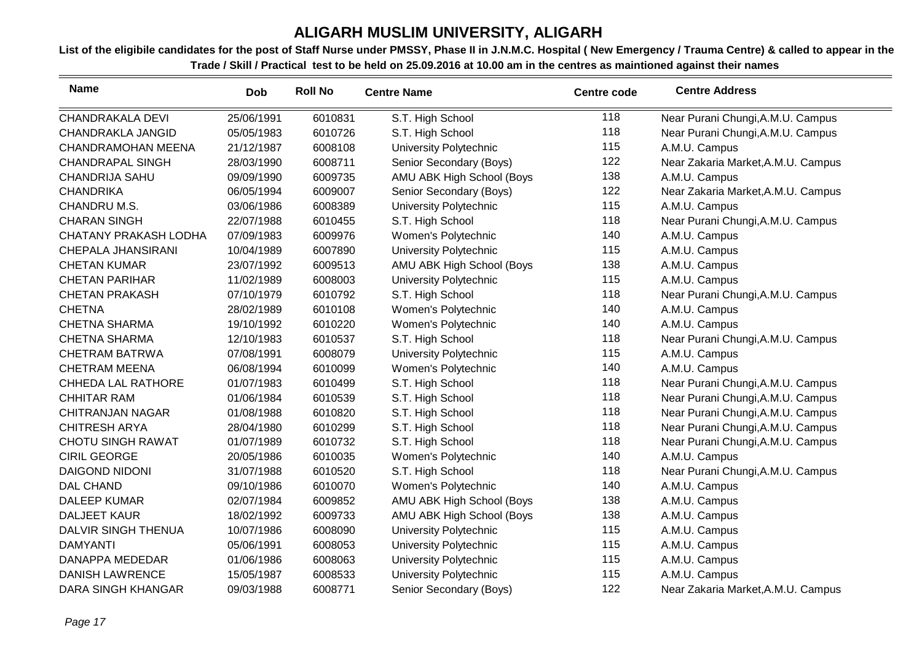| <b>Name</b>                  | <b>Dob</b> | <b>Roll No</b> | <b>Centre Name</b>            | <b>Centre code</b> | <b>Centre Address</b>              |
|------------------------------|------------|----------------|-------------------------------|--------------------|------------------------------------|
| CHANDRAKALA DEVI             | 25/06/1991 | 6010831        | S.T. High School              | 118                | Near Purani Chungi, A.M.U. Campus  |
| <b>CHANDRAKLA JANGID</b>     | 05/05/1983 | 6010726        | S.T. High School              | 118                | Near Purani Chungi, A.M.U. Campus  |
| CHANDRAMOHAN MEENA           | 21/12/1987 | 6008108        | <b>University Polytechnic</b> | 115                | A.M.U. Campus                      |
| <b>CHANDRAPAL SINGH</b>      | 28/03/1990 | 6008711        | Senior Secondary (Boys)       | 122                | Near Zakaria Market, A.M.U. Campus |
| <b>CHANDRIJA SAHU</b>        | 09/09/1990 | 6009735        | AMU ABK High School (Boys     | 138                | A.M.U. Campus                      |
| <b>CHANDRIKA</b>             | 06/05/1994 | 6009007        | Senior Secondary (Boys)       | 122                | Near Zakaria Market, A.M.U. Campus |
| CHANDRU M.S.                 | 03/06/1986 | 6008389        | <b>University Polytechnic</b> | 115                | A.M.U. Campus                      |
| <b>CHARAN SINGH</b>          | 22/07/1988 | 6010455        | S.T. High School              | 118                | Near Purani Chungi, A.M.U. Campus  |
| <b>CHATANY PRAKASH LODHA</b> | 07/09/1983 | 6009976        | Women's Polytechnic           | 140                | A.M.U. Campus                      |
| CHEPALA JHANSIRANI           | 10/04/1989 | 6007890        | University Polytechnic        | 115                | A.M.U. Campus                      |
| <b>CHETAN KUMAR</b>          | 23/07/1992 | 6009513        | AMU ABK High School (Boys     | 138                | A.M.U. Campus                      |
| <b>CHETAN PARIHAR</b>        | 11/02/1989 | 6008003        | University Polytechnic        | 115                | A.M.U. Campus                      |
| <b>CHETAN PRAKASH</b>        | 07/10/1979 | 6010792        | S.T. High School              | 118                | Near Purani Chungi, A.M.U. Campus  |
| <b>CHETNA</b>                | 28/02/1989 | 6010108        | Women's Polytechnic           | 140                | A.M.U. Campus                      |
| <b>CHETNA SHARMA</b>         | 19/10/1992 | 6010220        | Women's Polytechnic           | 140                | A.M.U. Campus                      |
| <b>CHETNA SHARMA</b>         | 12/10/1983 | 6010537        | S.T. High School              | 118                | Near Purani Chungi, A.M.U. Campus  |
| <b>CHETRAM BATRWA</b>        | 07/08/1991 | 6008079        | University Polytechnic        | 115                | A.M.U. Campus                      |
| <b>CHETRAM MEENA</b>         | 06/08/1994 | 6010099        | Women's Polytechnic           | 140                | A.M.U. Campus                      |
| <b>CHHEDA LAL RATHORE</b>    | 01/07/1983 | 6010499        | S.T. High School              | 118                | Near Purani Chungi, A.M.U. Campus  |
| <b>CHHITAR RAM</b>           | 01/06/1984 | 6010539        | S.T. High School              | 118                | Near Purani Chungi, A.M.U. Campus  |
| <b>CHITRANJAN NAGAR</b>      | 01/08/1988 | 6010820        | S.T. High School              | 118                | Near Purani Chungi, A.M.U. Campus  |
| <b>CHITRESH ARYA</b>         | 28/04/1980 | 6010299        | S.T. High School              | 118                | Near Purani Chungi, A.M.U. Campus  |
| <b>CHOTU SINGH RAWAT</b>     | 01/07/1989 | 6010732        | S.T. High School              | 118                | Near Purani Chungi, A.M.U. Campus  |
| <b>CIRIL GEORGE</b>          | 20/05/1986 | 6010035        | Women's Polytechnic           | 140                | A.M.U. Campus                      |
| <b>DAIGOND NIDONI</b>        | 31/07/1988 | 6010520        | S.T. High School              | 118                | Near Purani Chungi, A.M.U. Campus  |
| <b>DAL CHAND</b>             | 09/10/1986 | 6010070        | Women's Polytechnic           | 140                | A.M.U. Campus                      |
| <b>DALEEP KUMAR</b>          | 02/07/1984 | 6009852        | AMU ABK High School (Boys     | 138                | A.M.U. Campus                      |
| <b>DALJEET KAUR</b>          | 18/02/1992 | 6009733        | AMU ABK High School (Boys     | 138                | A.M.U. Campus                      |
| DALVIR SINGH THENUA          | 10/07/1986 | 6008090        | University Polytechnic        | 115                | A.M.U. Campus                      |
| <b>DAMYANTI</b>              | 05/06/1991 | 6008053        | University Polytechnic        | 115                | A.M.U. Campus                      |
| <b>DANAPPA MEDEDAR</b>       | 01/06/1986 | 6008063        | University Polytechnic        | 115                | A.M.U. Campus                      |
| <b>DANISH LAWRENCE</b>       | 15/05/1987 | 6008533        | University Polytechnic        | 115                | A.M.U. Campus                      |
| <b>DARA SINGH KHANGAR</b>    | 09/03/1988 | 6008771        | Senior Secondary (Boys)       | 122                | Near Zakaria Market, A.M.U. Campus |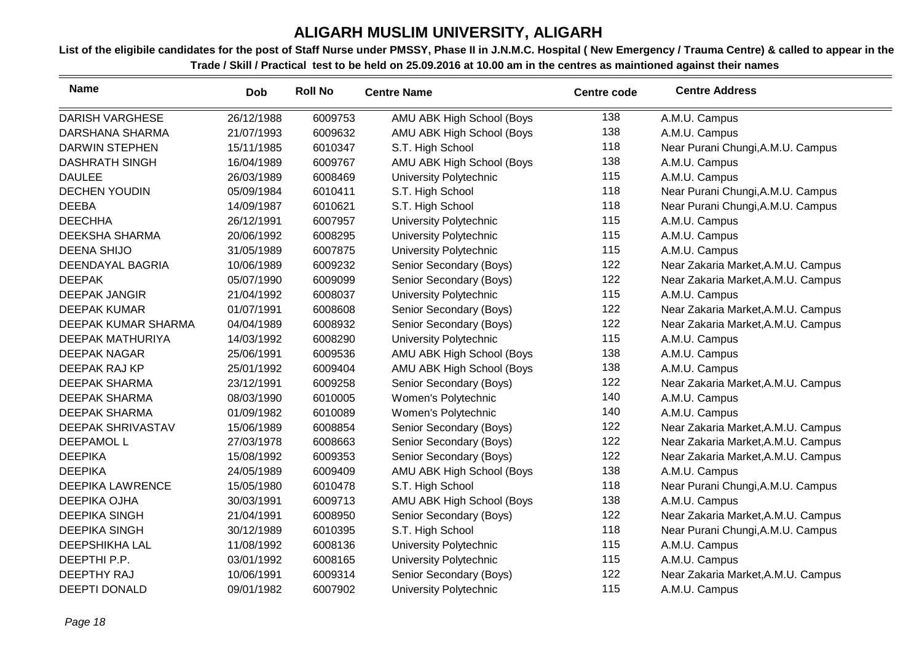| <b>Name</b>              | <b>Dob</b> | <b>Roll No</b> | <b>Centre Name</b>        | <b>Centre code</b> | <b>Centre Address</b>              |
|--------------------------|------------|----------------|---------------------------|--------------------|------------------------------------|
| <b>DARISH VARGHESE</b>   | 26/12/1988 | 6009753        | AMU ABK High School (Boys | 138                | A.M.U. Campus                      |
| <b>DARSHANA SHARMA</b>   | 21/07/1993 | 6009632        | AMU ABK High School (Boys | 138                | A.M.U. Campus                      |
| <b>DARWIN STEPHEN</b>    | 15/11/1985 | 6010347        | S.T. High School          | 118                | Near Purani Chungi, A.M.U. Campus  |
| <b>DASHRATH SINGH</b>    | 16/04/1989 | 6009767        | AMU ABK High School (Boys | 138                | A.M.U. Campus                      |
| <b>DAULEE</b>            | 26/03/1989 | 6008469        | University Polytechnic    | 115                | A.M.U. Campus                      |
| <b>DECHEN YOUDIN</b>     | 05/09/1984 | 6010411        | S.T. High School          | 118                | Near Purani Chungi, A.M.U. Campus  |
| <b>DEEBA</b>             | 14/09/1987 | 6010621        | S.T. High School          | 118                | Near Purani Chungi, A.M.U. Campus  |
| <b>DEECHHA</b>           | 26/12/1991 | 6007957        | University Polytechnic    | 115                | A.M.U. Campus                      |
| <b>DEEKSHA SHARMA</b>    | 20/06/1992 | 6008295        | University Polytechnic    | 115                | A.M.U. Campus                      |
| <b>DEENA SHIJO</b>       | 31/05/1989 | 6007875        | University Polytechnic    | 115                | A.M.U. Campus                      |
| DEENDAYAL BAGRIA         | 10/06/1989 | 6009232        | Senior Secondary (Boys)   | 122                | Near Zakaria Market, A.M.U. Campus |
| <b>DEEPAK</b>            | 05/07/1990 | 6009099        | Senior Secondary (Boys)   | 122                | Near Zakaria Market, A.M.U. Campus |
| <b>DEEPAK JANGIR</b>     | 21/04/1992 | 6008037        | University Polytechnic    | 115                | A.M.U. Campus                      |
| <b>DEEPAK KUMAR</b>      | 01/07/1991 | 6008608        | Senior Secondary (Boys)   | 122                | Near Zakaria Market, A.M.U. Campus |
| DEEPAK KUMAR SHARMA      | 04/04/1989 | 6008932        | Senior Secondary (Boys)   | 122                | Near Zakaria Market, A.M.U. Campus |
| <b>DEEPAK MATHURIYA</b>  | 14/03/1992 | 6008290        | University Polytechnic    | 115                | A.M.U. Campus                      |
| <b>DEEPAK NAGAR</b>      | 25/06/1991 | 6009536        | AMU ABK High School (Boys | 138                | A.M.U. Campus                      |
| DEEPAK RAJ KP            | 25/01/1992 | 6009404        | AMU ABK High School (Boys | 138                | A.M.U. Campus                      |
| <b>DEEPAK SHARMA</b>     | 23/12/1991 | 6009258        | Senior Secondary (Boys)   | 122                | Near Zakaria Market, A.M.U. Campus |
| <b>DEEPAK SHARMA</b>     | 08/03/1990 | 6010005        | Women's Polytechnic       | 140                | A.M.U. Campus                      |
| <b>DEEPAK SHARMA</b>     | 01/09/1982 | 6010089        | Women's Polytechnic       | 140                | A.M.U. Campus                      |
| <b>DEEPAK SHRIVASTAV</b> | 15/06/1989 | 6008854        | Senior Secondary (Boys)   | 122                | Near Zakaria Market, A.M.U. Campus |
| <b>DEEPAMOL L</b>        | 27/03/1978 | 6008663        | Senior Secondary (Boys)   | 122                | Near Zakaria Market, A.M.U. Campus |
| <b>DEEPIKA</b>           | 15/08/1992 | 6009353        | Senior Secondary (Boys)   | 122                | Near Zakaria Market, A.M.U. Campus |
| <b>DEEPIKA</b>           | 24/05/1989 | 6009409        | AMU ABK High School (Boys | 138                | A.M.U. Campus                      |
| <b>DEEPIKA LAWRENCE</b>  | 15/05/1980 | 6010478        | S.T. High School          | 118                | Near Purani Chungi, A.M.U. Campus  |
| DEEPIKA OJHA             | 30/03/1991 | 6009713        | AMU ABK High School (Boys | 138                | A.M.U. Campus                      |
| <b>DEEPIKA SINGH</b>     | 21/04/1991 | 6008950        | Senior Secondary (Boys)   | 122                | Near Zakaria Market, A.M.U. Campus |
| <b>DEEPIKA SINGH</b>     | 30/12/1989 | 6010395        | S.T. High School          | 118                | Near Purani Chungi, A.M.U. Campus  |
| <b>DEEPSHIKHA LAL</b>    | 11/08/1992 | 6008136        | University Polytechnic    | 115                | A.M.U. Campus                      |
| DEEPTHI P.P.             | 03/01/1992 | 6008165        | University Polytechnic    | 115                | A.M.U. Campus                      |
| <b>DEEPTHY RAJ</b>       | 10/06/1991 | 6009314        | Senior Secondary (Boys)   | 122                | Near Zakaria Market, A.M.U. Campus |
| <b>DEEPTI DONALD</b>     | 09/01/1982 | 6007902        | University Polytechnic    | 115                | A.M.U. Campus                      |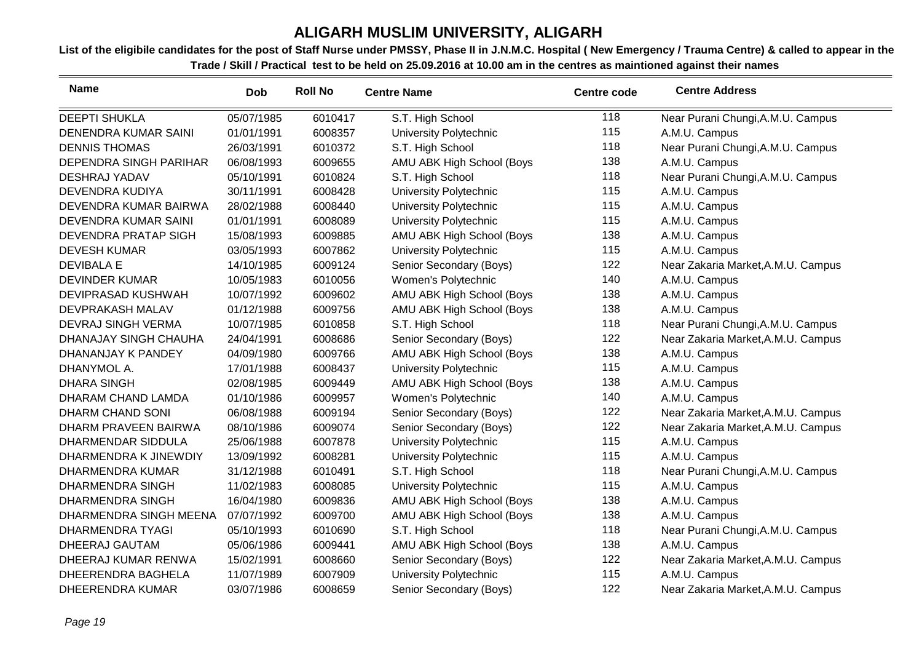| <b>Name</b>                 | <b>Dob</b> | <b>Roll No</b> | <b>Centre Name</b>            | <b>Centre code</b> | <b>Centre Address</b>              |
|-----------------------------|------------|----------------|-------------------------------|--------------------|------------------------------------|
| <b>DEEPTI SHUKLA</b>        | 05/07/1985 | 6010417        | S.T. High School              | 118                | Near Purani Chungi, A.M.U. Campus  |
| <b>DENENDRA KUMAR SAINI</b> | 01/01/1991 | 6008357        | University Polytechnic        | 115                | A.M.U. Campus                      |
| <b>DENNIS THOMAS</b>        | 26/03/1991 | 6010372        | S.T. High School              | 118                | Near Purani Chungi, A.M.U. Campus  |
| DEPENDRA SINGH PARIHAR      | 06/08/1993 | 6009655        | AMU ABK High School (Boys     | 138                | A.M.U. Campus                      |
| <b>DESHRAJ YADAV</b>        | 05/10/1991 | 6010824        | S.T. High School              | 118                | Near Purani Chungi, A.M.U. Campus  |
| DEVENDRA KUDIYA             | 30/11/1991 | 6008428        | University Polytechnic        | 115                | A.M.U. Campus                      |
| DEVENDRA KUMAR BAIRWA       | 28/02/1988 | 6008440        | University Polytechnic        | 115                | A.M.U. Campus                      |
| DEVENDRA KUMAR SAINI        | 01/01/1991 | 6008089        | University Polytechnic        | 115                | A.M.U. Campus                      |
| DEVENDRA PRATAP SIGH        | 15/08/1993 | 6009885        | AMU ABK High School (Boys     | 138                | A.M.U. Campus                      |
| <b>DEVESH KUMAR</b>         | 03/05/1993 | 6007862        | <b>University Polytechnic</b> | 115                | A.M.U. Campus                      |
| <b>DEVIBALA E</b>           | 14/10/1985 | 6009124        | Senior Secondary (Boys)       | 122                | Near Zakaria Market, A.M.U. Campus |
| <b>DEVINDER KUMAR</b>       | 10/05/1983 | 6010056        | Women's Polytechnic           | 140                | A.M.U. Campus                      |
| DEVIPRASAD KUSHWAH          | 10/07/1992 | 6009602        | AMU ABK High School (Boys     | 138                | A.M.U. Campus                      |
| DEVPRAKASH MALAV            | 01/12/1988 | 6009756        | AMU ABK High School (Boys     | 138                | A.M.U. Campus                      |
| DEVRAJ SINGH VERMA          | 10/07/1985 | 6010858        | S.T. High School              | 118                | Near Purani Chungi, A.M.U. Campus  |
| DHANAJAY SINGH CHAUHA       | 24/04/1991 | 6008686        | Senior Secondary (Boys)       | 122                | Near Zakaria Market, A.M.U. Campus |
| DHANANJAY K PANDEY          | 04/09/1980 | 6009766        | AMU ABK High School (Boys     | 138                | A.M.U. Campus                      |
| DHANYMOL A.                 | 17/01/1988 | 6008437        | University Polytechnic        | 115                | A.M.U. Campus                      |
| <b>DHARA SINGH</b>          | 02/08/1985 | 6009449        | AMU ABK High School (Boys     | 138                | A.M.U. Campus                      |
| DHARAM CHAND LAMDA          | 01/10/1986 | 6009957        | Women's Polytechnic           | 140                | A.M.U. Campus                      |
| DHARM CHAND SONI            | 06/08/1988 | 6009194        | Senior Secondary (Boys)       | 122                | Near Zakaria Market, A.M.U. Campus |
| DHARM PRAVEEN BAIRWA        | 08/10/1986 | 6009074        | Senior Secondary (Boys)       | 122                | Near Zakaria Market, A.M.U. Campus |
| DHARMENDAR SIDDULA          | 25/06/1988 | 6007878        | University Polytechnic        | 115                | A.M.U. Campus                      |
| DHARMENDRA K JINEWDIY       | 13/09/1992 | 6008281        | <b>University Polytechnic</b> | 115                | A.M.U. Campus                      |
| DHARMENDRA KUMAR            | 31/12/1988 | 6010491        | S.T. High School              | 118                | Near Purani Chungi, A.M.U. Campus  |
| <b>DHARMENDRA SINGH</b>     | 11/02/1983 | 6008085        | <b>University Polytechnic</b> | 115                | A.M.U. Campus                      |
| <b>DHARMENDRA SINGH</b>     | 16/04/1980 | 6009836        | AMU ABK High School (Boys     | 138                | A.M.U. Campus                      |
| DHARMENDRA SINGH MEENA      | 07/07/1992 | 6009700        | AMU ABK High School (Boys     | 138                | A.M.U. Campus                      |
| <b>DHARMENDRA TYAGI</b>     | 05/10/1993 | 6010690        | S.T. High School              | 118                | Near Purani Chungi, A.M.U. Campus  |
| DHEERAJ GAUTAM              | 05/06/1986 | 6009441        | AMU ABK High School (Boys     | 138                | A.M.U. Campus                      |
| DHEERAJ KUMAR RENWA         | 15/02/1991 | 6008660        | Senior Secondary (Boys)       | 122                | Near Zakaria Market, A.M.U. Campus |
| DHEERENDRA BAGHELA          | 11/07/1989 | 6007909        | University Polytechnic        | 115                | A.M.U. Campus                      |
| <b>DHEERENDRA KUMAR</b>     | 03/07/1986 | 6008659        | Senior Secondary (Boys)       | 122                | Near Zakaria Market, A.M.U. Campus |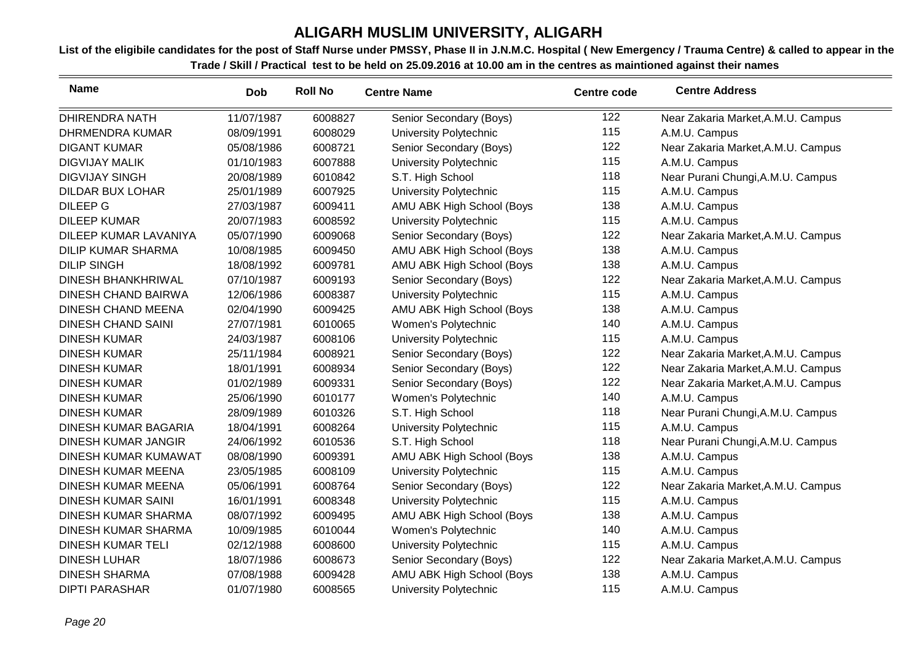| <b>Name</b>                 | <b>Dob</b> | <b>Roll No</b> | <b>Centre Name</b>            | <b>Centre code</b> | <b>Centre Address</b>              |
|-----------------------------|------------|----------------|-------------------------------|--------------------|------------------------------------|
| <b>DHIRENDRA NATH</b>       | 11/07/1987 | 6008827        | Senior Secondary (Boys)       | 122                | Near Zakaria Market, A.M.U. Campus |
| <b>DHRMENDRA KUMAR</b>      | 08/09/1991 | 6008029        | University Polytechnic        | 115                | A.M.U. Campus                      |
| <b>DIGANT KUMAR</b>         | 05/08/1986 | 6008721        | Senior Secondary (Boys)       | 122                | Near Zakaria Market, A.M.U. Campus |
| <b>DIGVIJAY MALIK</b>       | 01/10/1983 | 6007888        | University Polytechnic        | 115                | A.M.U. Campus                      |
| <b>DIGVIJAY SINGH</b>       | 20/08/1989 | 6010842        | S.T. High School              | 118                | Near Purani Chungi, A.M.U. Campus  |
| <b>DILDAR BUX LOHAR</b>     | 25/01/1989 | 6007925        | University Polytechnic        | 115                | A.M.U. Campus                      |
| <b>DILEEP G</b>             | 27/03/1987 | 6009411        | AMU ABK High School (Boys     | 138                | A.M.U. Campus                      |
| <b>DILEEP KUMAR</b>         | 20/07/1983 | 6008592        | University Polytechnic        | 115                | A.M.U. Campus                      |
| DILEEP KUMAR LAVANIYA       | 05/07/1990 | 6009068        | Senior Secondary (Boys)       | 122                | Near Zakaria Market, A.M.U. Campus |
| <b>DILIP KUMAR SHARMA</b>   | 10/08/1985 | 6009450        | AMU ABK High School (Boys     | 138                | A.M.U. Campus                      |
| <b>DILIP SINGH</b>          | 18/08/1992 | 6009781        | AMU ABK High School (Boys     | 138                | A.M.U. Campus                      |
| <b>DINESH BHANKHRIWAL</b>   | 07/10/1987 | 6009193        | Senior Secondary (Boys)       | 122                | Near Zakaria Market, A.M.U. Campus |
| <b>DINESH CHAND BAIRWA</b>  | 12/06/1986 | 6008387        | University Polytechnic        | 115                | A.M.U. Campus                      |
| <b>DINESH CHAND MEENA</b>   | 02/04/1990 | 6009425        | AMU ABK High School (Boys     | 138                | A.M.U. Campus                      |
| <b>DINESH CHAND SAINI</b>   | 27/07/1981 | 6010065        | Women's Polytechnic           | 140                | A.M.U. Campus                      |
| <b>DINESH KUMAR</b>         | 24/03/1987 | 6008106        | University Polytechnic        | 115                | A.M.U. Campus                      |
| <b>DINESH KUMAR</b>         | 25/11/1984 | 6008921        | Senior Secondary (Boys)       | 122                | Near Zakaria Market, A.M.U. Campus |
| <b>DINESH KUMAR</b>         | 18/01/1991 | 6008934        | Senior Secondary (Boys)       | 122                | Near Zakaria Market, A.M.U. Campus |
| <b>DINESH KUMAR</b>         | 01/02/1989 | 6009331        | Senior Secondary (Boys)       | 122                | Near Zakaria Market, A.M.U. Campus |
| <b>DINESH KUMAR</b>         | 25/06/1990 | 6010177        | Women's Polytechnic           | 140                | A.M.U. Campus                      |
| <b>DINESH KUMAR</b>         | 28/09/1989 | 6010326        | S.T. High School              | 118                | Near Purani Chungi, A.M.U. Campus  |
| DINESH KUMAR BAGARIA        | 18/04/1991 | 6008264        | University Polytechnic        | 115                | A.M.U. Campus                      |
| <b>DINESH KUMAR JANGIR</b>  | 24/06/1992 | 6010536        | S.T. High School              | 118                | Near Purani Chungi, A.M.U. Campus  |
| <b>DINESH KUMAR KUMAWAT</b> | 08/08/1990 | 6009391        | AMU ABK High School (Boys     | 138                | A.M.U. Campus                      |
| <b>DINESH KUMAR MEENA</b>   | 23/05/1985 | 6008109        | <b>University Polytechnic</b> | 115                | A.M.U. Campus                      |
| <b>DINESH KUMAR MEENA</b>   | 05/06/1991 | 6008764        | Senior Secondary (Boys)       | 122                | Near Zakaria Market, A.M.U. Campus |
| <b>DINESH KUMAR SAINI</b>   | 16/01/1991 | 6008348        | University Polytechnic        | 115                | A.M.U. Campus                      |
| <b>DINESH KUMAR SHARMA</b>  | 08/07/1992 | 6009495        | AMU ABK High School (Boys     | 138                | A.M.U. Campus                      |
| <b>DINESH KUMAR SHARMA</b>  | 10/09/1985 | 6010044        | Women's Polytechnic           | 140                | A.M.U. Campus                      |
| <b>DINESH KUMAR TELI</b>    | 02/12/1988 | 6008600        | University Polytechnic        | 115                | A.M.U. Campus                      |
| <b>DINESH LUHAR</b>         | 18/07/1986 | 6008673        | Senior Secondary (Boys)       | 122                | Near Zakaria Market, A.M.U. Campus |
| <b>DINESH SHARMA</b>        | 07/08/1988 | 6009428        | AMU ABK High School (Boys     | 138                | A.M.U. Campus                      |
| <b>DIPTI PARASHAR</b>       | 01/07/1980 | 6008565        | University Polytechnic        | 115                | A.M.U. Campus                      |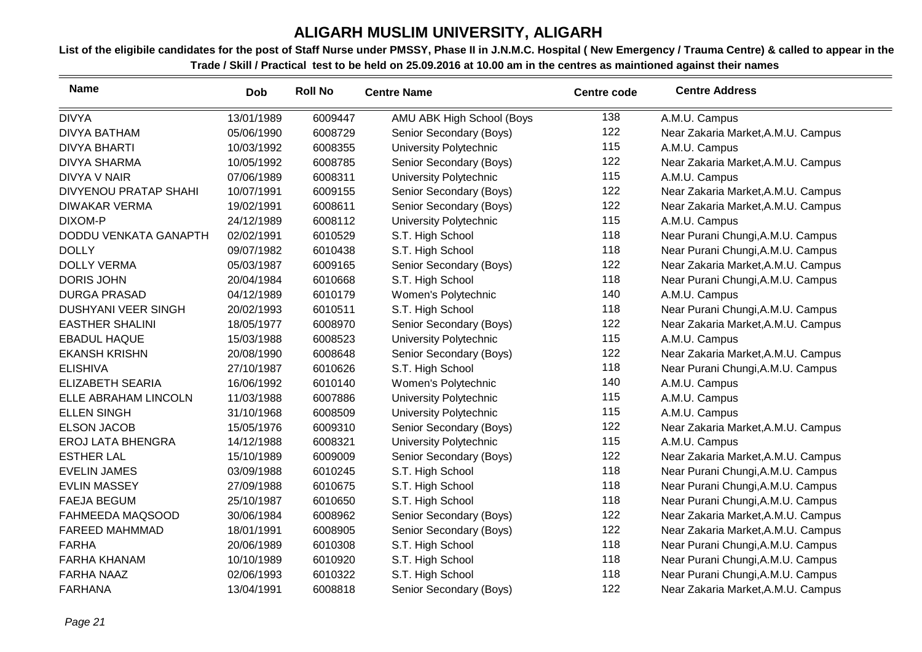| <b>Name</b>                  | <b>Dob</b> | <b>Roll No</b> | <b>Centre Name</b>        | <b>Centre code</b> | <b>Centre Address</b>              |
|------------------------------|------------|----------------|---------------------------|--------------------|------------------------------------|
| <b>DIVYA</b>                 | 13/01/1989 | 6009447        | AMU ABK High School (Boys | 138                | A.M.U. Campus                      |
| <b>DIVYA BATHAM</b>          | 05/06/1990 | 6008729        | Senior Secondary (Boys)   | 122                | Near Zakaria Market, A.M.U. Campus |
| <b>DIVYA BHARTI</b>          | 10/03/1992 | 6008355        | University Polytechnic    | 115                | A.M.U. Campus                      |
| <b>DIVYA SHARMA</b>          | 10/05/1992 | 6008785        | Senior Secondary (Boys)   | 122                | Near Zakaria Market, A.M.U. Campus |
| <b>DIVYA V NAIR</b>          | 07/06/1989 | 6008311        | University Polytechnic    | 115                | A.M.U. Campus                      |
| <b>DIVYENOU PRATAP SHAHI</b> | 10/07/1991 | 6009155        | Senior Secondary (Boys)   | 122                | Near Zakaria Market, A.M.U. Campus |
| <b>DIWAKAR VERMA</b>         | 19/02/1991 | 6008611        | Senior Secondary (Boys)   | 122                | Near Zakaria Market, A.M.U. Campus |
| DIXOM-P                      | 24/12/1989 | 6008112        | University Polytechnic    | 115                | A.M.U. Campus                      |
| DODDU VENKATA GANAPTH        | 02/02/1991 | 6010529        | S.T. High School          | 118                | Near Purani Chungi, A.M.U. Campus  |
| <b>DOLLY</b>                 | 09/07/1982 | 6010438        | S.T. High School          | 118                | Near Purani Chungi, A.M.U. Campus  |
| <b>DOLLY VERMA</b>           | 05/03/1987 | 6009165        | Senior Secondary (Boys)   | 122                | Near Zakaria Market, A.M.U. Campus |
| <b>DORIS JOHN</b>            | 20/04/1984 | 6010668        | S.T. High School          | 118                | Near Purani Chungi, A.M.U. Campus  |
| <b>DURGA PRASAD</b>          | 04/12/1989 | 6010179        | Women's Polytechnic       | 140                | A.M.U. Campus                      |
| <b>DUSHYANI VEER SINGH</b>   | 20/02/1993 | 6010511        | S.T. High School          | 118                | Near Purani Chungi, A.M.U. Campus  |
| <b>EASTHER SHALINI</b>       | 18/05/1977 | 6008970        | Senior Secondary (Boys)   | 122                | Near Zakaria Market, A.M.U. Campus |
| <b>EBADUL HAQUE</b>          | 15/03/1988 | 6008523        | University Polytechnic    | 115                | A.M.U. Campus                      |
| <b>EKANSH KRISHN</b>         | 20/08/1990 | 6008648        | Senior Secondary (Boys)   | 122                | Near Zakaria Market, A.M.U. Campus |
| <b>ELISHIVA</b>              | 27/10/1987 | 6010626        | S.T. High School          | 118                | Near Purani Chungi, A.M.U. Campus  |
| <b>ELIZABETH SEARIA</b>      | 16/06/1992 | 6010140        | Women's Polytechnic       | 140                | A.M.U. Campus                      |
| ELLE ABRAHAM LINCOLN         | 11/03/1988 | 6007886        | University Polytechnic    | 115                | A.M.U. Campus                      |
| <b>ELLEN SINGH</b>           | 31/10/1968 | 6008509        | University Polytechnic    | 115                | A.M.U. Campus                      |
| <b>ELSON JACOB</b>           | 15/05/1976 | 6009310        | Senior Secondary (Boys)   | 122                | Near Zakaria Market, A.M.U. Campus |
| <b>EROJ LATA BHENGRA</b>     | 14/12/1988 | 6008321        | University Polytechnic    | 115                | A.M.U. Campus                      |
| <b>ESTHER LAL</b>            | 15/10/1989 | 6009009        | Senior Secondary (Boys)   | 122                | Near Zakaria Market, A.M.U. Campus |
| <b>EVELIN JAMES</b>          | 03/09/1988 | 6010245        | S.T. High School          | 118                | Near Purani Chungi, A.M.U. Campus  |
| <b>EVLIN MASSEY</b>          | 27/09/1988 | 6010675        | S.T. High School          | 118                | Near Purani Chungi, A.M.U. Campus  |
| <b>FAEJA BEGUM</b>           | 25/10/1987 | 6010650        | S.T. High School          | 118                | Near Purani Chungi, A.M.U. Campus  |
| FAHMEEDA MAQSOOD             | 30/06/1984 | 6008962        | Senior Secondary (Boys)   | 122                | Near Zakaria Market, A.M.U. Campus |
| <b>FAREED MAHMMAD</b>        | 18/01/1991 | 6008905        | Senior Secondary (Boys)   | 122                | Near Zakaria Market, A.M.U. Campus |
| <b>FARHA</b>                 | 20/06/1989 | 6010308        | S.T. High School          | 118                | Near Purani Chungi, A.M.U. Campus  |
| <b>FARHA KHANAM</b>          | 10/10/1989 | 6010920        | S.T. High School          | 118                | Near Purani Chungi, A.M.U. Campus  |
| <b>FARHA NAAZ</b>            | 02/06/1993 | 6010322        | S.T. High School          | 118                | Near Purani Chungi, A.M.U. Campus  |
| <b>FARHANA</b>               | 13/04/1991 | 6008818        | Senior Secondary (Boys)   | 122                | Near Zakaria Market, A.M.U. Campus |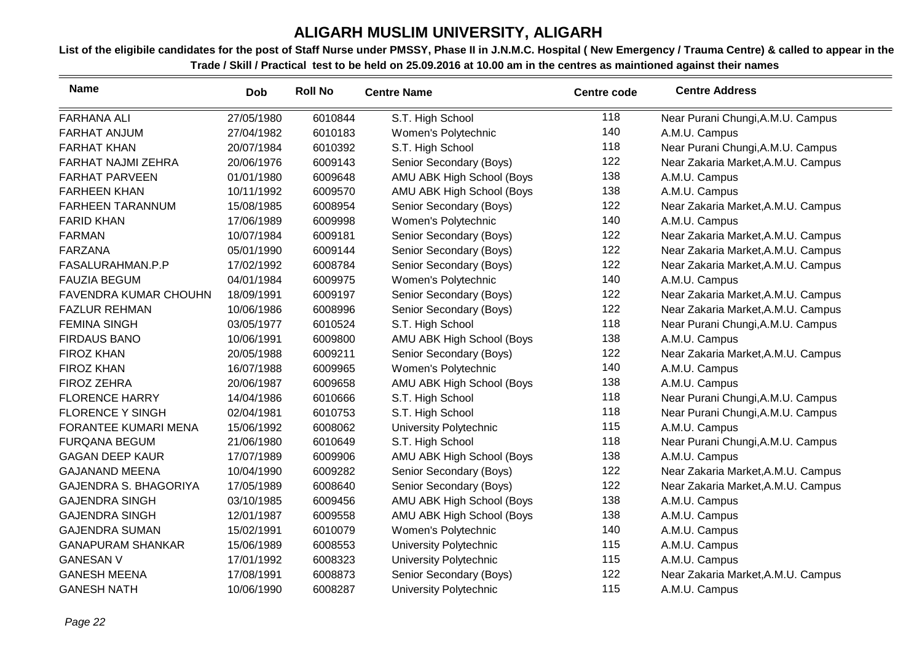| <b>Name</b>                  | <b>Dob</b> | <b>Roll No</b> | <b>Centre Name</b>        | <b>Centre code</b> | <b>Centre Address</b>              |
|------------------------------|------------|----------------|---------------------------|--------------------|------------------------------------|
| <b>FARHANA ALI</b>           | 27/05/1980 | 6010844        | S.T. High School          | 118                | Near Purani Chungi, A.M.U. Campus  |
| <b>FARHAT ANJUM</b>          | 27/04/1982 | 6010183        | Women's Polytechnic       | 140                | A.M.U. Campus                      |
| <b>FARHAT KHAN</b>           | 20/07/1984 | 6010392        | S.T. High School          | 118                | Near Purani Chungi, A.M.U. Campus  |
| <b>FARHAT NAJMI ZEHRA</b>    | 20/06/1976 | 6009143        | Senior Secondary (Boys)   | 122                | Near Zakaria Market, A.M.U. Campus |
| <b>FARHAT PARVEEN</b>        | 01/01/1980 | 6009648        | AMU ABK High School (Boys | 138                | A.M.U. Campus                      |
| <b>FARHEEN KHAN</b>          | 10/11/1992 | 6009570        | AMU ABK High School (Boys | 138                | A.M.U. Campus                      |
| <b>FARHEEN TARANNUM</b>      | 15/08/1985 | 6008954        | Senior Secondary (Boys)   | 122                | Near Zakaria Market, A.M.U. Campus |
| <b>FARID KHAN</b>            | 17/06/1989 | 6009998        | Women's Polytechnic       | 140                | A.M.U. Campus                      |
| <b>FARMAN</b>                | 10/07/1984 | 6009181        | Senior Secondary (Boys)   | 122                | Near Zakaria Market, A.M.U. Campus |
| <b>FARZANA</b>               | 05/01/1990 | 6009144        | Senior Secondary (Boys)   | 122                | Near Zakaria Market, A.M.U. Campus |
| FASALURAHMAN.P.P             | 17/02/1992 | 6008784        | Senior Secondary (Boys)   | 122                | Near Zakaria Market, A.M.U. Campus |
| <b>FAUZIA BEGUM</b>          | 04/01/1984 | 6009975        | Women's Polytechnic       | 140                | A.M.U. Campus                      |
| <b>FAVENDRA KUMAR CHOUHN</b> | 18/09/1991 | 6009197        | Senior Secondary (Boys)   | 122                | Near Zakaria Market, A.M.U. Campus |
| <b>FAZLUR REHMAN</b>         | 10/06/1986 | 6008996        | Senior Secondary (Boys)   | 122                | Near Zakaria Market, A.M.U. Campus |
| <b>FEMINA SINGH</b>          | 03/05/1977 | 6010524        | S.T. High School          | 118                | Near Purani Chungi, A.M.U. Campus  |
| <b>FIRDAUS BANO</b>          | 10/06/1991 | 6009800        | AMU ABK High School (Boys | 138                | A.M.U. Campus                      |
| <b>FIROZ KHAN</b>            | 20/05/1988 | 6009211        | Senior Secondary (Boys)   | 122                | Near Zakaria Market, A.M.U. Campus |
| <b>FIROZ KHAN</b>            | 16/07/1988 | 6009965        | Women's Polytechnic       | 140                | A.M.U. Campus                      |
| <b>FIROZ ZEHRA</b>           | 20/06/1987 | 6009658        | AMU ABK High School (Boys | 138                | A.M.U. Campus                      |
| <b>FLORENCE HARRY</b>        | 14/04/1986 | 6010666        | S.T. High School          | 118                | Near Purani Chungi, A.M.U. Campus  |
| <b>FLORENCE Y SINGH</b>      | 02/04/1981 | 6010753        | S.T. High School          | 118                | Near Purani Chungi, A.M.U. Campus  |
| FORANTEE KUMARI MENA         | 15/06/1992 | 6008062        | University Polytechnic    | 115                | A.M.U. Campus                      |
| <b>FURQANA BEGUM</b>         | 21/06/1980 | 6010649        | S.T. High School          | 118                | Near Purani Chungi, A.M.U. Campus  |
| <b>GAGAN DEEP KAUR</b>       | 17/07/1989 | 6009906        | AMU ABK High School (Boys | 138                | A.M.U. Campus                      |
| <b>GAJANAND MEENA</b>        | 10/04/1990 | 6009282        | Senior Secondary (Boys)   | 122                | Near Zakaria Market, A.M.U. Campus |
| <b>GAJENDRA S. BHAGORIYA</b> | 17/05/1989 | 6008640        | Senior Secondary (Boys)   | 122                | Near Zakaria Market, A.M.U. Campus |
| <b>GAJENDRA SINGH</b>        | 03/10/1985 | 6009456        | AMU ABK High School (Boys | 138                | A.M.U. Campus                      |
| <b>GAJENDRA SINGH</b>        | 12/01/1987 | 6009558        | AMU ABK High School (Boys | 138                | A.M.U. Campus                      |
| <b>GAJENDRA SUMAN</b>        | 15/02/1991 | 6010079        | Women's Polytechnic       | 140                | A.M.U. Campus                      |
| <b>GANAPURAM SHANKAR</b>     | 15/06/1989 | 6008553        | University Polytechnic    | 115                | A.M.U. Campus                      |
| <b>GANESAN V</b>             | 17/01/1992 | 6008323        | University Polytechnic    | 115                | A.M.U. Campus                      |
| <b>GANESH MEENA</b>          | 17/08/1991 | 6008873        | Senior Secondary (Boys)   | 122                | Near Zakaria Market, A.M.U. Campus |
| <b>GANESH NATH</b>           | 10/06/1990 | 6008287        | University Polytechnic    | 115                | A.M.U. Campus                      |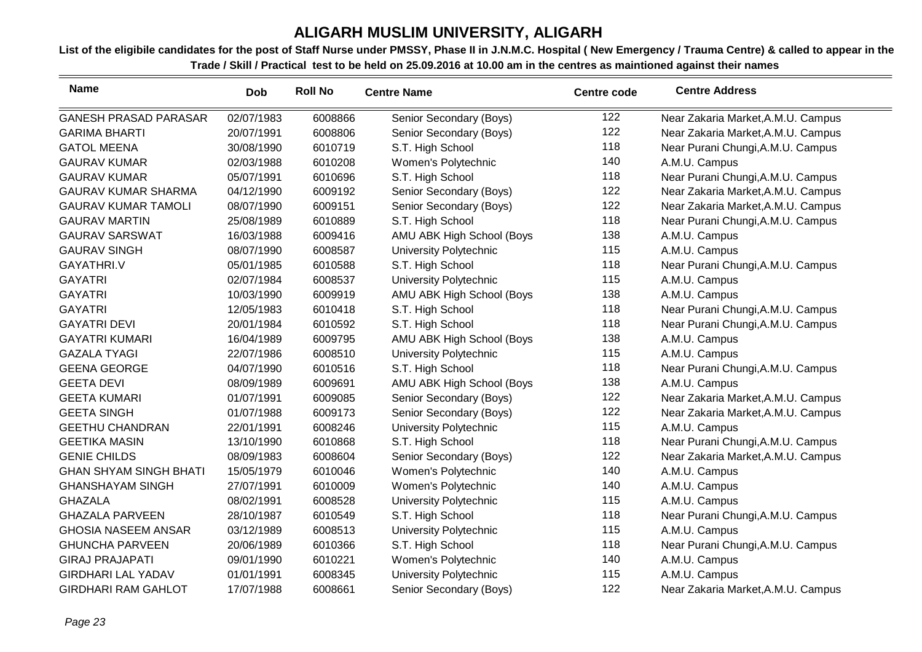| <b>Name</b>                   | <b>Dob</b> | <b>Roll No</b> | <b>Centre Name</b>        | <b>Centre code</b> | <b>Centre Address</b>              |
|-------------------------------|------------|----------------|---------------------------|--------------------|------------------------------------|
| <b>GANESH PRASAD PARASAR</b>  | 02/07/1983 | 6008866        | Senior Secondary (Boys)   | 122                | Near Zakaria Market, A.M.U. Campus |
| <b>GARIMA BHARTI</b>          | 20/07/1991 | 6008806        | Senior Secondary (Boys)   | 122                | Near Zakaria Market, A.M.U. Campus |
| <b>GATOL MEENA</b>            | 30/08/1990 | 6010719        | S.T. High School          | 118                | Near Purani Chungi, A.M.U. Campus  |
| <b>GAURAV KUMAR</b>           | 02/03/1988 | 6010208        | Women's Polytechnic       | 140                | A.M.U. Campus                      |
| <b>GAURAV KUMAR</b>           | 05/07/1991 | 6010696        | S.T. High School          | 118                | Near Purani Chungi, A.M.U. Campus  |
| <b>GAURAV KUMAR SHARMA</b>    | 04/12/1990 | 6009192        | Senior Secondary (Boys)   | 122                | Near Zakaria Market, A.M.U. Campus |
| <b>GAURAV KUMAR TAMOLI</b>    | 08/07/1990 | 6009151        | Senior Secondary (Boys)   | 122                | Near Zakaria Market, A.M.U. Campus |
| <b>GAURAV MARTIN</b>          | 25/08/1989 | 6010889        | S.T. High School          | 118                | Near Purani Chungi, A.M.U. Campus  |
| <b>GAURAV SARSWAT</b>         | 16/03/1988 | 6009416        | AMU ABK High School (Boys | 138                | A.M.U. Campus                      |
| <b>GAURAV SINGH</b>           | 08/07/1990 | 6008587        | University Polytechnic    | 115                | A.M.U. Campus                      |
| GAYATHRI.V                    | 05/01/1985 | 6010588        | S.T. High School          | 118                | Near Purani Chungi, A.M.U. Campus  |
| <b>GAYATRI</b>                | 02/07/1984 | 6008537        | University Polytechnic    | 115                | A.M.U. Campus                      |
| <b>GAYATRI</b>                | 10/03/1990 | 6009919        | AMU ABK High School (Boys | 138                | A.M.U. Campus                      |
| <b>GAYATRI</b>                | 12/05/1983 | 6010418        | S.T. High School          | 118                | Near Purani Chungi, A.M.U. Campus  |
| <b>GAYATRI DEVI</b>           | 20/01/1984 | 6010592        | S.T. High School          | 118                | Near Purani Chungi, A.M.U. Campus  |
| <b>GAYATRI KUMARI</b>         | 16/04/1989 | 6009795        | AMU ABK High School (Boys | 138                | A.M.U. Campus                      |
| <b>GAZALA TYAGI</b>           | 22/07/1986 | 6008510        | University Polytechnic    | 115                | A.M.U. Campus                      |
| <b>GEENA GEORGE</b>           | 04/07/1990 | 6010516        | S.T. High School          | 118                | Near Purani Chungi, A.M.U. Campus  |
| <b>GEETA DEVI</b>             | 08/09/1989 | 6009691        | AMU ABK High School (Boys | 138                | A.M.U. Campus                      |
| <b>GEETA KUMARI</b>           | 01/07/1991 | 6009085        | Senior Secondary (Boys)   | 122                | Near Zakaria Market, A.M.U. Campus |
| <b>GEETA SINGH</b>            | 01/07/1988 | 6009173        | Senior Secondary (Boys)   | 122                | Near Zakaria Market, A.M.U. Campus |
| <b>GEETHU CHANDRAN</b>        | 22/01/1991 | 6008246        | University Polytechnic    | 115                | A.M.U. Campus                      |
| <b>GEETIKA MASIN</b>          | 13/10/1990 | 6010868        | S.T. High School          | 118                | Near Purani Chungi, A.M.U. Campus  |
| <b>GENIE CHILDS</b>           | 08/09/1983 | 6008604        | Senior Secondary (Boys)   | 122                | Near Zakaria Market, A.M.U. Campus |
| <b>GHAN SHYAM SINGH BHATI</b> | 15/05/1979 | 6010046        | Women's Polytechnic       | 140                | A.M.U. Campus                      |
| <b>GHANSHAYAM SINGH</b>       | 27/07/1991 | 6010009        | Women's Polytechnic       | 140                | A.M.U. Campus                      |
| <b>GHAZALA</b>                | 08/02/1991 | 6008528        | University Polytechnic    | 115                | A.M.U. Campus                      |
| <b>GHAZALA PARVEEN</b>        | 28/10/1987 | 6010549        | S.T. High School          | 118                | Near Purani Chungi, A.M.U. Campus  |
| <b>GHOSIA NASEEM ANSAR</b>    | 03/12/1989 | 6008513        | University Polytechnic    | 115                | A.M.U. Campus                      |
| <b>GHUNCHA PARVEEN</b>        | 20/06/1989 | 6010366        | S.T. High School          | 118                | Near Purani Chungi, A.M.U. Campus  |
| <b>GIRAJ PRAJAPATI</b>        | 09/01/1990 | 6010221        | Women's Polytechnic       | 140                | A.M.U. Campus                      |
| <b>GIRDHARI LAL YADAV</b>     | 01/01/1991 | 6008345        | University Polytechnic    | 115                | A.M.U. Campus                      |
| <b>GIRDHARI RAM GAHLOT</b>    | 17/07/1988 | 6008661        | Senior Secondary (Boys)   | 122                | Near Zakaria Market, A.M.U. Campus |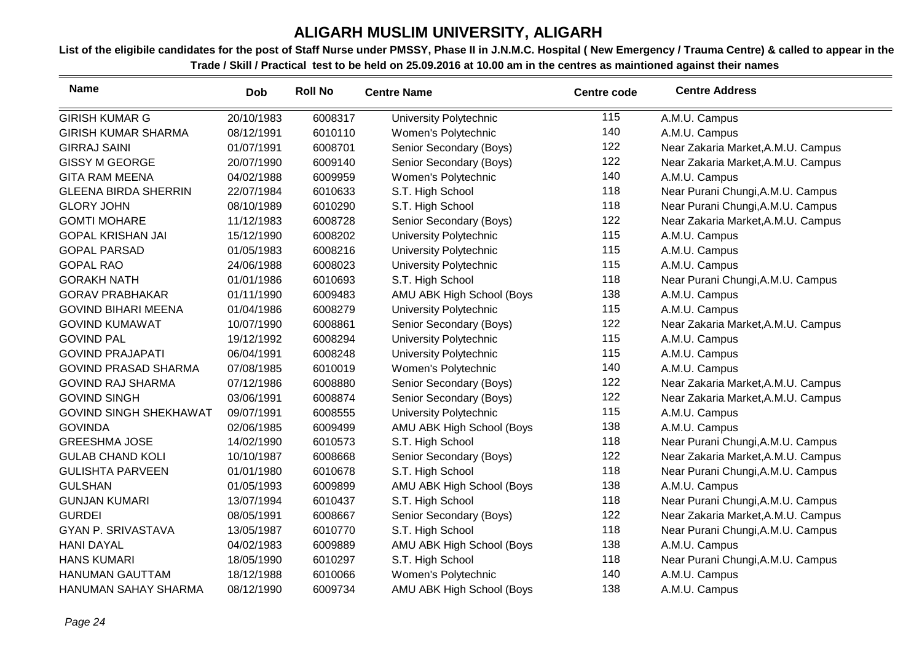| <b>Name</b>                   | <b>Dob</b> | <b>Roll No</b> | <b>Centre Name</b>        | <b>Centre code</b> | <b>Centre Address</b>              |
|-------------------------------|------------|----------------|---------------------------|--------------------|------------------------------------|
| <b>GIRISH KUMAR G</b>         | 20/10/1983 | 6008317        | University Polytechnic    | 115                | A.M.U. Campus                      |
| <b>GIRISH KUMAR SHARMA</b>    | 08/12/1991 | 6010110        | Women's Polytechnic       | 140                | A.M.U. Campus                      |
| <b>GIRRAJ SAINI</b>           | 01/07/1991 | 6008701        | Senior Secondary (Boys)   | 122                | Near Zakaria Market, A.M.U. Campus |
| <b>GISSY M GEORGE</b>         | 20/07/1990 | 6009140        | Senior Secondary (Boys)   | 122                | Near Zakaria Market, A.M.U. Campus |
| <b>GITA RAM MEENA</b>         | 04/02/1988 | 6009959        | Women's Polytechnic       | 140                | A.M.U. Campus                      |
| <b>GLEENA BIRDA SHERRIN</b>   | 22/07/1984 | 6010633        | S.T. High School          | 118                | Near Purani Chungi, A.M.U. Campus  |
| <b>GLORY JOHN</b>             | 08/10/1989 | 6010290        | S.T. High School          | 118                | Near Purani Chungi, A.M.U. Campus  |
| <b>GOMTI MOHARE</b>           | 11/12/1983 | 6008728        | Senior Secondary (Boys)   | 122                | Near Zakaria Market, A.M.U. Campus |
| <b>GOPAL KRISHAN JAI</b>      | 15/12/1990 | 6008202        | University Polytechnic    | 115                | A.M.U. Campus                      |
| <b>GOPAL PARSAD</b>           | 01/05/1983 | 6008216        | University Polytechnic    | 115                | A.M.U. Campus                      |
| <b>GOPAL RAO</b>              | 24/06/1988 | 6008023        | University Polytechnic    | 115                | A.M.U. Campus                      |
| <b>GORAKH NATH</b>            | 01/01/1986 | 6010693        | S.T. High School          | 118                | Near Purani Chungi, A.M.U. Campus  |
| <b>GORAV PRABHAKAR</b>        | 01/11/1990 | 6009483        | AMU ABK High School (Boys | 138                | A.M.U. Campus                      |
| <b>GOVIND BIHARI MEENA</b>    | 01/04/1986 | 6008279        | University Polytechnic    | 115                | A.M.U. Campus                      |
| <b>GOVIND KUMAWAT</b>         | 10/07/1990 | 6008861        | Senior Secondary (Boys)   | 122                | Near Zakaria Market, A.M.U. Campus |
| <b>GOVIND PAL</b>             | 19/12/1992 | 6008294        | University Polytechnic    | 115                | A.M.U. Campus                      |
| <b>GOVIND PRAJAPATI</b>       | 06/04/1991 | 6008248        | University Polytechnic    | 115                | A.M.U. Campus                      |
| <b>GOVIND PRASAD SHARMA</b>   | 07/08/1985 | 6010019        | Women's Polytechnic       | 140                | A.M.U. Campus                      |
| <b>GOVIND RAJ SHARMA</b>      | 07/12/1986 | 6008880        | Senior Secondary (Boys)   | 122                | Near Zakaria Market, A.M.U. Campus |
| <b>GOVIND SINGH</b>           | 03/06/1991 | 6008874        | Senior Secondary (Boys)   | 122                | Near Zakaria Market, A.M.U. Campus |
| <b>GOVIND SINGH SHEKHAWAT</b> | 09/07/1991 | 6008555        | University Polytechnic    | 115                | A.M.U. Campus                      |
| <b>GOVINDA</b>                | 02/06/1985 | 6009499        | AMU ABK High School (Boys | 138                | A.M.U. Campus                      |
| <b>GREESHMA JOSE</b>          | 14/02/1990 | 6010573        | S.T. High School          | 118                | Near Purani Chungi, A.M.U. Campus  |
| <b>GULAB CHAND KOLI</b>       | 10/10/1987 | 6008668        | Senior Secondary (Boys)   | 122                | Near Zakaria Market, A.M.U. Campus |
| <b>GULISHTA PARVEEN</b>       | 01/01/1980 | 6010678        | S.T. High School          | 118                | Near Purani Chungi, A.M.U. Campus  |
| <b>GULSHAN</b>                | 01/05/1993 | 6009899        | AMU ABK High School (Boys | 138                | A.M.U. Campus                      |
| <b>GUNJAN KUMARI</b>          | 13/07/1994 | 6010437        | S.T. High School          | 118                | Near Purani Chungi, A.M.U. Campus  |
| <b>GURDEI</b>                 | 08/05/1991 | 6008667        | Senior Secondary (Boys)   | 122                | Near Zakaria Market, A.M.U. Campus |
| <b>GYAN P. SRIVASTAVA</b>     | 13/05/1987 | 6010770        | S.T. High School          | 118                | Near Purani Chungi, A.M.U. Campus  |
| <b>HANI DAYAL</b>             | 04/02/1983 | 6009889        | AMU ABK High School (Boys | 138                | A.M.U. Campus                      |
| <b>HANS KUMARI</b>            | 18/05/1990 | 6010297        | S.T. High School          | 118                | Near Purani Chungi, A.M.U. Campus  |
| <b>HANUMAN GAUTTAM</b>        | 18/12/1988 | 6010066        | Women's Polytechnic       | 140                | A.M.U. Campus                      |
| HANUMAN SAHAY SHARMA          | 08/12/1990 | 6009734        | AMU ABK High School (Boys | 138                | A.M.U. Campus                      |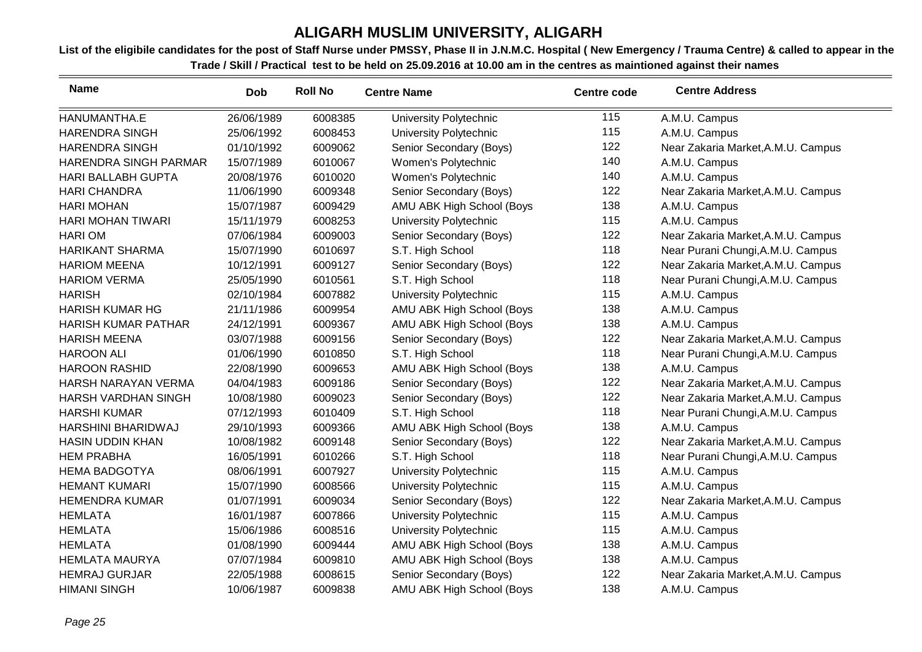| <b>Name</b>                | <b>Dob</b> | <b>Roll No</b> | <b>Centre Name</b>        | <b>Centre code</b> | <b>Centre Address</b>              |
|----------------------------|------------|----------------|---------------------------|--------------------|------------------------------------|
| HANUMANTHA.E               | 26/06/1989 | 6008385        | University Polytechnic    | 115                | A.M.U. Campus                      |
| <b>HARENDRA SINGH</b>      | 25/06/1992 | 6008453        | University Polytechnic    | 115                | A.M.U. Campus                      |
| <b>HARENDRA SINGH</b>      | 01/10/1992 | 6009062        | Senior Secondary (Boys)   | 122                | Near Zakaria Market, A.M.U. Campus |
| HARENDRA SINGH PARMAR      | 15/07/1989 | 6010067        | Women's Polytechnic       | 140                | A.M.U. Campus                      |
| <b>HARI BALLABH GUPTA</b>  | 20/08/1976 | 6010020        | Women's Polytechnic       | 140                | A.M.U. Campus                      |
| <b>HARI CHANDRA</b>        | 11/06/1990 | 6009348        | Senior Secondary (Boys)   | 122                | Near Zakaria Market, A.M.U. Campus |
| <b>HARI MOHAN</b>          | 15/07/1987 | 6009429        | AMU ABK High School (Boys | 138                | A.M.U. Campus                      |
| <b>HARI MOHAN TIWARI</b>   | 15/11/1979 | 6008253        | University Polytechnic    | 115                | A.M.U. Campus                      |
| <b>HARIOM</b>              | 07/06/1984 | 6009003        | Senior Secondary (Boys)   | 122                | Near Zakaria Market, A.M.U. Campus |
| <b>HARIKANT SHARMA</b>     | 15/07/1990 | 6010697        | S.T. High School          | 118                | Near Purani Chungi, A.M.U. Campus  |
| <b>HARIOM MEENA</b>        | 10/12/1991 | 6009127        | Senior Secondary (Boys)   | 122                | Near Zakaria Market, A.M.U. Campus |
| <b>HARIOM VERMA</b>        | 25/05/1990 | 6010561        | S.T. High School          | 118                | Near Purani Chungi, A.M.U. Campus  |
| <b>HARISH</b>              | 02/10/1984 | 6007882        | University Polytechnic    | 115                | A.M.U. Campus                      |
| <b>HARISH KUMAR HG</b>     | 21/11/1986 | 6009954        | AMU ABK High School (Boys | 138                | A.M.U. Campus                      |
| <b>HARISH KUMAR PATHAR</b> | 24/12/1991 | 6009367        | AMU ABK High School (Boys | 138                | A.M.U. Campus                      |
| <b>HARISH MEENA</b>        | 03/07/1988 | 6009156        | Senior Secondary (Boys)   | 122                | Near Zakaria Market, A.M.U. Campus |
| <b>HAROON ALI</b>          | 01/06/1990 | 6010850        | S.T. High School          | 118                | Near Purani Chungi, A.M.U. Campus  |
| <b>HAROON RASHID</b>       | 22/08/1990 | 6009653        | AMU ABK High School (Boys | 138                | A.M.U. Campus                      |
| HARSH NARAYAN VERMA        | 04/04/1983 | 6009186        | Senior Secondary (Boys)   | 122                | Near Zakaria Market, A.M.U. Campus |
| HARSH VARDHAN SINGH        | 10/08/1980 | 6009023        | Senior Secondary (Boys)   | 122                | Near Zakaria Market, A.M.U. Campus |
| <b>HARSHI KUMAR</b>        | 07/12/1993 | 6010409        | S.T. High School          | 118                | Near Purani Chungi, A.M.U. Campus  |
| HARSHINI BHARIDWAJ         | 29/10/1993 | 6009366        | AMU ABK High School (Boys | 138                | A.M.U. Campus                      |
| <b>HASIN UDDIN KHAN</b>    | 10/08/1982 | 6009148        | Senior Secondary (Boys)   | 122                | Near Zakaria Market, A.M.U. Campus |
| <b>HEM PRABHA</b>          | 16/05/1991 | 6010266        | S.T. High School          | 118                | Near Purani Chungi, A.M.U. Campus  |
| <b>HEMA BADGOTYA</b>       | 08/06/1991 | 6007927        | University Polytechnic    | 115                | A.M.U. Campus                      |
| <b>HEMANT KUMARI</b>       | 15/07/1990 | 6008566        | University Polytechnic    | 115                | A.M.U. Campus                      |
| <b>HEMENDRA KUMAR</b>      | 01/07/1991 | 6009034        | Senior Secondary (Boys)   | 122                | Near Zakaria Market, A.M.U. Campus |
| <b>HEMLATA</b>             | 16/01/1987 | 6007866        | University Polytechnic    | 115                | A.M.U. Campus                      |
| <b>HEMLATA</b>             | 15/06/1986 | 6008516        | University Polytechnic    | 115                | A.M.U. Campus                      |
| <b>HEMLATA</b>             | 01/08/1990 | 6009444        | AMU ABK High School (Boys | 138                | A.M.U. Campus                      |
| <b>HEMLATA MAURYA</b>      | 07/07/1984 | 6009810        | AMU ABK High School (Boys | 138                | A.M.U. Campus                      |
| <b>HEMRAJ GURJAR</b>       | 22/05/1988 | 6008615        | Senior Secondary (Boys)   | 122                | Near Zakaria Market, A.M.U. Campus |
| <b>HIMANI SINGH</b>        | 10/06/1987 | 6009838        | AMU ABK High School (Boys | 138                | A.M.U. Campus                      |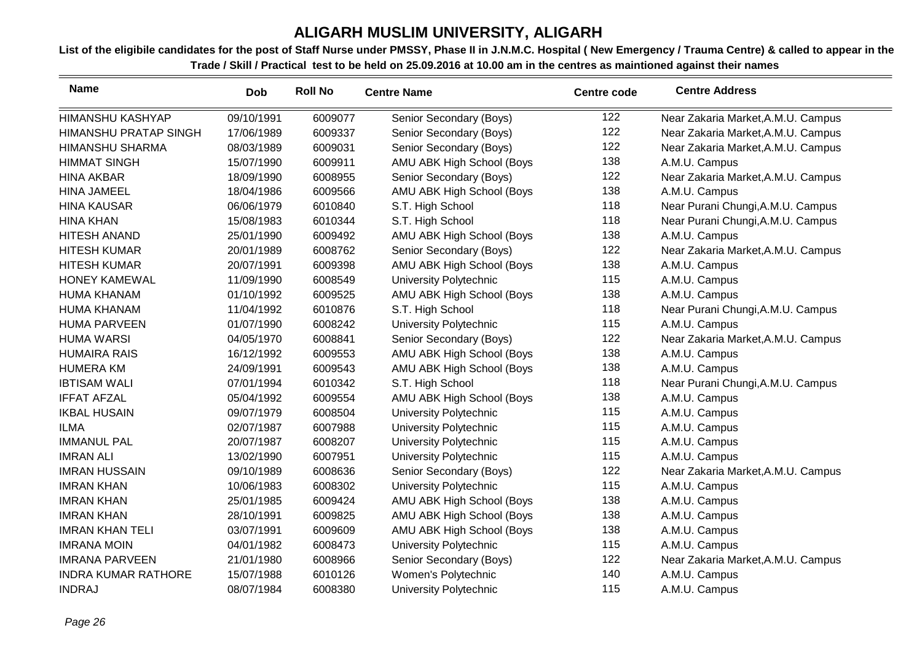| <b>Name</b>                  | <b>Dob</b> | <b>Roll No</b> | <b>Centre Name</b>            | <b>Centre code</b> | <b>Centre Address</b>              |
|------------------------------|------------|----------------|-------------------------------|--------------------|------------------------------------|
| <b>HIMANSHU KASHYAP</b>      | 09/10/1991 | 6009077        | Senior Secondary (Boys)       | 122                | Near Zakaria Market, A.M.U. Campus |
| <b>HIMANSHU PRATAP SINGH</b> | 17/06/1989 | 6009337        | Senior Secondary (Boys)       | 122                | Near Zakaria Market, A.M.U. Campus |
| <b>HIMANSHU SHARMA</b>       | 08/03/1989 | 6009031        | Senior Secondary (Boys)       | 122                | Near Zakaria Market, A.M.U. Campus |
| <b>HIMMAT SINGH</b>          | 15/07/1990 | 6009911        | AMU ABK High School (Boys     | 138                | A.M.U. Campus                      |
| <b>HINA AKBAR</b>            | 18/09/1990 | 6008955        | Senior Secondary (Boys)       | 122                | Near Zakaria Market, A.M.U. Campus |
| <b>HINA JAMEEL</b>           | 18/04/1986 | 6009566        | AMU ABK High School (Boys     | 138                | A.M.U. Campus                      |
| <b>HINA KAUSAR</b>           | 06/06/1979 | 6010840        | S.T. High School              | 118                | Near Purani Chungi, A.M.U. Campus  |
| <b>HINA KHAN</b>             | 15/08/1983 | 6010344        | S.T. High School              | 118                | Near Purani Chungi, A.M.U. Campus  |
| <b>HITESH ANAND</b>          | 25/01/1990 | 6009492        | AMU ABK High School (Boys     | 138                | A.M.U. Campus                      |
| <b>HITESH KUMAR</b>          | 20/01/1989 | 6008762        | Senior Secondary (Boys)       | 122                | Near Zakaria Market, A.M.U. Campus |
| <b>HITESH KUMAR</b>          | 20/07/1991 | 6009398        | AMU ABK High School (Boys     | 138                | A.M.U. Campus                      |
| <b>HONEY KAMEWAL</b>         | 11/09/1990 | 6008549        | University Polytechnic        | 115                | A.M.U. Campus                      |
| <b>HUMA KHANAM</b>           | 01/10/1992 | 6009525        | AMU ABK High School (Boys     | 138                | A.M.U. Campus                      |
| <b>HUMA KHANAM</b>           | 11/04/1992 | 6010876        | S.T. High School              | 118                | Near Purani Chungi, A.M.U. Campus  |
| <b>HUMA PARVEEN</b>          | 01/07/1990 | 6008242        | University Polytechnic        | 115                | A.M.U. Campus                      |
| <b>HUMA WARSI</b>            | 04/05/1970 | 6008841        | Senior Secondary (Boys)       | 122                | Near Zakaria Market, A.M.U. Campus |
| <b>HUMAIRA RAIS</b>          | 16/12/1992 | 6009553        | AMU ABK High School (Boys     | 138                | A.M.U. Campus                      |
| <b>HUMERA KM</b>             | 24/09/1991 | 6009543        | AMU ABK High School (Boys     | 138                | A.M.U. Campus                      |
| <b>IBTISAM WALI</b>          | 07/01/1994 | 6010342        | S.T. High School              | 118                | Near Purani Chungi, A.M.U. Campus  |
| <b>IFFAT AFZAL</b>           | 05/04/1992 | 6009554        | AMU ABK High School (Boys     | 138                | A.M.U. Campus                      |
| <b>IKBAL HUSAIN</b>          | 09/07/1979 | 6008504        | University Polytechnic        | 115                | A.M.U. Campus                      |
| <b>ILMA</b>                  | 02/07/1987 | 6007988        | University Polytechnic        | 115                | A.M.U. Campus                      |
| <b>IMMANUL PAL</b>           | 20/07/1987 | 6008207        | University Polytechnic        | 115                | A.M.U. Campus                      |
| <b>IMRAN ALI</b>             | 13/02/1990 | 6007951        | University Polytechnic        | 115                | A.M.U. Campus                      |
| <b>IMRAN HUSSAIN</b>         | 09/10/1989 | 6008636        | Senior Secondary (Boys)       | 122                | Near Zakaria Market, A.M.U. Campus |
| <b>IMRAN KHAN</b>            | 10/06/1983 | 6008302        | University Polytechnic        | 115                | A.M.U. Campus                      |
| <b>IMRAN KHAN</b>            | 25/01/1985 | 6009424        | AMU ABK High School (Boys     | 138                | A.M.U. Campus                      |
| <b>IMRAN KHAN</b>            | 28/10/1991 | 6009825        | AMU ABK High School (Boys     | 138                | A.M.U. Campus                      |
| <b>IMRAN KHAN TELI</b>       | 03/07/1991 | 6009609        | AMU ABK High School (Boys     | 138                | A.M.U. Campus                      |
| <b>IMRANA MOIN</b>           | 04/01/1982 | 6008473        | University Polytechnic        | 115                | A.M.U. Campus                      |
| <b>IMRANA PARVEEN</b>        | 21/01/1980 | 6008966        | Senior Secondary (Boys)       | 122                | Near Zakaria Market, A.M.U. Campus |
| <b>INDRA KUMAR RATHORE</b>   | 15/07/1988 | 6010126        | Women's Polytechnic           | 140                | A.M.U. Campus                      |
| <b>INDRAJ</b>                | 08/07/1984 | 6008380        | <b>University Polytechnic</b> | 115                | A.M.U. Campus                      |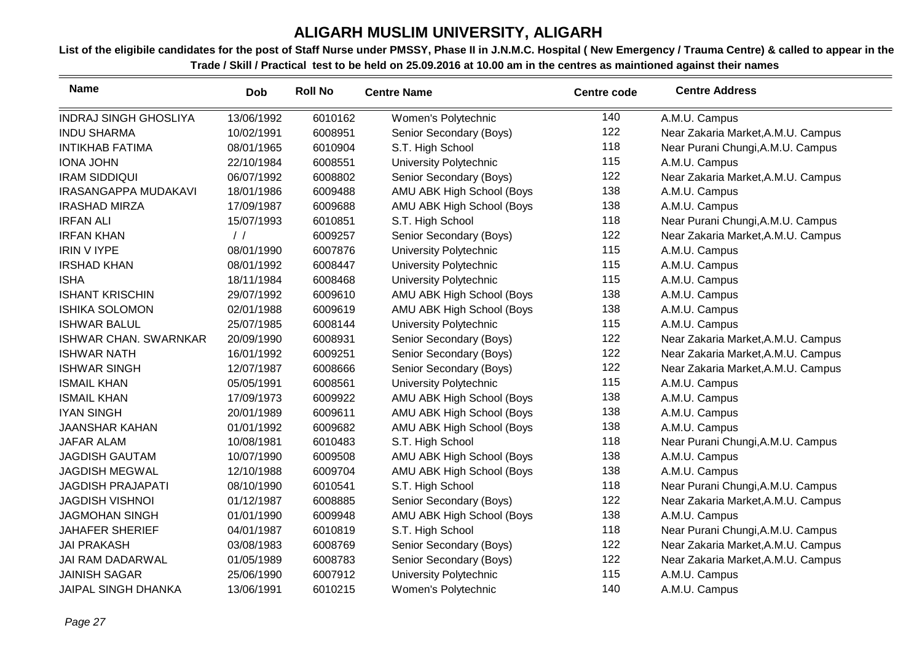| <b>Name</b>                  | <b>Dob</b>    | <b>Roll No</b> | <b>Centre Name</b>            | <b>Centre code</b> | <b>Centre Address</b>              |
|------------------------------|---------------|----------------|-------------------------------|--------------------|------------------------------------|
| <b>INDRAJ SINGH GHOSLIYA</b> | 13/06/1992    | 6010162        | Women's Polytechnic           | 140                | A.M.U. Campus                      |
| <b>INDU SHARMA</b>           | 10/02/1991    | 6008951        | Senior Secondary (Boys)       | 122                | Near Zakaria Market, A.M.U. Campus |
| <b>INTIKHAB FATIMA</b>       | 08/01/1965    | 6010904        | S.T. High School              | 118                | Near Purani Chungi, A.M.U. Campus  |
| <b>IONA JOHN</b>             | 22/10/1984    | 6008551        | University Polytechnic        | 115                | A.M.U. Campus                      |
| <b>IRAM SIDDIQUI</b>         | 06/07/1992    | 6008802        | Senior Secondary (Boys)       | 122                | Near Zakaria Market, A.M.U. Campus |
| <b>IRASANGAPPA MUDAKAVI</b>  | 18/01/1986    | 6009488        | AMU ABK High School (Boys     | 138                | A.M.U. Campus                      |
| <b>IRASHAD MIRZA</b>         | 17/09/1987    | 6009688        | AMU ABK High School (Boys     | 138                | A.M.U. Campus                      |
| <b>IRFAN ALI</b>             | 15/07/1993    | 6010851        | S.T. High School              | 118                | Near Purani Chungi, A.M.U. Campus  |
| <b>IRFAN KHAN</b>            | $\frac{1}{2}$ | 6009257        | Senior Secondary (Boys)       | 122                | Near Zakaria Market, A.M.U. Campus |
| <b>IRIN V IYPE</b>           | 08/01/1990    | 6007876        | University Polytechnic        | 115                | A.M.U. Campus                      |
| <b>IRSHAD KHAN</b>           | 08/01/1992    | 6008447        | University Polytechnic        | 115                | A.M.U. Campus                      |
| <b>ISHA</b>                  | 18/11/1984    | 6008468        | University Polytechnic        | 115                | A.M.U. Campus                      |
| <b>ISHANT KRISCHIN</b>       | 29/07/1992    | 6009610        | AMU ABK High School (Boys     | 138                | A.M.U. Campus                      |
| <b>ISHIKA SOLOMON</b>        | 02/01/1988    | 6009619        | AMU ABK High School (Boys     | 138                | A.M.U. Campus                      |
| <b>ISHWAR BALUL</b>          | 25/07/1985    | 6008144        | University Polytechnic        | 115                | A.M.U. Campus                      |
| <b>ISHWAR CHAN. SWARNKAR</b> | 20/09/1990    | 6008931        | Senior Secondary (Boys)       | 122                | Near Zakaria Market, A.M.U. Campus |
| <b>ISHWAR NATH</b>           | 16/01/1992    | 6009251        | Senior Secondary (Boys)       | 122                | Near Zakaria Market, A.M.U. Campus |
| <b>ISHWAR SINGH</b>          | 12/07/1987    | 6008666        | Senior Secondary (Boys)       | 122                | Near Zakaria Market, A.M.U. Campus |
| <b>ISMAIL KHAN</b>           | 05/05/1991    | 6008561        | <b>University Polytechnic</b> | 115                | A.M.U. Campus                      |
| <b>ISMAIL KHAN</b>           | 17/09/1973    | 6009922        | AMU ABK High School (Boys     | 138                | A.M.U. Campus                      |
| <b>IYAN SINGH</b>            | 20/01/1989    | 6009611        | AMU ABK High School (Boys     | 138                | A.M.U. Campus                      |
| <b>JAANSHAR KAHAN</b>        | 01/01/1992    | 6009682        | AMU ABK High School (Boys     | 138                | A.M.U. Campus                      |
| <b>JAFAR ALAM</b>            | 10/08/1981    | 6010483        | S.T. High School              | 118                | Near Purani Chungi, A.M.U. Campus  |
| <b>JAGDISH GAUTAM</b>        | 10/07/1990    | 6009508        | AMU ABK High School (Boys     | 138                | A.M.U. Campus                      |
| <b>JAGDISH MEGWAL</b>        | 12/10/1988    | 6009704        | AMU ABK High School (Boys     | 138                | A.M.U. Campus                      |
| <b>JAGDISH PRAJAPATI</b>     | 08/10/1990    | 6010541        | S.T. High School              | 118                | Near Purani Chungi, A.M.U. Campus  |
| <b>JAGDISH VISHNOI</b>       | 01/12/1987    | 6008885        | Senior Secondary (Boys)       | 122                | Near Zakaria Market, A.M.U. Campus |
| <b>JAGMOHAN SINGH</b>        | 01/01/1990    | 6009948        | AMU ABK High School (Boys     | 138                | A.M.U. Campus                      |
| <b>JAHAFER SHERIEF</b>       | 04/01/1987    | 6010819        | S.T. High School              | 118                | Near Purani Chungi, A.M.U. Campus  |
| <b>JAI PRAKASH</b>           | 03/08/1983    | 6008769        | Senior Secondary (Boys)       | 122                | Near Zakaria Market, A.M.U. Campus |
| JAI RAM DADARWAL             | 01/05/1989    | 6008783        | Senior Secondary (Boys)       | 122                | Near Zakaria Market, A.M.U. Campus |
| <b>JAINISH SAGAR</b>         | 25/06/1990    | 6007912        | <b>University Polytechnic</b> | 115                | A.M.U. Campus                      |
| <b>JAIPAL SINGH DHANKA</b>   | 13/06/1991    | 6010215        | Women's Polytechnic           | 140                | A.M.U. Campus                      |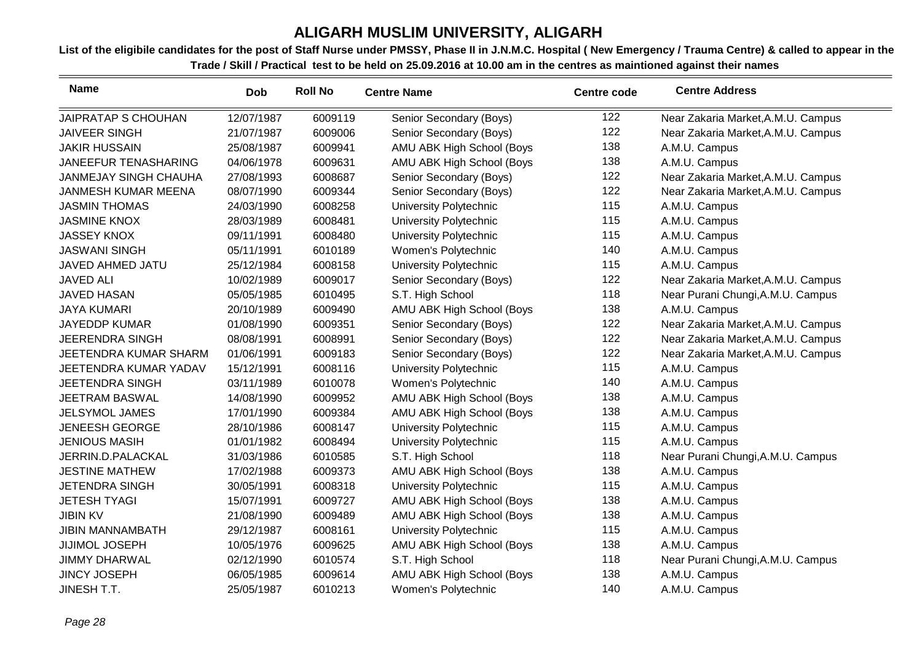| <b>Name</b>                  | <b>Dob</b> | <b>Roll No</b> | <b>Centre Name</b>        | <b>Centre code</b> | <b>Centre Address</b>              |
|------------------------------|------------|----------------|---------------------------|--------------------|------------------------------------|
| JAIPRATAP S CHOUHAN          | 12/07/1987 | 6009119        | Senior Secondary (Boys)   | 122                | Near Zakaria Market, A.M.U. Campus |
| <b>JAIVEER SINGH</b>         | 21/07/1987 | 6009006        | Senior Secondary (Boys)   | 122                | Near Zakaria Market, A.M.U. Campus |
| <b>JAKIR HUSSAIN</b>         | 25/08/1987 | 6009941        | AMU ABK High School (Boys | 138                | A.M.U. Campus                      |
| JANEEFUR TENASHARING         | 04/06/1978 | 6009631        | AMU ABK High School (Boys | 138                | A.M.U. Campus                      |
| <b>JANMEJAY SINGH CHAUHA</b> | 27/08/1993 | 6008687        | Senior Secondary (Boys)   | 122                | Near Zakaria Market, A.M.U. Campus |
| JANMESH KUMAR MEENA          | 08/07/1990 | 6009344        | Senior Secondary (Boys)   | 122                | Near Zakaria Market, A.M.U. Campus |
| <b>JASMIN THOMAS</b>         | 24/03/1990 | 6008258        | University Polytechnic    | 115                | A.M.U. Campus                      |
| <b>JASMINE KNOX</b>          | 28/03/1989 | 6008481        | University Polytechnic    | 115                | A.M.U. Campus                      |
| <b>JASSEY KNOX</b>           | 09/11/1991 | 6008480        | University Polytechnic    | 115                | A.M.U. Campus                      |
| <b>JASWANI SINGH</b>         | 05/11/1991 | 6010189        | Women's Polytechnic       | 140                | A.M.U. Campus                      |
| JAVED AHMED JATU             | 25/12/1984 | 6008158        | University Polytechnic    | 115                | A.M.U. Campus                      |
| <b>JAVED ALI</b>             | 10/02/1989 | 6009017        | Senior Secondary (Boys)   | 122                | Near Zakaria Market, A.M.U. Campus |
| <b>JAVED HASAN</b>           | 05/05/1985 | 6010495        | S.T. High School          | 118                | Near Purani Chungi, A.M.U. Campus  |
| <b>JAYA KUMARI</b>           | 20/10/1989 | 6009490        | AMU ABK High School (Boys | 138                | A.M.U. Campus                      |
| <b>JAYEDDP KUMAR</b>         | 01/08/1990 | 6009351        | Senior Secondary (Boys)   | 122                | Near Zakaria Market, A.M.U. Campus |
| <b>JEERENDRA SINGH</b>       | 08/08/1991 | 6008991        | Senior Secondary (Boys)   | 122                | Near Zakaria Market, A.M.U. Campus |
| JEETENDRA KUMAR SHARM        | 01/06/1991 | 6009183        | Senior Secondary (Boys)   | 122                | Near Zakaria Market, A.M.U. Campus |
| JEETENDRA KUMAR YADAV        | 15/12/1991 | 6008116        | University Polytechnic    | 115                | A.M.U. Campus                      |
| <b>JEETENDRA SINGH</b>       | 03/11/1989 | 6010078        | Women's Polytechnic       | 140                | A.M.U. Campus                      |
| <b>JEETRAM BASWAL</b>        | 14/08/1990 | 6009952        | AMU ABK High School (Boys | 138                | A.M.U. Campus                      |
| <b>JELSYMOL JAMES</b>        | 17/01/1990 | 6009384        | AMU ABK High School (Boys | 138                | A.M.U. Campus                      |
| <b>JENEESH GEORGE</b>        | 28/10/1986 | 6008147        | University Polytechnic    | 115                | A.M.U. Campus                      |
| <b>JENIOUS MASIH</b>         | 01/01/1982 | 6008494        | University Polytechnic    | 115                | A.M.U. Campus                      |
| JERRIN.D.PALACKAL            | 31/03/1986 | 6010585        | S.T. High School          | 118                | Near Purani Chungi, A.M.U. Campus  |
| <b>JESTINE MATHEW</b>        | 17/02/1988 | 6009373        | AMU ABK High School (Boys | 138                | A.M.U. Campus                      |
| <b>JETENDRA SINGH</b>        | 30/05/1991 | 6008318        | University Polytechnic    | 115                | A.M.U. Campus                      |
| <b>JETESH TYAGI</b>          | 15/07/1991 | 6009727        | AMU ABK High School (Boys | 138                | A.M.U. Campus                      |
| <b>JIBIN KV</b>              | 21/08/1990 | 6009489        | AMU ABK High School (Boys | 138                | A.M.U. Campus                      |
| <b>JIBIN MANNAMBATH</b>      | 29/12/1987 | 6008161        | University Polytechnic    | 115                | A.M.U. Campus                      |
| <b>JIJIMOL JOSEPH</b>        | 10/05/1976 | 6009625        | AMU ABK High School (Boys | 138                | A.M.U. Campus                      |
| <b>JIMMY DHARWAL</b>         | 02/12/1990 | 6010574        | S.T. High School          | 118                | Near Purani Chungi, A.M.U. Campus  |
| <b>JINCY JOSEPH</b>          | 06/05/1985 | 6009614        | AMU ABK High School (Boys | 138                | A.M.U. Campus                      |
| JINESH T.T.                  | 25/05/1987 | 6010213        | Women's Polytechnic       | 140                | A.M.U. Campus                      |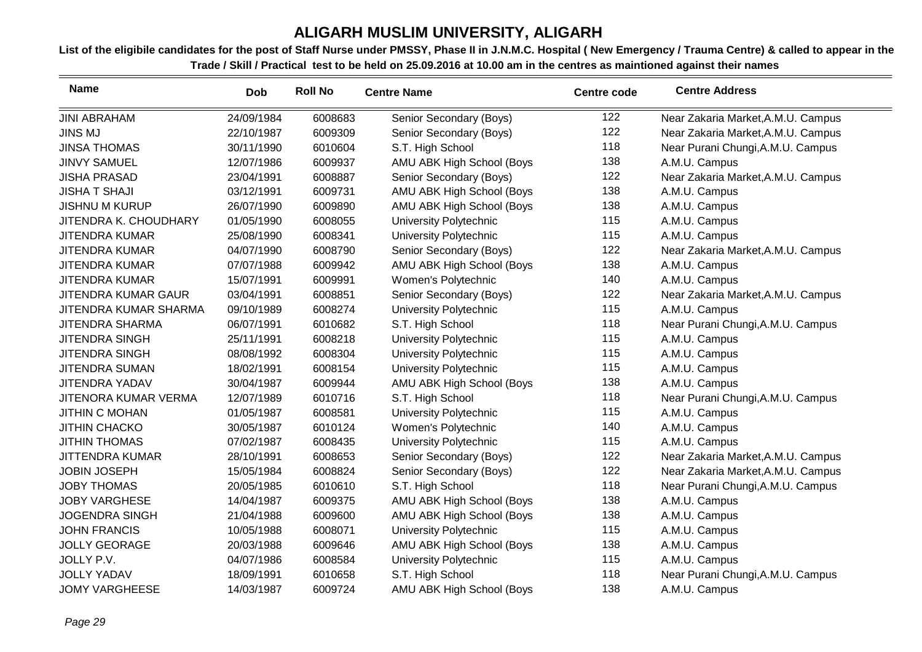| <b>Name</b>                | <b>Dob</b> | <b>Roll No</b> | <b>Centre Name</b>        | <b>Centre code</b> | <b>Centre Address</b>              |
|----------------------------|------------|----------------|---------------------------|--------------------|------------------------------------|
| <b>JINI ABRAHAM</b>        | 24/09/1984 | 6008683        | Senior Secondary (Boys)   | 122                | Near Zakaria Market, A.M.U. Campus |
| <b>JINS MJ</b>             | 22/10/1987 | 6009309        | Senior Secondary (Boys)   | 122                | Near Zakaria Market, A.M.U. Campus |
| <b>JINSA THOMAS</b>        | 30/11/1990 | 6010604        | S.T. High School          | 118                | Near Purani Chungi, A.M.U. Campus  |
| <b>JINVY SAMUEL</b>        | 12/07/1986 | 6009937        | AMU ABK High School (Boys | 138                | A.M.U. Campus                      |
| <b>JISHA PRASAD</b>        | 23/04/1991 | 6008887        | Senior Secondary (Boys)   | 122                | Near Zakaria Market, A.M.U. Campus |
| <b>JISHA T SHAJI</b>       | 03/12/1991 | 6009731        | AMU ABK High School (Boys | 138                | A.M.U. Campus                      |
| <b>JISHNU M KURUP</b>      | 26/07/1990 | 6009890        | AMU ABK High School (Boys | 138                | A.M.U. Campus                      |
| JITENDRA K. CHOUDHARY      | 01/05/1990 | 6008055        | University Polytechnic    | 115                | A.M.U. Campus                      |
| <b>JITENDRA KUMAR</b>      | 25/08/1990 | 6008341        | University Polytechnic    | 115                | A.M.U. Campus                      |
| <b>JITENDRA KUMAR</b>      | 04/07/1990 | 6008790        | Senior Secondary (Boys)   | 122                | Near Zakaria Market, A.M.U. Campus |
| <b>JITENDRA KUMAR</b>      | 07/07/1988 | 6009942        | AMU ABK High School (Boys | 138                | A.M.U. Campus                      |
| <b>JITENDRA KUMAR</b>      | 15/07/1991 | 6009991        | Women's Polytechnic       | 140                | A.M.U. Campus                      |
| <b>JITENDRA KUMAR GAUR</b> | 03/04/1991 | 6008851        | Senior Secondary (Boys)   | 122                | Near Zakaria Market, A.M.U. Campus |
| JITENDRA KUMAR SHARMA      | 09/10/1989 | 6008274        | University Polytechnic    | 115                | A.M.U. Campus                      |
| <b>JITENDRA SHARMA</b>     | 06/07/1991 | 6010682        | S.T. High School          | 118                | Near Purani Chungi, A.M.U. Campus  |
| <b>JITENDRA SINGH</b>      | 25/11/1991 | 6008218        | University Polytechnic    | 115                | A.M.U. Campus                      |
| JITENDRA SINGH             | 08/08/1992 | 6008304        | University Polytechnic    | 115                | A.M.U. Campus                      |
| <b>JITENDRA SUMAN</b>      | 18/02/1991 | 6008154        | University Polytechnic    | 115                | A.M.U. Campus                      |
| <b>JITENDRA YADAV</b>      | 30/04/1987 | 6009944        | AMU ABK High School (Boys | 138                | A.M.U. Campus                      |
| JITENORA KUMAR VERMA       | 12/07/1989 | 6010716        | S.T. High School          | 118                | Near Purani Chungi, A.M.U. Campus  |
| <b>JITHIN C MOHAN</b>      | 01/05/1987 | 6008581        | University Polytechnic    | 115                | A.M.U. Campus                      |
| <b>JITHIN CHACKO</b>       | 30/05/1987 | 6010124        | Women's Polytechnic       | 140                | A.M.U. Campus                      |
| <b>JITHIN THOMAS</b>       | 07/02/1987 | 6008435        | University Polytechnic    | 115                | A.M.U. Campus                      |
| <b>JITTENDRA KUMAR</b>     | 28/10/1991 | 6008653        | Senior Secondary (Boys)   | 122                | Near Zakaria Market, A.M.U. Campus |
| <b>JOBIN JOSEPH</b>        | 15/05/1984 | 6008824        | Senior Secondary (Boys)   | 122                | Near Zakaria Market, A.M.U. Campus |
| <b>JOBY THOMAS</b>         | 20/05/1985 | 6010610        | S.T. High School          | 118                | Near Purani Chungi, A.M.U. Campus  |
| <b>JOBY VARGHESE</b>       | 14/04/1987 | 6009375        | AMU ABK High School (Boys | 138                | A.M.U. Campus                      |
| <b>JOGENDRA SINGH</b>      | 21/04/1988 | 6009600        | AMU ABK High School (Boys | 138                | A.M.U. Campus                      |
| <b>JOHN FRANCIS</b>        | 10/05/1988 | 6008071        | University Polytechnic    | 115                | A.M.U. Campus                      |
| <b>JOLLY GEORAGE</b>       | 20/03/1988 | 6009646        | AMU ABK High School (Boys | 138                | A.M.U. Campus                      |
| JOLLY P.V.                 | 04/07/1986 | 6008584        | University Polytechnic    | 115                | A.M.U. Campus                      |
| <b>JOLLY YADAV</b>         | 18/09/1991 | 6010658        | S.T. High School          | 118                | Near Purani Chungi, A.M.U. Campus  |
| <b>JOMY VARGHEESE</b>      | 14/03/1987 | 6009724        | AMU ABK High School (Boys | 138                | A.M.U. Campus                      |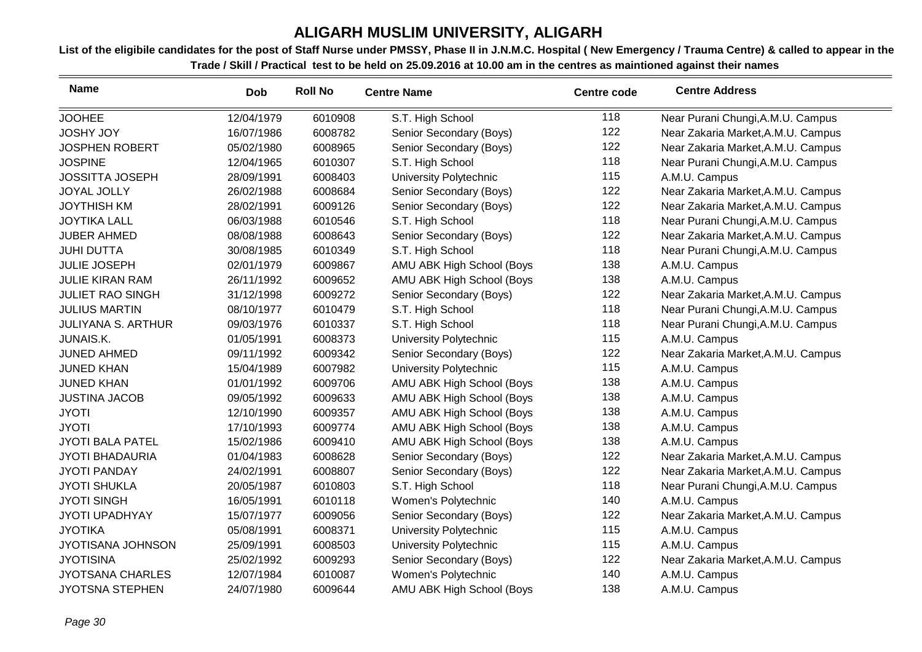| <b>Name</b>               | <b>Dob</b> | <b>Roll No</b> | <b>Centre Name</b>        | <b>Centre code</b> | <b>Centre Address</b>              |
|---------------------------|------------|----------------|---------------------------|--------------------|------------------------------------|
| <b>JOOHEE</b>             | 12/04/1979 | 6010908        | S.T. High School          | 118                | Near Purani Chungi, A.M.U. Campus  |
| <b>JOSHY JOY</b>          | 16/07/1986 | 6008782        | Senior Secondary (Boys)   | 122                | Near Zakaria Market, A.M.U. Campus |
| <b>JOSPHEN ROBERT</b>     | 05/02/1980 | 6008965        | Senior Secondary (Boys)   | 122                | Near Zakaria Market, A.M.U. Campus |
| <b>JOSPINE</b>            | 12/04/1965 | 6010307        | S.T. High School          | 118                | Near Purani Chungi, A.M.U. Campus  |
| <b>JOSSITTA JOSEPH</b>    | 28/09/1991 | 6008403        | University Polytechnic    | 115                | A.M.U. Campus                      |
| <b>JOYAL JOLLY</b>        | 26/02/1988 | 6008684        | Senior Secondary (Boys)   | 122                | Near Zakaria Market, A.M.U. Campus |
| <b>JOYTHISH KM</b>        | 28/02/1991 | 6009126        | Senior Secondary (Boys)   | 122                | Near Zakaria Market, A.M.U. Campus |
| <b>JOYTIKA LALL</b>       | 06/03/1988 | 6010546        | S.T. High School          | 118                | Near Purani Chungi, A.M.U. Campus  |
| <b>JUBER AHMED</b>        | 08/08/1988 | 6008643        | Senior Secondary (Boys)   | 122                | Near Zakaria Market, A.M.U. Campus |
| <b>JUHI DUTTA</b>         | 30/08/1985 | 6010349        | S.T. High School          | 118                | Near Purani Chungi, A.M.U. Campus  |
| <b>JULIE JOSEPH</b>       | 02/01/1979 | 6009867        | AMU ABK High School (Boys | 138                | A.M.U. Campus                      |
| <b>JULIE KIRAN RAM</b>    | 26/11/1992 | 6009652        | AMU ABK High School (Boys | 138                | A.M.U. Campus                      |
| <b>JULIET RAO SINGH</b>   | 31/12/1998 | 6009272        | Senior Secondary (Boys)   | 122                | Near Zakaria Market, A.M.U. Campus |
| <b>JULIUS MARTIN</b>      | 08/10/1977 | 6010479        | S.T. High School          | 118                | Near Purani Chungi, A.M.U. Campus  |
| <b>JULIYANA S. ARTHUR</b> | 09/03/1976 | 6010337        | S.T. High School          | 118                | Near Purani Chungi, A.M.U. Campus  |
| JUNAIS.K.                 | 01/05/1991 | 6008373        | University Polytechnic    | 115                | A.M.U. Campus                      |
| <b>JUNED AHMED</b>        | 09/11/1992 | 6009342        | Senior Secondary (Boys)   | 122                | Near Zakaria Market, A.M.U. Campus |
| <b>JUNED KHAN</b>         | 15/04/1989 | 6007982        | University Polytechnic    | 115                | A.M.U. Campus                      |
| <b>JUNED KHAN</b>         | 01/01/1992 | 6009706        | AMU ABK High School (Boys | 138                | A.M.U. Campus                      |
| <b>JUSTINA JACOB</b>      | 09/05/1992 | 6009633        | AMU ABK High School (Boys | 138                | A.M.U. Campus                      |
| <b>JYOTI</b>              | 12/10/1990 | 6009357        | AMU ABK High School (Boys | 138                | A.M.U. Campus                      |
| <b>JYOTI</b>              | 17/10/1993 | 6009774        | AMU ABK High School (Boys | 138                | A.M.U. Campus                      |
| <b>JYOTI BALA PATEL</b>   | 15/02/1986 | 6009410        | AMU ABK High School (Boys | 138                | A.M.U. Campus                      |
| <b>JYOTI BHADAURIA</b>    | 01/04/1983 | 6008628        | Senior Secondary (Boys)   | 122                | Near Zakaria Market, A.M.U. Campus |
| <b>JYOTI PANDAY</b>       | 24/02/1991 | 6008807        | Senior Secondary (Boys)   | 122                | Near Zakaria Market, A.M.U. Campus |
| <b>JYOTI SHUKLA</b>       | 20/05/1987 | 6010803        | S.T. High School          | 118                | Near Purani Chungi, A.M.U. Campus  |
| <b>JYOTI SINGH</b>        | 16/05/1991 | 6010118        | Women's Polytechnic       | 140                | A.M.U. Campus                      |
| JYOTI UPADHYAY            | 15/07/1977 | 6009056        | Senior Secondary (Boys)   | 122                | Near Zakaria Market, A.M.U. Campus |
| <b>JYOTIKA</b>            | 05/08/1991 | 6008371        | University Polytechnic    | 115                | A.M.U. Campus                      |
| JYOTISANA JOHNSON         | 25/09/1991 | 6008503        | University Polytechnic    | 115                | A.M.U. Campus                      |
| <b>JYOTISINA</b>          | 25/02/1992 | 6009293        | Senior Secondary (Boys)   | 122                | Near Zakaria Market, A.M.U. Campus |
| <b>JYOTSANA CHARLES</b>   | 12/07/1984 | 6010087        | Women's Polytechnic       | 140                | A.M.U. Campus                      |
| <b>JYOTSNA STEPHEN</b>    | 24/07/1980 | 6009644        | AMU ABK High School (Boys | 138                | A.M.U. Campus                      |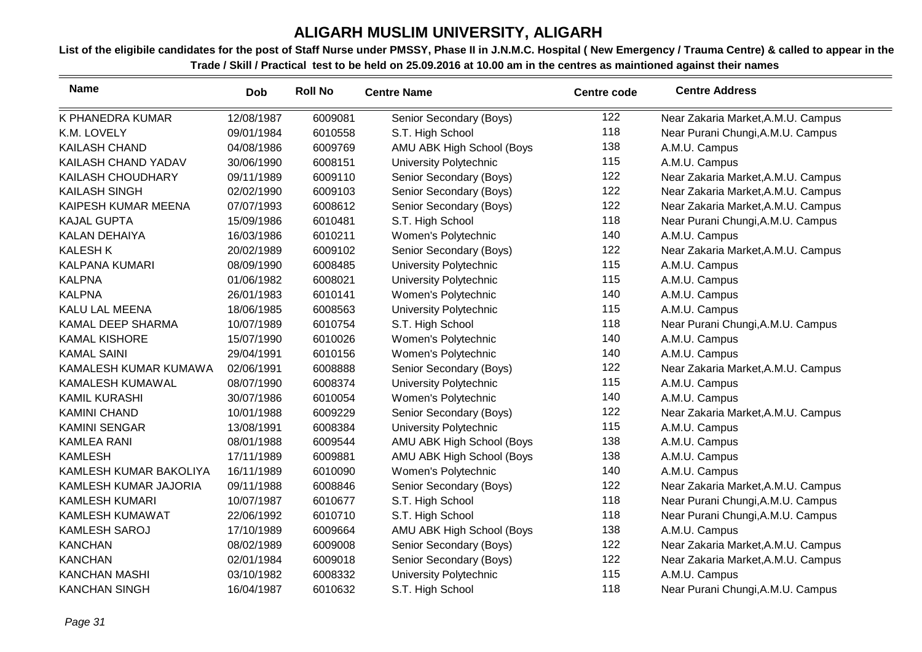| <b>Name</b>            | <b>Dob</b> | <b>Roll No</b> | <b>Centre Name</b>            | <b>Centre code</b> | <b>Centre Address</b>              |
|------------------------|------------|----------------|-------------------------------|--------------------|------------------------------------|
| K PHANEDRA KUMAR       | 12/08/1987 | 6009081        | Senior Secondary (Boys)       | 122                | Near Zakaria Market, A.M.U. Campus |
| K.M. LOVELY            | 09/01/1984 | 6010558        | S.T. High School              | 118                | Near Purani Chungi, A.M.U. Campus  |
| <b>KAILASH CHAND</b>   | 04/08/1986 | 6009769        | AMU ABK High School (Boys     | 138                | A.M.U. Campus                      |
| KAILASH CHAND YADAV    | 30/06/1990 | 6008151        | University Polytechnic        | 115                | A.M.U. Campus                      |
| KAILASH CHOUDHARY      | 09/11/1989 | 6009110        | Senior Secondary (Boys)       | 122                | Near Zakaria Market, A.M.U. Campus |
| <b>KAILASH SINGH</b>   | 02/02/1990 | 6009103        | Senior Secondary (Boys)       | 122                | Near Zakaria Market, A.M.U. Campus |
| KAIPESH KUMAR MEENA    | 07/07/1993 | 6008612        | Senior Secondary (Boys)       | 122                | Near Zakaria Market, A.M.U. Campus |
| <b>KAJAL GUPTA</b>     | 15/09/1986 | 6010481        | S.T. High School              | 118                | Near Purani Chungi, A.M.U. Campus  |
| KALAN DEHAIYA          | 16/03/1986 | 6010211        | Women's Polytechnic           | 140                | A.M.U. Campus                      |
| <b>KALESH K</b>        | 20/02/1989 | 6009102        | Senior Secondary (Boys)       | 122                | Near Zakaria Market, A.M.U. Campus |
| <b>KALPANA KUMARI</b>  | 08/09/1990 | 6008485        | University Polytechnic        | 115                | A.M.U. Campus                      |
| <b>KALPNA</b>          | 01/06/1982 | 6008021        | University Polytechnic        | 115                | A.M.U. Campus                      |
| <b>KALPNA</b>          | 26/01/1983 | 6010141        | Women's Polytechnic           | 140                | A.M.U. Campus                      |
| KALU LAL MEENA         | 18/06/1985 | 6008563        | University Polytechnic        | 115                | A.M.U. Campus                      |
| KAMAL DEEP SHARMA      | 10/07/1989 | 6010754        | S.T. High School              | 118                | Near Purani Chungi, A.M.U. Campus  |
| <b>KAMAL KISHORE</b>   | 15/07/1990 | 6010026        | Women's Polytechnic           | 140                | A.M.U. Campus                      |
| <b>KAMAL SAINI</b>     | 29/04/1991 | 6010156        | Women's Polytechnic           | 140                | A.M.U. Campus                      |
| KAMALESH KUMAR KUMAWA  | 02/06/1991 | 6008888        | Senior Secondary (Boys)       | 122                | Near Zakaria Market, A.M.U. Campus |
| KAMALESH KUMAWAL       | 08/07/1990 | 6008374        | University Polytechnic        | 115                | A.M.U. Campus                      |
| <b>KAMIL KURASHI</b>   | 30/07/1986 | 6010054        | Women's Polytechnic           | 140                | A.M.U. Campus                      |
| <b>KAMINI CHAND</b>    | 10/01/1988 | 6009229        | Senior Secondary (Boys)       | 122                | Near Zakaria Market, A.M.U. Campus |
| <b>KAMINI SENGAR</b>   | 13/08/1991 | 6008384        | <b>University Polytechnic</b> | 115                | A.M.U. Campus                      |
| <b>KAMLEA RANI</b>     | 08/01/1988 | 6009544        | AMU ABK High School (Boys     | 138                | A.M.U. Campus                      |
| <b>KAMLESH</b>         | 17/11/1989 | 6009881        | AMU ABK High School (Boys     | 138                | A.M.U. Campus                      |
| KAMLESH KUMAR BAKOLIYA | 16/11/1989 | 6010090        | Women's Polytechnic           | 140                | A.M.U. Campus                      |
| KAMLESH KUMAR JAJORIA  | 09/11/1988 | 6008846        | Senior Secondary (Boys)       | 122                | Near Zakaria Market, A.M.U. Campus |
| <b>KAMLESH KUMARI</b>  | 10/07/1987 | 6010677        | S.T. High School              | 118                | Near Purani Chungi, A.M.U. Campus  |
| KAMLESH KUMAWAT        | 22/06/1992 | 6010710        | S.T. High School              | 118                | Near Purani Chungi, A.M.U. Campus  |
| KAMLESH SAROJ          | 17/10/1989 | 6009664        | AMU ABK High School (Boys     | 138                | A.M.U. Campus                      |
| <b>KANCHAN</b>         | 08/02/1989 | 6009008        | Senior Secondary (Boys)       | 122                | Near Zakaria Market, A.M.U. Campus |
| <b>KANCHAN</b>         | 02/01/1984 | 6009018        | Senior Secondary (Boys)       | 122                | Near Zakaria Market, A.M.U. Campus |
| <b>KANCHAN MASHI</b>   | 03/10/1982 | 6008332        | University Polytechnic        | 115                | A.M.U. Campus                      |
| <b>KANCHAN SINGH</b>   | 16/04/1987 | 6010632        | S.T. High School              | 118                | Near Purani Chungi, A.M.U. Campus  |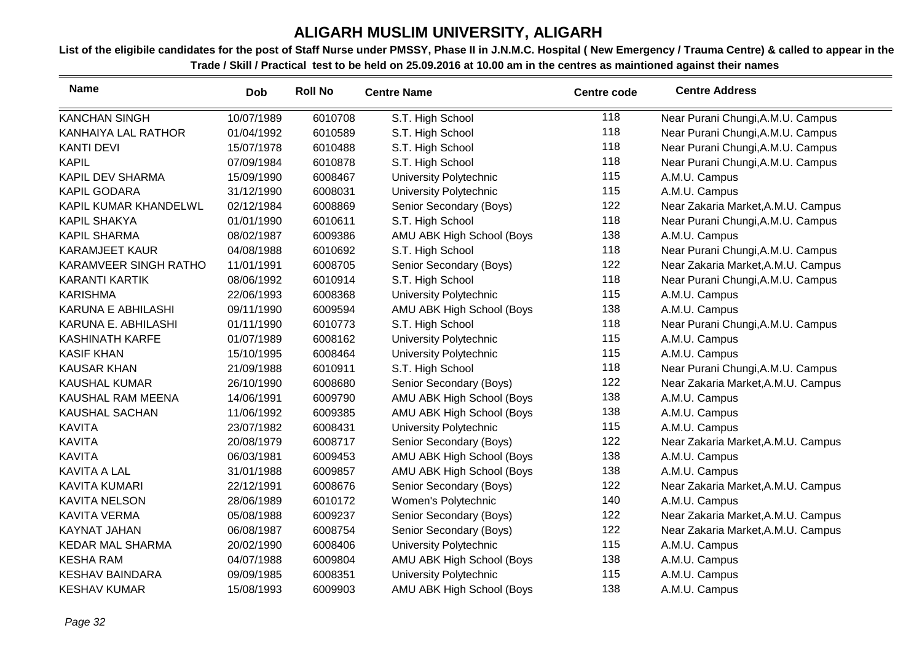| <b>Name</b>               | <b>Dob</b> | <b>Roll No</b> | <b>Centre Name</b>        | <b>Centre code</b> | <b>Centre Address</b>              |
|---------------------------|------------|----------------|---------------------------|--------------------|------------------------------------|
| <b>KANCHAN SINGH</b>      | 10/07/1989 | 6010708        | S.T. High School          | 118                | Near Purani Chungi, A.M.U. Campus  |
| KANHAIYA LAL RATHOR       | 01/04/1992 | 6010589        | S.T. High School          | 118                | Near Purani Chungi, A.M.U. Campus  |
| <b>KANTI DEVI</b>         | 15/07/1978 | 6010488        | S.T. High School          | 118                | Near Purani Chungi, A.M.U. Campus  |
| <b>KAPIL</b>              | 07/09/1984 | 6010878        | S.T. High School          | 118                | Near Purani Chungi, A.M.U. Campus  |
| <b>KAPIL DEV SHARMA</b>   | 15/09/1990 | 6008467        | University Polytechnic    | 115                | A.M.U. Campus                      |
| <b>KAPIL GODARA</b>       | 31/12/1990 | 6008031        | University Polytechnic    | 115                | A.M.U. Campus                      |
| KAPIL KUMAR KHANDELWL     | 02/12/1984 | 6008869        | Senior Secondary (Boys)   | 122                | Near Zakaria Market, A.M.U. Campus |
| <b>KAPIL SHAKYA</b>       | 01/01/1990 | 6010611        | S.T. High School          | 118                | Near Purani Chungi, A.M.U. Campus  |
| <b>KAPIL SHARMA</b>       | 08/02/1987 | 6009386        | AMU ABK High School (Boys | 138                | A.M.U. Campus                      |
| <b>KARAMJEET KAUR</b>     | 04/08/1988 | 6010692        | S.T. High School          | 118                | Near Purani Chungi, A.M.U. Campus  |
| KARAMVEER SINGH RATHO     | 11/01/1991 | 6008705        | Senior Secondary (Boys)   | 122                | Near Zakaria Market, A.M.U. Campus |
| <b>KARANTI KARTIK</b>     | 08/06/1992 | 6010914        | S.T. High School          | 118                | Near Purani Chungi, A.M.U. Campus  |
| <b>KARISHMA</b>           | 22/06/1993 | 6008368        | University Polytechnic    | 115                | A.M.U. Campus                      |
| <b>KARUNA E ABHILASHI</b> | 09/11/1990 | 6009594        | AMU ABK High School (Boys | 138                | A.M.U. Campus                      |
| KARUNA E. ABHILASHI       | 01/11/1990 | 6010773        | S.T. High School          | 118                | Near Purani Chungi, A.M.U. Campus  |
| <b>KASHINATH KARFE</b>    | 01/07/1989 | 6008162        | University Polytechnic    | 115                | A.M.U. Campus                      |
| <b>KASIF KHAN</b>         | 15/10/1995 | 6008464        | University Polytechnic    | 115                | A.M.U. Campus                      |
| <b>KAUSAR KHAN</b>        | 21/09/1988 | 6010911        | S.T. High School          | 118                | Near Purani Chungi, A.M.U. Campus  |
| <b>KAUSHAL KUMAR</b>      | 26/10/1990 | 6008680        | Senior Secondary (Boys)   | 122                | Near Zakaria Market, A.M.U. Campus |
| KAUSHAL RAM MEENA         | 14/06/1991 | 6009790        | AMU ABK High School (Boys | 138                | A.M.U. Campus                      |
| KAUSHAL SACHAN            | 11/06/1992 | 6009385        | AMU ABK High School (Boys | 138                | A.M.U. Campus                      |
| <b>KAVITA</b>             | 23/07/1982 | 6008431        | University Polytechnic    | 115                | A.M.U. Campus                      |
| <b>KAVITA</b>             | 20/08/1979 | 6008717        | Senior Secondary (Boys)   | 122                | Near Zakaria Market, A.M.U. Campus |
| <b>KAVITA</b>             | 06/03/1981 | 6009453        | AMU ABK High School (Boys | 138                | A.M.U. Campus                      |
| <b>KAVITA A LAL</b>       | 31/01/1988 | 6009857        | AMU ABK High School (Boys | 138                | A.M.U. Campus                      |
| <b>KAVITA KUMARI</b>      | 22/12/1991 | 6008676        | Senior Secondary (Boys)   | 122                | Near Zakaria Market, A.M.U. Campus |
| <b>KAVITA NELSON</b>      | 28/06/1989 | 6010172        | Women's Polytechnic       | 140                | A.M.U. Campus                      |
| <b>KAVITA VERMA</b>       | 05/08/1988 | 6009237        | Senior Secondary (Boys)   | 122                | Near Zakaria Market, A.M.U. Campus |
| KAYNAT JAHAN              | 06/08/1987 | 6008754        | Senior Secondary (Boys)   | 122                | Near Zakaria Market, A.M.U. Campus |
| <b>KEDAR MAL SHARMA</b>   | 20/02/1990 | 6008406        | University Polytechnic    | 115                | A.M.U. Campus                      |
| <b>KESHA RAM</b>          | 04/07/1988 | 6009804        | AMU ABK High School (Boys | 138                | A.M.U. Campus                      |
| <b>KESHAV BAINDARA</b>    | 09/09/1985 | 6008351        | University Polytechnic    | 115                | A.M.U. Campus                      |
| <b>KESHAV KUMAR</b>       | 15/08/1993 | 6009903        | AMU ABK High School (Boys | 138                | A.M.U. Campus                      |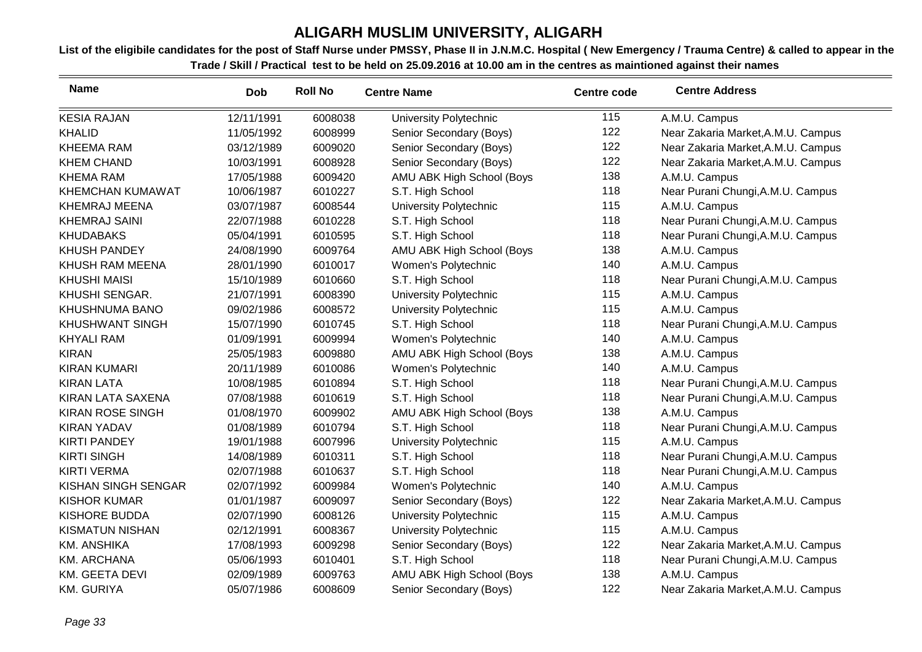| <b>Name</b>             | <b>Dob</b> | <b>Roll No</b> | <b>Centre Name</b>        | <b>Centre code</b> | <b>Centre Address</b>              |
|-------------------------|------------|----------------|---------------------------|--------------------|------------------------------------|
| <b>KESIA RAJAN</b>      | 12/11/1991 | 6008038        | University Polytechnic    | 115                | A.M.U. Campus                      |
| <b>KHALID</b>           | 11/05/1992 | 6008999        | Senior Secondary (Boys)   | 122                | Near Zakaria Market, A.M.U. Campus |
| <b>KHEEMA RAM</b>       | 03/12/1989 | 6009020        | Senior Secondary (Boys)   | 122                | Near Zakaria Market, A.M.U. Campus |
| <b>KHEM CHAND</b>       | 10/03/1991 | 6008928        | Senior Secondary (Boys)   | 122                | Near Zakaria Market, A.M.U. Campus |
| <b>KHEMA RAM</b>        | 17/05/1988 | 6009420        | AMU ABK High School (Boys | 138                | A.M.U. Campus                      |
| KHEMCHAN KUMAWAT        | 10/06/1987 | 6010227        | S.T. High School          | 118                | Near Purani Chungi, A.M.U. Campus  |
| <b>KHEMRAJ MEENA</b>    | 03/07/1987 | 6008544        | University Polytechnic    | 115                | A.M.U. Campus                      |
| <b>KHEMRAJ SAINI</b>    | 22/07/1988 | 6010228        | S.T. High School          | 118                | Near Purani Chungi, A.M.U. Campus  |
| <b>KHUDABAKS</b>        | 05/04/1991 | 6010595        | S.T. High School          | 118                | Near Purani Chungi, A.M.U. Campus  |
| <b>KHUSH PANDEY</b>     | 24/08/1990 | 6009764        | AMU ABK High School (Boys | 138                | A.M.U. Campus                      |
| KHUSH RAM MEENA         | 28/01/1990 | 6010017        | Women's Polytechnic       | 140                | A.M.U. Campus                      |
| <b>KHUSHI MAISI</b>     | 15/10/1989 | 6010660        | S.T. High School          | 118                | Near Purani Chungi, A.M.U. Campus  |
| KHUSHI SENGAR.          | 21/07/1991 | 6008390        | University Polytechnic    | 115                | A.M.U. Campus                      |
| KHUSHNUMA BANO          | 09/02/1986 | 6008572        | University Polytechnic    | 115                | A.M.U. Campus                      |
| <b>KHUSHWANT SINGH</b>  | 15/07/1990 | 6010745        | S.T. High School          | 118                | Near Purani Chungi, A.M.U. Campus  |
| <b>KHYALI RAM</b>       | 01/09/1991 | 6009994        | Women's Polytechnic       | 140                | A.M.U. Campus                      |
| <b>KIRAN</b>            | 25/05/1983 | 6009880        | AMU ABK High School (Boys | 138                | A.M.U. Campus                      |
| <b>KIRAN KUMARI</b>     | 20/11/1989 | 6010086        | Women's Polytechnic       | 140                | A.M.U. Campus                      |
| <b>KIRAN LATA</b>       | 10/08/1985 | 6010894        | S.T. High School          | 118                | Near Purani Chungi, A.M.U. Campus  |
| KIRAN LATA SAXENA       | 07/08/1988 | 6010619        | S.T. High School          | 118                | Near Purani Chungi, A.M.U. Campus  |
| <b>KIRAN ROSE SINGH</b> | 01/08/1970 | 6009902        | AMU ABK High School (Boys | 138                | A.M.U. Campus                      |
| <b>KIRAN YADAV</b>      | 01/08/1989 | 6010794        | S.T. High School          | 118                | Near Purani Chungi, A.M.U. Campus  |
| <b>KIRTI PANDEY</b>     | 19/01/1988 | 6007996        | University Polytechnic    | 115                | A.M.U. Campus                      |
| <b>KIRTI SINGH</b>      | 14/08/1989 | 6010311        | S.T. High School          | 118                | Near Purani Chungi, A.M.U. Campus  |
| <b>KIRTI VERMA</b>      | 02/07/1988 | 6010637        | S.T. High School          | 118                | Near Purani Chungi, A.M.U. Campus  |
| KISHAN SINGH SENGAR     | 02/07/1992 | 6009984        | Women's Polytechnic       | 140                | A.M.U. Campus                      |
| <b>KISHOR KUMAR</b>     | 01/01/1987 | 6009097        | Senior Secondary (Boys)   | 122                | Near Zakaria Market, A.M.U. Campus |
| <b>KISHORE BUDDA</b>    | 02/07/1990 | 6008126        | University Polytechnic    | 115                | A.M.U. Campus                      |
| <b>KISMATUN NISHAN</b>  | 02/12/1991 | 6008367        | University Polytechnic    | 115                | A.M.U. Campus                      |
| <b>KM. ANSHIKA</b>      | 17/08/1993 | 6009298        | Senior Secondary (Boys)   | 122                | Near Zakaria Market, A.M.U. Campus |
| <b>KM. ARCHANA</b>      | 05/06/1993 | 6010401        | S.T. High School          | 118                | Near Purani Chungi, A.M.U. Campus  |
| KM. GEETA DEVI          | 02/09/1989 | 6009763        | AMU ABK High School (Boys | 138                | A.M.U. Campus                      |
| <b>KM. GURIYA</b>       | 05/07/1986 | 6008609        | Senior Secondary (Boys)   | 122                | Near Zakaria Market, A.M.U. Campus |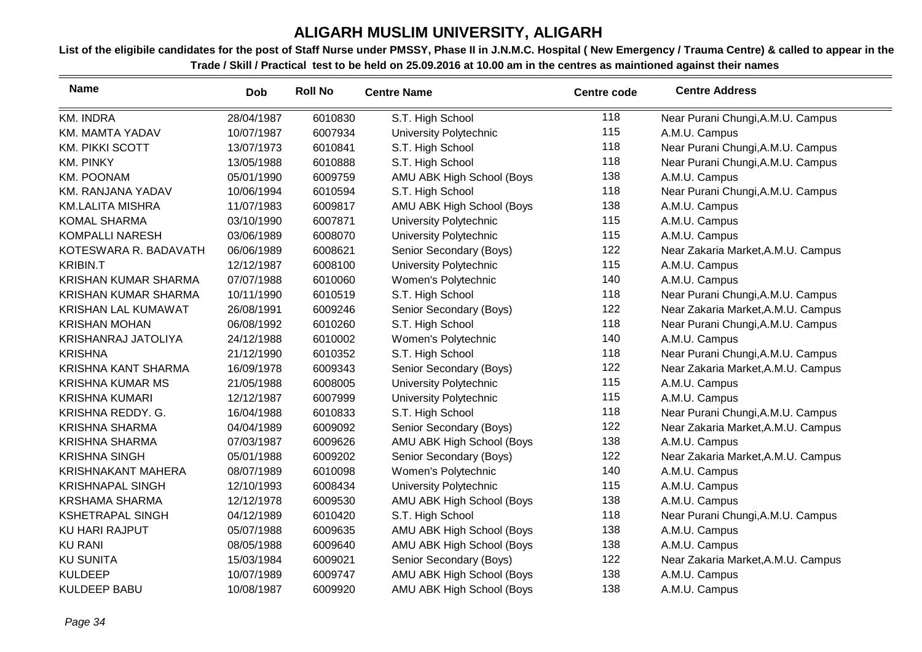| <b>Name</b>                 | <b>Dob</b> | <b>Roll No</b> | <b>Centre Name</b>            | <b>Centre code</b> | <b>Centre Address</b>              |
|-----------------------------|------------|----------------|-------------------------------|--------------------|------------------------------------|
| <b>KM. INDRA</b>            | 28/04/1987 | 6010830        | S.T. High School              | 118                | Near Purani Chungi, A.M.U. Campus  |
| <b>KM. MAMTA YADAV</b>      | 10/07/1987 | 6007934        | <b>University Polytechnic</b> | 115                | A.M.U. Campus                      |
| <b>KM. PIKKI SCOTT</b>      | 13/07/1973 | 6010841        | S.T. High School              | 118                | Near Purani Chungi, A.M.U. Campus  |
| <b>KM. PINKY</b>            | 13/05/1988 | 6010888        | S.T. High School              | 118                | Near Purani Chungi, A.M.U. Campus  |
| <b>KM. POONAM</b>           | 05/01/1990 | 6009759        | AMU ABK High School (Boys     | 138                | A.M.U. Campus                      |
| KM. RANJANA YADAV           | 10/06/1994 | 6010594        | S.T. High School              | 118                | Near Purani Chungi, A.M.U. Campus  |
| <b>KM.LALITA MISHRA</b>     | 11/07/1983 | 6009817        | AMU ABK High School (Boys     | 138                | A.M.U. Campus                      |
| <b>KOMAL SHARMA</b>         | 03/10/1990 | 6007871        | University Polytechnic        | 115                | A.M.U. Campus                      |
| <b>KOMPALLI NARESH</b>      | 03/06/1989 | 6008070        | <b>University Polytechnic</b> | 115                | A.M.U. Campus                      |
| KOTESWARA R. BADAVATH       | 06/06/1989 | 6008621        | Senior Secondary (Boys)       | 122                | Near Zakaria Market, A.M.U. Campus |
| <b>KRIBIN.T</b>             | 12/12/1987 | 6008100        | University Polytechnic        | 115                | A.M.U. Campus                      |
| <b>KRISHAN KUMAR SHARMA</b> | 07/07/1988 | 6010060        | Women's Polytechnic           | 140                | A.M.U. Campus                      |
| <b>KRISHAN KUMAR SHARMA</b> | 10/11/1990 | 6010519        | S.T. High School              | 118                | Near Purani Chungi, A.M.U. Campus  |
| <b>KRISHAN LAL KUMAWAT</b>  | 26/08/1991 | 6009246        | Senior Secondary (Boys)       | 122                | Near Zakaria Market, A.M.U. Campus |
| <b>KRISHAN MOHAN</b>        | 06/08/1992 | 6010260        | S.T. High School              | 118                | Near Purani Chungi, A.M.U. Campus  |
| KRISHANRAJ JATOLIYA         | 24/12/1988 | 6010002        | Women's Polytechnic           | 140                | A.M.U. Campus                      |
| <b>KRISHNA</b>              | 21/12/1990 | 6010352        | S.T. High School              | 118                | Near Purani Chungi, A.M.U. Campus  |
| KRISHNA KANT SHARMA         | 16/09/1978 | 6009343        | Senior Secondary (Boys)       | 122                | Near Zakaria Market, A.M.U. Campus |
| <b>KRISHNA KUMAR MS</b>     | 21/05/1988 | 6008005        | University Polytechnic        | 115                | A.M.U. Campus                      |
| <b>KRISHNA KUMARI</b>       | 12/12/1987 | 6007999        | University Polytechnic        | 115                | A.M.U. Campus                      |
| KRISHNA REDDY. G.           | 16/04/1988 | 6010833        | S.T. High School              | 118                | Near Purani Chungi, A.M.U. Campus  |
| <b>KRISHNA SHARMA</b>       | 04/04/1989 | 6009092        | Senior Secondary (Boys)       | 122                | Near Zakaria Market, A.M.U. Campus |
| <b>KRISHNA SHARMA</b>       | 07/03/1987 | 6009626        | AMU ABK High School (Boys     | 138                | A.M.U. Campus                      |
| <b>KRISHNA SINGH</b>        | 05/01/1988 | 6009202        | Senior Secondary (Boys)       | 122                | Near Zakaria Market, A.M.U. Campus |
| <b>KRISHNAKANT MAHERA</b>   | 08/07/1989 | 6010098        | Women's Polytechnic           | 140                | A.M.U. Campus                      |
| <b>KRISHNAPAL SINGH</b>     | 12/10/1993 | 6008434        | University Polytechnic        | 115                | A.M.U. Campus                      |
| <b>KRSHAMA SHARMA</b>       | 12/12/1978 | 6009530        | AMU ABK High School (Boys     | 138                | A.M.U. Campus                      |
| <b>KSHETRAPAL SINGH</b>     | 04/12/1989 | 6010420        | S.T. High School              | 118                | Near Purani Chungi, A.M.U. Campus  |
| <b>KU HARI RAJPUT</b>       | 05/07/1988 | 6009635        | AMU ABK High School (Boys     | 138                | A.M.U. Campus                      |
| <b>KU RANI</b>              | 08/05/1988 | 6009640        | AMU ABK High School (Boys     | 138                | A.M.U. Campus                      |
| <b>KU SUNITA</b>            | 15/03/1984 | 6009021        | Senior Secondary (Boys)       | 122                | Near Zakaria Market, A.M.U. Campus |
| <b>KULDEEP</b>              | 10/07/1989 | 6009747        | AMU ABK High School (Boys     | 138                | A.M.U. Campus                      |
| <b>KULDEEP BABU</b>         | 10/08/1987 | 6009920        | AMU ABK High School (Boys     | 138                | A.M.U. Campus                      |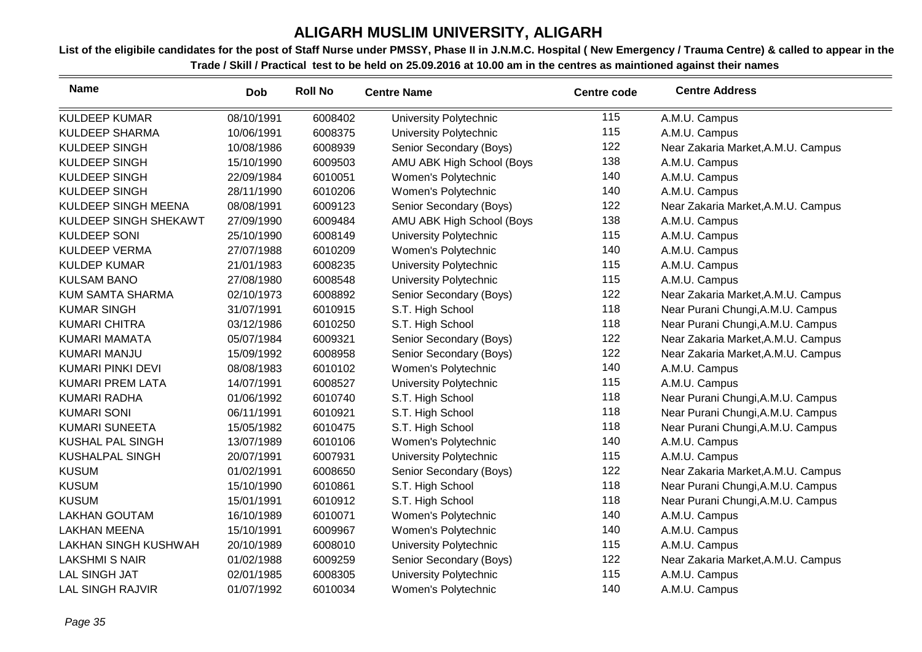| <b>Name</b>                 | <b>Dob</b> | <b>Roll No</b> | <b>Centre Name</b>        | <b>Centre code</b> | <b>Centre Address</b>              |
|-----------------------------|------------|----------------|---------------------------|--------------------|------------------------------------|
| <b>KULDEEP KUMAR</b>        | 08/10/1991 | 6008402        | University Polytechnic    | 115                | A.M.U. Campus                      |
| <b>KULDEEP SHARMA</b>       | 10/06/1991 | 6008375        | University Polytechnic    | 115                | A.M.U. Campus                      |
| <b>KULDEEP SINGH</b>        | 10/08/1986 | 6008939        | Senior Secondary (Boys)   | 122                | Near Zakaria Market, A.M.U. Campus |
| <b>KULDEEP SINGH</b>        | 15/10/1990 | 6009503        | AMU ABK High School (Boys | 138                | A.M.U. Campus                      |
| <b>KULDEEP SINGH</b>        | 22/09/1984 | 6010051        | Women's Polytechnic       | 140                | A.M.U. Campus                      |
| <b>KULDEEP SINGH</b>        | 28/11/1990 | 6010206        | Women's Polytechnic       | 140                | A.M.U. Campus                      |
| KULDEEP SINGH MEENA         | 08/08/1991 | 6009123        | Senior Secondary (Boys)   | 122                | Near Zakaria Market, A.M.U. Campus |
| KULDEEP SINGH SHEKAWT       | 27/09/1990 | 6009484        | AMU ABK High School (Boys | 138                | A.M.U. Campus                      |
| <b>KULDEEP SONI</b>         | 25/10/1990 | 6008149        | University Polytechnic    | 115                | A.M.U. Campus                      |
| <b>KULDEEP VERMA</b>        | 27/07/1988 | 6010209        | Women's Polytechnic       | 140                | A.M.U. Campus                      |
| <b>KULDEP KUMAR</b>         | 21/01/1983 | 6008235        | University Polytechnic    | 115                | A.M.U. Campus                      |
| <b>KULSAM BANO</b>          | 27/08/1980 | 6008548        | University Polytechnic    | 115                | A.M.U. Campus                      |
| <b>KUM SAMTA SHARMA</b>     | 02/10/1973 | 6008892        | Senior Secondary (Boys)   | 122                | Near Zakaria Market, A.M.U. Campus |
| <b>KUMAR SINGH</b>          | 31/07/1991 | 6010915        | S.T. High School          | 118                | Near Purani Chungi, A.M.U. Campus  |
| <b>KUMARI CHITRA</b>        | 03/12/1986 | 6010250        | S.T. High School          | 118                | Near Purani Chungi, A.M.U. Campus  |
| <b>KUMARI MAMATA</b>        | 05/07/1984 | 6009321        | Senior Secondary (Boys)   | 122                | Near Zakaria Market, A.M.U. Campus |
| KUMARI MANJU                | 15/09/1992 | 6008958        | Senior Secondary (Boys)   | 122                | Near Zakaria Market, A.M.U. Campus |
| <b>KUMARI PINKI DEVI</b>    | 08/08/1983 | 6010102        | Women's Polytechnic       | 140                | A.M.U. Campus                      |
| <b>KUMARI PREM LATA</b>     | 14/07/1991 | 6008527        | University Polytechnic    | 115                | A.M.U. Campus                      |
| <b>KUMARI RADHA</b>         | 01/06/1992 | 6010740        | S.T. High School          | 118                | Near Purani Chungi, A.M.U. Campus  |
| <b>KUMARI SONI</b>          | 06/11/1991 | 6010921        | S.T. High School          | 118                | Near Purani Chungi, A.M.U. Campus  |
| <b>KUMARI SUNEETA</b>       | 15/05/1982 | 6010475        | S.T. High School          | 118                | Near Purani Chungi, A.M.U. Campus  |
| <b>KUSHAL PAL SINGH</b>     | 13/07/1989 | 6010106        | Women's Polytechnic       | 140                | A.M.U. Campus                      |
| <b>KUSHALPAL SINGH</b>      | 20/07/1991 | 6007931        | University Polytechnic    | 115                | A.M.U. Campus                      |
| <b>KUSUM</b>                | 01/02/1991 | 6008650        | Senior Secondary (Boys)   | 122                | Near Zakaria Market, A.M.U. Campus |
| <b>KUSUM</b>                | 15/10/1990 | 6010861        | S.T. High School          | 118                | Near Purani Chungi, A.M.U. Campus  |
| <b>KUSUM</b>                | 15/01/1991 | 6010912        | S.T. High School          | 118                | Near Purani Chungi, A.M.U. Campus  |
| <b>LAKHAN GOUTAM</b>        | 16/10/1989 | 6010071        | Women's Polytechnic       | 140                | A.M.U. Campus                      |
| <b>LAKHAN MEENA</b>         | 15/10/1991 | 6009967        | Women's Polytechnic       | 140                | A.M.U. Campus                      |
| <b>LAKHAN SINGH KUSHWAH</b> | 20/10/1989 | 6008010        | University Polytechnic    | 115                | A.M.U. Campus                      |
| <b>LAKSHMI S NAIR</b>       | 01/02/1988 | 6009259        | Senior Secondary (Boys)   | 122                | Near Zakaria Market, A.M.U. Campus |
| <b>LAL SINGH JAT</b>        | 02/01/1985 | 6008305        | University Polytechnic    | 115                | A.M.U. Campus                      |
| <b>LAL SINGH RAJVIR</b>     | 01/07/1992 | 6010034        | Women's Polytechnic       | 140                | A.M.U. Campus                      |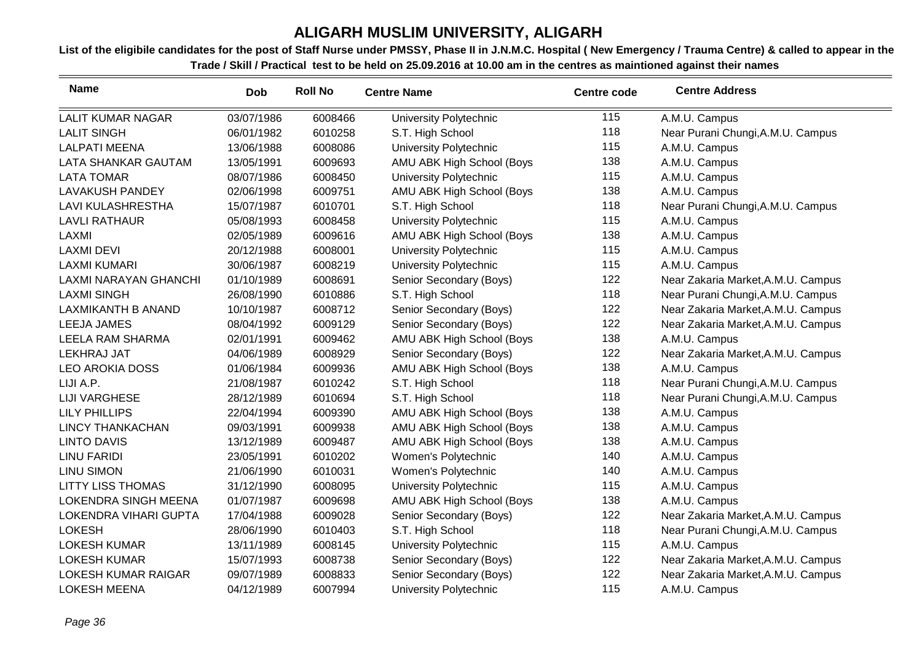| <b>Name</b>                  | <b>Dob</b> | <b>Roll No</b> | <b>Centre Name</b>            | <b>Centre code</b> | <b>Centre Address</b>              |
|------------------------------|------------|----------------|-------------------------------|--------------------|------------------------------------|
| <b>LALIT KUMAR NAGAR</b>     | 03/07/1986 | 6008466        | University Polytechnic        | 115                | A.M.U. Campus                      |
| <b>LALIT SINGH</b>           | 06/01/1982 | 6010258        | S.T. High School              | 118                | Near Purani Chungi, A.M.U. Campus  |
| <b>LALPATI MEENA</b>         | 13/06/1988 | 6008086        | University Polytechnic        | 115                | A.M.U. Campus                      |
| LATA SHANKAR GAUTAM          | 13/05/1991 | 6009693        | AMU ABK High School (Boys     | 138                | A.M.U. Campus                      |
| <b>LATA TOMAR</b>            | 08/07/1986 | 6008450        | University Polytechnic        | 115                | A.M.U. Campus                      |
| <b>LAVAKUSH PANDEY</b>       | 02/06/1998 | 6009751        | AMU ABK High School (Boys     | 138                | A.M.U. Campus                      |
| <b>LAVI KULASHRESTHA</b>     | 15/07/1987 | 6010701        | S.T. High School              | 118                | Near Purani Chungi, A.M.U. Campus  |
| <b>LAVLI RATHAUR</b>         | 05/08/1993 | 6008458        | University Polytechnic        | 115                | A.M.U. Campus                      |
| <b>LAXMI</b>                 | 02/05/1989 | 6009616        | AMU ABK High School (Boys     | 138                | A.M.U. Campus                      |
| <b>LAXMI DEVI</b>            | 20/12/1988 | 6008001        | <b>University Polytechnic</b> | 115                | A.M.U. Campus                      |
| <b>LAXMI KUMARI</b>          | 30/06/1987 | 6008219        | University Polytechnic        | 115                | A.M.U. Campus                      |
| LAXMI NARAYAN GHANCHI        | 01/10/1989 | 6008691        | Senior Secondary (Boys)       | 122                | Near Zakaria Market, A.M.U. Campus |
| <b>LAXMI SINGH</b>           | 26/08/1990 | 6010886        | S.T. High School              | 118                | Near Purani Chungi, A.M.U. Campus  |
| LAXMIKANTH B ANAND           | 10/10/1987 | 6008712        | Senior Secondary (Boys)       | 122                | Near Zakaria Market, A.M.U. Campus |
| LEEJA JAMES                  | 08/04/1992 | 6009129        | Senior Secondary (Boys)       | 122                | Near Zakaria Market, A.M.U. Campus |
| LEELA RAM SHARMA             | 02/01/1991 | 6009462        | AMU ABK High School (Boys     | 138                | A.M.U. Campus                      |
| LEKHRAJ JAT                  | 04/06/1989 | 6008929        | Senior Secondary (Boys)       | 122                | Near Zakaria Market, A.M.U. Campus |
| <b>LEO AROKIA DOSS</b>       | 01/06/1984 | 6009936        | AMU ABK High School (Boys     | 138                | A.M.U. Campus                      |
| LIJI A.P.                    | 21/08/1987 | 6010242        | S.T. High School              | 118                | Near Purani Chungi, A.M.U. Campus  |
| <b>LIJI VARGHESE</b>         | 28/12/1989 | 6010694        | S.T. High School              | 118                | Near Purani Chungi, A.M.U. Campus  |
| <b>LILY PHILLIPS</b>         | 22/04/1994 | 6009390        | AMU ABK High School (Boys     | 138                | A.M.U. Campus                      |
| <b>LINCY THANKACHAN</b>      | 09/03/1991 | 6009938        | AMU ABK High School (Boys     | 138                | A.M.U. Campus                      |
| <b>LINTO DAVIS</b>           | 13/12/1989 | 6009487        | AMU ABK High School (Boys     | 138                | A.M.U. Campus                      |
| <b>LINU FARIDI</b>           | 23/05/1991 | 6010202        | Women's Polytechnic           | 140                | A.M.U. Campus                      |
| <b>LINU SIMON</b>            | 21/06/1990 | 6010031        | Women's Polytechnic           | 140                | A.M.U. Campus                      |
| <b>LITTY LISS THOMAS</b>     | 31/12/1990 | 6008095        | University Polytechnic        | 115                | A.M.U. Campus                      |
| <b>LOKENDRA SINGH MEENA</b>  | 01/07/1987 | 6009698        | AMU ABK High School (Boys     | 138                | A.M.U. Campus                      |
| <b>LOKENDRA VIHARI GUPTA</b> | 17/04/1988 | 6009028        | Senior Secondary (Boys)       | 122                | Near Zakaria Market, A.M.U. Campus |
| <b>LOKESH</b>                | 28/06/1990 | 6010403        | S.T. High School              | 118                | Near Purani Chungi, A.M.U. Campus  |
| <b>LOKESH KUMAR</b>          | 13/11/1989 | 6008145        | University Polytechnic        | 115                | A.M.U. Campus                      |
| <b>LOKESH KUMAR</b>          | 15/07/1993 | 6008738        | Senior Secondary (Boys)       | 122                | Near Zakaria Market, A.M.U. Campus |
| <b>LOKESH KUMAR RAIGAR</b>   | 09/07/1989 | 6008833        | Senior Secondary (Boys)       | 122                | Near Zakaria Market, A.M.U. Campus |
| <b>LOKESH MEENA</b>          | 04/12/1989 | 6007994        | <b>University Polytechnic</b> | 115                | A.M.U. Campus                      |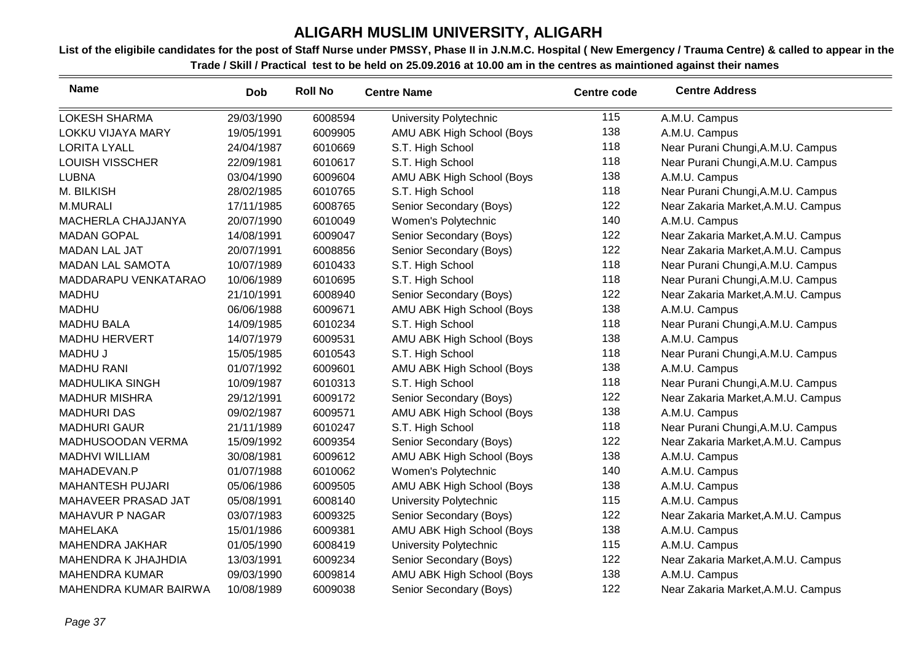| <b>Name</b>              | <b>Dob</b> | <b>Roll No</b> | <b>Centre Name</b>        | <b>Centre code</b> | <b>Centre Address</b>              |
|--------------------------|------------|----------------|---------------------------|--------------------|------------------------------------|
| <b>LOKESH SHARMA</b>     | 29/03/1990 | 6008594        | University Polytechnic    | 115                | A.M.U. Campus                      |
| <b>LOKKU VIJAYA MARY</b> | 19/05/1991 | 6009905        | AMU ABK High School (Boys | 138                | A.M.U. Campus                      |
| <b>LORITA LYALL</b>      | 24/04/1987 | 6010669        | S.T. High School          | 118                | Near Purani Chungi, A.M.U. Campus  |
| <b>LOUISH VISSCHER</b>   | 22/09/1981 | 6010617        | S.T. High School          | 118                | Near Purani Chungi, A.M.U. Campus  |
| <b>LUBNA</b>             | 03/04/1990 | 6009604        | AMU ABK High School (Boys | 138                | A.M.U. Campus                      |
| M. BILKISH               | 28/02/1985 | 6010765        | S.T. High School          | 118                | Near Purani Chungi, A.M.U. Campus  |
| M.MURALI                 | 17/11/1985 | 6008765        | Senior Secondary (Boys)   | 122                | Near Zakaria Market, A.M.U. Campus |
| MACHERLA CHAJJANYA       | 20/07/1990 | 6010049        | Women's Polytechnic       | 140                | A.M.U. Campus                      |
| <b>MADAN GOPAL</b>       | 14/08/1991 | 6009047        | Senior Secondary (Boys)   | 122                | Near Zakaria Market, A.M.U. Campus |
| <b>MADAN LAL JAT</b>     | 20/07/1991 | 6008856        | Senior Secondary (Boys)   | 122                | Near Zakaria Market, A.M.U. Campus |
| <b>MADAN LAL SAMOTA</b>  | 10/07/1989 | 6010433        | S.T. High School          | 118                | Near Purani Chungi, A.M.U. Campus  |
| MADDARAPU VENKATARAO     | 10/06/1989 | 6010695        | S.T. High School          | 118                | Near Purani Chungi, A.M.U. Campus  |
| <b>MADHU</b>             | 21/10/1991 | 6008940        | Senior Secondary (Boys)   | 122                | Near Zakaria Market, A.M.U. Campus |
| <b>MADHU</b>             | 06/06/1988 | 6009671        | AMU ABK High School (Boys | 138                | A.M.U. Campus                      |
| <b>MADHU BALA</b>        | 14/09/1985 | 6010234        | S.T. High School          | 118                | Near Purani Chungi, A.M.U. Campus  |
| <b>MADHU HERVERT</b>     | 14/07/1979 | 6009531        | AMU ABK High School (Boys | 138                | A.M.U. Campus                      |
| <b>MADHU J</b>           | 15/05/1985 | 6010543        | S.T. High School          | 118                | Near Purani Chungi, A.M.U. Campus  |
| <b>MADHU RANI</b>        | 01/07/1992 | 6009601        | AMU ABK High School (Boys | 138                | A.M.U. Campus                      |
| <b>MADHULIKA SINGH</b>   | 10/09/1987 | 6010313        | S.T. High School          | 118                | Near Purani Chungi, A.M.U. Campus  |
| <b>MADHUR MISHRA</b>     | 29/12/1991 | 6009172        | Senior Secondary (Boys)   | 122                | Near Zakaria Market, A.M.U. Campus |
| <b>MADHURI DAS</b>       | 09/02/1987 | 6009571        | AMU ABK High School (Boys | 138                | A.M.U. Campus                      |
| <b>MADHURI GAUR</b>      | 21/11/1989 | 6010247        | S.T. High School          | 118                | Near Purani Chungi, A.M.U. Campus  |
| MADHUSOODAN VERMA        | 15/09/1992 | 6009354        | Senior Secondary (Boys)   | 122                | Near Zakaria Market, A.M.U. Campus |
| <b>MADHVI WILLIAM</b>    | 30/08/1981 | 6009612        | AMU ABK High School (Boys | 138                | A.M.U. Campus                      |
| MAHADEVAN.P              | 01/07/1988 | 6010062        | Women's Polytechnic       | 140                | A.M.U. Campus                      |
| <b>MAHANTESH PUJARI</b>  | 05/06/1986 | 6009505        | AMU ABK High School (Boys | 138                | A.M.U. Campus                      |
| MAHAVEER PRASAD JAT      | 05/08/1991 | 6008140        | University Polytechnic    | 115                | A.M.U. Campus                      |
| MAHAVUR P NAGAR          | 03/07/1983 | 6009325        | Senior Secondary (Boys)   | 122                | Near Zakaria Market, A.M.U. Campus |
| <b>MAHELAKA</b>          | 15/01/1986 | 6009381        | AMU ABK High School (Boys | 138                | A.M.U. Campus                      |
| <b>MAHENDRA JAKHAR</b>   | 01/05/1990 | 6008419        | University Polytechnic    | 115                | A.M.U. Campus                      |
| MAHENDRA K JHAJHDIA      | 13/03/1991 | 6009234        | Senior Secondary (Boys)   | 122                | Near Zakaria Market, A.M.U. Campus |
| <b>MAHENDRA KUMAR</b>    | 09/03/1990 | 6009814        | AMU ABK High School (Boys | 138                | A.M.U. Campus                      |
| MAHENDRA KUMAR BAIRWA    | 10/08/1989 | 6009038        | Senior Secondary (Boys)   | 122                | Near Zakaria Market, A.M.U. Campus |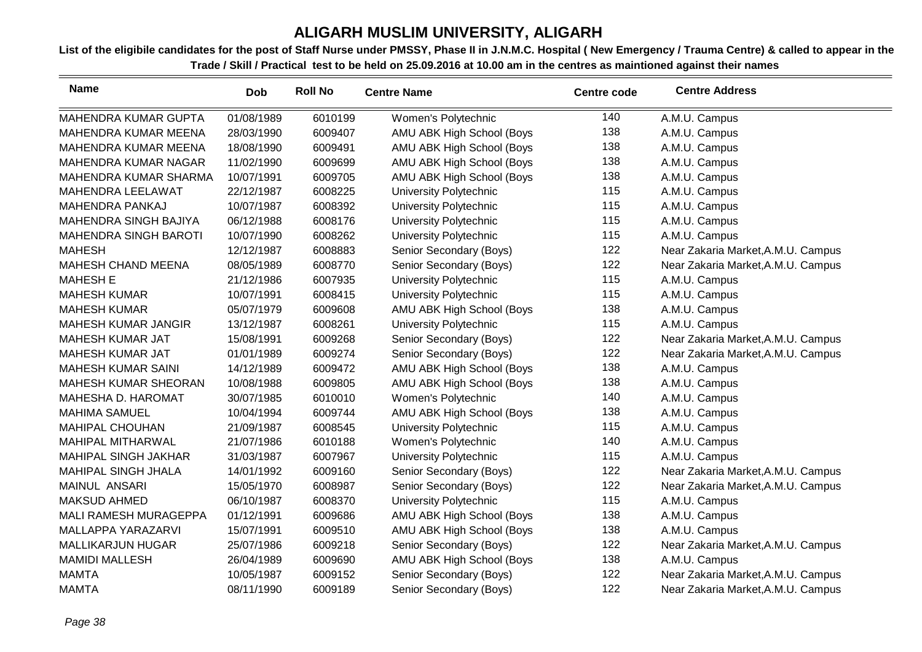| <b>Name</b>                  | <b>Dob</b> | <b>Roll No</b> | <b>Centre Name</b>        | <b>Centre code</b> | <b>Centre Address</b>              |
|------------------------------|------------|----------------|---------------------------|--------------------|------------------------------------|
| MAHENDRA KUMAR GUPTA         | 01/08/1989 | 6010199        | Women's Polytechnic       | 140                | A.M.U. Campus                      |
| MAHENDRA KUMAR MEENA         | 28/03/1990 | 6009407        | AMU ABK High School (Boys | 138                | A.M.U. Campus                      |
| MAHENDRA KUMAR MEENA         | 18/08/1990 | 6009491        | AMU ABK High School (Boys | 138                | A.M.U. Campus                      |
| <b>MAHENDRA KUMAR NAGAR</b>  | 11/02/1990 | 6009699        | AMU ABK High School (Boys | 138                | A.M.U. Campus                      |
| MAHENDRA KUMAR SHARMA        | 10/07/1991 | 6009705        | AMU ABK High School (Boys | 138                | A.M.U. Campus                      |
| MAHENDRA LEELAWAT            | 22/12/1987 | 6008225        | University Polytechnic    | 115                | A.M.U. Campus                      |
| MAHENDRA PANKAJ              | 10/07/1987 | 6008392        | University Polytechnic    | 115                | A.M.U. Campus                      |
| <b>MAHENDRA SINGH BAJIYA</b> | 06/12/1988 | 6008176        | University Polytechnic    | 115                | A.M.U. Campus                      |
| <b>MAHENDRA SINGH BAROTI</b> | 10/07/1990 | 6008262        | University Polytechnic    | 115                | A.M.U. Campus                      |
| <b>MAHESH</b>                | 12/12/1987 | 6008883        | Senior Secondary (Boys)   | 122                | Near Zakaria Market, A.M.U. Campus |
| <b>MAHESH CHAND MEENA</b>    | 08/05/1989 | 6008770        | Senior Secondary (Boys)   | 122                | Near Zakaria Market, A.M.U. Campus |
| <b>MAHESH E</b>              | 21/12/1986 | 6007935        | University Polytechnic    | 115                | A.M.U. Campus                      |
| <b>MAHESH KUMAR</b>          | 10/07/1991 | 6008415        | University Polytechnic    | 115                | A.M.U. Campus                      |
| <b>MAHESH KUMAR</b>          | 05/07/1979 | 6009608        | AMU ABK High School (Boys | 138                | A.M.U. Campus                      |
| MAHESH KUMAR JANGIR          | 13/12/1987 | 6008261        | University Polytechnic    | 115                | A.M.U. Campus                      |
| <b>MAHESH KUMAR JAT</b>      | 15/08/1991 | 6009268        | Senior Secondary (Boys)   | 122                | Near Zakaria Market, A.M.U. Campus |
| <b>MAHESH KUMAR JAT</b>      | 01/01/1989 | 6009274        | Senior Secondary (Boys)   | 122                | Near Zakaria Market, A.M.U. Campus |
| <b>MAHESH KUMAR SAINI</b>    | 14/12/1989 | 6009472        | AMU ABK High School (Boys | 138                | A.M.U. Campus                      |
| <b>MAHESH KUMAR SHEORAN</b>  | 10/08/1988 | 6009805        | AMU ABK High School (Boys | 138                | A.M.U. Campus                      |
| MAHESHA D. HAROMAT           | 30/07/1985 | 6010010        | Women's Polytechnic       | 140                | A.M.U. Campus                      |
| <b>MAHIMA SAMUEL</b>         | 10/04/1994 | 6009744        | AMU ABK High School (Boys | 138                | A.M.U. Campus                      |
| <b>MAHIPAL CHOUHAN</b>       | 21/09/1987 | 6008545        | University Polytechnic    | 115                | A.M.U. Campus                      |
| MAHIPAL MITHARWAL            | 21/07/1986 | 6010188        | Women's Polytechnic       | 140                | A.M.U. Campus                      |
| <b>MAHIPAL SINGH JAKHAR</b>  | 31/03/1987 | 6007967        | University Polytechnic    | 115                | A.M.U. Campus                      |
| <b>MAHIPAL SINGH JHALA</b>   | 14/01/1992 | 6009160        | Senior Secondary (Boys)   | 122                | Near Zakaria Market, A.M.U. Campus |
| MAINUL ANSARI                | 15/05/1970 | 6008987        | Senior Secondary (Boys)   | 122                | Near Zakaria Market, A.M.U. Campus |
| <b>MAKSUD AHMED</b>          | 06/10/1987 | 6008370        | University Polytechnic    | 115                | A.M.U. Campus                      |
| MALI RAMESH MURAGEPPA        | 01/12/1991 | 6009686        | AMU ABK High School (Boys | 138                | A.M.U. Campus                      |
| MALLAPPA YARAZARVI           | 15/07/1991 | 6009510        | AMU ABK High School (Boys | 138                | A.M.U. Campus                      |
| <b>MALLIKARJUN HUGAR</b>     | 25/07/1986 | 6009218        | Senior Secondary (Boys)   | 122                | Near Zakaria Market, A.M.U. Campus |
| <b>MAMIDI MALLESH</b>        | 26/04/1989 | 6009690        | AMU ABK High School (Boys | 138                | A.M.U. Campus                      |
| <b>MAMTA</b>                 | 10/05/1987 | 6009152        | Senior Secondary (Boys)   | 122                | Near Zakaria Market, A.M.U. Campus |
| <b>MAMTA</b>                 | 08/11/1990 | 6009189        | Senior Secondary (Boys)   | 122                | Near Zakaria Market, A.M.U. Campus |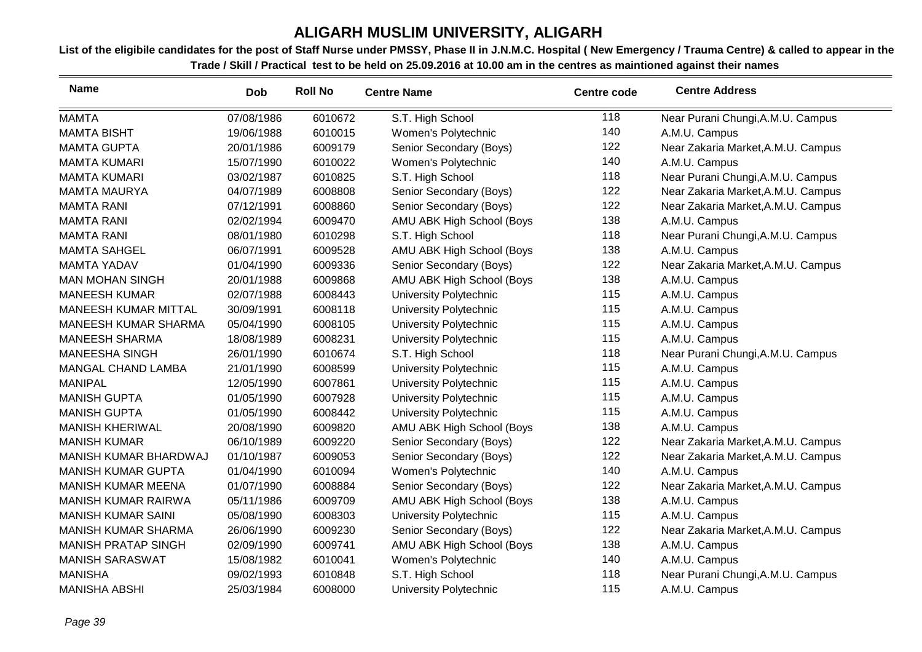| <b>Name</b>                 | Dob        | <b>Roll No</b> | <b>Centre Name</b>        | Centre code | <b>Centre Address</b>              |
|-----------------------------|------------|----------------|---------------------------|-------------|------------------------------------|
| <b>MAMTA</b>                | 07/08/1986 | 6010672        | S.T. High School          | 118         | Near Purani Chungi, A.M.U. Campus  |
| <b>MAMTA BISHT</b>          | 19/06/1988 | 6010015        | Women's Polytechnic       | 140         | A.M.U. Campus                      |
| <b>MAMTA GUPTA</b>          | 20/01/1986 | 6009179        | Senior Secondary (Boys)   | 122         | Near Zakaria Market, A.M.U. Campus |
| <b>MAMTA KUMARI</b>         | 15/07/1990 | 6010022        | Women's Polytechnic       | 140         | A.M.U. Campus                      |
| <b>MAMTA KUMARI</b>         | 03/02/1987 | 6010825        | S.T. High School          | 118         | Near Purani Chungi, A.M.U. Campus  |
| <b>MAMTA MAURYA</b>         | 04/07/1989 | 6008808        | Senior Secondary (Boys)   | 122         | Near Zakaria Market, A.M.U. Campus |
| <b>MAMTA RANI</b>           | 07/12/1991 | 6008860        | Senior Secondary (Boys)   | 122         | Near Zakaria Market, A.M.U. Campus |
| <b>MAMTA RANI</b>           | 02/02/1994 | 6009470        | AMU ABK High School (Boys | 138         | A.M.U. Campus                      |
| <b>MAMTA RANI</b>           | 08/01/1980 | 6010298        | S.T. High School          | 118         | Near Purani Chungi, A.M.U. Campus  |
| <b>MAMTA SAHGEL</b>         | 06/07/1991 | 6009528        | AMU ABK High School (Boys | 138         | A.M.U. Campus                      |
| <b>MAMTA YADAV</b>          | 01/04/1990 | 6009336        | Senior Secondary (Boys)   | 122         | Near Zakaria Market, A.M.U. Campus |
| <b>MAN MOHAN SINGH</b>      | 20/01/1988 | 6009868        | AMU ABK High School (Boys | 138         | A.M.U. Campus                      |
| <b>MANEESH KUMAR</b>        | 02/07/1988 | 6008443        | University Polytechnic    | 115         | A.M.U. Campus                      |
| MANEESH KUMAR MITTAL        | 30/09/1991 | 6008118        | University Polytechnic    | 115         | A.M.U. Campus                      |
| <b>MANEESH KUMAR SHARMA</b> | 05/04/1990 | 6008105        | University Polytechnic    | 115         | A.M.U. Campus                      |
| <b>MANEESH SHARMA</b>       | 18/08/1989 | 6008231        | University Polytechnic    | 115         | A.M.U. Campus                      |
| <b>MANEESHA SINGH</b>       | 26/01/1990 | 6010674        | S.T. High School          | 118         | Near Purani Chungi, A.M.U. Campus  |
| <b>MANGAL CHAND LAMBA</b>   | 21/01/1990 | 6008599        | University Polytechnic    | 115         | A.M.U. Campus                      |
| <b>MANIPAL</b>              | 12/05/1990 | 6007861        | University Polytechnic    | 115         | A.M.U. Campus                      |
| <b>MANISH GUPTA</b>         | 01/05/1990 | 6007928        | University Polytechnic    | 115         | A.M.U. Campus                      |
| <b>MANISH GUPTA</b>         | 01/05/1990 | 6008442        | University Polytechnic    | 115         | A.M.U. Campus                      |
| <b>MANISH KHERIWAL</b>      | 20/08/1990 | 6009820        | AMU ABK High School (Boys | 138         | A.M.U. Campus                      |
| <b>MANISH KUMAR</b>         | 06/10/1989 | 6009220        | Senior Secondary (Boys)   | 122         | Near Zakaria Market, A.M.U. Campus |
| MANISH KUMAR BHARDWAJ       | 01/10/1987 | 6009053        | Senior Secondary (Boys)   | 122         | Near Zakaria Market, A.M.U. Campus |
| <b>MANISH KUMAR GUPTA</b>   | 01/04/1990 | 6010094        | Women's Polytechnic       | 140         | A.M.U. Campus                      |
| <b>MANISH KUMAR MEENA</b>   | 01/07/1990 | 6008884        | Senior Secondary (Boys)   | 122         | Near Zakaria Market, A.M.U. Campus |
| <b>MANISH KUMAR RAIRWA</b>  | 05/11/1986 | 6009709        | AMU ABK High School (Boys | 138         | A.M.U. Campus                      |
| <b>MANISH KUMAR SAINI</b>   | 05/08/1990 | 6008303        | University Polytechnic    | 115         | A.M.U. Campus                      |
| <b>MANISH KUMAR SHARMA</b>  | 26/06/1990 | 6009230        | Senior Secondary (Boys)   | 122         | Near Zakaria Market, A.M.U. Campus |
| <b>MANISH PRATAP SINGH</b>  | 02/09/1990 | 6009741        | AMU ABK High School (Boys | 138         | A.M.U. Campus                      |
| <b>MANISH SARASWAT</b>      | 15/08/1982 | 6010041        | Women's Polytechnic       | 140         | A.M.U. Campus                      |
| <b>MANISHA</b>              | 09/02/1993 | 6010848        | S.T. High School          | 118         | Near Purani Chungi, A.M.U. Campus  |
| <b>MANISHA ABSHI</b>        | 25/03/1984 | 6008000        | University Polytechnic    | 115         | A.M.U. Campus                      |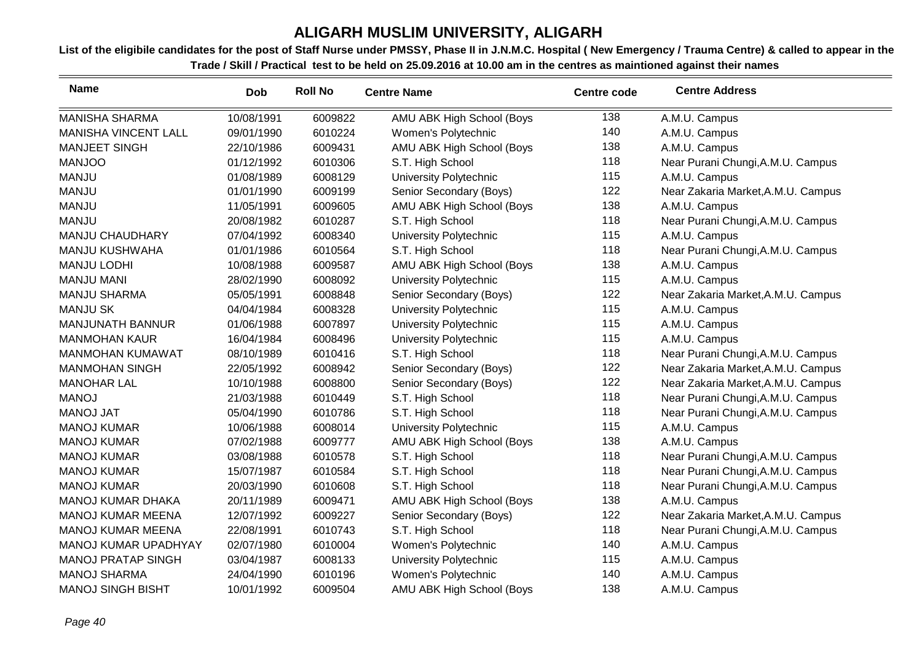| <b>Name</b>                 | <b>Dob</b> | <b>Roll No</b> | <b>Centre Name</b>            | <b>Centre code</b> | <b>Centre Address</b>              |
|-----------------------------|------------|----------------|-------------------------------|--------------------|------------------------------------|
| <b>MANISHA SHARMA</b>       | 10/08/1991 | 6009822        | AMU ABK High School (Boys     | 138                | A.M.U. Campus                      |
| <b>MANISHA VINCENT LALL</b> | 09/01/1990 | 6010224        | Women's Polytechnic           | 140                | A.M.U. Campus                      |
| <b>MANJEET SINGH</b>        | 22/10/1986 | 6009431        | AMU ABK High School (Boys     | 138                | A.M.U. Campus                      |
| <b>MANJOO</b>               | 01/12/1992 | 6010306        | S.T. High School              | 118                | Near Purani Chungi, A.M.U. Campus  |
| <b>MANJU</b>                | 01/08/1989 | 6008129        | University Polytechnic        | 115                | A.M.U. Campus                      |
| <b>MANJU</b>                | 01/01/1990 | 6009199        | Senior Secondary (Boys)       | 122                | Near Zakaria Market, A.M.U. Campus |
| <b>MANJU</b>                | 11/05/1991 | 6009605        | AMU ABK High School (Boys     | 138                | A.M.U. Campus                      |
| <b>MANJU</b>                | 20/08/1982 | 6010287        | S.T. High School              | 118                | Near Purani Chungi, A.M.U. Campus  |
| MANJU CHAUDHARY             | 07/04/1992 | 6008340        | University Polytechnic        | 115                | A.M.U. Campus                      |
| <b>MANJU KUSHWAHA</b>       | 01/01/1986 | 6010564        | S.T. High School              | 118                | Near Purani Chungi, A.M.U. Campus  |
| <b>MANJU LODHI</b>          | 10/08/1988 | 6009587        | AMU ABK High School (Boys     | 138                | A.M.U. Campus                      |
| <b>MANJU MANI</b>           | 28/02/1990 | 6008092        | University Polytechnic        | 115                | A.M.U. Campus                      |
| <b>MANJU SHARMA</b>         | 05/05/1991 | 6008848        | Senior Secondary (Boys)       | 122                | Near Zakaria Market, A.M.U. Campus |
| <b>MANJU SK</b>             | 04/04/1984 | 6008328        | University Polytechnic        | 115                | A.M.U. Campus                      |
| <b>MANJUNATH BANNUR</b>     | 01/06/1988 | 6007897        | University Polytechnic        | 115                | A.M.U. Campus                      |
| <b>MANMOHAN KAUR</b>        | 16/04/1984 | 6008496        | University Polytechnic        | 115                | A.M.U. Campus                      |
| <b>MANMOHAN KUMAWAT</b>     | 08/10/1989 | 6010416        | S.T. High School              | 118                | Near Purani Chungi, A.M.U. Campus  |
| <b>MANMOHAN SINGH</b>       | 22/05/1992 | 6008942        | Senior Secondary (Boys)       | 122                | Near Zakaria Market, A.M.U. Campus |
| <b>MANOHAR LAL</b>          | 10/10/1988 | 6008800        | Senior Secondary (Boys)       | 122                | Near Zakaria Market, A.M.U. Campus |
| <b>MANOJ</b>                | 21/03/1988 | 6010449        | S.T. High School              | 118                | Near Purani Chungi, A.M.U. Campus  |
| <b>MANOJ JAT</b>            | 05/04/1990 | 6010786        | S.T. High School              | 118                | Near Purani Chungi, A.M.U. Campus  |
| <b>MANOJ KUMAR</b>          | 10/06/1988 | 6008014        | <b>University Polytechnic</b> | 115                | A.M.U. Campus                      |
| <b>MANOJ KUMAR</b>          | 07/02/1988 | 6009777        | AMU ABK High School (Boys     | 138                | A.M.U. Campus                      |
| <b>MANOJ KUMAR</b>          | 03/08/1988 | 6010578        | S.T. High School              | 118                | Near Purani Chungi, A.M.U. Campus  |
| <b>MANOJ KUMAR</b>          | 15/07/1987 | 6010584        | S.T. High School              | 118                | Near Purani Chungi, A.M.U. Campus  |
| <b>MANOJ KUMAR</b>          | 20/03/1990 | 6010608        | S.T. High School              | 118                | Near Purani Chungi, A.M.U. Campus  |
| <b>MANOJ KUMAR DHAKA</b>    | 20/11/1989 | 6009471        | AMU ABK High School (Boys     | 138                | A.M.U. Campus                      |
| <b>MANOJ KUMAR MEENA</b>    | 12/07/1992 | 6009227        | Senior Secondary (Boys)       | 122                | Near Zakaria Market, A.M.U. Campus |
| <b>MANOJ KUMAR MEENA</b>    | 22/08/1991 | 6010743        | S.T. High School              | 118                | Near Purani Chungi, A.M.U. Campus  |
| MANOJ KUMAR UPADHYAY        | 02/07/1980 | 6010004        | Women's Polytechnic           | 140                | A.M.U. Campus                      |
| <b>MANOJ PRATAP SINGH</b>   | 03/04/1987 | 6008133        | University Polytechnic        | 115                | A.M.U. Campus                      |
| <b>MANOJ SHARMA</b>         | 24/04/1990 | 6010196        | Women's Polytechnic           | 140                | A.M.U. Campus                      |
| <b>MANOJ SINGH BISHT</b>    | 10/01/1992 | 6009504        | AMU ABK High School (Boys     | 138                | A.M.U. Campus                      |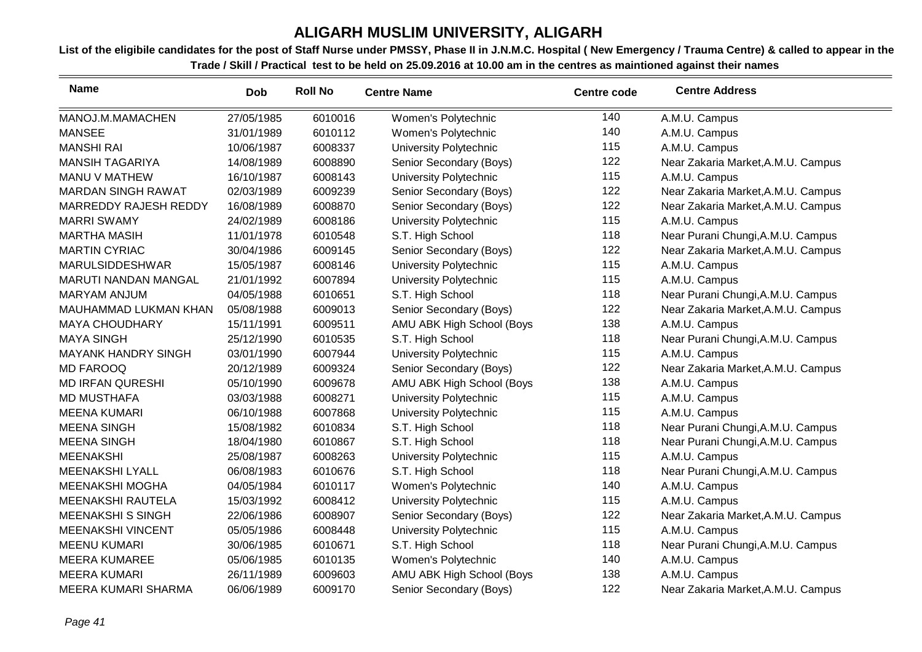| <b>Name</b>                | Dob        | <b>Roll No</b> | <b>Centre Name</b>        | <b>Centre code</b> | <b>Centre Address</b>              |
|----------------------------|------------|----------------|---------------------------|--------------------|------------------------------------|
| MANOJ.M.MAMACHEN           | 27/05/1985 | 6010016        | Women's Polytechnic       | 140                | A.M.U. Campus                      |
| <b>MANSEE</b>              | 31/01/1989 | 6010112        | Women's Polytechnic       | 140                | A.M.U. Campus                      |
| <b>MANSHI RAI</b>          | 10/06/1987 | 6008337        | University Polytechnic    | 115                | A.M.U. Campus                      |
| <b>MANSIH TAGARIYA</b>     | 14/08/1989 | 6008890        | Senior Secondary (Boys)   | 122                | Near Zakaria Market, A.M.U. Campus |
| MANU V MATHEW              | 16/10/1987 | 6008143        | University Polytechnic    | 115                | A.M.U. Campus                      |
| <b>MARDAN SINGH RAWAT</b>  | 02/03/1989 | 6009239        | Senior Secondary (Boys)   | 122                | Near Zakaria Market, A.M.U. Campus |
| MARREDDY RAJESH REDDY      | 16/08/1989 | 6008870        | Senior Secondary (Boys)   | 122                | Near Zakaria Market, A.M.U. Campus |
| <b>MARRI SWAMY</b>         | 24/02/1989 | 6008186        | University Polytechnic    | 115                | A.M.U. Campus                      |
| <b>MARTHA MASIH</b>        | 11/01/1978 | 6010548        | S.T. High School          | 118                | Near Purani Chungi, A.M.U. Campus  |
| <b>MARTIN CYRIAC</b>       | 30/04/1986 | 6009145        | Senior Secondary (Boys)   | 122                | Near Zakaria Market, A.M.U. Campus |
| MARULSIDDESHWAR            | 15/05/1987 | 6008146        | University Polytechnic    | 115                | A.M.U. Campus                      |
| MARUTI NANDAN MANGAL       | 21/01/1992 | 6007894        | University Polytechnic    | 115                | A.M.U. Campus                      |
| <b>MARYAM ANJUM</b>        | 04/05/1988 | 6010651        | S.T. High School          | 118                | Near Purani Chungi, A.M.U. Campus  |
| MAUHAMMAD LUKMAN KHAN      | 05/08/1988 | 6009013        | Senior Secondary (Boys)   | 122                | Near Zakaria Market, A.M.U. Campus |
| <b>MAYA CHOUDHARY</b>      | 15/11/1991 | 6009511        | AMU ABK High School (Boys | 138                | A.M.U. Campus                      |
| <b>MAYA SINGH</b>          | 25/12/1990 | 6010535        | S.T. High School          | 118                | Near Purani Chungi, A.M.U. Campus  |
| <b>MAYANK HANDRY SINGH</b> | 03/01/1990 | 6007944        | University Polytechnic    | 115                | A.M.U. Campus                      |
| <b>MD FAROOQ</b>           | 20/12/1989 | 6009324        | Senior Secondary (Boys)   | 122                | Near Zakaria Market, A.M.U. Campus |
| <b>MD IRFAN QURESHI</b>    | 05/10/1990 | 6009678        | AMU ABK High School (Boys | 138                | A.M.U. Campus                      |
| <b>MD MUSTHAFA</b>         | 03/03/1988 | 6008271        | University Polytechnic    | 115                | A.M.U. Campus                      |
| <b>MEENA KUMARI</b>        | 06/10/1988 | 6007868        | University Polytechnic    | 115                | A.M.U. Campus                      |
| <b>MEENA SINGH</b>         | 15/08/1982 | 6010834        | S.T. High School          | 118                | Near Purani Chungi, A.M.U. Campus  |
| <b>MEENA SINGH</b>         | 18/04/1980 | 6010867        | S.T. High School          | 118                | Near Purani Chungi, A.M.U. Campus  |
| <b>MEENAKSHI</b>           | 25/08/1987 | 6008263        | University Polytechnic    | 115                | A.M.U. Campus                      |
| <b>MEENAKSHI LYALL</b>     | 06/08/1983 | 6010676        | S.T. High School          | 118                | Near Purani Chungi, A.M.U. Campus  |
| MEENAKSHI MOGHA            | 04/05/1984 | 6010117        | Women's Polytechnic       | 140                | A.M.U. Campus                      |
| MEENAKSHI RAUTELA          | 15/03/1992 | 6008412        | University Polytechnic    | 115                | A.M.U. Campus                      |
| <b>MEENAKSHI S SINGH</b>   | 22/06/1986 | 6008907        | Senior Secondary (Boys)   | 122                | Near Zakaria Market, A.M.U. Campus |
| <b>MEENAKSHI VINCENT</b>   | 05/05/1986 | 6008448        | University Polytechnic    | 115                | A.M.U. Campus                      |
| <b>MEENU KUMARI</b>        | 30/06/1985 | 6010671        | S.T. High School          | 118                | Near Purani Chungi, A.M.U. Campus  |
| <b>MEERA KUMAREE</b>       | 05/06/1985 | 6010135        | Women's Polytechnic       | 140                | A.M.U. Campus                      |
| <b>MEERA KUMARI</b>        | 26/11/1989 | 6009603        | AMU ABK High School (Boys | 138                | A.M.U. Campus                      |
| <b>MEERA KUMARI SHARMA</b> | 06/06/1989 | 6009170        | Senior Secondary (Boys)   | 122                | Near Zakaria Market, A.M.U. Campus |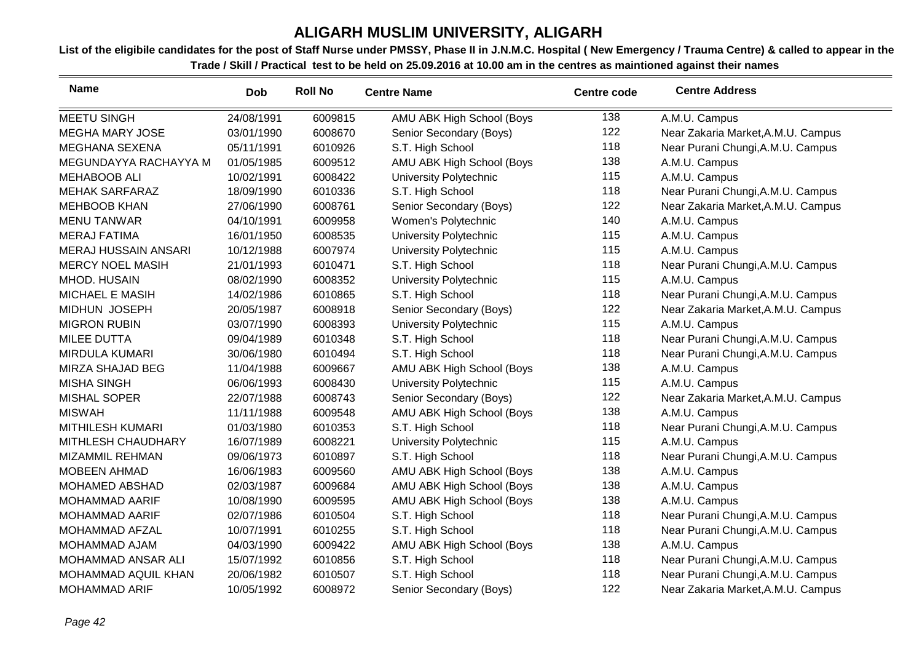| <b>Name</b>                 | <b>Dob</b> | <b>Roll No</b> | <b>Centre Name</b>            | <b>Centre code</b> | <b>Centre Address</b>              |
|-----------------------------|------------|----------------|-------------------------------|--------------------|------------------------------------|
| <b>MEETU SINGH</b>          | 24/08/1991 | 6009815        | AMU ABK High School (Boys     | 138                | A.M.U. Campus                      |
| <b>MEGHA MARY JOSE</b>      | 03/01/1990 | 6008670        | Senior Secondary (Boys)       | 122                | Near Zakaria Market, A.M.U. Campus |
| MEGHANA SEXENA              | 05/11/1991 | 6010926        | S.T. High School              | 118                | Near Purani Chungi, A.M.U. Campus  |
| MEGUNDAYYA RACHAYYA M       | 01/05/1985 | 6009512        | AMU ABK High School (Boys     | 138                | A.M.U. Campus                      |
| <b>MEHABOOB ALI</b>         | 10/02/1991 | 6008422        | University Polytechnic        | 115                | A.M.U. Campus                      |
| <b>MEHAK SARFARAZ</b>       | 18/09/1990 | 6010336        | S.T. High School              | 118                | Near Purani Chungi, A.M.U. Campus  |
| <b>MEHBOOB KHAN</b>         | 27/06/1990 | 6008761        | Senior Secondary (Boys)       | 122                | Near Zakaria Market, A.M.U. Campus |
| <b>MENU TANWAR</b>          | 04/10/1991 | 6009958        | Women's Polytechnic           | 140                | A.M.U. Campus                      |
| <b>MERAJ FATIMA</b>         | 16/01/1950 | 6008535        | University Polytechnic        | 115                | A.M.U. Campus                      |
| <b>MERAJ HUSSAIN ANSARI</b> | 10/12/1988 | 6007974        | University Polytechnic        | 115                | A.M.U. Campus                      |
| <b>MERCY NOEL MASIH</b>     | 21/01/1993 | 6010471        | S.T. High School              | 118                | Near Purani Chungi, A.M.U. Campus  |
| MHOD. HUSAIN                | 08/02/1990 | 6008352        | <b>University Polytechnic</b> | 115                | A.M.U. Campus                      |
| <b>MICHAEL E MASIH</b>      | 14/02/1986 | 6010865        | S.T. High School              | 118                | Near Purani Chungi, A.M.U. Campus  |
| MIDHUN JOSEPH               | 20/05/1987 | 6008918        | Senior Secondary (Boys)       | 122                | Near Zakaria Market, A.M.U. Campus |
| <b>MIGRON RUBIN</b>         | 03/07/1990 | 6008393        | <b>University Polytechnic</b> | 115                | A.M.U. Campus                      |
| <b>MILEE DUTTA</b>          | 09/04/1989 | 6010348        | S.T. High School              | 118                | Near Purani Chungi, A.M.U. Campus  |
| MIRDULA KUMARI              | 30/06/1980 | 6010494        | S.T. High School              | 118                | Near Purani Chungi, A.M.U. Campus  |
| MIRZA SHAJAD BEG            | 11/04/1988 | 6009667        | AMU ABK High School (Boys     | 138                | A.M.U. Campus                      |
| <b>MISHA SINGH</b>          | 06/06/1993 | 6008430        | University Polytechnic        | 115                | A.M.U. Campus                      |
| <b>MISHAL SOPER</b>         | 22/07/1988 | 6008743        | Senior Secondary (Boys)       | 122                | Near Zakaria Market, A.M.U. Campus |
| <b>MISWAH</b>               | 11/11/1988 | 6009548        | AMU ABK High School (Boys     | 138                | A.M.U. Campus                      |
| <b>MITHILESH KUMARI</b>     | 01/03/1980 | 6010353        | S.T. High School              | 118                | Near Purani Chungi, A.M.U. Campus  |
| MITHLESH CHAUDHARY          | 16/07/1989 | 6008221        | University Polytechnic        | 115                | A.M.U. Campus                      |
| <b>MIZAMMIL REHMAN</b>      | 09/06/1973 | 6010897        | S.T. High School              | 118                | Near Purani Chungi, A.M.U. Campus  |
| <b>MOBEEN AHMAD</b>         | 16/06/1983 | 6009560        | AMU ABK High School (Boys     | 138                | A.M.U. Campus                      |
| MOHAMED ABSHAD              | 02/03/1987 | 6009684        | AMU ABK High School (Boys     | 138                | A.M.U. Campus                      |
| <b>MOHAMMAD AARIF</b>       | 10/08/1990 | 6009595        | AMU ABK High School (Boys     | 138                | A.M.U. Campus                      |
| <b>MOHAMMAD AARIF</b>       | 02/07/1986 | 6010504        | S.T. High School              | 118                | Near Purani Chungi, A.M.U. Campus  |
| <b>MOHAMMAD AFZAL</b>       | 10/07/1991 | 6010255        | S.T. High School              | 118                | Near Purani Chungi, A.M.U. Campus  |
| MOHAMMAD AJAM               | 04/03/1990 | 6009422        | AMU ABK High School (Boys     | 138                | A.M.U. Campus                      |
| <b>MOHAMMAD ANSAR ALI</b>   | 15/07/1992 | 6010856        | S.T. High School              | 118                | Near Purani Chungi, A.M.U. Campus  |
| MOHAMMAD AQUIL KHAN         | 20/06/1982 | 6010507        | S.T. High School              | 118                | Near Purani Chungi, A.M.U. Campus  |
| <b>MOHAMMAD ARIF</b>        | 10/05/1992 | 6008972        | Senior Secondary (Boys)       | 122                | Near Zakaria Market, A.M.U. Campus |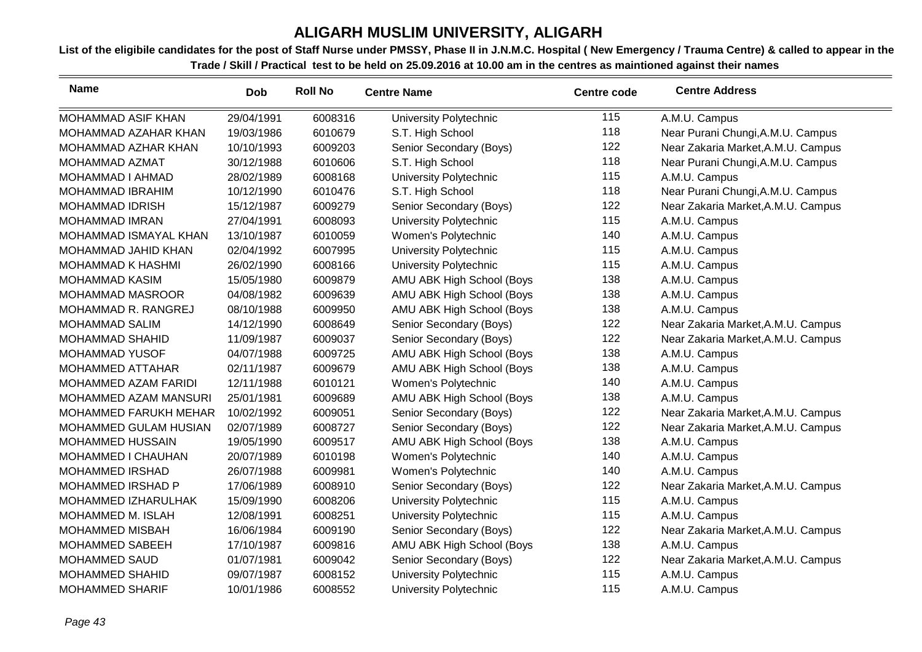| <b>Name</b>              | <b>Dob</b> | <b>Roll No</b> | <b>Centre Name</b>        | <b>Centre code</b> | <b>Centre Address</b>              |
|--------------------------|------------|----------------|---------------------------|--------------------|------------------------------------|
| MOHAMMAD ASIF KHAN       | 29/04/1991 | 6008316        | University Polytechnic    | 115                | A.M.U. Campus                      |
| MOHAMMAD AZAHAR KHAN     | 19/03/1986 | 6010679        | S.T. High School          | 118                | Near Purani Chungi, A.M.U. Campus  |
| MOHAMMAD AZHAR KHAN      | 10/10/1993 | 6009203        | Senior Secondary (Boys)   | 122                | Near Zakaria Market, A.M.U. Campus |
| MOHAMMAD AZMAT           | 30/12/1988 | 6010606        | S.T. High School          | 118                | Near Purani Chungi, A.M.U. Campus  |
| MOHAMMAD I AHMAD         | 28/02/1989 | 6008168        | University Polytechnic    | 115                | A.M.U. Campus                      |
| <b>MOHAMMAD IBRAHIM</b>  | 10/12/1990 | 6010476        | S.T. High School          | 118                | Near Purani Chungi, A.M.U. Campus  |
| <b>MOHAMMAD IDRISH</b>   | 15/12/1987 | 6009279        | Senior Secondary (Boys)   | 122                | Near Zakaria Market, A.M.U. Campus |
| <b>MOHAMMAD IMRAN</b>    | 27/04/1991 | 6008093        | University Polytechnic    | 115                | A.M.U. Campus                      |
| MOHAMMAD ISMAYAL KHAN    | 13/10/1987 | 6010059        | Women's Polytechnic       | 140                | A.M.U. Campus                      |
| MOHAMMAD JAHID KHAN      | 02/04/1992 | 6007995        | University Polytechnic    | 115                | A.M.U. Campus                      |
| <b>MOHAMMAD K HASHMI</b> | 26/02/1990 | 6008166        | University Polytechnic    | 115                | A.M.U. Campus                      |
| <b>MOHAMMAD KASIM</b>    | 15/05/1980 | 6009879        | AMU ABK High School (Boys | 138                | A.M.U. Campus                      |
| <b>MOHAMMAD MASROOR</b>  | 04/08/1982 | 6009639        | AMU ABK High School (Boys | 138                | A.M.U. Campus                      |
| MOHAMMAD R. RANGREJ      | 08/10/1988 | 6009950        | AMU ABK High School (Boys | 138                | A.M.U. Campus                      |
| <b>MOHAMMAD SALIM</b>    | 14/12/1990 | 6008649        | Senior Secondary (Boys)   | 122                | Near Zakaria Market, A.M.U. Campus |
| <b>MOHAMMAD SHAHID</b>   | 11/09/1987 | 6009037        | Senior Secondary (Boys)   | 122                | Near Zakaria Market, A.M.U. Campus |
| <b>MOHAMMAD YUSOF</b>    | 04/07/1988 | 6009725        | AMU ABK High School (Boys | 138                | A.M.U. Campus                      |
| <b>MOHAMMED ATTAHAR</b>  | 02/11/1987 | 6009679        | AMU ABK High School (Boys | 138                | A.M.U. Campus                      |
| MOHAMMED AZAM FARIDI     | 12/11/1988 | 6010121        | Women's Polytechnic       | 140                | A.M.U. Campus                      |
| MOHAMMED AZAM MANSURI    | 25/01/1981 | 6009689        | AMU ABK High School (Boys | 138                | A.M.U. Campus                      |
| MOHAMMED FARUKH MEHAR    | 10/02/1992 | 6009051        | Senior Secondary (Boys)   | 122                | Near Zakaria Market, A.M.U. Campus |
| MOHAMMED GULAM HUSIAN    | 02/07/1989 | 6008727        | Senior Secondary (Boys)   | 122                | Near Zakaria Market, A.M.U. Campus |
| <b>MOHAMMED HUSSAIN</b>  | 19/05/1990 | 6009517        | AMU ABK High School (Boys | 138                | A.M.U. Campus                      |
| MOHAMMED I CHAUHAN       | 20/07/1989 | 6010198        | Women's Polytechnic       | 140                | A.M.U. Campus                      |
| <b>MOHAMMED IRSHAD</b>   | 26/07/1988 | 6009981        | Women's Polytechnic       | 140                | A.M.U. Campus                      |
| <b>MOHAMMED IRSHAD P</b> | 17/06/1989 | 6008910        | Senior Secondary (Boys)   | 122                | Near Zakaria Market, A.M.U. Campus |
| MOHAMMED IZHARULHAK      | 15/09/1990 | 6008206        | University Polytechnic    | 115                | A.M.U. Campus                      |
| MOHAMMED M. ISLAH        | 12/08/1991 | 6008251        | University Polytechnic    | 115                | A.M.U. Campus                      |
| MOHAMMED MISBAH          | 16/06/1984 | 6009190        | Senior Secondary (Boys)   | 122                | Near Zakaria Market, A.M.U. Campus |
| <b>MOHAMMED SABEEH</b>   | 17/10/1987 | 6009816        | AMU ABK High School (Boys | 138                | A.M.U. Campus                      |
| <b>MOHAMMED SAUD</b>     | 01/07/1981 | 6009042        | Senior Secondary (Boys)   | 122                | Near Zakaria Market, A.M.U. Campus |
| <b>MOHAMMED SHAHID</b>   | 09/07/1987 | 6008152        | University Polytechnic    | 115                | A.M.U. Campus                      |
| <b>MOHAMMED SHARIF</b>   | 10/01/1986 | 6008552        | University Polytechnic    | 115                | A.M.U. Campus                      |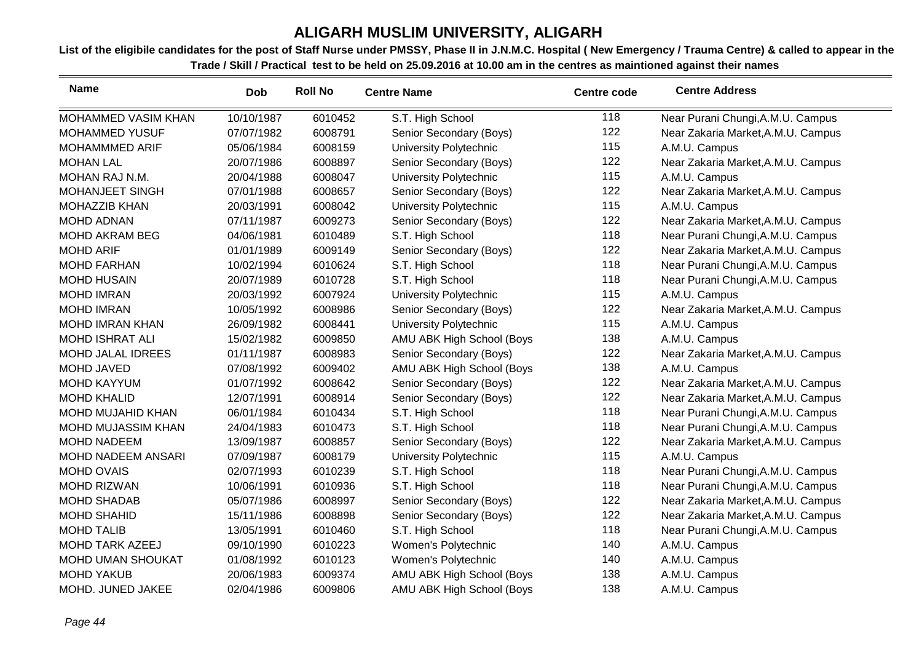| <b>Name</b>                | <b>Dob</b> | <b>Roll No</b> | <b>Centre Name</b>        | Centre code | <b>Centre Address</b>              |
|----------------------------|------------|----------------|---------------------------|-------------|------------------------------------|
| <b>MOHAMMED VASIM KHAN</b> | 10/10/1987 | 6010452        | S.T. High School          | 118         | Near Purani Chungi, A.M.U. Campus  |
| <b>MOHAMMED YUSUF</b>      | 07/07/1982 | 6008791        | Senior Secondary (Boys)   | 122         | Near Zakaria Market, A.M.U. Campus |
| <b>MOHAMMMED ARIF</b>      | 05/06/1984 | 6008159        | University Polytechnic    | 115         | A.M.U. Campus                      |
| <b>MOHAN LAL</b>           | 20/07/1986 | 6008897        | Senior Secondary (Boys)   | 122         | Near Zakaria Market, A.M.U. Campus |
| MOHAN RAJ N.M.             | 20/04/1988 | 6008047        | University Polytechnic    | 115         | A.M.U. Campus                      |
| MOHANJEET SINGH            | 07/01/1988 | 6008657        | Senior Secondary (Boys)   | 122         | Near Zakaria Market, A.M.U. Campus |
| <b>MOHAZZIB KHAN</b>       | 20/03/1991 | 6008042        | University Polytechnic    | 115         | A.M.U. Campus                      |
| <b>MOHD ADNAN</b>          | 07/11/1987 | 6009273        | Senior Secondary (Boys)   | 122         | Near Zakaria Market, A.M.U. Campus |
| <b>MOHD AKRAM BEG</b>      | 04/06/1981 | 6010489        | S.T. High School          | 118         | Near Purani Chungi, A.M.U. Campus  |
| <b>MOHD ARIF</b>           | 01/01/1989 | 6009149        | Senior Secondary (Boys)   | 122         | Near Zakaria Market, A.M.U. Campus |
| <b>MOHD FARHAN</b>         | 10/02/1994 | 6010624        | S.T. High School          | 118         | Near Purani Chungi, A.M.U. Campus  |
| <b>MOHD HUSAIN</b>         | 20/07/1989 | 6010728        | S.T. High School          | 118         | Near Purani Chungi, A.M.U. Campus  |
| <b>MOHD IMRAN</b>          | 20/03/1992 | 6007924        | University Polytechnic    | 115         | A.M.U. Campus                      |
| <b>MOHD IMRAN</b>          | 10/05/1992 | 6008986        | Senior Secondary (Boys)   | 122         | Near Zakaria Market, A.M.U. Campus |
| <b>MOHD IMRAN KHAN</b>     | 26/09/1982 | 6008441        | University Polytechnic    | 115         | A.M.U. Campus                      |
| <b>MOHD ISHRAT ALI</b>     | 15/02/1982 | 6009850        | AMU ABK High School (Boys | 138         | A.M.U. Campus                      |
| <b>MOHD JALAL IDREES</b>   | 01/11/1987 | 6008983        | Senior Secondary (Boys)   | 122         | Near Zakaria Market, A.M.U. Campus |
| MOHD JAVED                 | 07/08/1992 | 6009402        | AMU ABK High School (Boys | 138         | A.M.U. Campus                      |
| <b>MOHD KAYYUM</b>         | 01/07/1992 | 6008642        | Senior Secondary (Boys)   | 122         | Near Zakaria Market, A.M.U. Campus |
| <b>MOHD KHALID</b>         | 12/07/1991 | 6008914        | Senior Secondary (Boys)   | 122         | Near Zakaria Market, A.M.U. Campus |
| MOHD MUJAHID KHAN          | 06/01/1984 | 6010434        | S.T. High School          | 118         | Near Purani Chungi, A.M.U. Campus  |
| MOHD MUJASSIM KHAN         | 24/04/1983 | 6010473        | S.T. High School          | 118         | Near Purani Chungi, A.M.U. Campus  |
| <b>MOHD NADEEM</b>         | 13/09/1987 | 6008857        | Senior Secondary (Boys)   | 122         | Near Zakaria Market, A.M.U. Campus |
| <b>MOHD NADEEM ANSARI</b>  | 07/09/1987 | 6008179        | University Polytechnic    | 115         | A.M.U. Campus                      |
| <b>MOHD OVAIS</b>          | 02/07/1993 | 6010239        | S.T. High School          | 118         | Near Purani Chungi, A.M.U. Campus  |
| <b>MOHD RIZWAN</b>         | 10/06/1991 | 6010936        | S.T. High School          | 118         | Near Purani Chungi, A.M.U. Campus  |
| <b>MOHD SHADAB</b>         | 05/07/1986 | 6008997        | Senior Secondary (Boys)   | 122         | Near Zakaria Market, A.M.U. Campus |
| <b>MOHD SHAHID</b>         | 15/11/1986 | 6008898        | Senior Secondary (Boys)   | 122         | Near Zakaria Market, A.M.U. Campus |
| <b>MOHD TALIB</b>          | 13/05/1991 | 6010460        | S.T. High School          | 118         | Near Purani Chungi, A.M.U. Campus  |
| <b>MOHD TARK AZEEJ</b>     | 09/10/1990 | 6010223        | Women's Polytechnic       | 140         | A.M.U. Campus                      |
| <b>MOHD UMAN SHOUKAT</b>   | 01/08/1992 | 6010123        | Women's Polytechnic       | 140         | A.M.U. Campus                      |
| <b>MOHD YAKUB</b>          | 20/06/1983 | 6009374        | AMU ABK High School (Boys | 138         | A.M.U. Campus                      |
| MOHD. JUNED JAKEE          | 02/04/1986 | 6009806        | AMU ABK High School (Boys | 138         | A.M.U. Campus                      |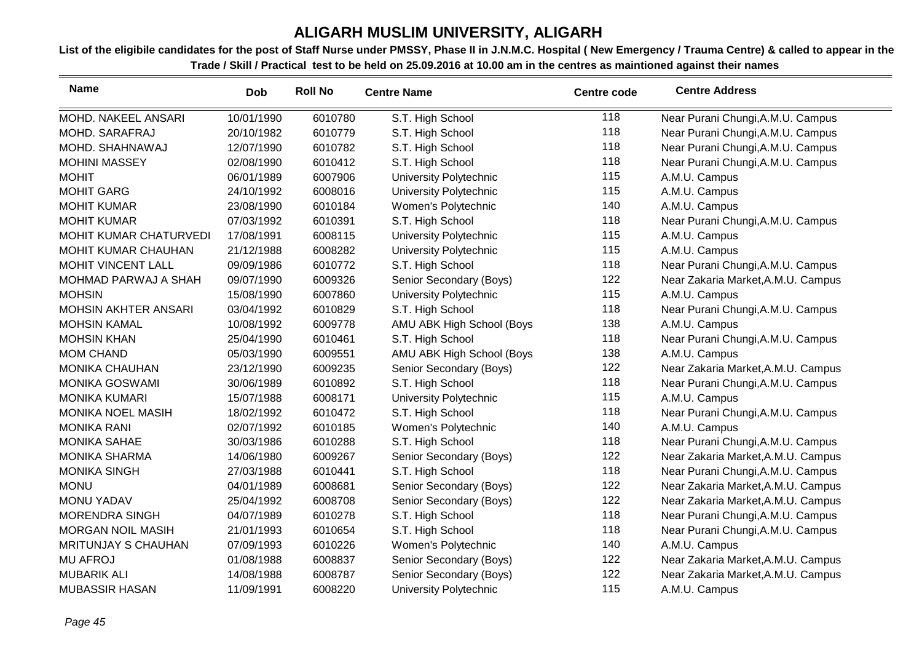| <b>Name</b>                 | Dob        | <b>Roll No</b> | <b>Centre Name</b>        | <b>Centre code</b> | <b>Centre Address</b>              |
|-----------------------------|------------|----------------|---------------------------|--------------------|------------------------------------|
| MOHD. NAKEEL ANSARI         | 10/01/1990 | 6010780        | S.T. High School          | 118                | Near Purani Chungi, A.M.U. Campus  |
| MOHD. SARAFRAJ              | 20/10/1982 | 6010779        | S.T. High School          | 118                | Near Purani Chungi, A.M.U. Campus  |
| MOHD. SHAHNAWAJ             | 12/07/1990 | 6010782        | S.T. High School          | 118                | Near Purani Chungi, A.M.U. Campus  |
| <b>MOHINI MASSEY</b>        | 02/08/1990 | 6010412        | S.T. High School          | 118                | Near Purani Chungi, A.M.U. Campus  |
| <b>MOHIT</b>                | 06/01/1989 | 6007906        | University Polytechnic    | 115                | A.M.U. Campus                      |
| <b>MOHIT GARG</b>           | 24/10/1992 | 6008016        | University Polytechnic    | 115                | A.M.U. Campus                      |
| <b>MOHIT KUMAR</b>          | 23/08/1990 | 6010184        | Women's Polytechnic       | 140                | A.M.U. Campus                      |
| <b>MOHIT KUMAR</b>          | 07/03/1992 | 6010391        | S.T. High School          | 118                | Near Purani Chungi, A.M.U. Campus  |
| MOHIT KUMAR CHATURVEDI      | 17/08/1991 | 6008115        | University Polytechnic    | 115                | A.M.U. Campus                      |
| MOHIT KUMAR CHAUHAN         | 21/12/1988 | 6008282        | University Polytechnic    | 115                | A.M.U. Campus                      |
| MOHIT VINCENT LALL          | 09/09/1986 | 6010772        | S.T. High School          | 118                | Near Purani Chungi, A.M.U. Campus  |
| MOHMAD PARWAJ A SHAH        | 09/07/1990 | 6009326        | Senior Secondary (Boys)   | 122                | Near Zakaria Market, A.M.U. Campus |
| <b>MOHSIN</b>               | 15/08/1990 | 6007860        | University Polytechnic    | 115                | A.M.U. Campus                      |
| <b>MOHSIN AKHTER ANSARI</b> | 03/04/1992 | 6010829        | S.T. High School          | 118                | Near Purani Chungi, A.M.U. Campus  |
| <b>MOHSIN KAMAL</b>         | 10/08/1992 | 6009778        | AMU ABK High School (Boys | 138                | A.M.U. Campus                      |
| <b>MOHSIN KHAN</b>          | 25/04/1990 | 6010461        | S.T. High School          | 118                | Near Purani Chungi, A.M.U. Campus  |
| <b>MOM CHAND</b>            | 05/03/1990 | 6009551        | AMU ABK High School (Boys | 138                | A.M.U. Campus                      |
| <b>MONIKA CHAUHAN</b>       | 23/12/1990 | 6009235        | Senior Secondary (Boys)   | 122                | Near Zakaria Market, A.M.U. Campus |
| <b>MONIKA GOSWAMI</b>       | 30/06/1989 | 6010892        | S.T. High School          | 118                | Near Purani Chungi, A.M.U. Campus  |
| <b>MONIKA KUMARI</b>        | 15/07/1988 | 6008171        | University Polytechnic    | 115                | A.M.U. Campus                      |
| <b>MONIKA NOEL MASIH</b>    | 18/02/1992 | 6010472        | S.T. High School          | 118                | Near Purani Chungi, A.M.U. Campus  |
| <b>MONIKA RANI</b>          | 02/07/1992 | 6010185        | Women's Polytechnic       | 140                | A.M.U. Campus                      |
| <b>MONIKA SAHAE</b>         | 30/03/1986 | 6010288        | S.T. High School          | 118                | Near Purani Chungi, A.M.U. Campus  |
| <b>MONIKA SHARMA</b>        | 14/06/1980 | 6009267        | Senior Secondary (Boys)   | 122                | Near Zakaria Market, A.M.U. Campus |
| <b>MONIKA SINGH</b>         | 27/03/1988 | 6010441        | S.T. High School          | 118                | Near Purani Chungi, A.M.U. Campus  |
| <b>MONU</b>                 | 04/01/1989 | 6008681        | Senior Secondary (Boys)   | 122                | Near Zakaria Market, A.M.U. Campus |
| <b>MONU YADAV</b>           | 25/04/1992 | 6008708        | Senior Secondary (Boys)   | 122                | Near Zakaria Market, A.M.U. Campus |
| <b>MORENDRA SINGH</b>       | 04/07/1989 | 6010278        | S.T. High School          | 118                | Near Purani Chungi, A.M.U. Campus  |
| <b>MORGAN NOIL MASIH</b>    | 21/01/1993 | 6010654        | S.T. High School          | 118                | Near Purani Chungi, A.M.U. Campus  |
| <b>MRITUNJAY S CHAUHAN</b>  | 07/09/1993 | 6010226        | Women's Polytechnic       | 140                | A.M.U. Campus                      |
| <b>MU AFROJ</b>             | 01/08/1988 | 6008837        | Senior Secondary (Boys)   | 122                | Near Zakaria Market, A.M.U. Campus |
| <b>MUBARIK ALI</b>          | 14/08/1988 | 6008787        | Senior Secondary (Boys)   | 122                | Near Zakaria Market, A.M.U. Campus |
| <b>MUBASSIR HASAN</b>       | 11/09/1991 | 6008220        | University Polytechnic    | 115                | A.M.U. Campus                      |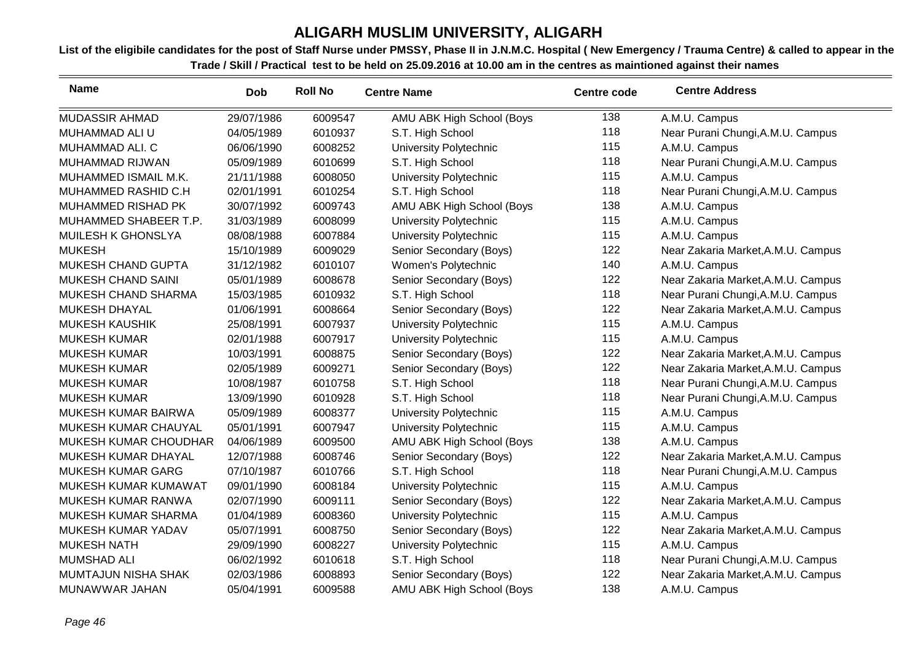| <b>Name</b>               | <b>Dob</b> | <b>Roll No</b> | <b>Centre Name</b>            | <b>Centre code</b> | <b>Centre Address</b>              |
|---------------------------|------------|----------------|-------------------------------|--------------------|------------------------------------|
| MUDASSIR AHMAD            | 29/07/1986 | 6009547        | AMU ABK High School (Boys     | 138                | A.M.U. Campus                      |
| MUHAMMAD ALI U            | 04/05/1989 | 6010937        | S.T. High School              | 118                | Near Purani Chungi, A.M.U. Campus  |
| MUHAMMAD ALI. C           | 06/06/1990 | 6008252        | <b>University Polytechnic</b> | 115                | A.M.U. Campus                      |
| MUHAMMAD RIJWAN           | 05/09/1989 | 6010699        | S.T. High School              | 118                | Near Purani Chungi, A.M.U. Campus  |
| MUHAMMED ISMAIL M.K.      | 21/11/1988 | 6008050        | University Polytechnic        | 115                | A.M.U. Campus                      |
| MUHAMMED RASHID C.H       | 02/01/1991 | 6010254        | S.T. High School              | 118                | Near Purani Chungi, A.M.U. Campus  |
| MUHAMMED RISHAD PK        | 30/07/1992 | 6009743        | AMU ABK High School (Boys     | 138                | A.M.U. Campus                      |
| MUHAMMED SHABEER T.P.     | 31/03/1989 | 6008099        | University Polytechnic        | 115                | A.M.U. Campus                      |
| MUILESH K GHONSLYA        | 08/08/1988 | 6007884        | University Polytechnic        | 115                | A.M.U. Campus                      |
| <b>MUKESH</b>             | 15/10/1989 | 6009029        | Senior Secondary (Boys)       | 122                | Near Zakaria Market, A.M.U. Campus |
| MUKESH CHAND GUPTA        | 31/12/1982 | 6010107        | Women's Polytechnic           | 140                | A.M.U. Campus                      |
| <b>MUKESH CHAND SAINI</b> | 05/01/1989 | 6008678        | Senior Secondary (Boys)       | 122                | Near Zakaria Market, A.M.U. Campus |
| MUKESH CHAND SHARMA       | 15/03/1985 | 6010932        | S.T. High School              | 118                | Near Purani Chungi, A.M.U. Campus  |
| <b>MUKESH DHAYAL</b>      | 01/06/1991 | 6008664        | Senior Secondary (Boys)       | 122                | Near Zakaria Market, A.M.U. Campus |
| <b>MUKESH KAUSHIK</b>     | 25/08/1991 | 6007937        | University Polytechnic        | 115                | A.M.U. Campus                      |
| <b>MUKESH KUMAR</b>       | 02/01/1988 | 6007917        | University Polytechnic        | 115                | A.M.U. Campus                      |
| <b>MUKESH KUMAR</b>       | 10/03/1991 | 6008875        | Senior Secondary (Boys)       | 122                | Near Zakaria Market, A.M.U. Campus |
| <b>MUKESH KUMAR</b>       | 02/05/1989 | 6009271        | Senior Secondary (Boys)       | 122                | Near Zakaria Market, A.M.U. Campus |
| <b>MUKESH KUMAR</b>       | 10/08/1987 | 6010758        | S.T. High School              | 118                | Near Purani Chungi, A.M.U. Campus  |
| <b>MUKESH KUMAR</b>       | 13/09/1990 | 6010928        | S.T. High School              | 118                | Near Purani Chungi, A.M.U. Campus  |
| MUKESH KUMAR BAIRWA       | 05/09/1989 | 6008377        | University Polytechnic        | 115                | A.M.U. Campus                      |
| MUKESH KUMAR CHAUYAL      | 05/01/1991 | 6007947        | University Polytechnic        | 115                | A.M.U. Campus                      |
| MUKESH KUMAR CHOUDHAR     | 04/06/1989 | 6009500        | AMU ABK High School (Boys     | 138                | A.M.U. Campus                      |
| MUKESH KUMAR DHAYAL       | 12/07/1988 | 6008746        | Senior Secondary (Boys)       | 122                | Near Zakaria Market, A.M.U. Campus |
| MUKESH KUMAR GARG         | 07/10/1987 | 6010766        | S.T. High School              | 118                | Near Purani Chungi, A.M.U. Campus  |
| MUKESH KUMAR KUMAWAT      | 09/01/1990 | 6008184        | University Polytechnic        | 115                | A.M.U. Campus                      |
| MUKESH KUMAR RANWA        | 02/07/1990 | 6009111        | Senior Secondary (Boys)       | 122                | Near Zakaria Market, A.M.U. Campus |
| MUKESH KUMAR SHARMA       | 01/04/1989 | 6008360        | <b>University Polytechnic</b> | 115                | A.M.U. Campus                      |
| MUKESH KUMAR YADAV        | 05/07/1991 | 6008750        | Senior Secondary (Boys)       | 122                | Near Zakaria Market, A.M.U. Campus |
| <b>MUKESH NATH</b>        | 29/09/1990 | 6008227        | University Polytechnic        | 115                | A.M.U. Campus                      |
| <b>MUMSHAD ALI</b>        | 06/02/1992 | 6010618        | S.T. High School              | 118                | Near Purani Chungi, A.M.U. Campus  |
| MUMTAJUN NISHA SHAK       | 02/03/1986 | 6008893        | Senior Secondary (Boys)       | 122                | Near Zakaria Market, A.M.U. Campus |
| MUNAWWAR JAHAN            | 05/04/1991 | 6009588        | AMU ABK High School (Boys     | 138                | A.M.U. Campus                      |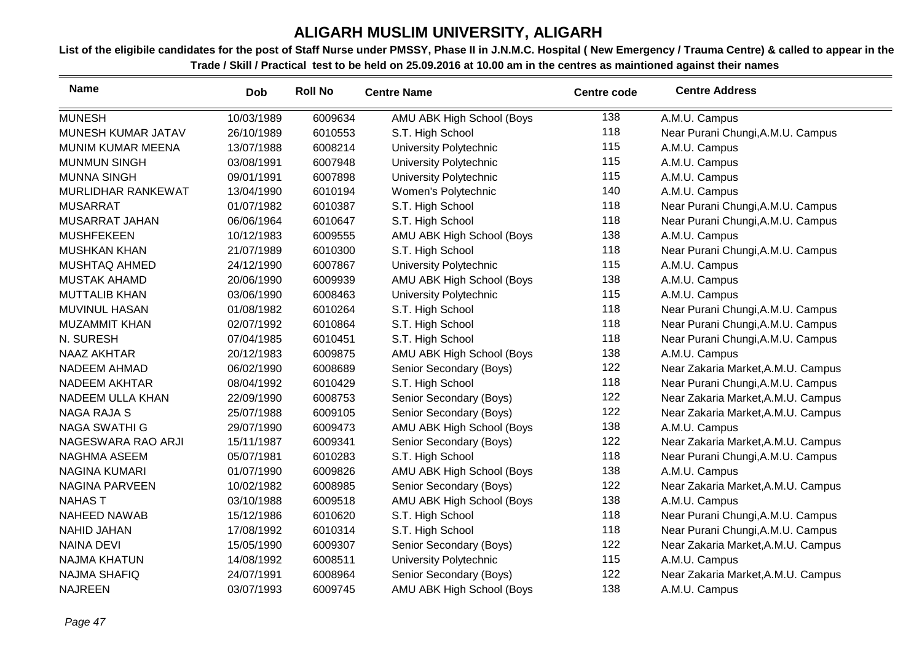| <b>Name</b>              | <b>Dob</b> | <b>Roll No</b> | <b>Centre Name</b>        | <b>Centre code</b> | <b>Centre Address</b>              |
|--------------------------|------------|----------------|---------------------------|--------------------|------------------------------------|
| <b>MUNESH</b>            | 10/03/1989 | 6009634        | AMU ABK High School (Boys | 138                | A.M.U. Campus                      |
| MUNESH KUMAR JATAV       | 26/10/1989 | 6010553        | S.T. High School          | 118                | Near Purani Chungi, A.M.U. Campus  |
| <b>MUNIM KUMAR MEENA</b> | 13/07/1988 | 6008214        | University Polytechnic    | 115                | A.M.U. Campus                      |
| <b>MUNMUN SINGH</b>      | 03/08/1991 | 6007948        | University Polytechnic    | 115                | A.M.U. Campus                      |
| <b>MUNNA SINGH</b>       | 09/01/1991 | 6007898        | University Polytechnic    | 115                | A.M.U. Campus                      |
| MURLIDHAR RANKEWAT       | 13/04/1990 | 6010194        | Women's Polytechnic       | 140                | A.M.U. Campus                      |
| <b>MUSARRAT</b>          | 01/07/1982 | 6010387        | S.T. High School          | 118                | Near Purani Chungi, A.M.U. Campus  |
| <b>MUSARRAT JAHAN</b>    | 06/06/1964 | 6010647        | S.T. High School          | 118                | Near Purani Chungi, A.M.U. Campus  |
| <b>MUSHFEKEEN</b>        | 10/12/1983 | 6009555        | AMU ABK High School (Boys | 138                | A.M.U. Campus                      |
| <b>MUSHKAN KHAN</b>      | 21/07/1989 | 6010300        | S.T. High School          | 118                | Near Purani Chungi, A.M.U. Campus  |
| MUSHTAQ AHMED            | 24/12/1990 | 6007867        | University Polytechnic    | 115                | A.M.U. Campus                      |
| <b>MUSTAK AHAMD</b>      | 20/06/1990 | 6009939        | AMU ABK High School (Boys | 138                | A.M.U. Campus                      |
| <b>MUTTALIB KHAN</b>     | 03/06/1990 | 6008463        | University Polytechnic    | 115                | A.M.U. Campus                      |
| <b>MUVINUL HASAN</b>     | 01/08/1982 | 6010264        | S.T. High School          | 118                | Near Purani Chungi, A.M.U. Campus  |
| <b>MUZAMMIT KHAN</b>     | 02/07/1992 | 6010864        | S.T. High School          | 118                | Near Purani Chungi, A.M.U. Campus  |
| N. SURESH                | 07/04/1985 | 6010451        | S.T. High School          | 118                | Near Purani Chungi, A.M.U. Campus  |
| <b>NAAZ AKHTAR</b>       | 20/12/1983 | 6009875        | AMU ABK High School (Boys | 138                | A.M.U. Campus                      |
| <b>NADEEM AHMAD</b>      | 06/02/1990 | 6008689        | Senior Secondary (Boys)   | 122                | Near Zakaria Market, A.M.U. Campus |
| NADEEM AKHTAR            | 08/04/1992 | 6010429        | S.T. High School          | 118                | Near Purani Chungi, A.M.U. Campus  |
| <b>NADEEM ULLA KHAN</b>  | 22/09/1990 | 6008753        | Senior Secondary (Boys)   | 122                | Near Zakaria Market, A.M.U. Campus |
| <b>NAGA RAJA S</b>       | 25/07/1988 | 6009105        | Senior Secondary (Boys)   | 122                | Near Zakaria Market, A.M.U. Campus |
| <b>NAGA SWATHI G</b>     | 29/07/1990 | 6009473        | AMU ABK High School (Boys | 138                | A.M.U. Campus                      |
| NAGESWARA RAO ARJI       | 15/11/1987 | 6009341        | Senior Secondary (Boys)   | 122                | Near Zakaria Market, A.M.U. Campus |
| <b>NAGHMA ASEEM</b>      | 05/07/1981 | 6010283        | S.T. High School          | 118                | Near Purani Chungi, A.M.U. Campus  |
| <b>NAGINA KUMARI</b>     | 01/07/1990 | 6009826        | AMU ABK High School (Boys | 138                | A.M.U. Campus                      |
| <b>NAGINA PARVEEN</b>    | 10/02/1982 | 6008985        | Senior Secondary (Boys)   | 122                | Near Zakaria Market, A.M.U. Campus |
| <b>NAHAST</b>            | 03/10/1988 | 6009518        | AMU ABK High School (Boys | 138                | A.M.U. Campus                      |
| <b>NAHEED NAWAB</b>      | 15/12/1986 | 6010620        | S.T. High School          | 118                | Near Purani Chungi, A.M.U. Campus  |
| <b>NAHID JAHAN</b>       | 17/08/1992 | 6010314        | S.T. High School          | 118                | Near Purani Chungi, A.M.U. Campus  |
| <b>NAINA DEVI</b>        | 15/05/1990 | 6009307        | Senior Secondary (Boys)   | 122                | Near Zakaria Market, A.M.U. Campus |
| <b>NAJMA KHATUN</b>      | 14/08/1992 | 6008511        | University Polytechnic    | 115                | A.M.U. Campus                      |
| <b>NAJMA SHAFIQ</b>      | 24/07/1991 | 6008964        | Senior Secondary (Boys)   | 122                | Near Zakaria Market, A.M.U. Campus |
| <b>NAJREEN</b>           | 03/07/1993 | 6009745        | AMU ABK High School (Boys | 138                | A.M.U. Campus                      |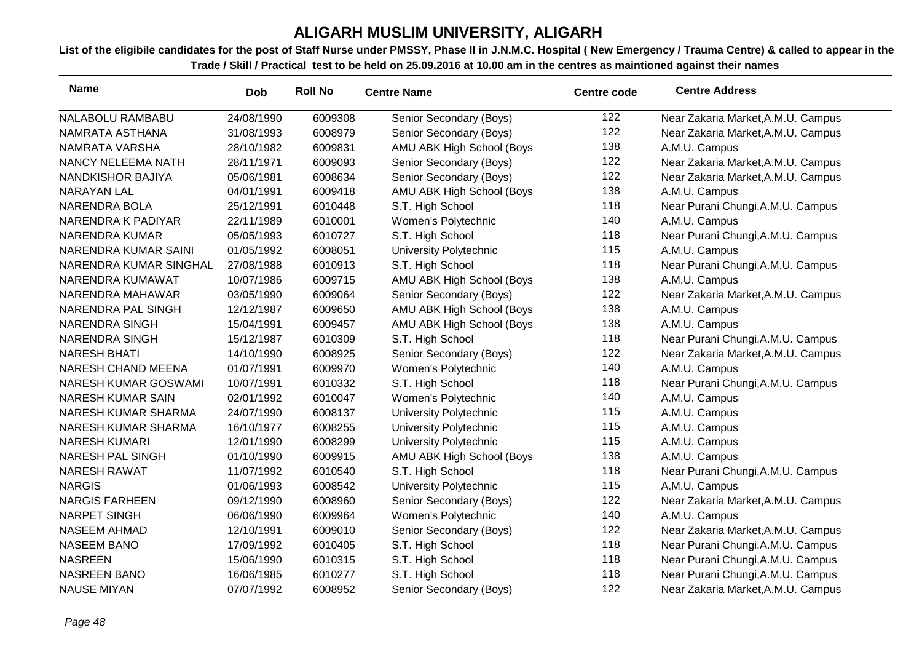| <b>Name</b>              | <b>Dob</b> | <b>Roll No</b> | <b>Centre Name</b>        | <b>Centre code</b> | <b>Centre Address</b>              |
|--------------------------|------------|----------------|---------------------------|--------------------|------------------------------------|
| NALABOLU RAMBABU         | 24/08/1990 | 6009308        | Senior Secondary (Boys)   | 122                | Near Zakaria Market, A.M.U. Campus |
| NAMRATA ASTHANA          | 31/08/1993 | 6008979        | Senior Secondary (Boys)   | 122                | Near Zakaria Market, A.M.U. Campus |
| NAMRATA VARSHA           | 28/10/1982 | 6009831        | AMU ABK High School (Boys | 138                | A.M.U. Campus                      |
| NANCY NELEEMA NATH       | 28/11/1971 | 6009093        | Senior Secondary (Boys)   | 122                | Near Zakaria Market, A.M.U. Campus |
| NANDKISHOR BAJIYA        | 05/06/1981 | 6008634        | Senior Secondary (Boys)   | 122                | Near Zakaria Market, A.M.U. Campus |
| NARAYAN LAL              | 04/01/1991 | 6009418        | AMU ABK High School (Boys | 138                | A.M.U. Campus                      |
| NARENDRA BOLA            | 25/12/1991 | 6010448        | S.T. High School          | 118                | Near Purani Chungi, A.M.U. Campus  |
| NARENDRA K PADIYAR       | 22/11/1989 | 6010001        | Women's Polytechnic       | 140                | A.M.U. Campus                      |
| <b>NARENDRA KUMAR</b>    | 05/05/1993 | 6010727        | S.T. High School          | 118                | Near Purani Chungi, A.M.U. Campus  |
| NARENDRA KUMAR SAINI     | 01/05/1992 | 6008051        | University Polytechnic    | 115                | A.M.U. Campus                      |
| NARENDRA KUMAR SINGHAL   | 27/08/1988 | 6010913        | S.T. High School          | 118                | Near Purani Chungi, A.M.U. Campus  |
| NARENDRA KUMAWAT         | 10/07/1986 | 6009715        | AMU ABK High School (Boys | 138                | A.M.U. Campus                      |
| NARENDRA MAHAWAR         | 03/05/1990 | 6009064        | Senior Secondary (Boys)   | 122                | Near Zakaria Market, A.M.U. Campus |
| NARENDRA PAL SINGH       | 12/12/1987 | 6009650        | AMU ABK High School (Boys | 138                | A.M.U. Campus                      |
| <b>NARENDRA SINGH</b>    | 15/04/1991 | 6009457        | AMU ABK High School (Boys | 138                | A.M.U. Campus                      |
| <b>NARENDRA SINGH</b>    | 15/12/1987 | 6010309        | S.T. High School          | 118                | Near Purani Chungi, A.M.U. Campus  |
| <b>NARESH BHATI</b>      | 14/10/1990 | 6008925        | Senior Secondary (Boys)   | 122                | Near Zakaria Market, A.M.U. Campus |
| NARESH CHAND MEENA       | 01/07/1991 | 6009970        | Women's Polytechnic       | 140                | A.M.U. Campus                      |
| NARESH KUMAR GOSWAMI     | 10/07/1991 | 6010332        | S.T. High School          | 118                | Near Purani Chungi, A.M.U. Campus  |
| <b>NARESH KUMAR SAIN</b> | 02/01/1992 | 6010047        | Women's Polytechnic       | 140                | A.M.U. Campus                      |
| NARESH KUMAR SHARMA      | 24/07/1990 | 6008137        | University Polytechnic    | 115                | A.M.U. Campus                      |
| NARESH KUMAR SHARMA      | 16/10/1977 | 6008255        | University Polytechnic    | 115                | A.M.U. Campus                      |
| <b>NARESH KUMARI</b>     | 12/01/1990 | 6008299        | University Polytechnic    | 115                | A.M.U. Campus                      |
| <b>NARESH PAL SINGH</b>  | 01/10/1990 | 6009915        | AMU ABK High School (Boys | 138                | A.M.U. Campus                      |
| <b>NARESH RAWAT</b>      | 11/07/1992 | 6010540        | S.T. High School          | 118                | Near Purani Chungi, A.M.U. Campus  |
| <b>NARGIS</b>            | 01/06/1993 | 6008542        | University Polytechnic    | 115                | A.M.U. Campus                      |
| <b>NARGIS FARHEEN</b>    | 09/12/1990 | 6008960        | Senior Secondary (Boys)   | 122                | Near Zakaria Market, A.M.U. Campus |
| <b>NARPET SINGH</b>      | 06/06/1990 | 6009964        | Women's Polytechnic       | 140                | A.M.U. Campus                      |
| <b>NASEEM AHMAD</b>      | 12/10/1991 | 6009010        | Senior Secondary (Boys)   | 122                | Near Zakaria Market, A.M.U. Campus |
| <b>NASEEM BANO</b>       | 17/09/1992 | 6010405        | S.T. High School          | 118                | Near Purani Chungi, A.M.U. Campus  |
| <b>NASREEN</b>           | 15/06/1990 | 6010315        | S.T. High School          | 118                | Near Purani Chungi, A.M.U. Campus  |
| <b>NASREEN BANO</b>      | 16/06/1985 | 6010277        | S.T. High School          | 118                | Near Purani Chungi, A.M.U. Campus  |
| <b>NAUSE MIYAN</b>       | 07/07/1992 | 6008952        | Senior Secondary (Boys)   | 122                | Near Zakaria Market, A.M.U. Campus |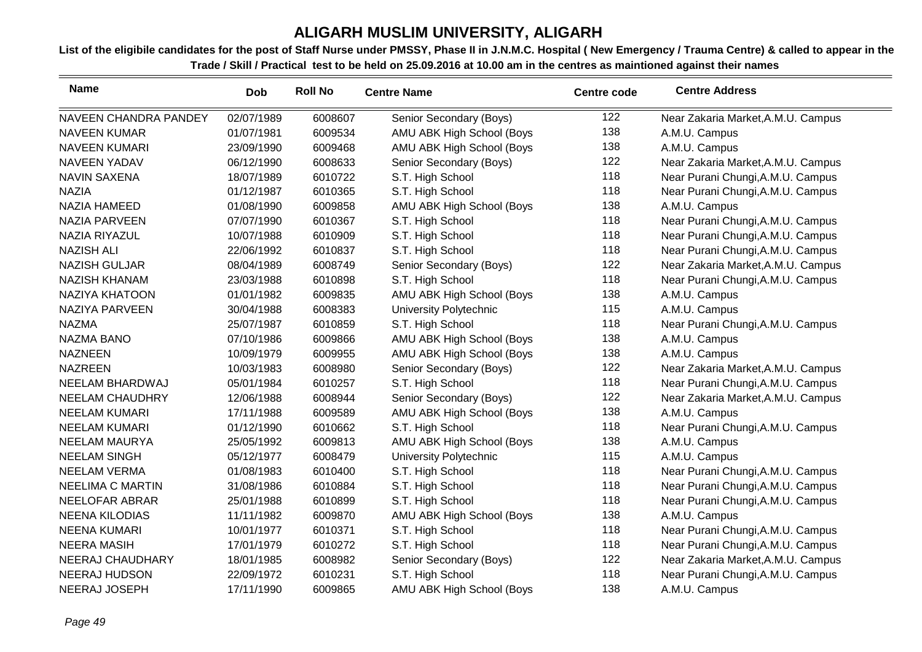| <b>Name</b>             | <b>Dob</b> | <b>Roll No</b> | <b>Centre Name</b>        | <b>Centre code</b> | <b>Centre Address</b>              |
|-------------------------|------------|----------------|---------------------------|--------------------|------------------------------------|
| NAVEEN CHANDRA PANDEY   | 02/07/1989 | 6008607        | Senior Secondary (Boys)   | 122                | Near Zakaria Market, A.M.U. Campus |
| <b>NAVEEN KUMAR</b>     | 01/07/1981 | 6009534        | AMU ABK High School (Boys | 138                | A.M.U. Campus                      |
| <b>NAVEEN KUMARI</b>    | 23/09/1990 | 6009468        | AMU ABK High School (Boys | 138                | A.M.U. Campus                      |
| <b>NAVEEN YADAV</b>     | 06/12/1990 | 6008633        | Senior Secondary (Boys)   | 122                | Near Zakaria Market, A.M.U. Campus |
| <b>NAVIN SAXENA</b>     | 18/07/1989 | 6010722        | S.T. High School          | 118                | Near Purani Chungi, A.M.U. Campus  |
| <b>NAZIA</b>            | 01/12/1987 | 6010365        | S.T. High School          | 118                | Near Purani Chungi, A.M.U. Campus  |
| <b>NAZIA HAMEED</b>     | 01/08/1990 | 6009858        | AMU ABK High School (Boys | 138                | A.M.U. Campus                      |
| <b>NAZIA PARVEEN</b>    | 07/07/1990 | 6010367        | S.T. High School          | 118                | Near Purani Chungi, A.M.U. Campus  |
| <b>NAZIA RIYAZUL</b>    | 10/07/1988 | 6010909        | S.T. High School          | 118                | Near Purani Chungi, A.M.U. Campus  |
| <b>NAZISH ALI</b>       | 22/06/1992 | 6010837        | S.T. High School          | 118                | Near Purani Chungi, A.M.U. Campus  |
| <b>NAZISH GULJAR</b>    | 08/04/1989 | 6008749        | Senior Secondary (Boys)   | 122                | Near Zakaria Market, A.M.U. Campus |
| <b>NAZISH KHANAM</b>    | 23/03/1988 | 6010898        | S.T. High School          | 118                | Near Purani Chungi, A.M.U. Campus  |
| <b>NAZIYA KHATOON</b>   | 01/01/1982 | 6009835        | AMU ABK High School (Boys | 138                | A.M.U. Campus                      |
| NAZIYA PARVEEN          | 30/04/1988 | 6008383        | University Polytechnic    | 115                | A.M.U. Campus                      |
| <b>NAZMA</b>            | 25/07/1987 | 6010859        | S.T. High School          | 118                | Near Purani Chungi, A.M.U. Campus  |
| <b>NAZMA BANO</b>       | 07/10/1986 | 6009866        | AMU ABK High School (Boys | 138                | A.M.U. Campus                      |
| <b>NAZNEEN</b>          | 10/09/1979 | 6009955        | AMU ABK High School (Boys | 138                | A.M.U. Campus                      |
| <b>NAZREEN</b>          | 10/03/1983 | 6008980        | Senior Secondary (Boys)   | 122                | Near Zakaria Market, A.M.U. Campus |
| NEELAM BHARDWAJ         | 05/01/1984 | 6010257        | S.T. High School          | 118                | Near Purani Chungi, A.M.U. Campus  |
| <b>NEELAM CHAUDHRY</b>  | 12/06/1988 | 6008944        | Senior Secondary (Boys)   | 122                | Near Zakaria Market, A.M.U. Campus |
| <b>NEELAM KUMARI</b>    | 17/11/1988 | 6009589        | AMU ABK High School (Boys | 138                | A.M.U. Campus                      |
| <b>NEELAM KUMARI</b>    | 01/12/1990 | 6010662        | S.T. High School          | 118                | Near Purani Chungi, A.M.U. Campus  |
| <b>NEELAM MAURYA</b>    | 25/05/1992 | 6009813        | AMU ABK High School (Boys | 138                | A.M.U. Campus                      |
| <b>NEELAM SINGH</b>     | 05/12/1977 | 6008479        | University Polytechnic    | 115                | A.M.U. Campus                      |
| <b>NEELAM VERMA</b>     | 01/08/1983 | 6010400        | S.T. High School          | 118                | Near Purani Chungi, A.M.U. Campus  |
| <b>NEELIMA C MARTIN</b> | 31/08/1986 | 6010884        | S.T. High School          | 118                | Near Purani Chungi, A.M.U. Campus  |
| NEELOFAR ABRAR          | 25/01/1988 | 6010899        | S.T. High School          | 118                | Near Purani Chungi, A.M.U. Campus  |
| <b>NEENA KILODIAS</b>   | 11/11/1982 | 6009870        | AMU ABK High School (Boys | 138                | A.M.U. Campus                      |
| <b>NEENA KUMARI</b>     | 10/01/1977 | 6010371        | S.T. High School          | 118                | Near Purani Chungi, A.M.U. Campus  |
| <b>NEERA MASIH</b>      | 17/01/1979 | 6010272        | S.T. High School          | 118                | Near Purani Chungi, A.M.U. Campus  |
| NEERAJ CHAUDHARY        | 18/01/1985 | 6008982        | Senior Secondary (Boys)   | 122                | Near Zakaria Market, A.M.U. Campus |
| <b>NEERAJ HUDSON</b>    | 22/09/1972 | 6010231        | S.T. High School          | 118                | Near Purani Chungi, A.M.U. Campus  |
| NEERAJ JOSEPH           | 17/11/1990 | 6009865        | AMU ABK High School (Boys | 138                | A.M.U. Campus                      |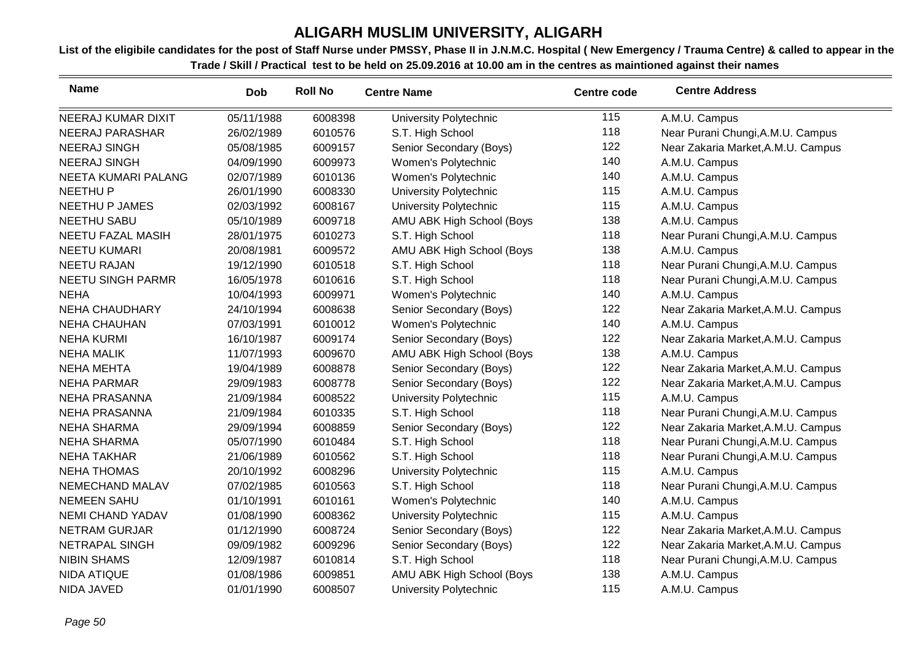| <b>Name</b>              | <b>Dob</b> | <b>Roll No</b> | <b>Centre Name</b>        | <b>Centre code</b> | <b>Centre Address</b>              |
|--------------------------|------------|----------------|---------------------------|--------------------|------------------------------------|
| NEERAJ KUMAR DIXIT       | 05/11/1988 | 6008398        | University Polytechnic    | 115                | A.M.U. Campus                      |
| NEERAJ PARASHAR          | 26/02/1989 | 6010576        | S.T. High School          | 118                | Near Purani Chungi, A.M.U. Campus  |
| <b>NEERAJ SINGH</b>      | 05/08/1985 | 6009157        | Senior Secondary (Boys)   | 122                | Near Zakaria Market, A.M.U. Campus |
| <b>NEERAJ SINGH</b>      | 04/09/1990 | 6009973        | Women's Polytechnic       | 140                | A.M.U. Campus                      |
| NEETA KUMARI PALANG      | 02/07/1989 | 6010136        | Women's Polytechnic       | 140                | A.M.U. Campus                      |
| <b>NEETHUP</b>           | 26/01/1990 | 6008330        | University Polytechnic    | 115                | A.M.U. Campus                      |
| <b>NEETHU P JAMES</b>    | 02/03/1992 | 6008167        | University Polytechnic    | 115                | A.M.U. Campus                      |
| <b>NEETHU SABU</b>       | 05/10/1989 | 6009718        | AMU ABK High School (Boys | 138                | A.M.U. Campus                      |
| NEETU FAZAL MASIH        | 28/01/1975 | 6010273        | S.T. High School          | 118                | Near Purani Chungi, A.M.U. Campus  |
| <b>NEETU KUMARI</b>      | 20/08/1981 | 6009572        | AMU ABK High School (Boys | 138                | A.M.U. Campus                      |
| <b>NEETU RAJAN</b>       | 19/12/1990 | 6010518        | S.T. High School          | 118                | Near Purani Chungi, A.M.U. Campus  |
| <b>NEETU SINGH PARMR</b> | 16/05/1978 | 6010616        | S.T. High School          | 118                | Near Purani Chungi, A.M.U. Campus  |
| <b>NEHA</b>              | 10/04/1993 | 6009971        | Women's Polytechnic       | 140                | A.M.U. Campus                      |
| <b>NEHA CHAUDHARY</b>    | 24/10/1994 | 6008638        | Senior Secondary (Boys)   | 122                | Near Zakaria Market, A.M.U. Campus |
| <b>NEHA CHAUHAN</b>      | 07/03/1991 | 6010012        | Women's Polytechnic       | 140                | A.M.U. Campus                      |
| <b>NEHA KURMI</b>        | 16/10/1987 | 6009174        | Senior Secondary (Boys)   | 122                | Near Zakaria Market, A.M.U. Campus |
| <b>NEHA MALIK</b>        | 11/07/1993 | 6009670        | AMU ABK High School (Boys | 138                | A.M.U. Campus                      |
| <b>NEHA MEHTA</b>        | 19/04/1989 | 6008878        | Senior Secondary (Boys)   | 122                | Near Zakaria Market, A.M.U. Campus |
| <b>NEHA PARMAR</b>       | 29/09/1983 | 6008778        | Senior Secondary (Boys)   | 122                | Near Zakaria Market, A.M.U. Campus |
| <b>NEHA PRASANNA</b>     | 21/09/1984 | 6008522        | University Polytechnic    | 115                | A.M.U. Campus                      |
| <b>NEHA PRASANNA</b>     | 21/09/1984 | 6010335        | S.T. High School          | 118                | Near Purani Chungi, A.M.U. Campus  |
| <b>NEHA SHARMA</b>       | 29/09/1994 | 6008859        | Senior Secondary (Boys)   | 122                | Near Zakaria Market, A.M.U. Campus |
| <b>NEHA SHARMA</b>       | 05/07/1990 | 6010484        | S.T. High School          | 118                | Near Purani Chungi, A.M.U. Campus  |
| <b>NEHA TAKHAR</b>       | 21/06/1989 | 6010562        | S.T. High School          | 118                | Near Purani Chungi, A.M.U. Campus  |
| <b>NEHA THOMAS</b>       | 20/10/1992 | 6008296        | University Polytechnic    | 115                | A.M.U. Campus                      |
| NEMECHAND MALAV          | 07/02/1985 | 6010563        | S.T. High School          | 118                | Near Purani Chungi, A.M.U. Campus  |
| <b>NEMEEN SAHU</b>       | 01/10/1991 | 6010161        | Women's Polytechnic       | 140                | A.M.U. Campus                      |
| <b>NEMI CHAND YADAV</b>  | 01/08/1990 | 6008362        | University Polytechnic    | 115                | A.M.U. Campus                      |
| <b>NETRAM GURJAR</b>     | 01/12/1990 | 6008724        | Senior Secondary (Boys)   | 122                | Near Zakaria Market, A.M.U. Campus |
| NETRAPAL SINGH           | 09/09/1982 | 6009296        | Senior Secondary (Boys)   | 122                | Near Zakaria Market, A.M.U. Campus |
| <b>NIBIN SHAMS</b>       | 12/09/1987 | 6010814        | S.T. High School          | 118                | Near Purani Chungi, A.M.U. Campus  |
| <b>NIDA ATIQUE</b>       | 01/08/1986 | 6009851        | AMU ABK High School (Boys | 138                | A.M.U. Campus                      |
| NIDA JAVED               | 01/01/1990 | 6008507        | University Polytechnic    | 115                | A.M.U. Campus                      |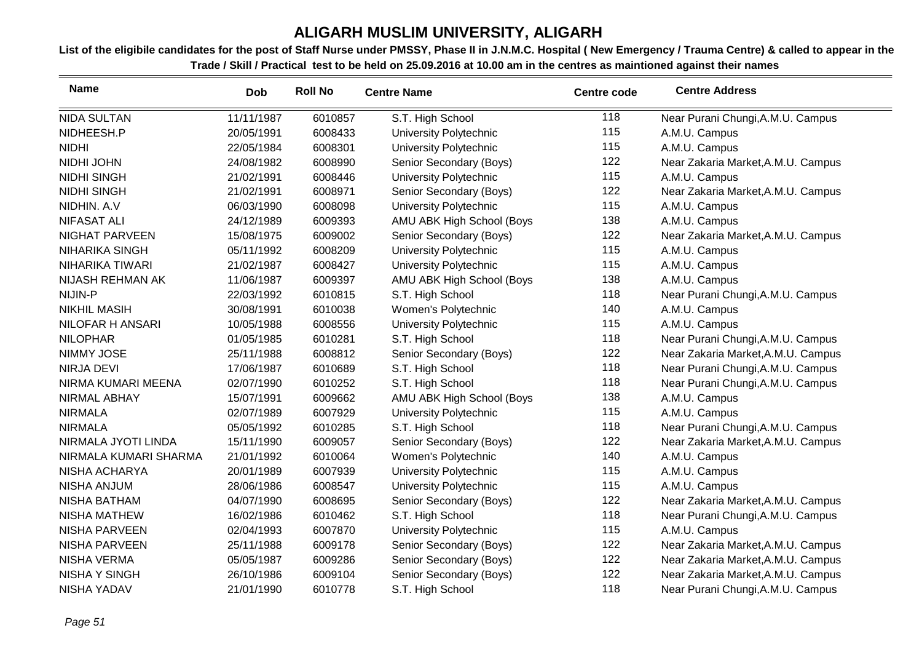| <b>Name</b>             | <b>Dob</b> | <b>Roll No</b> | <b>Centre Name</b>        | <b>Centre code</b> | <b>Centre Address</b>              |
|-------------------------|------------|----------------|---------------------------|--------------------|------------------------------------|
| <b>NIDA SULTAN</b>      | 11/11/1987 | 6010857        | S.T. High School          | 118                | Near Purani Chungi, A.M.U. Campus  |
| NIDHEESH.P              | 20/05/1991 | 6008433        | University Polytechnic    | 115                | A.M.U. Campus                      |
| <b>NIDHI</b>            | 22/05/1984 | 6008301        | University Polytechnic    | 115                | A.M.U. Campus                      |
| NIDHI JOHN              | 24/08/1982 | 6008990        | Senior Secondary (Boys)   | 122                | Near Zakaria Market, A.M.U. Campus |
| <b>NIDHI SINGH</b>      | 21/02/1991 | 6008446        | University Polytechnic    | 115                | A.M.U. Campus                      |
| <b>NIDHI SINGH</b>      | 21/02/1991 | 6008971        | Senior Secondary (Boys)   | 122                | Near Zakaria Market, A.M.U. Campus |
| NIDHIN. A.V             | 06/03/1990 | 6008098        | University Polytechnic    | 115                | A.M.U. Campus                      |
| <b>NIFASAT ALI</b>      | 24/12/1989 | 6009393        | AMU ABK High School (Boys | 138                | A.M.U. Campus                      |
| NIGHAT PARVEEN          | 15/08/1975 | 6009002        | Senior Secondary (Boys)   | 122                | Near Zakaria Market, A.M.U. Campus |
| <b>NIHARIKA SINGH</b>   | 05/11/1992 | 6008209        | University Polytechnic    | 115                | A.M.U. Campus                      |
| NIHARIKA TIWARI         | 21/02/1987 | 6008427        | University Polytechnic    | 115                | A.M.U. Campus                      |
| NIJASH REHMAN AK        | 11/06/1987 | 6009397        | AMU ABK High School (Boys | 138                | A.M.U. Campus                      |
| NIJIN-P                 | 22/03/1992 | 6010815        | S.T. High School          | 118                | Near Purani Chungi, A.M.U. Campus  |
| <b>NIKHIL MASIH</b>     | 30/08/1991 | 6010038        | Women's Polytechnic       | 140                | A.M.U. Campus                      |
| <b>NILOFAR H ANSARI</b> | 10/05/1988 | 6008556        | University Polytechnic    | 115                | A.M.U. Campus                      |
| <b>NILOPHAR</b>         | 01/05/1985 | 6010281        | S.T. High School          | 118                | Near Purani Chungi, A.M.U. Campus  |
| NIMMY JOSE              | 25/11/1988 | 6008812        | Senior Secondary (Boys)   | 122                | Near Zakaria Market, A.M.U. Campus |
| <b>NIRJA DEVI</b>       | 17/06/1987 | 6010689        | S.T. High School          | 118                | Near Purani Chungi, A.M.U. Campus  |
| NIRMA KUMARI MEENA      | 02/07/1990 | 6010252        | S.T. High School          | 118                | Near Purani Chungi, A.M.U. Campus  |
| <b>NIRMAL ABHAY</b>     | 15/07/1991 | 6009662        | AMU ABK High School (Boys | 138                | A.M.U. Campus                      |
| <b>NIRMALA</b>          | 02/07/1989 | 6007929        | University Polytechnic    | 115                | A.M.U. Campus                      |
| <b>NIRMALA</b>          | 05/05/1992 | 6010285        | S.T. High School          | 118                | Near Purani Chungi, A.M.U. Campus  |
| NIRMALA JYOTI LINDA     | 15/11/1990 | 6009057        | Senior Secondary (Boys)   | 122                | Near Zakaria Market, A.M.U. Campus |
| NIRMALA KUMARI SHARMA   | 21/01/1992 | 6010064        | Women's Polytechnic       | 140                | A.M.U. Campus                      |
| NISHA ACHARYA           | 20/01/1989 | 6007939        | University Polytechnic    | 115                | A.M.U. Campus                      |
| <b>NISHA ANJUM</b>      | 28/06/1986 | 6008547        | University Polytechnic    | 115                | A.M.U. Campus                      |
| <b>NISHA BATHAM</b>     | 04/07/1990 | 6008695        | Senior Secondary (Boys)   | 122                | Near Zakaria Market, A.M.U. Campus |
| <b>NISHA MATHEW</b>     | 16/02/1986 | 6010462        | S.T. High School          | 118                | Near Purani Chungi, A.M.U. Campus  |
| <b>NISHA PARVEEN</b>    | 02/04/1993 | 6007870        | University Polytechnic    | 115                | A.M.U. Campus                      |
| <b>NISHA PARVEEN</b>    | 25/11/1988 | 6009178        | Senior Secondary (Boys)   | 122                | Near Zakaria Market, A.M.U. Campus |
| <b>NISHA VERMA</b>      | 05/05/1987 | 6009286        | Senior Secondary (Boys)   | 122                | Near Zakaria Market, A.M.U. Campus |
| <b>NISHA Y SINGH</b>    | 26/10/1986 | 6009104        | Senior Secondary (Boys)   | 122                | Near Zakaria Market, A.M.U. Campus |
| <b>NISHA YADAV</b>      | 21/01/1990 | 6010778        | S.T. High School          | 118                | Near Purani Chungi, A.M.U. Campus  |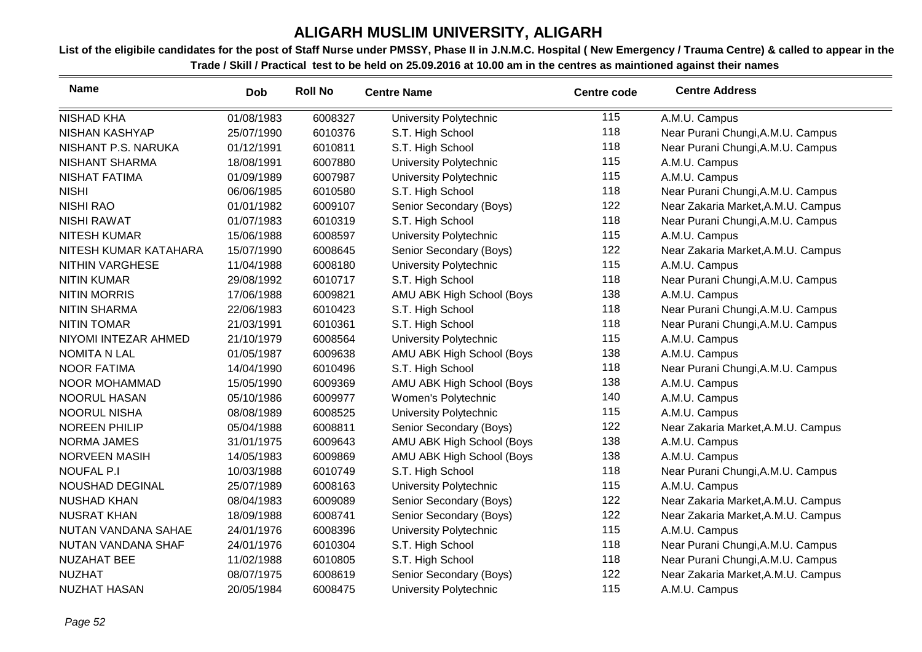| <b>Name</b>            | Dob        | <b>Roll No</b> | <b>Centre Name</b>        | <b>Centre code</b> | <b>Centre Address</b>              |
|------------------------|------------|----------------|---------------------------|--------------------|------------------------------------|
| <b>NISHAD KHA</b>      | 01/08/1983 | 6008327        | University Polytechnic    | 115                | A.M.U. Campus                      |
| <b>NISHAN KASHYAP</b>  | 25/07/1990 | 6010376        | S.T. High School          | 118                | Near Purani Chungi, A.M.U. Campus  |
| NISHANT P.S. NARUKA    | 01/12/1991 | 6010811        | S.T. High School          | 118                | Near Purani Chungi, A.M.U. Campus  |
| <b>NISHANT SHARMA</b>  | 18/08/1991 | 6007880        | University Polytechnic    | 115                | A.M.U. Campus                      |
| <b>NISHAT FATIMA</b>   | 01/09/1989 | 6007987        | University Polytechnic    | 115                | A.M.U. Campus                      |
| <b>NISHI</b>           | 06/06/1985 | 6010580        | S.T. High School          | 118                | Near Purani Chungi, A.M.U. Campus  |
| <b>NISHI RAO</b>       | 01/01/1982 | 6009107        | Senior Secondary (Boys)   | 122                | Near Zakaria Market, A.M.U. Campus |
| <b>NISHI RAWAT</b>     | 01/07/1983 | 6010319        | S.T. High School          | 118                | Near Purani Chungi, A.M.U. Campus  |
| <b>NITESH KUMAR</b>    | 15/06/1988 | 6008597        | University Polytechnic    | 115                | A.M.U. Campus                      |
| NITESH KUMAR KATAHARA  | 15/07/1990 | 6008645        | Senior Secondary (Boys)   | 122                | Near Zakaria Market, A.M.U. Campus |
| <b>NITHIN VARGHESE</b> | 11/04/1988 | 6008180        | University Polytechnic    | 115                | A.M.U. Campus                      |
| <b>NITIN KUMAR</b>     | 29/08/1992 | 6010717        | S.T. High School          | 118                | Near Purani Chungi, A.M.U. Campus  |
| <b>NITIN MORRIS</b>    | 17/06/1988 | 6009821        | AMU ABK High School (Boys | 138                | A.M.U. Campus                      |
| <b>NITIN SHARMA</b>    | 22/06/1983 | 6010423        | S.T. High School          | 118                | Near Purani Chungi, A.M.U. Campus  |
| <b>NITIN TOMAR</b>     | 21/03/1991 | 6010361        | S.T. High School          | 118                | Near Purani Chungi, A.M.U. Campus  |
| NIYOMI INTEZAR AHMED   | 21/10/1979 | 6008564        | University Polytechnic    | 115                | A.M.U. Campus                      |
| <b>NOMITA N LAL</b>    | 01/05/1987 | 6009638        | AMU ABK High School (Boys | 138                | A.M.U. Campus                      |
| <b>NOOR FATIMA</b>     | 14/04/1990 | 6010496        | S.T. High School          | 118                | Near Purani Chungi, A.M.U. Campus  |
| NOOR MOHAMMAD          | 15/05/1990 | 6009369        | AMU ABK High School (Boys | 138                | A.M.U. Campus                      |
| <b>NOORUL HASAN</b>    | 05/10/1986 | 6009977        | Women's Polytechnic       | 140                | A.M.U. Campus                      |
| <b>NOORUL NISHA</b>    | 08/08/1989 | 6008525        | University Polytechnic    | 115                | A.M.U. Campus                      |
| <b>NOREEN PHILIP</b>   | 05/04/1988 | 6008811        | Senior Secondary (Boys)   | 122                | Near Zakaria Market, A.M.U. Campus |
| <b>NORMA JAMES</b>     | 31/01/1975 | 6009643        | AMU ABK High School (Boys | 138                | A.M.U. Campus                      |
| <b>NORVEEN MASIH</b>   | 14/05/1983 | 6009869        | AMU ABK High School (Boys | 138                | A.M.U. Campus                      |
| <b>NOUFAL P.I</b>      | 10/03/1988 | 6010749        | S.T. High School          | 118                | Near Purani Chungi, A.M.U. Campus  |
| NOUSHAD DEGINAL        | 25/07/1989 | 6008163        | University Polytechnic    | 115                | A.M.U. Campus                      |
| <b>NUSHAD KHAN</b>     | 08/04/1983 | 6009089        | Senior Secondary (Boys)   | 122                | Near Zakaria Market, A.M.U. Campus |
| <b>NUSRAT KHAN</b>     | 18/09/1988 | 6008741        | Senior Secondary (Boys)   | 122                | Near Zakaria Market, A.M.U. Campus |
| NUTAN VANDANA SAHAE    | 24/01/1976 | 6008396        | University Polytechnic    | 115                | A.M.U. Campus                      |
| NUTAN VANDANA SHAF     | 24/01/1976 | 6010304        | S.T. High School          | 118                | Near Purani Chungi, A.M.U. Campus  |
| <b>NUZAHAT BEE</b>     | 11/02/1988 | 6010805        | S.T. High School          | 118                | Near Purani Chungi, A.M.U. Campus  |
| <b>NUZHAT</b>          | 08/07/1975 | 6008619        | Senior Secondary (Boys)   | 122                | Near Zakaria Market, A.M.U. Campus |
| <b>NUZHAT HASAN</b>    | 20/05/1984 | 6008475        | University Polytechnic    | 115                | A.M.U. Campus                      |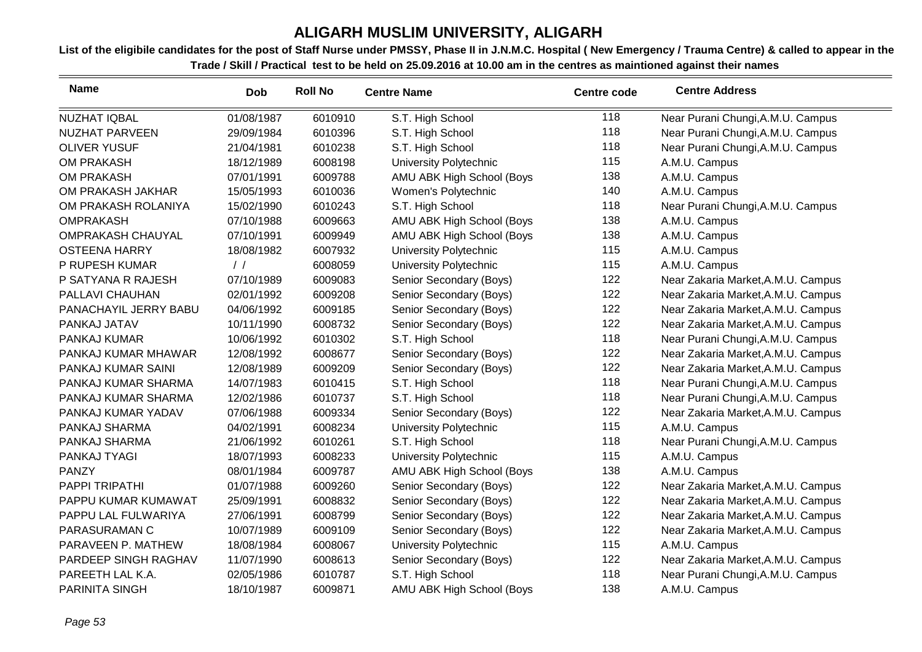| <b>Name</b>              | <b>Dob</b>    | <b>Roll No</b> | <b>Centre Name</b>        | <b>Centre code</b> | <b>Centre Address</b>              |
|--------------------------|---------------|----------------|---------------------------|--------------------|------------------------------------|
| NUZHAT IQBAL             | 01/08/1987    | 6010910        | S.T. High School          | 118                | Near Purani Chungi, A.M.U. Campus  |
| <b>NUZHAT PARVEEN</b>    | 29/09/1984    | 6010396        | S.T. High School          | 118                | Near Purani Chungi, A.M.U. Campus  |
| <b>OLIVER YUSUF</b>      | 21/04/1981    | 6010238        | S.T. High School          | 118                | Near Purani Chungi, A.M.U. Campus  |
| <b>OM PRAKASH</b>        | 18/12/1989    | 6008198        | University Polytechnic    | 115                | A.M.U. Campus                      |
| OM PRAKASH               | 07/01/1991    | 6009788        | AMU ABK High School (Boys | 138                | A.M.U. Campus                      |
| OM PRAKASH JAKHAR        | 15/05/1993    | 6010036        | Women's Polytechnic       | 140                | A.M.U. Campus                      |
| OM PRAKASH ROLANIYA      | 15/02/1990    | 6010243        | S.T. High School          | 118                | Near Purani Chungi, A.M.U. Campus  |
| <b>OMPRAKASH</b>         | 07/10/1988    | 6009663        | AMU ABK High School (Boys | 138                | A.M.U. Campus                      |
| <b>OMPRAKASH CHAUYAL</b> | 07/10/1991    | 6009949        | AMU ABK High School (Boys | 138                | A.M.U. Campus                      |
| <b>OSTEENA HARRY</b>     | 18/08/1982    | 6007932        | University Polytechnic    | 115                | A.M.U. Campus                      |
| P RUPESH KUMAR           | $\frac{1}{2}$ | 6008059        | University Polytechnic    | 115                | A.M.U. Campus                      |
| P SATYANA R RAJESH       | 07/10/1989    | 6009083        | Senior Secondary (Boys)   | 122                | Near Zakaria Market, A.M.U. Campus |
| PALLAVI CHAUHAN          | 02/01/1992    | 6009208        | Senior Secondary (Boys)   | 122                | Near Zakaria Market, A.M.U. Campus |
| PANACHAYIL JERRY BABU    | 04/06/1992    | 6009185        | Senior Secondary (Boys)   | 122                | Near Zakaria Market, A.M.U. Campus |
| PANKAJ JATAV             | 10/11/1990    | 6008732        | Senior Secondary (Boys)   | 122                | Near Zakaria Market, A.M.U. Campus |
| PANKAJ KUMAR             | 10/06/1992    | 6010302        | S.T. High School          | 118                | Near Purani Chungi, A.M.U. Campus  |
| PANKAJ KUMAR MHAWAR      | 12/08/1992    | 6008677        | Senior Secondary (Boys)   | 122                | Near Zakaria Market, A.M.U. Campus |
| PANKAJ KUMAR SAINI       | 12/08/1989    | 6009209        | Senior Secondary (Boys)   | 122                | Near Zakaria Market, A.M.U. Campus |
| PANKAJ KUMAR SHARMA      | 14/07/1983    | 6010415        | S.T. High School          | 118                | Near Purani Chungi, A.M.U. Campus  |
| PANKAJ KUMAR SHARMA      | 12/02/1986    | 6010737        | S.T. High School          | 118                | Near Purani Chungi, A.M.U. Campus  |
| PANKAJ KUMAR YADAV       | 07/06/1988    | 6009334        | Senior Secondary (Boys)   | 122                | Near Zakaria Market, A.M.U. Campus |
| PANKAJ SHARMA            | 04/02/1991    | 6008234        | University Polytechnic    | 115                | A.M.U. Campus                      |
| PANKAJ SHARMA            | 21/06/1992    | 6010261        | S.T. High School          | 118                | Near Purani Chungi, A.M.U. Campus  |
| PANKAJ TYAGI             | 18/07/1993    | 6008233        | University Polytechnic    | 115                | A.M.U. Campus                      |
| <b>PANZY</b>             | 08/01/1984    | 6009787        | AMU ABK High School (Boys | 138                | A.M.U. Campus                      |
| PAPPI TRIPATHI           | 01/07/1988    | 6009260        | Senior Secondary (Boys)   | 122                | Near Zakaria Market, A.M.U. Campus |
| PAPPU KUMAR KUMAWAT      | 25/09/1991    | 6008832        | Senior Secondary (Boys)   | 122                | Near Zakaria Market, A.M.U. Campus |
| PAPPU LAL FULWARIYA      | 27/06/1991    | 6008799        | Senior Secondary (Boys)   | 122                | Near Zakaria Market, A.M.U. Campus |
| PARASURAMAN C            | 10/07/1989    | 6009109        | Senior Secondary (Boys)   | 122                | Near Zakaria Market, A.M.U. Campus |
| PARAVEEN P. MATHEW       | 18/08/1984    | 6008067        | University Polytechnic    | 115                | A.M.U. Campus                      |
| PARDEEP SINGH RAGHAV     | 11/07/1990    | 6008613        | Senior Secondary (Boys)   | 122                | Near Zakaria Market, A.M.U. Campus |
| PAREETH LAL K.A.         | 02/05/1986    | 6010787        | S.T. High School          | 118                | Near Purani Chungi, A.M.U. Campus  |
| PARINITA SINGH           | 18/10/1987    | 6009871        | AMU ABK High School (Boys | 138                | A.M.U. Campus                      |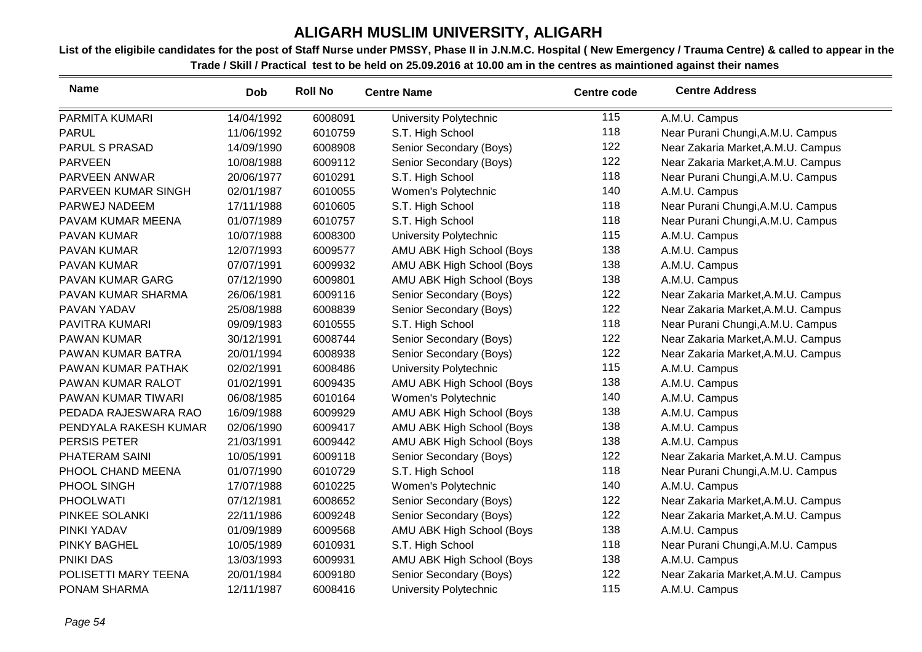| <b>Name</b>           | <b>Dob</b> | <b>Roll No</b> | <b>Centre Name</b>        | <b>Centre code</b> | <b>Centre Address</b>              |
|-----------------------|------------|----------------|---------------------------|--------------------|------------------------------------|
| PARMITA KUMARI        | 14/04/1992 | 6008091        | University Polytechnic    | 115                | A.M.U. Campus                      |
| <b>PARUL</b>          | 11/06/1992 | 6010759        | S.T. High School          | 118                | Near Purani Chungi, A.M.U. Campus  |
| <b>PARUL S PRASAD</b> | 14/09/1990 | 6008908        | Senior Secondary (Boys)   | 122                | Near Zakaria Market, A.M.U. Campus |
| <b>PARVEEN</b>        | 10/08/1988 | 6009112        | Senior Secondary (Boys)   | 122                | Near Zakaria Market, A.M.U. Campus |
| PARVEEN ANWAR         | 20/06/1977 | 6010291        | S.T. High School          | 118                | Near Purani Chungi, A.M.U. Campus  |
| PARVEEN KUMAR SINGH   | 02/01/1987 | 6010055        | Women's Polytechnic       | 140                | A.M.U. Campus                      |
| PARWEJ NADEEM         | 17/11/1988 | 6010605        | S.T. High School          | 118                | Near Purani Chungi, A.M.U. Campus  |
| PAVAM KUMAR MEENA     | 01/07/1989 | 6010757        | S.T. High School          | 118                | Near Purani Chungi, A.M.U. Campus  |
| PAVAN KUMAR           | 10/07/1988 | 6008300        | University Polytechnic    | 115                | A.M.U. Campus                      |
| <b>PAVAN KUMAR</b>    | 12/07/1993 | 6009577        | AMU ABK High School (Boys | 138                | A.M.U. Campus                      |
| <b>PAVAN KUMAR</b>    | 07/07/1991 | 6009932        | AMU ABK High School (Boys | 138                | A.M.U. Campus                      |
| PAVAN KUMAR GARG      | 07/12/1990 | 6009801        | AMU ABK High School (Boys | 138                | A.M.U. Campus                      |
| PAVAN KUMAR SHARMA    | 26/06/1981 | 6009116        | Senior Secondary (Boys)   | 122                | Near Zakaria Market, A.M.U. Campus |
| PAVAN YADAV           | 25/08/1988 | 6008839        | Senior Secondary (Boys)   | 122                | Near Zakaria Market, A.M.U. Campus |
| PAVITRA KUMARI        | 09/09/1983 | 6010555        | S.T. High School          | 118                | Near Purani Chungi, A.M.U. Campus  |
| <b>PAWAN KUMAR</b>    | 30/12/1991 | 6008744        | Senior Secondary (Boys)   | 122                | Near Zakaria Market, A.M.U. Campus |
| PAWAN KUMAR BATRA     | 20/01/1994 | 6008938        | Senior Secondary (Boys)   | 122                | Near Zakaria Market, A.M.U. Campus |
| PAWAN KUMAR PATHAK    | 02/02/1991 | 6008486        | University Polytechnic    | 115                | A.M.U. Campus                      |
| PAWAN KUMAR RALOT     | 01/02/1991 | 6009435        | AMU ABK High School (Boys | 138                | A.M.U. Campus                      |
| PAWAN KUMAR TIWARI    | 06/08/1985 | 6010164        | Women's Polytechnic       | 140                | A.M.U. Campus                      |
| PEDADA RAJESWARA RAO  | 16/09/1988 | 6009929        | AMU ABK High School (Boys | 138                | A.M.U. Campus                      |
| PENDYALA RAKESH KUMAR | 02/06/1990 | 6009417        | AMU ABK High School (Boys | 138                | A.M.U. Campus                      |
| PERSIS PETER          | 21/03/1991 | 6009442        | AMU ABK High School (Boys | 138                | A.M.U. Campus                      |
| PHATERAM SAINI        | 10/05/1991 | 6009118        | Senior Secondary (Boys)   | 122                | Near Zakaria Market, A.M.U. Campus |
| PHOOL CHAND MEENA     | 01/07/1990 | 6010729        | S.T. High School          | 118                | Near Purani Chungi, A.M.U. Campus  |
| PHOOL SINGH           | 17/07/1988 | 6010225        | Women's Polytechnic       | 140                | A.M.U. Campus                      |
| <b>PHOOLWATI</b>      | 07/12/1981 | 6008652        | Senior Secondary (Boys)   | 122                | Near Zakaria Market, A.M.U. Campus |
| PINKEE SOLANKI        | 22/11/1986 | 6009248        | Senior Secondary (Boys)   | 122                | Near Zakaria Market, A.M.U. Campus |
| PINKI YADAV           | 01/09/1989 | 6009568        | AMU ABK High School (Boys | 138                | A.M.U. Campus                      |
| PINKY BAGHEL          | 10/05/1989 | 6010931        | S.T. High School          | 118                | Near Purani Chungi, A.M.U. Campus  |
| PNIKI DAS             | 13/03/1993 | 6009931        | AMU ABK High School (Boys | 138                | A.M.U. Campus                      |
| POLISETTI MARY TEENA  | 20/01/1984 | 6009180        | Senior Secondary (Boys)   | 122                | Near Zakaria Market, A.M.U. Campus |
| PONAM SHARMA          | 12/11/1987 | 6008416        | University Polytechnic    | 115                | A.M.U. Campus                      |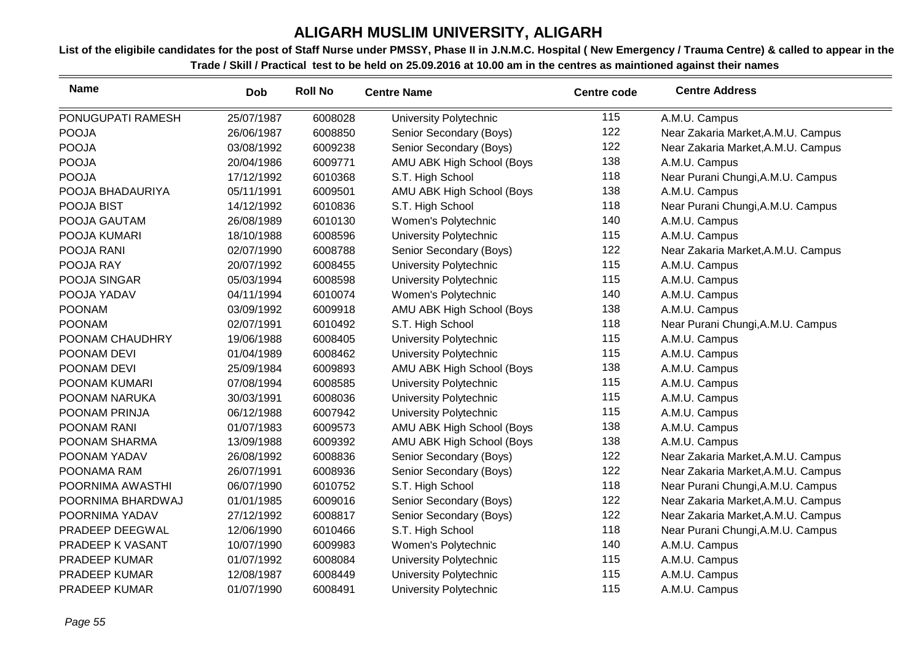| <b>Name</b>       | <b>Dob</b> | <b>Roll No</b> | <b>Centre Name</b>        | <b>Centre code</b> | <b>Centre Address</b>              |
|-------------------|------------|----------------|---------------------------|--------------------|------------------------------------|
| PONUGUPATI RAMESH | 25/07/1987 | 6008028        | University Polytechnic    | 115                | A.M.U. Campus                      |
| <b>POOJA</b>      | 26/06/1987 | 6008850        | Senior Secondary (Boys)   | 122                | Near Zakaria Market, A.M.U. Campus |
| <b>POOJA</b>      | 03/08/1992 | 6009238        | Senior Secondary (Boys)   | 122                | Near Zakaria Market, A.M.U. Campus |
| <b>POOJA</b>      | 20/04/1986 | 6009771        | AMU ABK High School (Boys | 138                | A.M.U. Campus                      |
| <b>POOJA</b>      | 17/12/1992 | 6010368        | S.T. High School          | 118                | Near Purani Chungi, A.M.U. Campus  |
| POOJA BHADAURIYA  | 05/11/1991 | 6009501        | AMU ABK High School (Boys | 138                | A.M.U. Campus                      |
| POOJA BIST        | 14/12/1992 | 6010836        | S.T. High School          | 118                | Near Purani Chungi, A.M.U. Campus  |
| POOJA GAUTAM      | 26/08/1989 | 6010130        | Women's Polytechnic       | 140                | A.M.U. Campus                      |
| POOJA KUMARI      | 18/10/1988 | 6008596        | University Polytechnic    | 115                | A.M.U. Campus                      |
| POOJA RANI        | 02/07/1990 | 6008788        | Senior Secondary (Boys)   | 122                | Near Zakaria Market, A.M.U. Campus |
| POOJA RAY         | 20/07/1992 | 6008455        | University Polytechnic    | 115                | A.M.U. Campus                      |
| POOJA SINGAR      | 05/03/1994 | 6008598        | University Polytechnic    | 115                | A.M.U. Campus                      |
| POOJA YADAV       | 04/11/1994 | 6010074        | Women's Polytechnic       | 140                | A.M.U. Campus                      |
| <b>POONAM</b>     | 03/09/1992 | 6009918        | AMU ABK High School (Boys | 138                | A.M.U. Campus                      |
| <b>POONAM</b>     | 02/07/1991 | 6010492        | S.T. High School          | 118                | Near Purani Chungi, A.M.U. Campus  |
| POONAM CHAUDHRY   | 19/06/1988 | 6008405        | University Polytechnic    | 115                | A.M.U. Campus                      |
| POONAM DEVI       | 01/04/1989 | 6008462        | University Polytechnic    | 115                | A.M.U. Campus                      |
| POONAM DEVI       | 25/09/1984 | 6009893        | AMU ABK High School (Boys | 138                | A.M.U. Campus                      |
| POONAM KUMARI     | 07/08/1994 | 6008585        | University Polytechnic    | 115                | A.M.U. Campus                      |
| POONAM NARUKA     | 30/03/1991 | 6008036        | University Polytechnic    | 115                | A.M.U. Campus                      |
| POONAM PRINJA     | 06/12/1988 | 6007942        | University Polytechnic    | 115                | A.M.U. Campus                      |
| POONAM RANI       | 01/07/1983 | 6009573        | AMU ABK High School (Boys | 138                | A.M.U. Campus                      |
| POONAM SHARMA     | 13/09/1988 | 6009392        | AMU ABK High School (Boys | 138                | A.M.U. Campus                      |
| POONAM YADAV      | 26/08/1992 | 6008836        | Senior Secondary (Boys)   | 122                | Near Zakaria Market, A.M.U. Campus |
| POONAMA RAM       | 26/07/1991 | 6008936        | Senior Secondary (Boys)   | 122                | Near Zakaria Market, A.M.U. Campus |
| POORNIMA AWASTHI  | 06/07/1990 | 6010752        | S.T. High School          | 118                | Near Purani Chungi, A.M.U. Campus  |
| POORNIMA BHARDWAJ | 01/01/1985 | 6009016        | Senior Secondary (Boys)   | 122                | Near Zakaria Market, A.M.U. Campus |
| POORNIMA YADAV    | 27/12/1992 | 6008817        | Senior Secondary (Boys)   | 122                | Near Zakaria Market, A.M.U. Campus |
| PRADEEP DEEGWAL   | 12/06/1990 | 6010466        | S.T. High School          | 118                | Near Purani Chungi, A.M.U. Campus  |
| PRADEEP K VASANT  | 10/07/1990 | 6009983        | Women's Polytechnic       | 140                | A.M.U. Campus                      |
| PRADEEP KUMAR     | 01/07/1992 | 6008084        | University Polytechnic    | 115                | A.M.U. Campus                      |
| PRADEEP KUMAR     | 12/08/1987 | 6008449        | University Polytechnic    | 115                | A.M.U. Campus                      |
| PRADEEP KUMAR     | 01/07/1990 | 6008491        | University Polytechnic    | 115                | A.M.U. Campus                      |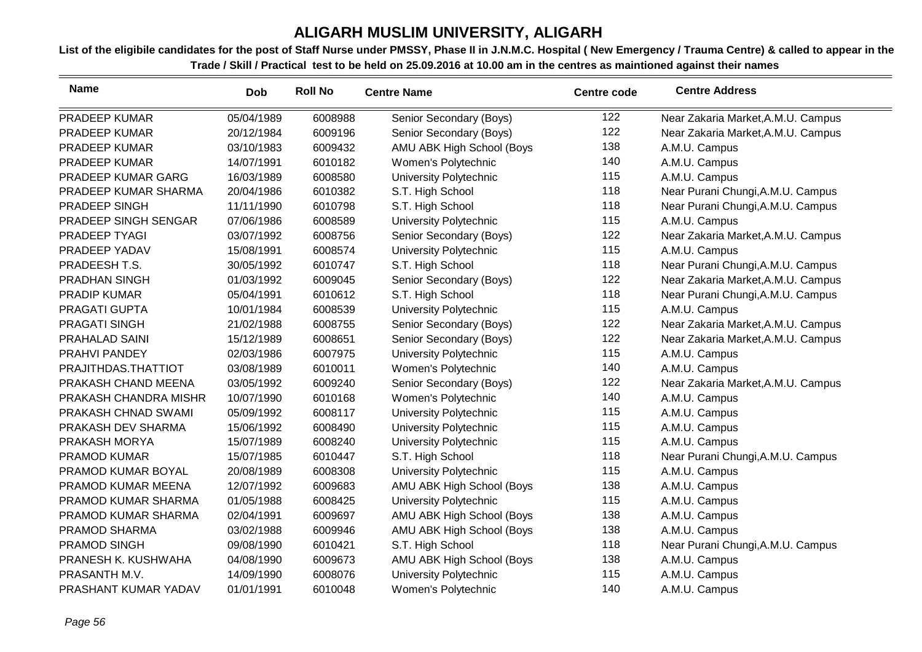| <b>Name</b>           | Dob        | <b>Roll No</b> | <b>Centre Name</b>            | <b>Centre code</b> | <b>Centre Address</b>              |
|-----------------------|------------|----------------|-------------------------------|--------------------|------------------------------------|
| PRADEEP KUMAR         | 05/04/1989 | 6008988        | Senior Secondary (Boys)       | 122                | Near Zakaria Market, A.M.U. Campus |
| PRADEEP KUMAR         | 20/12/1984 | 6009196        | Senior Secondary (Boys)       | 122                | Near Zakaria Market, A.M.U. Campus |
| PRADEEP KUMAR         | 03/10/1983 | 6009432        | AMU ABK High School (Boys     | 138                | A.M.U. Campus                      |
| PRADEEP KUMAR         | 14/07/1991 | 6010182        | Women's Polytechnic           | 140                | A.M.U. Campus                      |
| PRADEEP KUMAR GARG    | 16/03/1989 | 6008580        | University Polytechnic        | 115                | A.M.U. Campus                      |
| PRADEEP KUMAR SHARMA  | 20/04/1986 | 6010382        | S.T. High School              | 118                | Near Purani Chungi, A.M.U. Campus  |
| PRADEEP SINGH         | 11/11/1990 | 6010798        | S.T. High School              | 118                | Near Purani Chungi, A.M.U. Campus  |
| PRADEEP SINGH SENGAR  | 07/06/1986 | 6008589        | University Polytechnic        | 115                | A.M.U. Campus                      |
| PRADEEP TYAGI         | 03/07/1992 | 6008756        | Senior Secondary (Boys)       | 122                | Near Zakaria Market, A.M.U. Campus |
| PRADEEP YADAV         | 15/08/1991 | 6008574        | University Polytechnic        | 115                | A.M.U. Campus                      |
| PRADEESH T.S.         | 30/05/1992 | 6010747        | S.T. High School              | 118                | Near Purani Chungi, A.M.U. Campus  |
| <b>PRADHAN SINGH</b>  | 01/03/1992 | 6009045        | Senior Secondary (Boys)       | 122                | Near Zakaria Market, A.M.U. Campus |
| <b>PRADIP KUMAR</b>   | 05/04/1991 | 6010612        | S.T. High School              | 118                | Near Purani Chungi, A.M.U. Campus  |
| PRAGATI GUPTA         | 10/01/1984 | 6008539        | University Polytechnic        | 115                | A.M.U. Campus                      |
| PRAGATI SINGH         | 21/02/1988 | 6008755        | Senior Secondary (Boys)       | 122                | Near Zakaria Market, A.M.U. Campus |
| <b>PRAHALAD SAINI</b> | 15/12/1989 | 6008651        | Senior Secondary (Boys)       | 122                | Near Zakaria Market, A.M.U. Campus |
| PRAHVI PANDEY         | 02/03/1986 | 6007975        | University Polytechnic        | 115                | A.M.U. Campus                      |
| PRAJITHDAS.THATTIOT   | 03/08/1989 | 6010011        | Women's Polytechnic           | 140                | A.M.U. Campus                      |
| PRAKASH CHAND MEENA   | 03/05/1992 | 6009240        | Senior Secondary (Boys)       | 122                | Near Zakaria Market, A.M.U. Campus |
| PRAKASH CHANDRA MISHR | 10/07/1990 | 6010168        | Women's Polytechnic           | 140                | A.M.U. Campus                      |
| PRAKASH CHNAD SWAMI   | 05/09/1992 | 6008117        | University Polytechnic        | 115                | A.M.U. Campus                      |
| PRAKASH DEV SHARMA    | 15/06/1992 | 6008490        | University Polytechnic        | 115                | A.M.U. Campus                      |
| PRAKASH MORYA         | 15/07/1989 | 6008240        | University Polytechnic        | 115                | A.M.U. Campus                      |
| <b>PRAMOD KUMAR</b>   | 15/07/1985 | 6010447        | S.T. High School              | 118                | Near Purani Chungi, A.M.U. Campus  |
| PRAMOD KUMAR BOYAL    | 20/08/1989 | 6008308        | <b>University Polytechnic</b> | 115                | A.M.U. Campus                      |
| PRAMOD KUMAR MEENA    | 12/07/1992 | 6009683        | AMU ABK High School (Boys     | 138                | A.M.U. Campus                      |
| PRAMOD KUMAR SHARMA   | 01/05/1988 | 6008425        | University Polytechnic        | 115                | A.M.U. Campus                      |
| PRAMOD KUMAR SHARMA   | 02/04/1991 | 6009697        | AMU ABK High School (Boys     | 138                | A.M.U. Campus                      |
| PRAMOD SHARMA         | 03/02/1988 | 6009946        | AMU ABK High School (Boys     | 138                | A.M.U. Campus                      |
| PRAMOD SINGH          | 09/08/1990 | 6010421        | S.T. High School              | 118                | Near Purani Chungi, A.M.U. Campus  |
| PRANESH K. KUSHWAHA   | 04/08/1990 | 6009673        | AMU ABK High School (Boys     | 138                | A.M.U. Campus                      |
| PRASANTH M.V.         | 14/09/1990 | 6008076        | <b>University Polytechnic</b> | 115                | A.M.U. Campus                      |
| PRASHANT KUMAR YADAV  | 01/01/1991 | 6010048        | Women's Polytechnic           | 140                | A.M.U. Campus                      |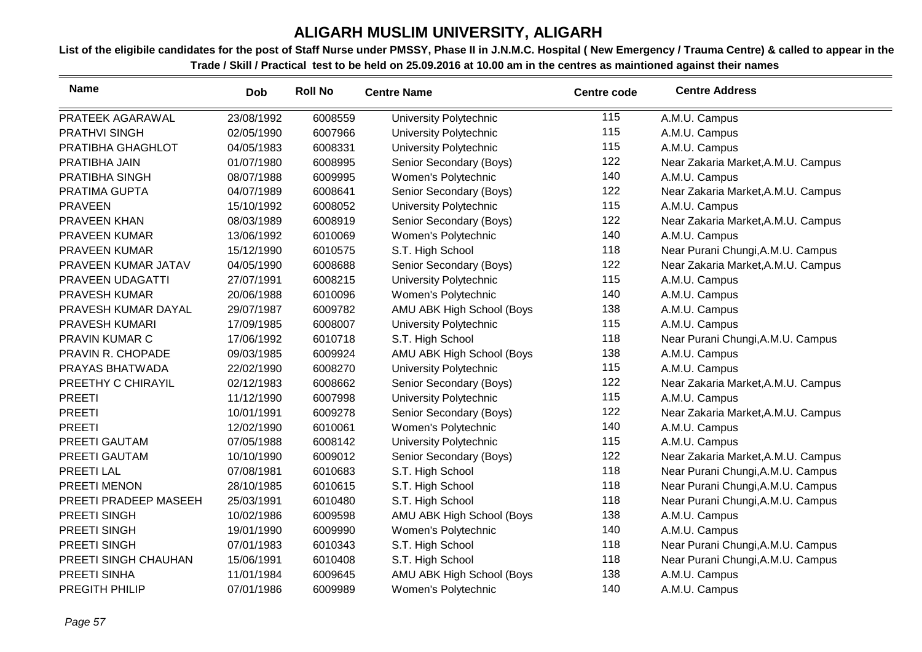| <b>Name</b>           | <b>Dob</b> | <b>Roll No</b> | <b>Centre Name</b>        | <b>Centre code</b> | <b>Centre Address</b>              |
|-----------------------|------------|----------------|---------------------------|--------------------|------------------------------------|
| PRATEEK AGARAWAL      | 23/08/1992 | 6008559        | University Polytechnic    | 115                | A.M.U. Campus                      |
| <b>PRATHVI SINGH</b>  | 02/05/1990 | 6007966        | University Polytechnic    | 115                | A.M.U. Campus                      |
| PRATIBHA GHAGHLOT     | 04/05/1983 | 6008331        | University Polytechnic    | 115                | A.M.U. Campus                      |
| PRATIBHA JAIN         | 01/07/1980 | 6008995        | Senior Secondary (Boys)   | 122                | Near Zakaria Market, A.M.U. Campus |
| PRATIBHA SINGH        | 08/07/1988 | 6009995        | Women's Polytechnic       | 140                | A.M.U. Campus                      |
| PRATIMA GUPTA         | 04/07/1989 | 6008641        | Senior Secondary (Boys)   | 122                | Near Zakaria Market, A.M.U. Campus |
| <b>PRAVEEN</b>        | 15/10/1992 | 6008052        | University Polytechnic    | 115                | A.M.U. Campus                      |
| PRAVEEN KHAN          | 08/03/1989 | 6008919        | Senior Secondary (Boys)   | 122                | Near Zakaria Market, A.M.U. Campus |
| <b>PRAVEEN KUMAR</b>  | 13/06/1992 | 6010069        | Women's Polytechnic       | 140                | A.M.U. Campus                      |
| <b>PRAVEEN KUMAR</b>  | 15/12/1990 | 6010575        | S.T. High School          | 118                | Near Purani Chungi, A.M.U. Campus  |
| PRAVEEN KUMAR JATAV   | 04/05/1990 | 6008688        | Senior Secondary (Boys)   | 122                | Near Zakaria Market, A.M.U. Campus |
| PRAVEEN UDAGATTI      | 27/07/1991 | 6008215        | University Polytechnic    | 115                | A.M.U. Campus                      |
| <b>PRAVESH KUMAR</b>  | 20/06/1988 | 6010096        | Women's Polytechnic       | 140                | A.M.U. Campus                      |
| PRAVESH KUMAR DAYAL   | 29/07/1987 | 6009782        | AMU ABK High School (Boys | 138                | A.M.U. Campus                      |
| <b>PRAVESH KUMARI</b> | 17/09/1985 | 6008007        | University Polytechnic    | 115                | A.M.U. Campus                      |
| <b>PRAVIN KUMAR C</b> | 17/06/1992 | 6010718        | S.T. High School          | 118                | Near Purani Chungi, A.M.U. Campus  |
| PRAVIN R. CHOPADE     | 09/03/1985 | 6009924        | AMU ABK High School (Boys | 138                | A.M.U. Campus                      |
| PRAYAS BHATWADA       | 22/02/1990 | 6008270        | University Polytechnic    | 115                | A.M.U. Campus                      |
| PREETHY C CHIRAYIL    | 02/12/1983 | 6008662        | Senior Secondary (Boys)   | 122                | Near Zakaria Market, A.M.U. Campus |
| <b>PREETI</b>         | 11/12/1990 | 6007998        | University Polytechnic    | 115                | A.M.U. Campus                      |
| <b>PREETI</b>         | 10/01/1991 | 6009278        | Senior Secondary (Boys)   | 122                | Near Zakaria Market, A.M.U. Campus |
| <b>PREETI</b>         | 12/02/1990 | 6010061        | Women's Polytechnic       | 140                | A.M.U. Campus                      |
| PREETI GAUTAM         | 07/05/1988 | 6008142        | University Polytechnic    | 115                | A.M.U. Campus                      |
| PREETI GAUTAM         | 10/10/1990 | 6009012        | Senior Secondary (Boys)   | 122                | Near Zakaria Market, A.M.U. Campus |
| PREETI LAL            | 07/08/1981 | 6010683        | S.T. High School          | 118                | Near Purani Chungi, A.M.U. Campus  |
| PREETI MENON          | 28/10/1985 | 6010615        | S.T. High School          | 118                | Near Purani Chungi, A.M.U. Campus  |
| PREETI PRADEEP MASEEH | 25/03/1991 | 6010480        | S.T. High School          | 118                | Near Purani Chungi, A.M.U. Campus  |
| PREETI SINGH          | 10/02/1986 | 6009598        | AMU ABK High School (Boys | 138                | A.M.U. Campus                      |
| PREETI SINGH          | 19/01/1990 | 6009990        | Women's Polytechnic       | 140                | A.M.U. Campus                      |
| PREETI SINGH          | 07/01/1983 | 6010343        | S.T. High School          | 118                | Near Purani Chungi, A.M.U. Campus  |
| PREETI SINGH CHAUHAN  | 15/06/1991 | 6010408        | S.T. High School          | 118                | Near Purani Chungi, A.M.U. Campus  |
| PREETI SINHA          | 11/01/1984 | 6009645        | AMU ABK High School (Boys | 138                | A.M.U. Campus                      |
| PREGITH PHILIP        | 07/01/1986 | 6009989        | Women's Polytechnic       | 140                | A.M.U. Campus                      |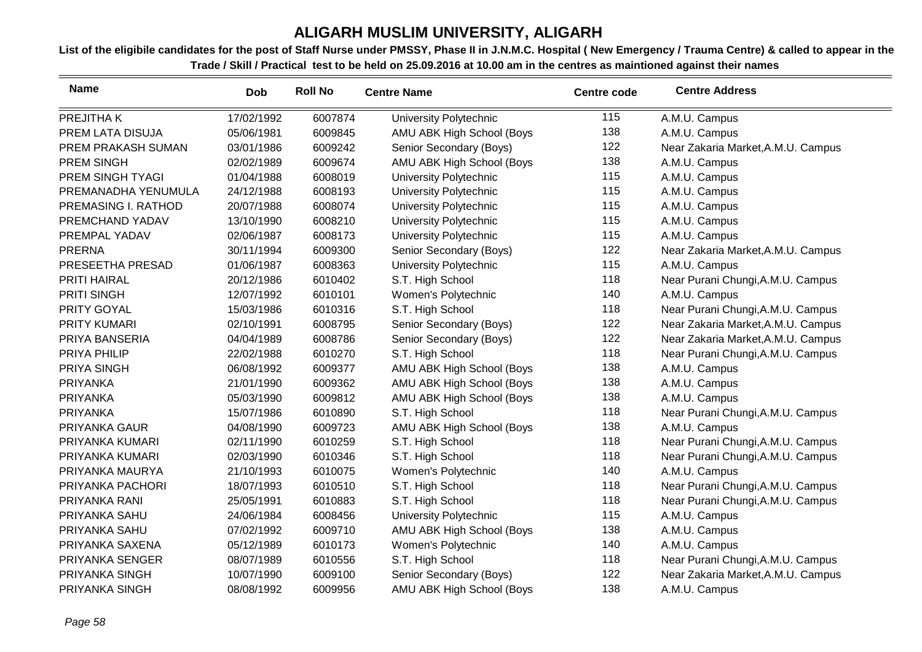| <b>Name</b>         | <b>Dob</b> | <b>Roll No</b> | <b>Centre Name</b>        | <b>Centre code</b> | <b>Centre Address</b>              |
|---------------------|------------|----------------|---------------------------|--------------------|------------------------------------|
| PREJITHA K          | 17/02/1992 | 6007874        | University Polytechnic    | 115                | A.M.U. Campus                      |
| PREM LATA DISUJA    | 05/06/1981 | 6009845        | AMU ABK High School (Boys | 138                | A.M.U. Campus                      |
| PREM PRAKASH SUMAN  | 03/01/1986 | 6009242        | Senior Secondary (Boys)   | 122                | Near Zakaria Market, A.M.U. Campus |
| <b>PREM SINGH</b>   | 02/02/1989 | 6009674        | AMU ABK High School (Boys | 138                | A.M.U. Campus                      |
| PREM SINGH TYAGI    | 01/04/1988 | 6008019        | University Polytechnic    | 115                | A.M.U. Campus                      |
| PREMANADHA YENUMULA | 24/12/1988 | 6008193        | University Polytechnic    | 115                | A.M.U. Campus                      |
| PREMASING I. RATHOD | 20/07/1988 | 6008074        | University Polytechnic    | 115                | A.M.U. Campus                      |
| PREMCHAND YADAV     | 13/10/1990 | 6008210        | University Polytechnic    | 115                | A.M.U. Campus                      |
| PREMPAL YADAV       | 02/06/1987 | 6008173        | University Polytechnic    | 115                | A.M.U. Campus                      |
| <b>PRERNA</b>       | 30/11/1994 | 6009300        | Senior Secondary (Boys)   | 122                | Near Zakaria Market, A.M.U. Campus |
| PRESEETHA PRESAD    | 01/06/1987 | 6008363        | University Polytechnic    | 115                | A.M.U. Campus                      |
| PRITI HAIRAL        | 20/12/1986 | 6010402        | S.T. High School          | 118                | Near Purani Chungi, A.M.U. Campus  |
| <b>PRITI SINGH</b>  | 12/07/1992 | 6010101        | Women's Polytechnic       | 140                | A.M.U. Campus                      |
| PRITY GOYAL         | 15/03/1986 | 6010316        | S.T. High School          | 118                | Near Purani Chungi, A.M.U. Campus  |
| <b>PRITY KUMARI</b> | 02/10/1991 | 6008795        | Senior Secondary (Boys)   | 122                | Near Zakaria Market, A.M.U. Campus |
| PRIYA BANSERIA      | 04/04/1989 | 6008786        | Senior Secondary (Boys)   | 122                | Near Zakaria Market, A.M.U. Campus |
| PRIYA PHILIP        | 22/02/1988 | 6010270        | S.T. High School          | 118                | Near Purani Chungi, A.M.U. Campus  |
| PRIYA SINGH         | 06/08/1992 | 6009377        | AMU ABK High School (Boys | 138                | A.M.U. Campus                      |
| PRIYANKA            | 21/01/1990 | 6009362        | AMU ABK High School (Boys | 138                | A.M.U. Campus                      |
| <b>PRIYANKA</b>     | 05/03/1990 | 6009812        | AMU ABK High School (Boys | 138                | A.M.U. Campus                      |
| <b>PRIYANKA</b>     | 15/07/1986 | 6010890        | S.T. High School          | 118                | Near Purani Chungi, A.M.U. Campus  |
| PRIYANKA GAUR       | 04/08/1990 | 6009723        | AMU ABK High School (Boys | 138                | A.M.U. Campus                      |
| PRIYANKA KUMARI     | 02/11/1990 | 6010259        | S.T. High School          | 118                | Near Purani Chungi, A.M.U. Campus  |
| PRIYANKA KUMARI     | 02/03/1990 | 6010346        | S.T. High School          | 118                | Near Purani Chungi, A.M.U. Campus  |
| PRIYANKA MAURYA     | 21/10/1993 | 6010075        | Women's Polytechnic       | 140                | A.M.U. Campus                      |
| PRIYANKA PACHORI    | 18/07/1993 | 6010510        | S.T. High School          | 118                | Near Purani Chungi, A.M.U. Campus  |
| PRIYANKA RANI       | 25/05/1991 | 6010883        | S.T. High School          | 118                | Near Purani Chungi, A.M.U. Campus  |
| PRIYANKA SAHU       | 24/06/1984 | 6008456        | University Polytechnic    | 115                | A.M.U. Campus                      |
| PRIYANKA SAHU       | 07/02/1992 | 6009710        | AMU ABK High School (Boys | 138                | A.M.U. Campus                      |
| PRIYANKA SAXENA     | 05/12/1989 | 6010173        | Women's Polytechnic       | 140                | A.M.U. Campus                      |
| PRIYANKA SENGER     | 08/07/1989 | 6010556        | S.T. High School          | 118                | Near Purani Chungi, A.M.U. Campus  |
| PRIYANKA SINGH      | 10/07/1990 | 6009100        | Senior Secondary (Boys)   | 122                | Near Zakaria Market, A.M.U. Campus |
| PRIYANKA SINGH      | 08/08/1992 | 6009956        | AMU ABK High School (Boys | 138                | A.M.U. Campus                      |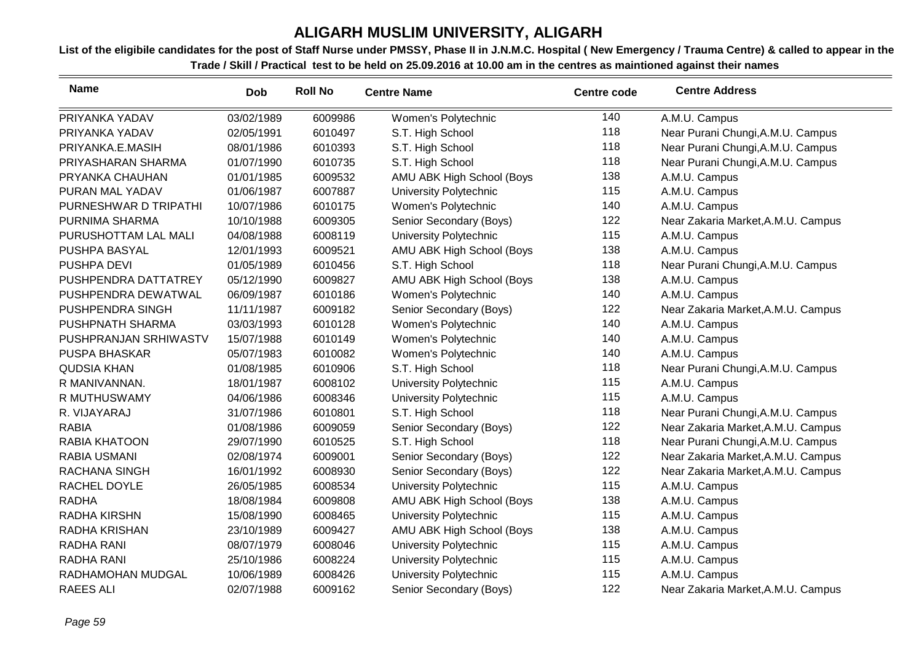| <b>Name</b>           | <b>Dob</b> | <b>Roll No</b> | <b>Centre Name</b>            | <b>Centre code</b> | <b>Centre Address</b>              |
|-----------------------|------------|----------------|-------------------------------|--------------------|------------------------------------|
| PRIYANKA YADAV        | 03/02/1989 | 6009986        | Women's Polytechnic           | 140                | A.M.U. Campus                      |
| PRIYANKA YADAV        | 02/05/1991 | 6010497        | S.T. High School              | 118                | Near Purani Chungi, A.M.U. Campus  |
| PRIYANKA.E.MASIH      | 08/01/1986 | 6010393        | S.T. High School              | 118                | Near Purani Chungi, A.M.U. Campus  |
| PRIYASHARAN SHARMA    | 01/07/1990 | 6010735        | S.T. High School              | 118                | Near Purani Chungi, A.M.U. Campus  |
| PRYANKA CHAUHAN       | 01/01/1985 | 6009532        | AMU ABK High School (Boys     | 138                | A.M.U. Campus                      |
| PURAN MAL YADAV       | 01/06/1987 | 6007887        | University Polytechnic        | 115                | A.M.U. Campus                      |
| PURNESHWAR D TRIPATHI | 10/07/1986 | 6010175        | Women's Polytechnic           | 140                | A.M.U. Campus                      |
| PURNIMA SHARMA        | 10/10/1988 | 6009305        | Senior Secondary (Boys)       | 122                | Near Zakaria Market, A.M.U. Campus |
| PURUSHOTTAM LAL MALI  | 04/08/1988 | 6008119        | <b>University Polytechnic</b> | 115                | A.M.U. Campus                      |
| PUSHPA BASYAL         | 12/01/1993 | 6009521        | AMU ABK High School (Boys     | 138                | A.M.U. Campus                      |
| PUSHPA DEVI           | 01/05/1989 | 6010456        | S.T. High School              | 118                | Near Purani Chungi, A.M.U. Campus  |
| PUSHPENDRA DATTATREY  | 05/12/1990 | 6009827        | AMU ABK High School (Boys     | 138                | A.M.U. Campus                      |
| PUSHPENDRA DEWATWAL   | 06/09/1987 | 6010186        | Women's Polytechnic           | 140                | A.M.U. Campus                      |
| PUSHPENDRA SINGH      | 11/11/1987 | 6009182        | Senior Secondary (Boys)       | 122                | Near Zakaria Market, A.M.U. Campus |
| PUSHPNATH SHARMA      | 03/03/1993 | 6010128        | Women's Polytechnic           | 140                | A.M.U. Campus                      |
| PUSHPRANJAN SRHIWASTV | 15/07/1988 | 6010149        | Women's Polytechnic           | 140                | A.M.U. Campus                      |
| <b>PUSPA BHASKAR</b>  | 05/07/1983 | 6010082        | Women's Polytechnic           | 140                | A.M.U. Campus                      |
| <b>QUDSIA KHAN</b>    | 01/08/1985 | 6010906        | S.T. High School              | 118                | Near Purani Chungi, A.M.U. Campus  |
| R MANIVANNAN.         | 18/01/1987 | 6008102        | <b>University Polytechnic</b> | 115                | A.M.U. Campus                      |
| R MUTHUSWAMY          | 04/06/1986 | 6008346        | University Polytechnic        | 115                | A.M.U. Campus                      |
| R. VIJAYARAJ          | 31/07/1986 | 6010801        | S.T. High School              | 118                | Near Purani Chungi, A.M.U. Campus  |
| <b>RABIA</b>          | 01/08/1986 | 6009059        | Senior Secondary (Boys)       | 122                | Near Zakaria Market, A.M.U. Campus |
| <b>RABIA KHATOON</b>  | 29/07/1990 | 6010525        | S.T. High School              | 118                | Near Purani Chungi, A.M.U. Campus  |
| <b>RABIA USMANI</b>   | 02/08/1974 | 6009001        | Senior Secondary (Boys)       | 122                | Near Zakaria Market, A.M.U. Campus |
| RACHANA SINGH         | 16/01/1992 | 6008930        | Senior Secondary (Boys)       | 122                | Near Zakaria Market, A.M.U. Campus |
| RACHEL DOYLE          | 26/05/1985 | 6008534        | University Polytechnic        | 115                | A.M.U. Campus                      |
| <b>RADHA</b>          | 18/08/1984 | 6009808        | AMU ABK High School (Boys     | 138                | A.M.U. Campus                      |
| RADHA KIRSHN          | 15/08/1990 | 6008465        | University Polytechnic        | 115                | A.M.U. Campus                      |
| <b>RADHA KRISHAN</b>  | 23/10/1989 | 6009427        | AMU ABK High School (Boys     | 138                | A.M.U. Campus                      |
| <b>RADHA RANI</b>     | 08/07/1979 | 6008046        | University Polytechnic        | 115                | A.M.U. Campus                      |
| <b>RADHA RANI</b>     | 25/10/1986 | 6008224        | University Polytechnic        | 115                | A.M.U. Campus                      |
| RADHAMOHAN MUDGAL     | 10/06/1989 | 6008426        | <b>University Polytechnic</b> | 115                | A.M.U. Campus                      |
| <b>RAEES ALI</b>      | 02/07/1988 | 6009162        | Senior Secondary (Boys)       | 122                | Near Zakaria Market, A.M.U. Campus |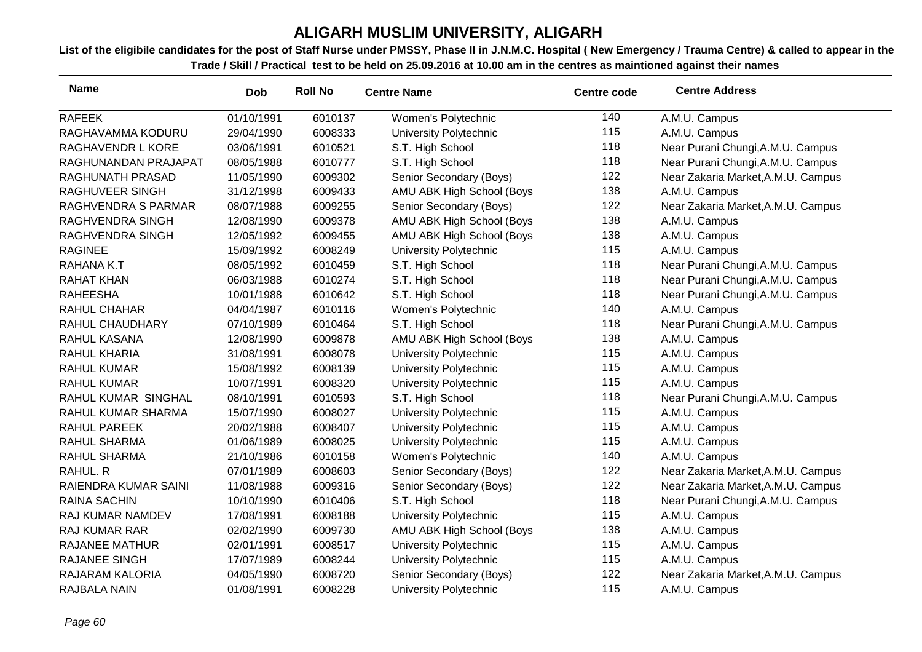| <b>Name</b>            | <b>Dob</b> | <b>Roll No</b> | <b>Centre Name</b>            | <b>Centre code</b> | <b>Centre Address</b>              |
|------------------------|------------|----------------|-------------------------------|--------------------|------------------------------------|
| <b>RAFEEK</b>          | 01/10/1991 | 6010137        | Women's Polytechnic           | 140                | A.M.U. Campus                      |
| RAGHAVAMMA KODURU      | 29/04/1990 | 6008333        | University Polytechnic        | 115                | A.M.U. Campus                      |
| RAGHAVENDR L KORE      | 03/06/1991 | 6010521        | S.T. High School              | 118                | Near Purani Chungi, A.M.U. Campus  |
| RAGHUNANDAN PRAJAPAT   | 08/05/1988 | 6010777        | S.T. High School              | 118                | Near Purani Chungi, A.M.U. Campus  |
| RAGHUNATH PRASAD       | 11/05/1990 | 6009302        | Senior Secondary (Boys)       | 122                | Near Zakaria Market, A.M.U. Campus |
| RAGHUVEER SINGH        | 31/12/1998 | 6009433        | AMU ABK High School (Boys     | 138                | A.M.U. Campus                      |
| RAGHVENDRA S PARMAR    | 08/07/1988 | 6009255        | Senior Secondary (Boys)       | 122                | Near Zakaria Market, A.M.U. Campus |
| RAGHVENDRA SINGH       | 12/08/1990 | 6009378        | AMU ABK High School (Boys     | 138                | A.M.U. Campus                      |
| RAGHVENDRA SINGH       | 12/05/1992 | 6009455        | AMU ABK High School (Boys     | 138                | A.M.U. Campus                      |
| <b>RAGINEE</b>         | 15/09/1992 | 6008249        | University Polytechnic        | 115                | A.M.U. Campus                      |
| RAHANA K.T             | 08/05/1992 | 6010459        | S.T. High School              | 118                | Near Purani Chungi, A.M.U. Campus  |
| <b>RAHAT KHAN</b>      | 06/03/1988 | 6010274        | S.T. High School              | 118                | Near Purani Chungi, A.M.U. Campus  |
| <b>RAHEESHA</b>        | 10/01/1988 | 6010642        | S.T. High School              | 118                | Near Purani Chungi, A.M.U. Campus  |
| RAHUL CHAHAR           | 04/04/1987 | 6010116        | Women's Polytechnic           | 140                | A.M.U. Campus                      |
| <b>RAHUL CHAUDHARY</b> | 07/10/1989 | 6010464        | S.T. High School              | 118                | Near Purani Chungi, A.M.U. Campus  |
| RAHUL KASANA           | 12/08/1990 | 6009878        | AMU ABK High School (Boys     | 138                | A.M.U. Campus                      |
| RAHUL KHARIA           | 31/08/1991 | 6008078        | University Polytechnic        | 115                | A.M.U. Campus                      |
| <b>RAHUL KUMAR</b>     | 15/08/1992 | 6008139        | University Polytechnic        | 115                | A.M.U. Campus                      |
| <b>RAHUL KUMAR</b>     | 10/07/1991 | 6008320        | University Polytechnic        | 115                | A.M.U. Campus                      |
| RAHUL KUMAR SINGHAL    | 08/10/1991 | 6010593        | S.T. High School              | 118                | Near Purani Chungi, A.M.U. Campus  |
| RAHUL KUMAR SHARMA     | 15/07/1990 | 6008027        | University Polytechnic        | 115                | A.M.U. Campus                      |
| RAHUL PAREEK           | 20/02/1988 | 6008407        | University Polytechnic        | 115                | A.M.U. Campus                      |
| RAHUL SHARMA           | 01/06/1989 | 6008025        | University Polytechnic        | 115                | A.M.U. Campus                      |
| RAHUL SHARMA           | 21/10/1986 | 6010158        | Women's Polytechnic           | 140                | A.M.U. Campus                      |
| RAHUL. R               | 07/01/1989 | 6008603        | Senior Secondary (Boys)       | 122                | Near Zakaria Market, A.M.U. Campus |
| RAIENDRA KUMAR SAINI   | 11/08/1988 | 6009316        | Senior Secondary (Boys)       | 122                | Near Zakaria Market, A.M.U. Campus |
| <b>RAINA SACHIN</b>    | 10/10/1990 | 6010406        | S.T. High School              | 118                | Near Purani Chungi, A.M.U. Campus  |
| RAJ KUMAR NAMDEV       | 17/08/1991 | 6008188        | University Polytechnic        | 115                | A.M.U. Campus                      |
| RAJ KUMAR RAR          | 02/02/1990 | 6009730        | AMU ABK High School (Boys     | 138                | A.M.U. Campus                      |
| <b>RAJANEE MATHUR</b>  | 02/01/1991 | 6008517        | University Polytechnic        | 115                | A.M.U. Campus                      |
| RAJANEE SINGH          | 17/07/1989 | 6008244        | University Polytechnic        | 115                | A.M.U. Campus                      |
| RAJARAM KALORIA        | 04/05/1990 | 6008720        | Senior Secondary (Boys)       | 122                | Near Zakaria Market, A.M.U. Campus |
| RAJBALA NAIN           | 01/08/1991 | 6008228        | <b>University Polytechnic</b> | 115                | A.M.U. Campus                      |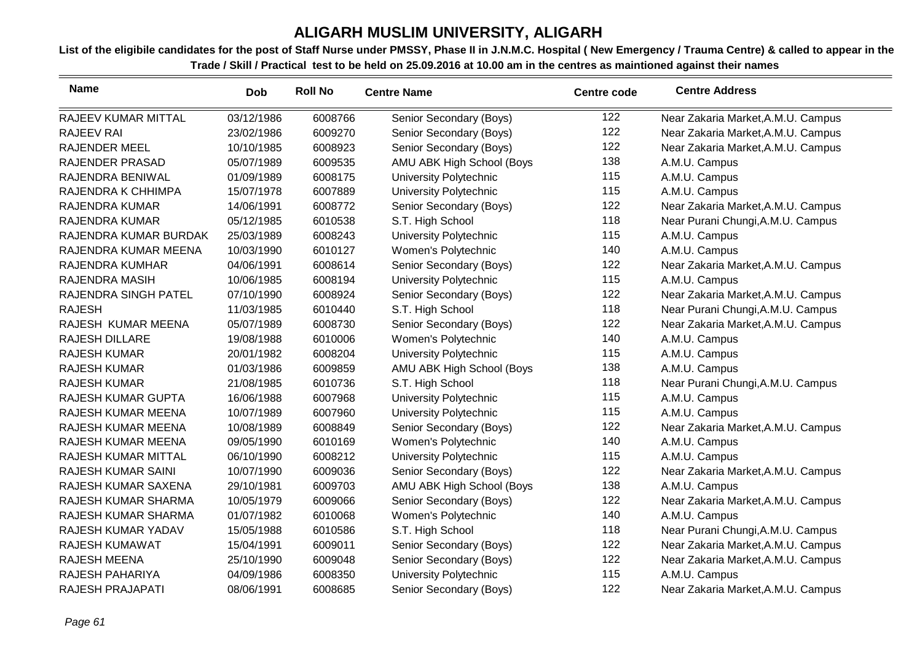| <b>Name</b>               | Dob        | <b>Roll No</b> | <b>Centre Name</b>        | <b>Centre code</b> | <b>Centre Address</b>              |
|---------------------------|------------|----------------|---------------------------|--------------------|------------------------------------|
| RAJEEV KUMAR MITTAL       | 03/12/1986 | 6008766        | Senior Secondary (Boys)   | 122                | Near Zakaria Market, A.M.U. Campus |
| <b>RAJEEV RAI</b>         | 23/02/1986 | 6009270        | Senior Secondary (Boys)   | 122                | Near Zakaria Market, A.M.U. Campus |
| <b>RAJENDER MEEL</b>      | 10/10/1985 | 6008923        | Senior Secondary (Boys)   | 122                | Near Zakaria Market, A.M.U. Campus |
| <b>RAJENDER PRASAD</b>    | 05/07/1989 | 6009535        | AMU ABK High School (Boys | 138                | A.M.U. Campus                      |
| RAJENDRA BENIWAL          | 01/09/1989 | 6008175        | University Polytechnic    | 115                | A.M.U. Campus                      |
| RAJENDRA K CHHIMPA        | 15/07/1978 | 6007889        | University Polytechnic    | 115                | A.M.U. Campus                      |
| <b>RAJENDRA KUMAR</b>     | 14/06/1991 | 6008772        | Senior Secondary (Boys)   | 122                | Near Zakaria Market, A.M.U. Campus |
| <b>RAJENDRA KUMAR</b>     | 05/12/1985 | 6010538        | S.T. High School          | 118                | Near Purani Chungi, A.M.U. Campus  |
| RAJENDRA KUMAR BURDAK     | 25/03/1989 | 6008243        | University Polytechnic    | 115                | A.M.U. Campus                      |
| RAJENDRA KUMAR MEENA      | 10/03/1990 | 6010127        | Women's Polytechnic       | 140                | A.M.U. Campus                      |
| RAJENDRA KUMHAR           | 04/06/1991 | 6008614        | Senior Secondary (Boys)   | 122                | Near Zakaria Market, A.M.U. Campus |
| RAJENDRA MASIH            | 10/06/1985 | 6008194        | University Polytechnic    | 115                | A.M.U. Campus                      |
| RAJENDRA SINGH PATEL      | 07/10/1990 | 6008924        | Senior Secondary (Boys)   | 122                | Near Zakaria Market, A.M.U. Campus |
| <b>RAJESH</b>             | 11/03/1985 | 6010440        | S.T. High School          | 118                | Near Purani Chungi, A.M.U. Campus  |
| RAJESH KUMAR MEENA        | 05/07/1989 | 6008730        | Senior Secondary (Boys)   | 122                | Near Zakaria Market, A.M.U. Campus |
| <b>RAJESH DILLARE</b>     | 19/08/1988 | 6010006        | Women's Polytechnic       | 140                | A.M.U. Campus                      |
| <b>RAJESH KUMAR</b>       | 20/01/1982 | 6008204        | University Polytechnic    | 115                | A.M.U. Campus                      |
| <b>RAJESH KUMAR</b>       | 01/03/1986 | 6009859        | AMU ABK High School (Boys | 138                | A.M.U. Campus                      |
| <b>RAJESH KUMAR</b>       | 21/08/1985 | 6010736        | S.T. High School          | 118                | Near Purani Chungi, A.M.U. Campus  |
| RAJESH KUMAR GUPTA        | 16/06/1988 | 6007968        | University Polytechnic    | 115                | A.M.U. Campus                      |
| RAJESH KUMAR MEENA        | 10/07/1989 | 6007960        | University Polytechnic    | 115                | A.M.U. Campus                      |
| RAJESH KUMAR MEENA        | 10/08/1989 | 6008849        | Senior Secondary (Boys)   | 122                | Near Zakaria Market, A.M.U. Campus |
| RAJESH KUMAR MEENA        | 09/05/1990 | 6010169        | Women's Polytechnic       | 140                | A.M.U. Campus                      |
| RAJESH KUMAR MITTAL       | 06/10/1990 | 6008212        | University Polytechnic    | 115                | A.M.U. Campus                      |
| <b>RAJESH KUMAR SAINI</b> | 10/07/1990 | 6009036        | Senior Secondary (Boys)   | 122                | Near Zakaria Market, A.M.U. Campus |
| RAJESH KUMAR SAXENA       | 29/10/1981 | 6009703        | AMU ABK High School (Boys | 138                | A.M.U. Campus                      |
| RAJESH KUMAR SHARMA       | 10/05/1979 | 6009066        | Senior Secondary (Boys)   | 122                | Near Zakaria Market, A.M.U. Campus |
| RAJESH KUMAR SHARMA       | 01/07/1982 | 6010068        | Women's Polytechnic       | 140                | A.M.U. Campus                      |
| RAJESH KUMAR YADAV        | 15/05/1988 | 6010586        | S.T. High School          | 118                | Near Purani Chungi, A.M.U. Campus  |
| RAJESH KUMAWAT            | 15/04/1991 | 6009011        | Senior Secondary (Boys)   | 122                | Near Zakaria Market, A.M.U. Campus |
| <b>RAJESH MEENA</b>       | 25/10/1990 | 6009048        | Senior Secondary (Boys)   | 122                | Near Zakaria Market, A.M.U. Campus |
| RAJESH PAHARIYA           | 04/09/1986 | 6008350        | University Polytechnic    | 115                | A.M.U. Campus                      |
| RAJESH PRAJAPATI          | 08/06/1991 | 6008685        | Senior Secondary (Boys)   | 122                | Near Zakaria Market, A.M.U. Campus |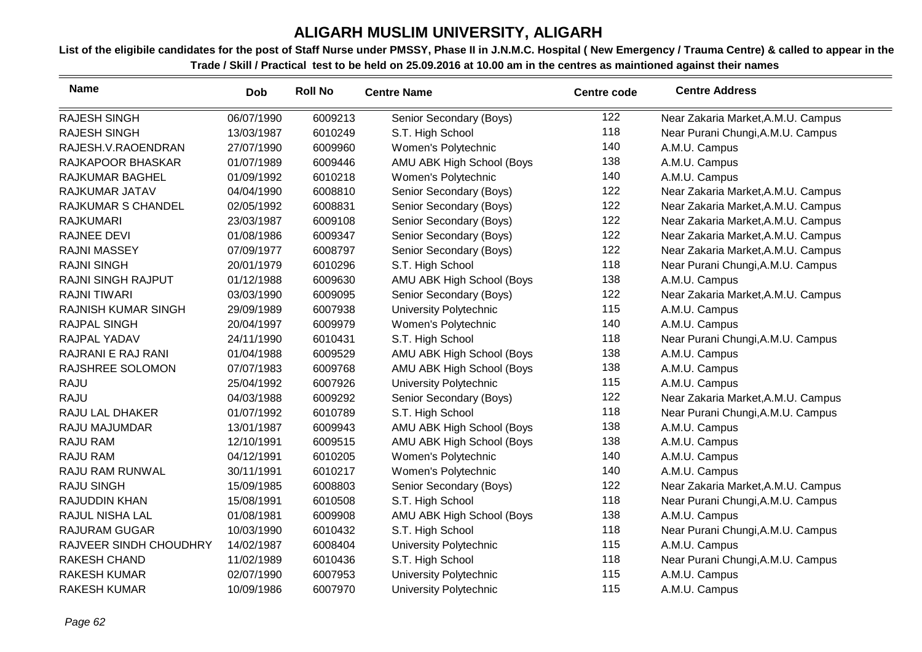| <b>Name</b>                | <b>Dob</b> | <b>Roll No</b> | <b>Centre Name</b>            | <b>Centre code</b> | <b>Centre Address</b>              |
|----------------------------|------------|----------------|-------------------------------|--------------------|------------------------------------|
| <b>RAJESH SINGH</b>        | 06/07/1990 | 6009213        | Senior Secondary (Boys)       | 122                | Near Zakaria Market, A.M.U. Campus |
| <b>RAJESH SINGH</b>        | 13/03/1987 | 6010249        | S.T. High School              | 118                | Near Purani Chungi, A.M.U. Campus  |
| RAJESH.V.RAOENDRAN         | 27/07/1990 | 6009960        | Women's Polytechnic           | 140                | A.M.U. Campus                      |
| RAJKAPOOR BHASKAR          | 01/07/1989 | 6009446        | AMU ABK High School (Boys     | 138                | A.M.U. Campus                      |
| RAJKUMAR BAGHEL            | 01/09/1992 | 6010218        | Women's Polytechnic           | 140                | A.M.U. Campus                      |
| RAJKUMAR JATAV             | 04/04/1990 | 6008810        | Senior Secondary (Boys)       | 122                | Near Zakaria Market, A.M.U. Campus |
| RAJKUMAR S CHANDEL         | 02/05/1992 | 6008831        | Senior Secondary (Boys)       | 122                | Near Zakaria Market, A.M.U. Campus |
| <b>RAJKUMARI</b>           | 23/03/1987 | 6009108        | Senior Secondary (Boys)       | 122                | Near Zakaria Market, A.M.U. Campus |
| RAJNEE DEVI                | 01/08/1986 | 6009347        | Senior Secondary (Boys)       | 122                | Near Zakaria Market, A.M.U. Campus |
| <b>RAJNI MASSEY</b>        | 07/09/1977 | 6008797        | Senior Secondary (Boys)       | 122                | Near Zakaria Market, A.M.U. Campus |
| <b>RAJNI SINGH</b>         | 20/01/1979 | 6010296        | S.T. High School              | 118                | Near Purani Chungi, A.M.U. Campus  |
| <b>RAJNI SINGH RAJPUT</b>  | 01/12/1988 | 6009630        | AMU ABK High School (Boys     | 138                | A.M.U. Campus                      |
| <b>RAJNI TIWARI</b>        | 03/03/1990 | 6009095        | Senior Secondary (Boys)       | 122                | Near Zakaria Market, A.M.U. Campus |
| <b>RAJNISH KUMAR SINGH</b> | 29/09/1989 | 6007938        | University Polytechnic        | 115                | A.M.U. Campus                      |
| <b>RAJPAL SINGH</b>        | 20/04/1997 | 6009979        | Women's Polytechnic           | 140                | A.M.U. Campus                      |
| RAJPAL YADAV               | 24/11/1990 | 6010431        | S.T. High School              | 118                | Near Purani Chungi, A.M.U. Campus  |
| RAJRANI E RAJ RANI         | 01/04/1988 | 6009529        | AMU ABK High School (Boys     | 138                | A.M.U. Campus                      |
| RAJSHREE SOLOMON           | 07/07/1983 | 6009768        | AMU ABK High School (Boys     | 138                | A.M.U. Campus                      |
| <b>RAJU</b>                | 25/04/1992 | 6007926        | University Polytechnic        | 115                | A.M.U. Campus                      |
| <b>RAJU</b>                | 04/03/1988 | 6009292        | Senior Secondary (Boys)       | 122                | Near Zakaria Market, A.M.U. Campus |
| RAJU LAL DHAKER            | 01/07/1992 | 6010789        | S.T. High School              | 118                | Near Purani Chungi, A.M.U. Campus  |
| RAJU MAJUMDAR              | 13/01/1987 | 6009943        | AMU ABK High School (Boys     | 138                | A.M.U. Campus                      |
| <b>RAJU RAM</b>            | 12/10/1991 | 6009515        | AMU ABK High School (Boys     | 138                | A.M.U. Campus                      |
| <b>RAJU RAM</b>            | 04/12/1991 | 6010205        | Women's Polytechnic           | 140                | A.M.U. Campus                      |
| RAJU RAM RUNWAL            | 30/11/1991 | 6010217        | Women's Polytechnic           | 140                | A.M.U. Campus                      |
| <b>RAJU SINGH</b>          | 15/09/1985 | 6008803        | Senior Secondary (Boys)       | 122                | Near Zakaria Market, A.M.U. Campus |
| RAJUDDIN KHAN              | 15/08/1991 | 6010508        | S.T. High School              | 118                | Near Purani Chungi, A.M.U. Campus  |
| RAJUL NISHA LAL            | 01/08/1981 | 6009908        | AMU ABK High School (Boys     | 138                | A.M.U. Campus                      |
| <b>RAJURAM GUGAR</b>       | 10/03/1990 | 6010432        | S.T. High School              | 118                | Near Purani Chungi, A.M.U. Campus  |
| RAJVEER SINDH CHOUDHRY     | 14/02/1987 | 6008404        | University Polytechnic        | 115                | A.M.U. Campus                      |
| <b>RAKESH CHAND</b>        | 11/02/1989 | 6010436        | S.T. High School              | 118                | Near Purani Chungi, A.M.U. Campus  |
| <b>RAKESH KUMAR</b>        | 02/07/1990 | 6007953        | University Polytechnic        | 115                | A.M.U. Campus                      |
| <b>RAKESH KUMAR</b>        | 10/09/1986 | 6007970        | <b>University Polytechnic</b> | 115                | A.M.U. Campus                      |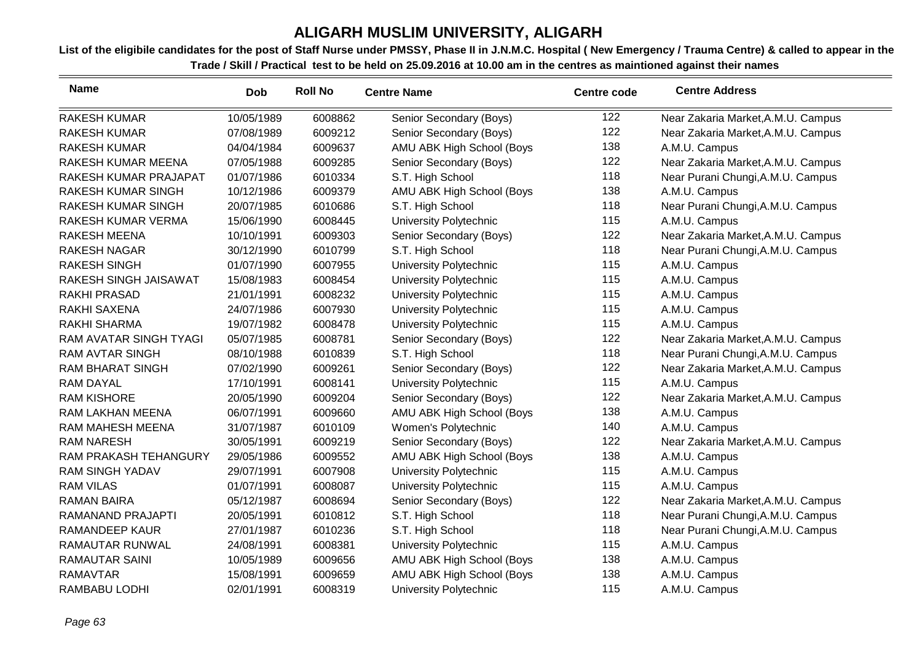| <b>Name</b>               | Dob        | <b>Roll No</b> | <b>Centre Name</b>        | <b>Centre code</b> | <b>Centre Address</b>              |
|---------------------------|------------|----------------|---------------------------|--------------------|------------------------------------|
| <b>RAKESH KUMAR</b>       | 10/05/1989 | 6008862        | Senior Secondary (Boys)   | 122                | Near Zakaria Market, A.M.U. Campus |
| <b>RAKESH KUMAR</b>       | 07/08/1989 | 6009212        | Senior Secondary (Boys)   | 122                | Near Zakaria Market, A.M.U. Campus |
| <b>RAKESH KUMAR</b>       | 04/04/1984 | 6009637        | AMU ABK High School (Boys | 138                | A.M.U. Campus                      |
| RAKESH KUMAR MEENA        | 07/05/1988 | 6009285        | Senior Secondary (Boys)   | 122                | Near Zakaria Market, A.M.U. Campus |
| RAKESH KUMAR PRAJAPAT     | 01/07/1986 | 6010334        | S.T. High School          | 118                | Near Purani Chungi, A.M.U. Campus  |
| <b>RAKESH KUMAR SINGH</b> | 10/12/1986 | 6009379        | AMU ABK High School (Boys | 138                | A.M.U. Campus                      |
| <b>RAKESH KUMAR SINGH</b> | 20/07/1985 | 6010686        | S.T. High School          | 118                | Near Purani Chungi, A.M.U. Campus  |
| RAKESH KUMAR VERMA        | 15/06/1990 | 6008445        | University Polytechnic    | 115                | A.M.U. Campus                      |
| <b>RAKESH MEENA</b>       | 10/10/1991 | 6009303        | Senior Secondary (Boys)   | 122                | Near Zakaria Market, A.M.U. Campus |
| RAKESH NAGAR              | 30/12/1990 | 6010799        | S.T. High School          | 118                | Near Purani Chungi, A.M.U. Campus  |
| <b>RAKESH SINGH</b>       | 01/07/1990 | 6007955        | University Polytechnic    | 115                | A.M.U. Campus                      |
| RAKESH SINGH JAISAWAT     | 15/08/1983 | 6008454        | University Polytechnic    | 115                | A.M.U. Campus                      |
| <b>RAKHI PRASAD</b>       | 21/01/1991 | 6008232        | University Polytechnic    | 115                | A.M.U. Campus                      |
| <b>RAKHI SAXENA</b>       | 24/07/1986 | 6007930        | University Polytechnic    | 115                | A.M.U. Campus                      |
| <b>RAKHI SHARMA</b>       | 19/07/1982 | 6008478        | University Polytechnic    | 115                | A.M.U. Campus                      |
| RAM AVATAR SINGH TYAGI    | 05/07/1985 | 6008781        | Senior Secondary (Boys)   | 122                | Near Zakaria Market, A.M.U. Campus |
| <b>RAM AVTAR SINGH</b>    | 08/10/1988 | 6010839        | S.T. High School          | 118                | Near Purani Chungi, A.M.U. Campus  |
| <b>RAM BHARAT SINGH</b>   | 07/02/1990 | 6009261        | Senior Secondary (Boys)   | 122                | Near Zakaria Market, A.M.U. Campus |
| <b>RAM DAYAL</b>          | 17/10/1991 | 6008141        | University Polytechnic    | 115                | A.M.U. Campus                      |
| <b>RAM KISHORE</b>        | 20/05/1990 | 6009204        | Senior Secondary (Boys)   | 122                | Near Zakaria Market, A.M.U. Campus |
| RAM LAKHAN MEENA          | 06/07/1991 | 6009660        | AMU ABK High School (Boys | 138                | A.M.U. Campus                      |
| RAM MAHESH MEENA          | 31/07/1987 | 6010109        | Women's Polytechnic       | 140                | A.M.U. Campus                      |
| <b>RAM NARESH</b>         | 30/05/1991 | 6009219        | Senior Secondary (Boys)   | 122                | Near Zakaria Market, A.M.U. Campus |
| RAM PRAKASH TEHANGURY     | 29/05/1986 | 6009552        | AMU ABK High School (Boys | 138                | A.M.U. Campus                      |
| <b>RAM SINGH YADAV</b>    | 29/07/1991 | 6007908        | University Polytechnic    | 115                | A.M.U. Campus                      |
| <b>RAM VILAS</b>          | 01/07/1991 | 6008087        | University Polytechnic    | 115                | A.M.U. Campus                      |
| <b>RAMAN BAIRA</b>        | 05/12/1987 | 6008694        | Senior Secondary (Boys)   | 122                | Near Zakaria Market, A.M.U. Campus |
| RAMANAND PRAJAPTI         | 20/05/1991 | 6010812        | S.T. High School          | 118                | Near Purani Chungi, A.M.U. Campus  |
| <b>RAMANDEEP KAUR</b>     | 27/01/1987 | 6010236        | S.T. High School          | 118                | Near Purani Chungi, A.M.U. Campus  |
| RAMAUTAR RUNWAL           | 24/08/1991 | 6008381        | University Polytechnic    | 115                | A.M.U. Campus                      |
| <b>RAMAUTAR SAINI</b>     | 10/05/1989 | 6009656        | AMU ABK High School (Boys | 138                | A.M.U. Campus                      |
| <b>RAMAVTAR</b>           | 15/08/1991 | 6009659        | AMU ABK High School (Boys | 138                | A.M.U. Campus                      |
| <b>RAMBABU LODHI</b>      | 02/01/1991 | 6008319        | University Polytechnic    | 115                | A.M.U. Campus                      |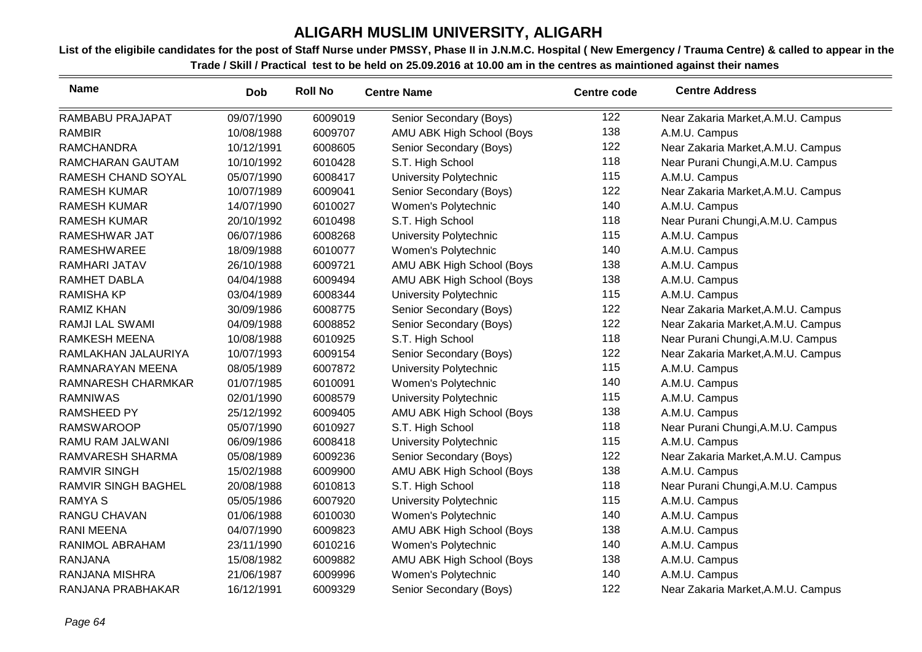| <b>Name</b>                | <b>Dob</b> | <b>Roll No</b> | <b>Centre Name</b>        | <b>Centre code</b> | <b>Centre Address</b>              |
|----------------------------|------------|----------------|---------------------------|--------------------|------------------------------------|
| RAMBABU PRAJAPAT           | 09/07/1990 | 6009019        | Senior Secondary (Boys)   | 122                | Near Zakaria Market, A.M.U. Campus |
| <b>RAMBIR</b>              | 10/08/1988 | 6009707        | AMU ABK High School (Boys | 138                | A.M.U. Campus                      |
| <b>RAMCHANDRA</b>          | 10/12/1991 | 6008605        | Senior Secondary (Boys)   | 122                | Near Zakaria Market, A.M.U. Campus |
| RAMCHARAN GAUTAM           | 10/10/1992 | 6010428        | S.T. High School          | 118                | Near Purani Chungi, A.M.U. Campus  |
| RAMESH CHAND SOYAL         | 05/07/1990 | 6008417        | University Polytechnic    | 115                | A.M.U. Campus                      |
| <b>RAMESH KUMAR</b>        | 10/07/1989 | 6009041        | Senior Secondary (Boys)   | 122                | Near Zakaria Market, A.M.U. Campus |
| <b>RAMESH KUMAR</b>        | 14/07/1990 | 6010027        | Women's Polytechnic       | 140                | A.M.U. Campus                      |
| <b>RAMESH KUMAR</b>        | 20/10/1992 | 6010498        | S.T. High School          | 118                | Near Purani Chungi, A.M.U. Campus  |
| RAMESHWAR JAT              | 06/07/1986 | 6008268        | University Polytechnic    | 115                | A.M.U. Campus                      |
| <b>RAMESHWAREE</b>         | 18/09/1988 | 6010077        | Women's Polytechnic       | 140                | A.M.U. Campus                      |
| RAMHARI JATAV              | 26/10/1988 | 6009721        | AMU ABK High School (Boys | 138                | A.M.U. Campus                      |
| RAMHET DABLA               | 04/04/1988 | 6009494        | AMU ABK High School (Boys | 138                | A.M.U. Campus                      |
| <b>RAMISHA KP</b>          | 03/04/1989 | 6008344        | University Polytechnic    | 115                | A.M.U. Campus                      |
| <b>RAMIZ KHAN</b>          | 30/09/1986 | 6008775        | Senior Secondary (Boys)   | 122                | Near Zakaria Market, A.M.U. Campus |
| RAMJI LAL SWAMI            | 04/09/1988 | 6008852        | Senior Secondary (Boys)   | 122                | Near Zakaria Market, A.M.U. Campus |
| <b>RAMKESH MEENA</b>       | 10/08/1988 | 6010925        | S.T. High School          | 118                | Near Purani Chungi, A.M.U. Campus  |
| RAMLAKHAN JALAURIYA        | 10/07/1993 | 6009154        | Senior Secondary (Boys)   | 122                | Near Zakaria Market, A.M.U. Campus |
| RAMNARAYAN MEENA           | 08/05/1989 | 6007872        | University Polytechnic    | 115                | A.M.U. Campus                      |
| RAMNARESH CHARMKAR         | 01/07/1985 | 6010091        | Women's Polytechnic       | 140                | A.M.U. Campus                      |
| <b>RAMNIWAS</b>            | 02/01/1990 | 6008579        | University Polytechnic    | 115                | A.M.U. Campus                      |
| <b>RAMSHEED PY</b>         | 25/12/1992 | 6009405        | AMU ABK High School (Boys | 138                | A.M.U. Campus                      |
| <b>RAMSWAROOP</b>          | 05/07/1990 | 6010927        | S.T. High School          | 118                | Near Purani Chungi, A.M.U. Campus  |
| RAMU RAM JALWANI           | 06/09/1986 | 6008418        | University Polytechnic    | 115                | A.M.U. Campus                      |
| RAMVARESH SHARMA           | 05/08/1989 | 6009236        | Senior Secondary (Boys)   | 122                | Near Zakaria Market, A.M.U. Campus |
| <b>RAMVIR SINGH</b>        | 15/02/1988 | 6009900        | AMU ABK High School (Boys | 138                | A.M.U. Campus                      |
| <b>RAMVIR SINGH BAGHEL</b> | 20/08/1988 | 6010813        | S.T. High School          | 118                | Near Purani Chungi, A.M.U. Campus  |
| <b>RAMYA S</b>             | 05/05/1986 | 6007920        | University Polytechnic    | 115                | A.M.U. Campus                      |
| <b>RANGU CHAVAN</b>        | 01/06/1988 | 6010030        | Women's Polytechnic       | 140                | A.M.U. Campus                      |
| <b>RANI MEENA</b>          | 04/07/1990 | 6009823        | AMU ABK High School (Boys | 138                | A.M.U. Campus                      |
| RANIMOL ABRAHAM            | 23/11/1990 | 6010216        | Women's Polytechnic       | 140                | A.M.U. Campus                      |
| <b>RANJANA</b>             | 15/08/1982 | 6009882        | AMU ABK High School (Boys | 138                | A.M.U. Campus                      |
| RANJANA MISHRA             | 21/06/1987 | 6009996        | Women's Polytechnic       | 140                | A.M.U. Campus                      |
| RANJANA PRABHAKAR          | 16/12/1991 | 6009329        | Senior Secondary (Boys)   | 122                | Near Zakaria Market, A.M.U. Campus |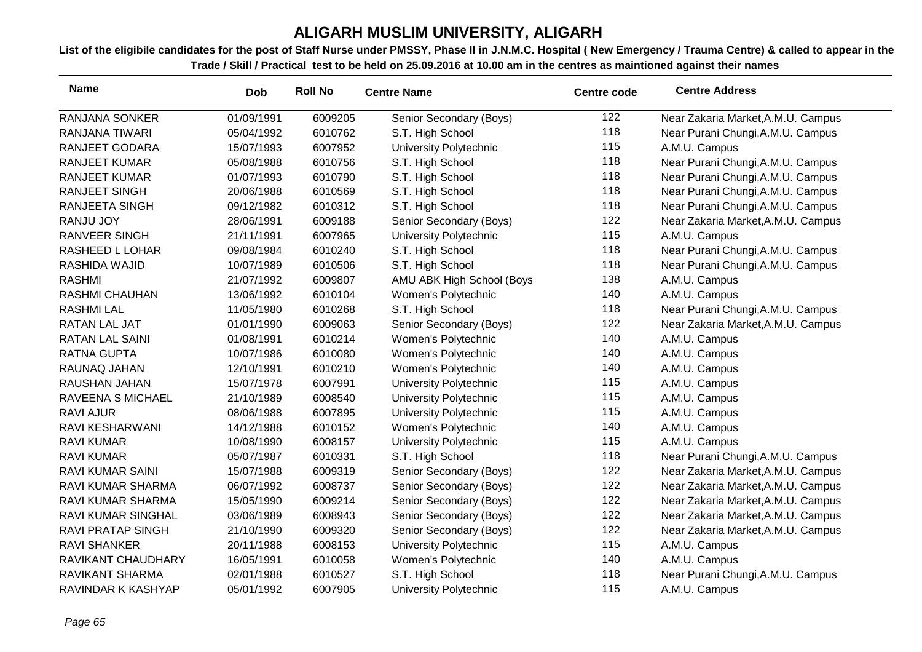| <b>Name</b>              | <b>Dob</b> | <b>Roll No</b> | <b>Centre Name</b>        | <b>Centre code</b> | <b>Centre Address</b>              |
|--------------------------|------------|----------------|---------------------------|--------------------|------------------------------------|
| <b>RANJANA SONKER</b>    | 01/09/1991 | 6009205        | Senior Secondary (Boys)   | 122                | Near Zakaria Market, A.M.U. Campus |
| <b>RANJANA TIWARI</b>    | 05/04/1992 | 6010762        | S.T. High School          | 118                | Near Purani Chungi, A.M.U. Campus  |
| <b>RANJEET GODARA</b>    | 15/07/1993 | 6007952        | University Polytechnic    | 115                | A.M.U. Campus                      |
| <b>RANJEET KUMAR</b>     | 05/08/1988 | 6010756        | S.T. High School          | 118                | Near Purani Chungi, A.M.U. Campus  |
| <b>RANJEET KUMAR</b>     | 01/07/1993 | 6010790        | S.T. High School          | 118                | Near Purani Chungi, A.M.U. Campus  |
| <b>RANJEET SINGH</b>     | 20/06/1988 | 6010569        | S.T. High School          | 118                | Near Purani Chungi, A.M.U. Campus  |
| <b>RANJEETA SINGH</b>    | 09/12/1982 | 6010312        | S.T. High School          | 118                | Near Purani Chungi, A.M.U. Campus  |
| <b>RANJU JOY</b>         | 28/06/1991 | 6009188        | Senior Secondary (Boys)   | 122                | Near Zakaria Market, A.M.U. Campus |
| <b>RANVEER SINGH</b>     | 21/11/1991 | 6007965        | University Polytechnic    | 115                | A.M.U. Campus                      |
| RASHEED L LOHAR          | 09/08/1984 | 6010240        | S.T. High School          | 118                | Near Purani Chungi, A.M.U. Campus  |
| RASHIDA WAJID            | 10/07/1989 | 6010506        | S.T. High School          | 118                | Near Purani Chungi, A.M.U. Campus  |
| <b>RASHMI</b>            | 21/07/1992 | 6009807        | AMU ABK High School (Boys | 138                | A.M.U. Campus                      |
| <b>RASHMI CHAUHAN</b>    | 13/06/1992 | 6010104        | Women's Polytechnic       | 140                | A.M.U. Campus                      |
| <b>RASHMI LAL</b>        | 11/05/1980 | 6010268        | S.T. High School          | 118                | Near Purani Chungi, A.M.U. Campus  |
| RATAN LAL JAT            | 01/01/1990 | 6009063        | Senior Secondary (Boys)   | 122                | Near Zakaria Market, A.M.U. Campus |
| <b>RATAN LAL SAINI</b>   | 01/08/1991 | 6010214        | Women's Polytechnic       | 140                | A.M.U. Campus                      |
| <b>RATNA GUPTA</b>       | 10/07/1986 | 6010080        | Women's Polytechnic       | 140                | A.M.U. Campus                      |
| RAUNAQ JAHAN             | 12/10/1991 | 6010210        | Women's Polytechnic       | 140                | A.M.U. Campus                      |
| RAUSHAN JAHAN            | 15/07/1978 | 6007991        | University Polytechnic    | 115                | A.M.U. Campus                      |
| RAVEENA S MICHAEL        | 21/10/1989 | 6008540        | University Polytechnic    | 115                | A.M.U. Campus                      |
| <b>RAVI AJUR</b>         | 08/06/1988 | 6007895        | University Polytechnic    | 115                | A.M.U. Campus                      |
| <b>RAVI KESHARWANI</b>   | 14/12/1988 | 6010152        | Women's Polytechnic       | 140                | A.M.U. Campus                      |
| <b>RAVI KUMAR</b>        | 10/08/1990 | 6008157        | University Polytechnic    | 115                | A.M.U. Campus                      |
| <b>RAVI KUMAR</b>        | 05/07/1987 | 6010331        | S.T. High School          | 118                | Near Purani Chungi, A.M.U. Campus  |
| <b>RAVI KUMAR SAINI</b>  | 15/07/1988 | 6009319        | Senior Secondary (Boys)   | 122                | Near Zakaria Market, A.M.U. Campus |
| RAVI KUMAR SHARMA        | 06/07/1992 | 6008737        | Senior Secondary (Boys)   | 122                | Near Zakaria Market, A.M.U. Campus |
| RAVI KUMAR SHARMA        | 15/05/1990 | 6009214        | Senior Secondary (Boys)   | 122                | Near Zakaria Market, A.M.U. Campus |
| RAVI KUMAR SINGHAL       | 03/06/1989 | 6008943        | Senior Secondary (Boys)   | 122                | Near Zakaria Market, A.M.U. Campus |
| <b>RAVI PRATAP SINGH</b> | 21/10/1990 | 6009320        | Senior Secondary (Boys)   | 122                | Near Zakaria Market, A.M.U. Campus |
| <b>RAVI SHANKER</b>      | 20/11/1988 | 6008153        | University Polytechnic    | 115                | A.M.U. Campus                      |
| RAVIKANT CHAUDHARY       | 16/05/1991 | 6010058        | Women's Polytechnic       | 140                | A.M.U. Campus                      |
| RAVIKANT SHARMA          | 02/01/1988 | 6010527        | S.T. High School          | 118                | Near Purani Chungi, A.M.U. Campus  |
| RAVINDAR K KASHYAP       | 05/01/1992 | 6007905        | University Polytechnic    | 115                | A.M.U. Campus                      |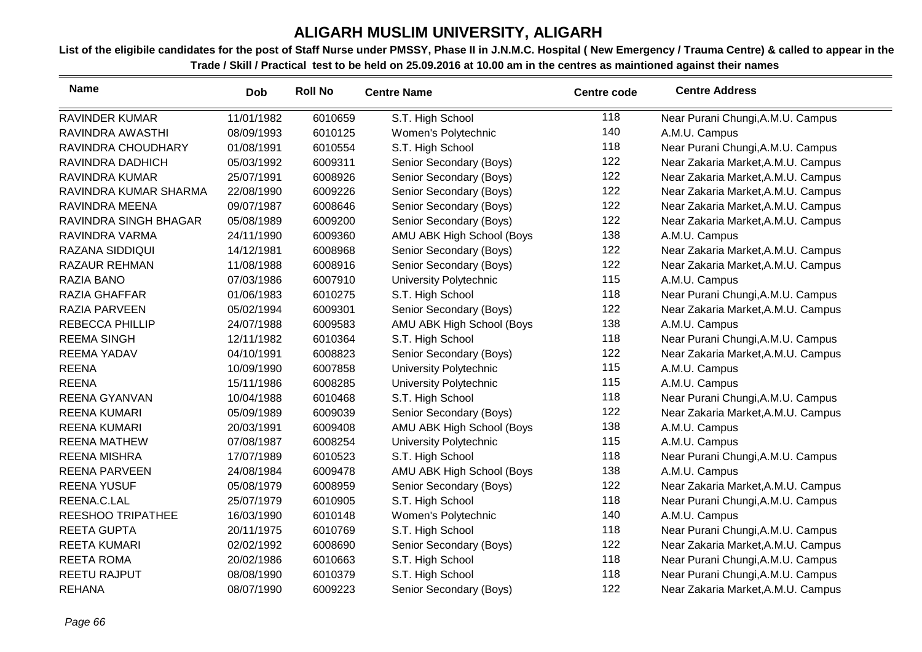| <b>Name</b>              | <b>Dob</b> | <b>Roll No</b> | <b>Centre Name</b>        | <b>Centre code</b> | <b>Centre Address</b>              |
|--------------------------|------------|----------------|---------------------------|--------------------|------------------------------------|
| <b>RAVINDER KUMAR</b>    | 11/01/1982 | 6010659        | S.T. High School          | 118                | Near Purani Chungi, A.M.U. Campus  |
| RAVINDRA AWASTHI         | 08/09/1993 | 6010125        | Women's Polytechnic       | 140                | A.M.U. Campus                      |
| RAVINDRA CHOUDHARY       | 01/08/1991 | 6010554        | S.T. High School          | 118                | Near Purani Chungi, A.M.U. Campus  |
| RAVINDRA DADHICH         | 05/03/1992 | 6009311        | Senior Secondary (Boys)   | 122                | Near Zakaria Market, A.M.U. Campus |
| RAVINDRA KUMAR           | 25/07/1991 | 6008926        | Senior Secondary (Boys)   | 122                | Near Zakaria Market, A.M.U. Campus |
| RAVINDRA KUMAR SHARMA    | 22/08/1990 | 6009226        | Senior Secondary (Boys)   | 122                | Near Zakaria Market, A.M.U. Campus |
| RAVINDRA MEENA           | 09/07/1987 | 6008646        | Senior Secondary (Boys)   | 122                | Near Zakaria Market, A.M.U. Campus |
| RAVINDRA SINGH BHAGAR    | 05/08/1989 | 6009200        | Senior Secondary (Boys)   | 122                | Near Zakaria Market, A.M.U. Campus |
| RAVINDRA VARMA           | 24/11/1990 | 6009360        | AMU ABK High School (Boys | 138                | A.M.U. Campus                      |
| RAZANA SIDDIQUI          | 14/12/1981 | 6008968        | Senior Secondary (Boys)   | 122                | Near Zakaria Market, A.M.U. Campus |
| <b>RAZAUR REHMAN</b>     | 11/08/1988 | 6008916        | Senior Secondary (Boys)   | 122                | Near Zakaria Market, A.M.U. Campus |
| <b>RAZIA BANO</b>        | 07/03/1986 | 6007910        | University Polytechnic    | 115                | A.M.U. Campus                      |
| <b>RAZIA GHAFFAR</b>     | 01/06/1983 | 6010275        | S.T. High School          | 118                | Near Purani Chungi, A.M.U. Campus  |
| RAZIA PARVEEN            | 05/02/1994 | 6009301        | Senior Secondary (Boys)   | 122                | Near Zakaria Market, A.M.U. Campus |
| <b>REBECCA PHILLIP</b>   | 24/07/1988 | 6009583        | AMU ABK High School (Boys | 138                | A.M.U. Campus                      |
| <b>REEMA SINGH</b>       | 12/11/1982 | 6010364        | S.T. High School          | 118                | Near Purani Chungi, A.M.U. Campus  |
| <b>REEMA YADAV</b>       | 04/10/1991 | 6008823        | Senior Secondary (Boys)   | 122                | Near Zakaria Market, A.M.U. Campus |
| <b>REENA</b>             | 10/09/1990 | 6007858        | University Polytechnic    | 115                | A.M.U. Campus                      |
| <b>REENA</b>             | 15/11/1986 | 6008285        | University Polytechnic    | 115                | A.M.U. Campus                      |
| <b>REENA GYANVAN</b>     | 10/04/1988 | 6010468        | S.T. High School          | 118                | Near Purani Chungi, A.M.U. Campus  |
| <b>REENA KUMARI</b>      | 05/09/1989 | 6009039        | Senior Secondary (Boys)   | 122                | Near Zakaria Market, A.M.U. Campus |
| <b>REENA KUMARI</b>      | 20/03/1991 | 6009408        | AMU ABK High School (Boys | 138                | A.M.U. Campus                      |
| <b>REENA MATHEW</b>      | 07/08/1987 | 6008254        | University Polytechnic    | 115                | A.M.U. Campus                      |
| <b>REENA MISHRA</b>      | 17/07/1989 | 6010523        | S.T. High School          | 118                | Near Purani Chungi, A.M.U. Campus  |
| <b>REENA PARVEEN</b>     | 24/08/1984 | 6009478        | AMU ABK High School (Boys | 138                | A.M.U. Campus                      |
| <b>REENA YUSUF</b>       | 05/08/1979 | 6008959        | Senior Secondary (Boys)   | 122                | Near Zakaria Market, A.M.U. Campus |
| REENA.C.LAL              | 25/07/1979 | 6010905        | S.T. High School          | 118                | Near Purani Chungi, A.M.U. Campus  |
| <b>REESHOO TRIPATHEE</b> | 16/03/1990 | 6010148        | Women's Polytechnic       | 140                | A.M.U. Campus                      |
| <b>REETA GUPTA</b>       | 20/11/1975 | 6010769        | S.T. High School          | 118                | Near Purani Chungi, A.M.U. Campus  |
| <b>REETA KUMARI</b>      | 02/02/1992 | 6008690        | Senior Secondary (Boys)   | 122                | Near Zakaria Market, A.M.U. Campus |
| <b>REETA ROMA</b>        | 20/02/1986 | 6010663        | S.T. High School          | 118                | Near Purani Chungi, A.M.U. Campus  |
| REETU RAJPUT             | 08/08/1990 | 6010379        | S.T. High School          | 118                | Near Purani Chungi, A.M.U. Campus  |
| <b>REHANA</b>            | 08/07/1990 | 6009223        | Senior Secondary (Boys)   | 122                | Near Zakaria Market, A.M.U. Campus |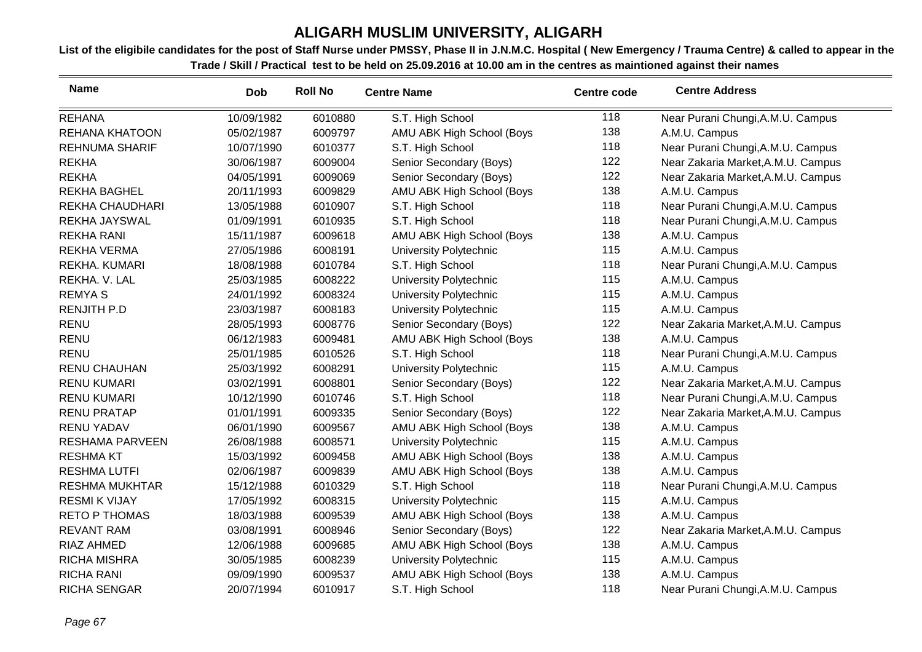| <b>Name</b>            | <b>Dob</b> | <b>Roll No</b> | <b>Centre Name</b>        | <b>Centre code</b> | <b>Centre Address</b>              |
|------------------------|------------|----------------|---------------------------|--------------------|------------------------------------|
| <b>REHANA</b>          | 10/09/1982 | 6010880        | S.T. High School          | 118                | Near Purani Chungi, A.M.U. Campus  |
| REHANA KHATOON         | 05/02/1987 | 6009797        | AMU ABK High School (Boys | 138                | A.M.U. Campus                      |
| <b>REHNUMA SHARIF</b>  | 10/07/1990 | 6010377        | S.T. High School          | 118                | Near Purani Chungi, A.M.U. Campus  |
| <b>REKHA</b>           | 30/06/1987 | 6009004        | Senior Secondary (Boys)   | 122                | Near Zakaria Market, A.M.U. Campus |
| <b>REKHA</b>           | 04/05/1991 | 6009069        | Senior Secondary (Boys)   | 122                | Near Zakaria Market, A.M.U. Campus |
| <b>REKHA BAGHEL</b>    | 20/11/1993 | 6009829        | AMU ABK High School (Boys | 138                | A.M.U. Campus                      |
| REKHA CHAUDHARI        | 13/05/1988 | 6010907        | S.T. High School          | 118                | Near Purani Chungi, A.M.U. Campus  |
| <b>REKHA JAYSWAL</b>   | 01/09/1991 | 6010935        | S.T. High School          | 118                | Near Purani Chungi, A.M.U. Campus  |
| <b>REKHA RANI</b>      | 15/11/1987 | 6009618        | AMU ABK High School (Boys | 138                | A.M.U. Campus                      |
| <b>REKHA VERMA</b>     | 27/05/1986 | 6008191        | University Polytechnic    | 115                | A.M.U. Campus                      |
| <b>REKHA. KUMARI</b>   | 18/08/1988 | 6010784        | S.T. High School          | 118                | Near Purani Chungi, A.M.U. Campus  |
| REKHA. V. LAL          | 25/03/1985 | 6008222        | University Polytechnic    | 115                | A.M.U. Campus                      |
| <b>REMYAS</b>          | 24/01/1992 | 6008324        | University Polytechnic    | 115                | A.M.U. Campus                      |
| <b>RENJITH P.D</b>     | 23/03/1987 | 6008183        | University Polytechnic    | 115                | A.M.U. Campus                      |
| <b>RENU</b>            | 28/05/1993 | 6008776        | Senior Secondary (Boys)   | 122                | Near Zakaria Market, A.M.U. Campus |
| <b>RENU</b>            | 06/12/1983 | 6009481        | AMU ABK High School (Boys | 138                | A.M.U. Campus                      |
| <b>RENU</b>            | 25/01/1985 | 6010526        | S.T. High School          | 118                | Near Purani Chungi, A.M.U. Campus  |
| <b>RENU CHAUHAN</b>    | 25/03/1992 | 6008291        | University Polytechnic    | 115                | A.M.U. Campus                      |
| <b>RENU KUMARI</b>     | 03/02/1991 | 6008801        | Senior Secondary (Boys)   | 122                | Near Zakaria Market, A.M.U. Campus |
| <b>RENU KUMARI</b>     | 10/12/1990 | 6010746        | S.T. High School          | 118                | Near Purani Chungi, A.M.U. Campus  |
| <b>RENU PRATAP</b>     | 01/01/1991 | 6009335        | Senior Secondary (Boys)   | 122                | Near Zakaria Market, A.M.U. Campus |
| <b>RENU YADAV</b>      | 06/01/1990 | 6009567        | AMU ABK High School (Boys | 138                | A.M.U. Campus                      |
| <b>RESHAMA PARVEEN</b> | 26/08/1988 | 6008571        | University Polytechnic    | 115                | A.M.U. Campus                      |
| <b>RESHMA KT</b>       | 15/03/1992 | 6009458        | AMU ABK High School (Boys | 138                | A.M.U. Campus                      |
| <b>RESHMA LUTFI</b>    | 02/06/1987 | 6009839        | AMU ABK High School (Boys | 138                | A.M.U. Campus                      |
| <b>RESHMA MUKHTAR</b>  | 15/12/1988 | 6010329        | S.T. High School          | 118                | Near Purani Chungi, A.M.U. Campus  |
| <b>RESMI K VIJAY</b>   | 17/05/1992 | 6008315        | University Polytechnic    | 115                | A.M.U. Campus                      |
| <b>RETO P THOMAS</b>   | 18/03/1988 | 6009539        | AMU ABK High School (Boys | 138                | A.M.U. Campus                      |
| <b>REVANT RAM</b>      | 03/08/1991 | 6008946        | Senior Secondary (Boys)   | 122                | Near Zakaria Market, A.M.U. Campus |
| <b>RIAZ AHMED</b>      | 12/06/1988 | 6009685        | AMU ABK High School (Boys | 138                | A.M.U. Campus                      |
| <b>RICHA MISHRA</b>    | 30/05/1985 | 6008239        | University Polytechnic    | 115                | A.M.U. Campus                      |
| <b>RICHA RANI</b>      | 09/09/1990 | 6009537        | AMU ABK High School (Boys | 138                | A.M.U. Campus                      |
| <b>RICHA SENGAR</b>    | 20/07/1994 | 6010917        | S.T. High School          | 118                | Near Purani Chungi, A.M.U. Campus  |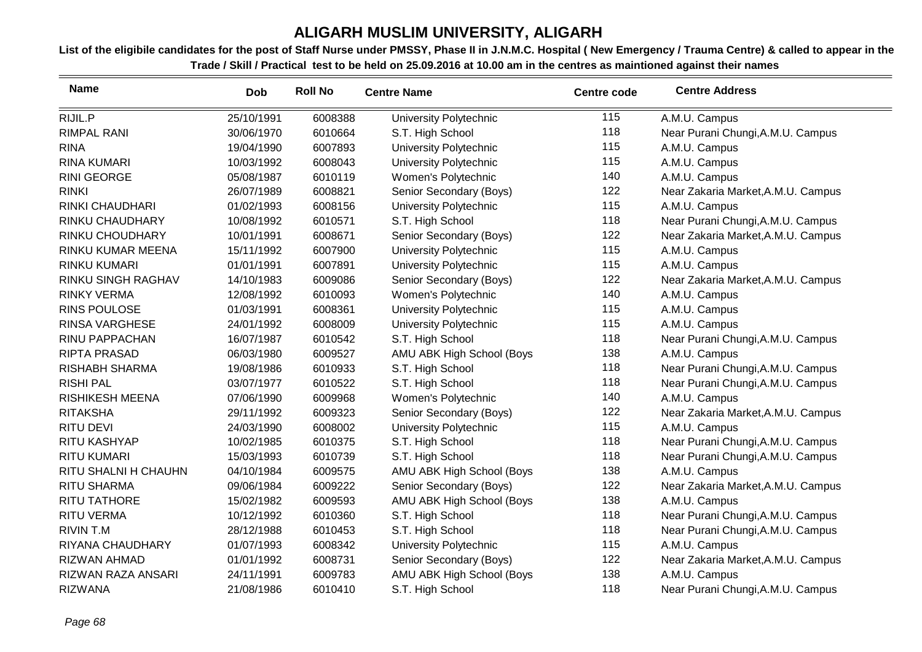| <b>Name</b>               | <b>Dob</b> | <b>Roll No</b> | <b>Centre Name</b>            | <b>Centre code</b> | <b>Centre Address</b>              |
|---------------------------|------------|----------------|-------------------------------|--------------------|------------------------------------|
| RIJIL.P                   | 25/10/1991 | 6008388        | <b>University Polytechnic</b> | 115                | A.M.U. Campus                      |
| <b>RIMPAL RANI</b>        | 30/06/1970 | 6010664        | S.T. High School              | 118                | Near Purani Chungi, A.M.U. Campus  |
| <b>RINA</b>               | 19/04/1990 | 6007893        | <b>University Polytechnic</b> | 115                | A.M.U. Campus                      |
| <b>RINA KUMARI</b>        | 10/03/1992 | 6008043        | University Polytechnic        | 115                | A.M.U. Campus                      |
| <b>RINI GEORGE</b>        | 05/08/1987 | 6010119        | Women's Polytechnic           | 140                | A.M.U. Campus                      |
| <b>RINKI</b>              | 26/07/1989 | 6008821        | Senior Secondary (Boys)       | 122                | Near Zakaria Market, A.M.U. Campus |
| <b>RINKI CHAUDHARI</b>    | 01/02/1993 | 6008156        | University Polytechnic        | 115                | A.M.U. Campus                      |
| RINKU CHAUDHARY           | 10/08/1992 | 6010571        | S.T. High School              | 118                | Near Purani Chungi, A.M.U. Campus  |
| RINKU CHOUDHARY           | 10/01/1991 | 6008671        | Senior Secondary (Boys)       | 122                | Near Zakaria Market, A.M.U. Campus |
| RINKU KUMAR MEENA         | 15/11/1992 | 6007900        | University Polytechnic        | 115                | A.M.U. Campus                      |
| <b>RINKU KUMARI</b>       | 01/01/1991 | 6007891        | University Polytechnic        | 115                | A.M.U. Campus                      |
| <b>RINKU SINGH RAGHAV</b> | 14/10/1983 | 6009086        | Senior Secondary (Boys)       | 122                | Near Zakaria Market, A.M.U. Campus |
| <b>RINKY VERMA</b>        | 12/08/1992 | 6010093        | Women's Polytechnic           | 140                | A.M.U. Campus                      |
| <b>RINS POULOSE</b>       | 01/03/1991 | 6008361        | University Polytechnic        | 115                | A.M.U. Campus                      |
| <b>RINSA VARGHESE</b>     | 24/01/1992 | 6008009        | <b>University Polytechnic</b> | 115                | A.M.U. Campus                      |
| RINU PAPPACHAN            | 16/07/1987 | 6010542        | S.T. High School              | 118                | Near Purani Chungi, A.M.U. Campus  |
| <b>RIPTA PRASAD</b>       | 06/03/1980 | 6009527        | AMU ABK High School (Boys     | 138                | A.M.U. Campus                      |
| <b>RISHABH SHARMA</b>     | 19/08/1986 | 6010933        | S.T. High School              | 118                | Near Purani Chungi, A.M.U. Campus  |
| <b>RISHI PAL</b>          | 03/07/1977 | 6010522        | S.T. High School              | 118                | Near Purani Chungi, A.M.U. Campus  |
| <b>RISHIKESH MEENA</b>    | 07/06/1990 | 6009968        | Women's Polytechnic           | 140                | A.M.U. Campus                      |
| <b>RITAKSHA</b>           | 29/11/1992 | 6009323        | Senior Secondary (Boys)       | 122                | Near Zakaria Market, A.M.U. Campus |
| <b>RITU DEVI</b>          | 24/03/1990 | 6008002        | <b>University Polytechnic</b> | 115                | A.M.U. Campus                      |
| RITU KASHYAP              | 10/02/1985 | 6010375        | S.T. High School              | 118                | Near Purani Chungi, A.M.U. Campus  |
| <b>RITU KUMARI</b>        | 15/03/1993 | 6010739        | S.T. High School              | 118                | Near Purani Chungi, A.M.U. Campus  |
| RITU SHALNI H CHAUHN      | 04/10/1984 | 6009575        | AMU ABK High School (Boys     | 138                | A.M.U. Campus                      |
| <b>RITU SHARMA</b>        | 09/06/1984 | 6009222        | Senior Secondary (Boys)       | 122                | Near Zakaria Market, A.M.U. Campus |
| <b>RITU TATHORE</b>       | 15/02/1982 | 6009593        | AMU ABK High School (Boys     | 138                | A.M.U. Campus                      |
| <b>RITU VERMA</b>         | 10/12/1992 | 6010360        | S.T. High School              | 118                | Near Purani Chungi, A.M.U. Campus  |
| <b>RIVIN T.M</b>          | 28/12/1988 | 6010453        | S.T. High School              | 118                | Near Purani Chungi, A.M.U. Campus  |
| RIYANA CHAUDHARY          | 01/07/1993 | 6008342        | University Polytechnic        | 115                | A.M.U. Campus                      |
| <b>RIZWAN AHMAD</b>       | 01/01/1992 | 6008731        | Senior Secondary (Boys)       | 122                | Near Zakaria Market, A.M.U. Campus |
| RIZWAN RAZA ANSARI        | 24/11/1991 | 6009783        | AMU ABK High School (Boys     | 138                | A.M.U. Campus                      |
| <b>RIZWANA</b>            | 21/08/1986 | 6010410        | S.T. High School              | 118                | Near Purani Chungi, A.M.U. Campus  |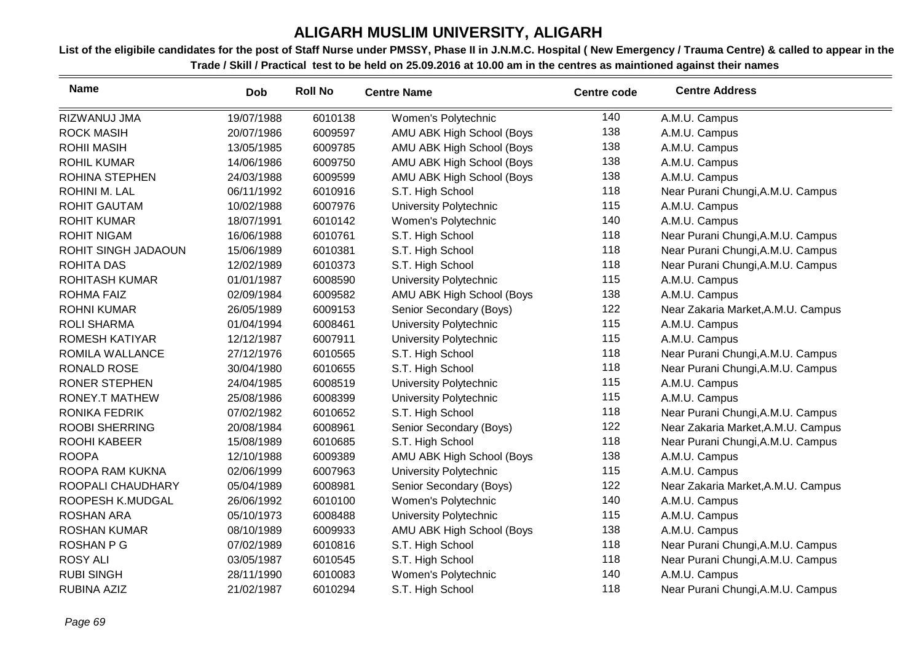| <b>Name</b>           | <b>Dob</b> | <b>Roll No</b> | <b>Centre Name</b>            | <b>Centre code</b> | <b>Centre Address</b>              |
|-----------------------|------------|----------------|-------------------------------|--------------------|------------------------------------|
| RIZWANUJ JMA          | 19/07/1988 | 6010138        | Women's Polytechnic           | 140                | A.M.U. Campus                      |
| <b>ROCK MASIH</b>     | 20/07/1986 | 6009597        | AMU ABK High School (Boys     | 138                | A.M.U. Campus                      |
| <b>ROHII MASIH</b>    | 13/05/1985 | 6009785        | AMU ABK High School (Boys     | 138                | A.M.U. Campus                      |
| <b>ROHIL KUMAR</b>    | 14/06/1986 | 6009750        | AMU ABK High School (Boys     | 138                | A.M.U. Campus                      |
| ROHINA STEPHEN        | 24/03/1988 | 6009599        | AMU ABK High School (Boys     | 138                | A.M.U. Campus                      |
| ROHINI M. LAL         | 06/11/1992 | 6010916        | S.T. High School              | 118                | Near Purani Chungi, A.M.U. Campus  |
| <b>ROHIT GAUTAM</b>   | 10/02/1988 | 6007976        | University Polytechnic        | 115                | A.M.U. Campus                      |
| <b>ROHIT KUMAR</b>    | 18/07/1991 | 6010142        | Women's Polytechnic           | 140                | A.M.U. Campus                      |
| <b>ROHIT NIGAM</b>    | 16/06/1988 | 6010761        | S.T. High School              | 118                | Near Purani Chungi, A.M.U. Campus  |
| ROHIT SINGH JADAOUN   | 15/06/1989 | 6010381        | S.T. High School              | 118                | Near Purani Chungi, A.M.U. Campus  |
| <b>ROHITA DAS</b>     | 12/02/1989 | 6010373        | S.T. High School              | 118                | Near Purani Chungi, A.M.U. Campus  |
| <b>ROHITASH KUMAR</b> | 01/01/1987 | 6008590        | <b>University Polytechnic</b> | 115                | A.M.U. Campus                      |
| <b>ROHMA FAIZ</b>     | 02/09/1984 | 6009582        | AMU ABK High School (Boys     | 138                | A.M.U. Campus                      |
| <b>ROHNI KUMAR</b>    | 26/05/1989 | 6009153        | Senior Secondary (Boys)       | 122                | Near Zakaria Market, A.M.U. Campus |
| <b>ROLI SHARMA</b>    | 01/04/1994 | 6008461        | <b>University Polytechnic</b> | 115                | A.M.U. Campus                      |
| <b>ROMESH KATIYAR</b> | 12/12/1987 | 6007911        | University Polytechnic        | 115                | A.M.U. Campus                      |
| ROMILA WALLANCE       | 27/12/1976 | 6010565        | S.T. High School              | 118                | Near Purani Chungi, A.M.U. Campus  |
| <b>RONALD ROSE</b>    | 30/04/1980 | 6010655        | S.T. High School              | 118                | Near Purani Chungi, A.M.U. Campus  |
| <b>RONER STEPHEN</b>  | 24/04/1985 | 6008519        | <b>University Polytechnic</b> | 115                | A.M.U. Campus                      |
| <b>RONEY.T MATHEW</b> | 25/08/1986 | 6008399        | University Polytechnic        | 115                | A.M.U. Campus                      |
| RONIKA FEDRIK         | 07/02/1982 | 6010652        | S.T. High School              | 118                | Near Purani Chungi, A.M.U. Campus  |
| <b>ROOBI SHERRING</b> | 20/08/1984 | 6008961        | Senior Secondary (Boys)       | 122                | Near Zakaria Market, A.M.U. Campus |
| <b>ROOHI KABEER</b>   | 15/08/1989 | 6010685        | S.T. High School              | 118                | Near Purani Chungi, A.M.U. Campus  |
| <b>ROOPA</b>          | 12/10/1988 | 6009389        | AMU ABK High School (Boys     | 138                | A.M.U. Campus                      |
| ROOPA RAM KUKNA       | 02/06/1999 | 6007963        | <b>University Polytechnic</b> | 115                | A.M.U. Campus                      |
| ROOPALI CHAUDHARY     | 05/04/1989 | 6008981        | Senior Secondary (Boys)       | 122                | Near Zakaria Market, A.M.U. Campus |
| ROOPESH K.MUDGAL      | 26/06/1992 | 6010100        | Women's Polytechnic           | 140                | A.M.U. Campus                      |
| <b>ROSHAN ARA</b>     | 05/10/1973 | 6008488        | University Polytechnic        | 115                | A.M.U. Campus                      |
| <b>ROSHAN KUMAR</b>   | 08/10/1989 | 6009933        | AMU ABK High School (Boys     | 138                | A.M.U. Campus                      |
| <b>ROSHAN P G</b>     | 07/02/1989 | 6010816        | S.T. High School              | 118                | Near Purani Chungi, A.M.U. Campus  |
| <b>ROSY ALI</b>       | 03/05/1987 | 6010545        | S.T. High School              | 118                | Near Purani Chungi, A.M.U. Campus  |
| <b>RUBI SINGH</b>     | 28/11/1990 | 6010083        | Women's Polytechnic           | 140                | A.M.U. Campus                      |
| RUBINA AZIZ           | 21/02/1987 | 6010294        | S.T. High School              | 118                | Near Purani Chungi, A.M.U. Campus  |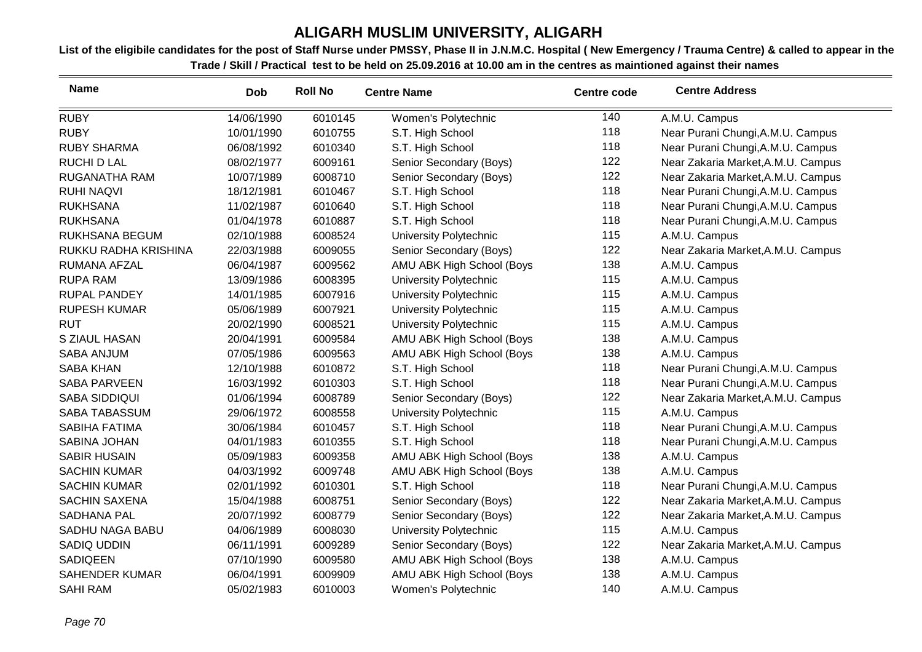| <b>Name</b>           | <b>Dob</b> | <b>Roll No</b> | <b>Centre Name</b>        | <b>Centre code</b> | <b>Centre Address</b>              |
|-----------------------|------------|----------------|---------------------------|--------------------|------------------------------------|
| <b>RUBY</b>           | 14/06/1990 | 6010145        | Women's Polytechnic       | 140                | A.M.U. Campus                      |
| <b>RUBY</b>           | 10/01/1990 | 6010755        | S.T. High School          | 118                | Near Purani Chungi, A.M.U. Campus  |
| <b>RUBY SHARMA</b>    | 06/08/1992 | 6010340        | S.T. High School          | 118                | Near Purani Chungi, A.M.U. Campus  |
| <b>RUCHI D LAL</b>    | 08/02/1977 | 6009161        | Senior Secondary (Boys)   | 122                | Near Zakaria Market, A.M.U. Campus |
| RUGANATHA RAM         | 10/07/1989 | 6008710        | Senior Secondary (Boys)   | 122                | Near Zakaria Market, A.M.U. Campus |
| <b>RUHI NAQVI</b>     | 18/12/1981 | 6010467        | S.T. High School          | 118                | Near Purani Chungi, A.M.U. Campus  |
| <b>RUKHSANA</b>       | 11/02/1987 | 6010640        | S.T. High School          | 118                | Near Purani Chungi, A.M.U. Campus  |
| <b>RUKHSANA</b>       | 01/04/1978 | 6010887        | S.T. High School          | 118                | Near Purani Chungi, A.M.U. Campus  |
| RUKHSANA BEGUM        | 02/10/1988 | 6008524        | University Polytechnic    | 115                | A.M.U. Campus                      |
| RUKKU RADHA KRISHINA  | 22/03/1988 | 6009055        | Senior Secondary (Boys)   | 122                | Near Zakaria Market, A.M.U. Campus |
| RUMANA AFZAL          | 06/04/1987 | 6009562        | AMU ABK High School (Boys | 138                | A.M.U. Campus                      |
| <b>RUPA RAM</b>       | 13/09/1986 | 6008395        | University Polytechnic    | 115                | A.M.U. Campus                      |
| <b>RUPAL PANDEY</b>   | 14/01/1985 | 6007916        | University Polytechnic    | 115                | A.M.U. Campus                      |
| <b>RUPESH KUMAR</b>   | 05/06/1989 | 6007921        | University Polytechnic    | 115                | A.M.U. Campus                      |
| <b>RUT</b>            | 20/02/1990 | 6008521        | University Polytechnic    | 115                | A.M.U. Campus                      |
| S ZIAUL HASAN         | 20/04/1991 | 6009584        | AMU ABK High School (Boys | 138                | A.M.U. Campus                      |
| SABA ANJUM            | 07/05/1986 | 6009563        | AMU ABK High School (Boys | 138                | A.M.U. Campus                      |
| <b>SABA KHAN</b>      | 12/10/1988 | 6010872        | S.T. High School          | 118                | Near Purani Chungi, A.M.U. Campus  |
| <b>SABA PARVEEN</b>   | 16/03/1992 | 6010303        | S.T. High School          | 118                | Near Purani Chungi, A.M.U. Campus  |
| <b>SABA SIDDIQUI</b>  | 01/06/1994 | 6008789        | Senior Secondary (Boys)   | 122                | Near Zakaria Market, A.M.U. Campus |
| SABA TABASSUM         | 29/06/1972 | 6008558        | University Polytechnic    | 115                | A.M.U. Campus                      |
| <b>SABIHA FATIMA</b>  | 30/06/1984 | 6010457        | S.T. High School          | 118                | Near Purani Chungi, A.M.U. Campus  |
| SABINA JOHAN          | 04/01/1983 | 6010355        | S.T. High School          | 118                | Near Purani Chungi, A.M.U. Campus  |
| <b>SABIR HUSAIN</b>   | 05/09/1983 | 6009358        | AMU ABK High School (Boys | 138                | A.M.U. Campus                      |
| <b>SACHIN KUMAR</b>   | 04/03/1992 | 6009748        | AMU ABK High School (Boys | 138                | A.M.U. Campus                      |
| <b>SACHIN KUMAR</b>   | 02/01/1992 | 6010301        | S.T. High School          | 118                | Near Purani Chungi, A.M.U. Campus  |
| <b>SACHIN SAXENA</b>  | 15/04/1988 | 6008751        | Senior Secondary (Boys)   | 122                | Near Zakaria Market, A.M.U. Campus |
| SADHANA PAL           | 20/07/1992 | 6008779        | Senior Secondary (Boys)   | 122                | Near Zakaria Market, A.M.U. Campus |
| SADHU NAGA BABU       | 04/06/1989 | 6008030        | University Polytechnic    | 115                | A.M.U. Campus                      |
| SADIQ UDDIN           | 06/11/1991 | 6009289        | Senior Secondary (Boys)   | 122                | Near Zakaria Market, A.M.U. Campus |
| <b>SADIQEEN</b>       | 07/10/1990 | 6009580        | AMU ABK High School (Boys | 138                | A.M.U. Campus                      |
| <b>SAHENDER KUMAR</b> | 06/04/1991 | 6009909        | AMU ABK High School (Boys | 138                | A.M.U. Campus                      |
| <b>SAHI RAM</b>       | 05/02/1983 | 6010003        | Women's Polytechnic       | 140                | A.M.U. Campus                      |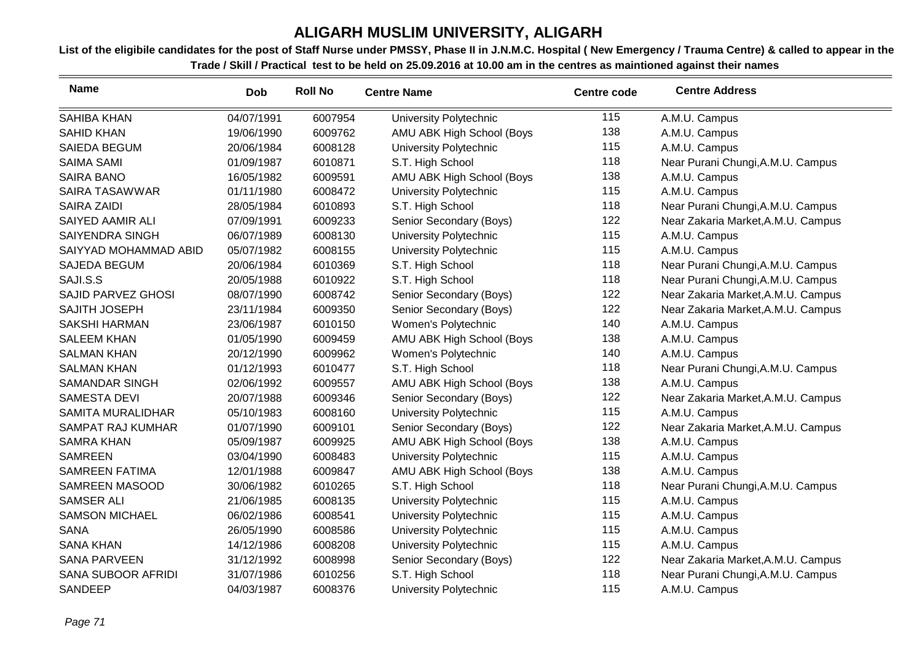| <b>Name</b>               | <b>Dob</b> | <b>Roll No</b> | <b>Centre Name</b>        | <b>Centre code</b> | <b>Centre Address</b>              |
|---------------------------|------------|----------------|---------------------------|--------------------|------------------------------------|
| <b>SAHIBA KHAN</b>        | 04/07/1991 | 6007954        | University Polytechnic    | 115                | A.M.U. Campus                      |
| <b>SAHID KHAN</b>         | 19/06/1990 | 6009762        | AMU ABK High School (Boys | 138                | A.M.U. Campus                      |
| SAIEDA BEGUM              | 20/06/1984 | 6008128        | University Polytechnic    | 115                | A.M.U. Campus                      |
| <b>SAIMA SAMI</b>         | 01/09/1987 | 6010871        | S.T. High School          | 118                | Near Purani Chungi, A.M.U. Campus  |
| <b>SAIRA BANO</b>         | 16/05/1982 | 6009591        | AMU ABK High School (Boys | 138                | A.M.U. Campus                      |
| <b>SAIRA TASAWWAR</b>     | 01/11/1980 | 6008472        | University Polytechnic    | 115                | A.M.U. Campus                      |
| <b>SAIRA ZAIDI</b>        | 28/05/1984 | 6010893        | S.T. High School          | 118                | Near Purani Chungi, A.M.U. Campus  |
| SAIYED AAMIR ALI          | 07/09/1991 | 6009233        | Senior Secondary (Boys)   | 122                | Near Zakaria Market, A.M.U. Campus |
| SAIYENDRA SINGH           | 06/07/1989 | 6008130        | University Polytechnic    | 115                | A.M.U. Campus                      |
| SAIYYAD MOHAMMAD ABID     | 05/07/1982 | 6008155        | University Polytechnic    | 115                | A.M.U. Campus                      |
| SAJEDA BEGUM              | 20/06/1984 | 6010369        | S.T. High School          | 118                | Near Purani Chungi, A.M.U. Campus  |
| SAJI.S.S                  | 20/05/1988 | 6010922        | S.T. High School          | 118                | Near Purani Chungi, A.M.U. Campus  |
| <b>SAJID PARVEZ GHOSI</b> | 08/07/1990 | 6008742        | Senior Secondary (Boys)   | 122                | Near Zakaria Market, A.M.U. Campus |
| SAJITH JOSEPH             | 23/11/1984 | 6009350        | Senior Secondary (Boys)   | 122                | Near Zakaria Market, A.M.U. Campus |
| <b>SAKSHI HARMAN</b>      | 23/06/1987 | 6010150        | Women's Polytechnic       | 140                | A.M.U. Campus                      |
| <b>SALEEM KHAN</b>        | 01/05/1990 | 6009459        | AMU ABK High School (Boys | 138                | A.M.U. Campus                      |
| <b>SALMAN KHAN</b>        | 20/12/1990 | 6009962        | Women's Polytechnic       | 140                | A.M.U. Campus                      |
| <b>SALMAN KHAN</b>        | 01/12/1993 | 6010477        | S.T. High School          | 118                | Near Purani Chungi, A.M.U. Campus  |
| <b>SAMANDAR SINGH</b>     | 02/06/1992 | 6009557        | AMU ABK High School (Boys | 138                | A.M.U. Campus                      |
| <b>SAMESTA DEVI</b>       | 20/07/1988 | 6009346        | Senior Secondary (Boys)   | 122                | Near Zakaria Market, A.M.U. Campus |
| SAMITA MURALIDHAR         | 05/10/1983 | 6008160        | University Polytechnic    | 115                | A.M.U. Campus                      |
| <b>SAMPAT RAJ KUMHAR</b>  | 01/07/1990 | 6009101        | Senior Secondary (Boys)   | 122                | Near Zakaria Market, A.M.U. Campus |
| <b>SAMRA KHAN</b>         | 05/09/1987 | 6009925        | AMU ABK High School (Boys | 138                | A.M.U. Campus                      |
| <b>SAMREEN</b>            | 03/04/1990 | 6008483        | University Polytechnic    | 115                | A.M.U. Campus                      |
| <b>SAMREEN FATIMA</b>     | 12/01/1988 | 6009847        | AMU ABK High School (Boys | 138                | A.M.U. Campus                      |
| SAMREEN MASOOD            | 30/06/1982 | 6010265        | S.T. High School          | 118                | Near Purani Chungi, A.M.U. Campus  |
| <b>SAMSER ALI</b>         | 21/06/1985 | 6008135        | University Polytechnic    | 115                | A.M.U. Campus                      |
| <b>SAMSON MICHAEL</b>     | 06/02/1986 | 6008541        | University Polytechnic    | 115                | A.M.U. Campus                      |
| <b>SANA</b>               | 26/05/1990 | 6008586        | University Polytechnic    | 115                | A.M.U. Campus                      |
| <b>SANA KHAN</b>          | 14/12/1986 | 6008208        | University Polytechnic    | 115                | A.M.U. Campus                      |
| <b>SANA PARVEEN</b>       | 31/12/1992 | 6008998        | Senior Secondary (Boys)   | 122                | Near Zakaria Market, A.M.U. Campus |
| <b>SANA SUBOOR AFRIDI</b> | 31/07/1986 | 6010256        | S.T. High School          | 118                | Near Purani Chungi, A.M.U. Campus  |
| SANDEEP                   | 04/03/1987 | 6008376        | University Polytechnic    | 115                | A.M.U. Campus                      |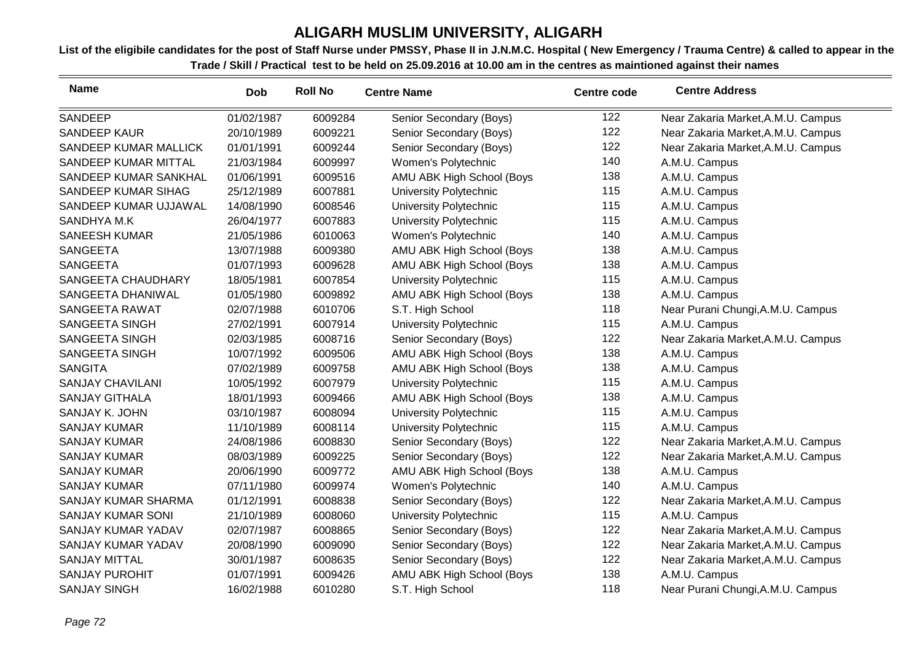| <b>Name</b>              | <b>Dob</b> | <b>Roll No</b> | <b>Centre Name</b>            | <b>Centre code</b> | <b>Centre Address</b>              |
|--------------------------|------------|----------------|-------------------------------|--------------------|------------------------------------|
| SANDEEP                  | 01/02/1987 | 6009284        | Senior Secondary (Boys)       | 122                | Near Zakaria Market, A.M.U. Campus |
| <b>SANDEEP KAUR</b>      | 20/10/1989 | 6009221        | Senior Secondary (Boys)       | 122                | Near Zakaria Market, A.M.U. Campus |
| SANDEEP KUMAR MALLICK    | 01/01/1991 | 6009244        | Senior Secondary (Boys)       | 122                | Near Zakaria Market, A.M.U. Campus |
| SANDEEP KUMAR MITTAL     | 21/03/1984 | 6009997        | Women's Polytechnic           | 140                | A.M.U. Campus                      |
| SANDEEP KUMAR SANKHAL    | 01/06/1991 | 6009516        | AMU ABK High School (Boys     | 138                | A.M.U. Campus                      |
| SANDEEP KUMAR SIHAG      | 25/12/1989 | 6007881        | University Polytechnic        | 115                | A.M.U. Campus                      |
| SANDEEP KUMAR UJJAWAL    | 14/08/1990 | 6008546        | University Polytechnic        | 115                | A.M.U. Campus                      |
| SANDHYA M.K              | 26/04/1977 | 6007883        | University Polytechnic        | 115                | A.M.U. Campus                      |
| <b>SANEESH KUMAR</b>     | 21/05/1986 | 6010063        | Women's Polytechnic           | 140                | A.M.U. Campus                      |
| <b>SANGEETA</b>          | 13/07/1988 | 6009380        | AMU ABK High School (Boys     | 138                | A.M.U. Campus                      |
| <b>SANGEETA</b>          | 01/07/1993 | 6009628        | AMU ABK High School (Boys     | 138                | A.M.U. Campus                      |
| SANGEETA CHAUDHARY       | 18/05/1981 | 6007854        | <b>University Polytechnic</b> | 115                | A.M.U. Campus                      |
| SANGEETA DHANIWAL        | 01/05/1980 | 6009892        | AMU ABK High School (Boys     | 138                | A.M.U. Campus                      |
| SANGEETA RAWAT           | 02/07/1988 | 6010706        | S.T. High School              | 118                | Near Purani Chungi, A.M.U. Campus  |
| SANGEETA SINGH           | 27/02/1991 | 6007914        | University Polytechnic        | 115                | A.M.U. Campus                      |
| SANGEETA SINGH           | 02/03/1985 | 6008716        | Senior Secondary (Boys)       | 122                | Near Zakaria Market, A.M.U. Campus |
| SANGEETA SINGH           | 10/07/1992 | 6009506        | AMU ABK High School (Boys     | 138                | A.M.U. Campus                      |
| <b>SANGITA</b>           | 07/02/1989 | 6009758        | AMU ABK High School (Boys     | 138                | A.M.U. Campus                      |
| <b>SANJAY CHAVILANI</b>  | 10/05/1992 | 6007979        | <b>University Polytechnic</b> | 115                | A.M.U. Campus                      |
| <b>SANJAY GITHALA</b>    | 18/01/1993 | 6009466        | AMU ABK High School (Boys     | 138                | A.M.U. Campus                      |
| SANJAY K. JOHN           | 03/10/1987 | 6008094        | University Polytechnic        | 115                | A.M.U. Campus                      |
| <b>SANJAY KUMAR</b>      | 11/10/1989 | 6008114        | University Polytechnic        | 115                | A.M.U. Campus                      |
| <b>SANJAY KUMAR</b>      | 24/08/1986 | 6008830        | Senior Secondary (Boys)       | 122                | Near Zakaria Market, A.M.U. Campus |
| <b>SANJAY KUMAR</b>      | 08/03/1989 | 6009225        | Senior Secondary (Boys)       | 122                | Near Zakaria Market, A.M.U. Campus |
| <b>SANJAY KUMAR</b>      | 20/06/1990 | 6009772        | AMU ABK High School (Boys     | 138                | A.M.U. Campus                      |
| <b>SANJAY KUMAR</b>      | 07/11/1980 | 6009974        | Women's Polytechnic           | 140                | A.M.U. Campus                      |
| SANJAY KUMAR SHARMA      | 01/12/1991 | 6008838        | Senior Secondary (Boys)       | 122                | Near Zakaria Market, A.M.U. Campus |
| <b>SANJAY KUMAR SONI</b> | 21/10/1989 | 6008060        | University Polytechnic        | 115                | A.M.U. Campus                      |
| SANJAY KUMAR YADAV       | 02/07/1987 | 6008865        | Senior Secondary (Boys)       | 122                | Near Zakaria Market, A.M.U. Campus |
| SANJAY KUMAR YADAV       | 20/08/1990 | 6009090        | Senior Secondary (Boys)       | 122                | Near Zakaria Market, A.M.U. Campus |
| <b>SANJAY MITTAL</b>     | 30/01/1987 | 6008635        | Senior Secondary (Boys)       | 122                | Near Zakaria Market, A.M.U. Campus |
| <b>SANJAY PUROHIT</b>    | 01/07/1991 | 6009426        | AMU ABK High School (Boys     | 138                | A.M.U. Campus                      |
| <b>SANJAY SINGH</b>      | 16/02/1988 | 6010280        | S.T. High School              | 118                | Near Purani Chungi, A.M.U. Campus  |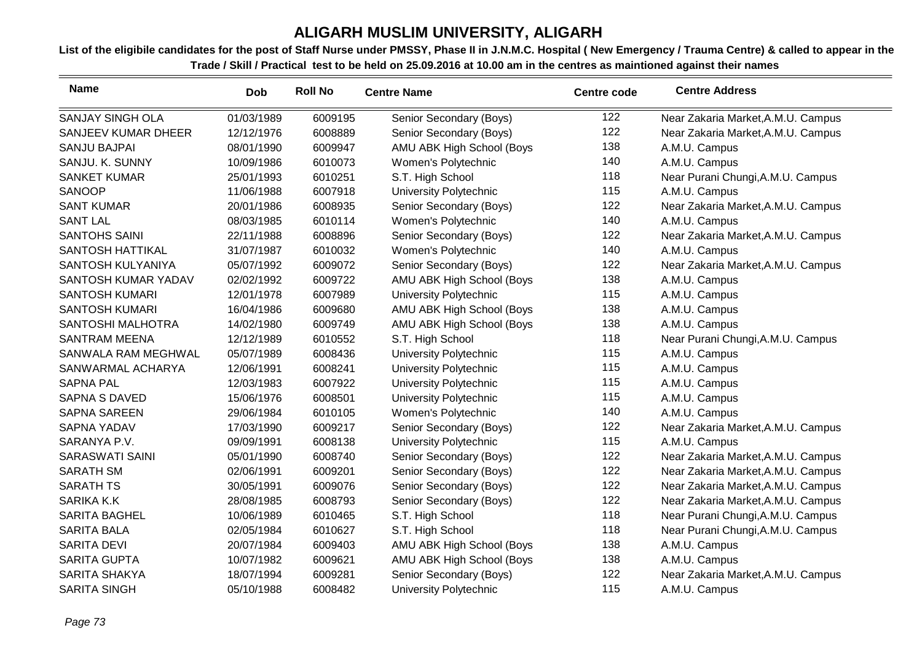| <b>Name</b>             | <b>Dob</b> | <b>Roll No</b> | <b>Centre Name</b>            | <b>Centre code</b> | <b>Centre Address</b>              |
|-------------------------|------------|----------------|-------------------------------|--------------------|------------------------------------|
| <b>SANJAY SINGH OLA</b> | 01/03/1989 | 6009195        | Senior Secondary (Boys)       | 122                | Near Zakaria Market, A.M.U. Campus |
| SANJEEV KUMAR DHEER     | 12/12/1976 | 6008889        | Senior Secondary (Boys)       | 122                | Near Zakaria Market, A.M.U. Campus |
| <b>SANJU BAJPAI</b>     | 08/01/1990 | 6009947        | AMU ABK High School (Boys     | 138                | A.M.U. Campus                      |
| SANJU. K. SUNNY         | 10/09/1986 | 6010073        | Women's Polytechnic           | 140                | A.M.U. Campus                      |
| <b>SANKET KUMAR</b>     | 25/01/1993 | 6010251        | S.T. High School              | 118                | Near Purani Chungi, A.M.U. Campus  |
| <b>SANOOP</b>           | 11/06/1988 | 6007918        | University Polytechnic        | 115                | A.M.U. Campus                      |
| <b>SANT KUMAR</b>       | 20/01/1986 | 6008935        | Senior Secondary (Boys)       | 122                | Near Zakaria Market, A.M.U. Campus |
| <b>SANT LAL</b>         | 08/03/1985 | 6010114        | Women's Polytechnic           | 140                | A.M.U. Campus                      |
| <b>SANTOHS SAINI</b>    | 22/11/1988 | 6008896        | Senior Secondary (Boys)       | 122                | Near Zakaria Market, A.M.U. Campus |
| SANTOSH HATTIKAL        | 31/07/1987 | 6010032        | Women's Polytechnic           | 140                | A.M.U. Campus                      |
| SANTOSH KULYANIYA       | 05/07/1992 | 6009072        | Senior Secondary (Boys)       | 122                | Near Zakaria Market, A.M.U. Campus |
| SANTOSH KUMAR YADAV     | 02/02/1992 | 6009722        | AMU ABK High School (Boys     | 138                | A.M.U. Campus                      |
| <b>SANTOSH KUMARI</b>   | 12/01/1978 | 6007989        | University Polytechnic        | 115                | A.M.U. Campus                      |
| <b>SANTOSH KUMARI</b>   | 16/04/1986 | 6009680        | AMU ABK High School (Boys     | 138                | A.M.U. Campus                      |
| SANTOSHI MALHOTRA       | 14/02/1980 | 6009749        | AMU ABK High School (Boys     | 138                | A.M.U. Campus                      |
| <b>SANTRAM MEENA</b>    | 12/12/1989 | 6010552        | S.T. High School              | 118                | Near Purani Chungi, A.M.U. Campus  |
| SANWALA RAM MEGHWAL     | 05/07/1989 | 6008436        | University Polytechnic        | 115                | A.M.U. Campus                      |
| SANWARMAL ACHARYA       | 12/06/1991 | 6008241        | University Polytechnic        | 115                | A.M.U. Campus                      |
| <b>SAPNA PAL</b>        | 12/03/1983 | 6007922        | <b>University Polytechnic</b> | 115                | A.M.U. Campus                      |
| <b>SAPNA S DAVED</b>    | 15/06/1976 | 6008501        | University Polytechnic        | 115                | A.M.U. Campus                      |
| <b>SAPNA SAREEN</b>     | 29/06/1984 | 6010105        | Women's Polytechnic           | 140                | A.M.U. Campus                      |
| <b>SAPNA YADAV</b>      | 17/03/1990 | 6009217        | Senior Secondary (Boys)       | 122                | Near Zakaria Market, A.M.U. Campus |
| SARANYA P.V.            | 09/09/1991 | 6008138        | <b>University Polytechnic</b> | 115                | A.M.U. Campus                      |
| <b>SARASWATI SAINI</b>  | 05/01/1990 | 6008740        | Senior Secondary (Boys)       | 122                | Near Zakaria Market, A.M.U. Campus |
| <b>SARATH SM</b>        | 02/06/1991 | 6009201        | Senior Secondary (Boys)       | 122                | Near Zakaria Market, A.M.U. Campus |
| <b>SARATH TS</b>        | 30/05/1991 | 6009076        | Senior Secondary (Boys)       | 122                | Near Zakaria Market, A.M.U. Campus |
| <b>SARIKA K.K</b>       | 28/08/1985 | 6008793        | Senior Secondary (Boys)       | 122                | Near Zakaria Market, A.M.U. Campus |
| <b>SARITA BAGHEL</b>    | 10/06/1989 | 6010465        | S.T. High School              | 118                | Near Purani Chungi, A.M.U. Campus  |
| <b>SARITA BALA</b>      | 02/05/1984 | 6010627        | S.T. High School              | 118                | Near Purani Chungi, A.M.U. Campus  |
| <b>SARITA DEVI</b>      | 20/07/1984 | 6009403        | AMU ABK High School (Boys     | 138                | A.M.U. Campus                      |
| <b>SARITA GUPTA</b>     | 10/07/1982 | 6009621        | AMU ABK High School (Boys     | 138                | A.M.U. Campus                      |
| <b>SARITA SHAKYA</b>    | 18/07/1994 | 6009281        | Senior Secondary (Boys)       | 122                | Near Zakaria Market, A.M.U. Campus |
| <b>SARITA SINGH</b>     | 05/10/1988 | 6008482        | <b>University Polytechnic</b> | 115                | A.M.U. Campus                      |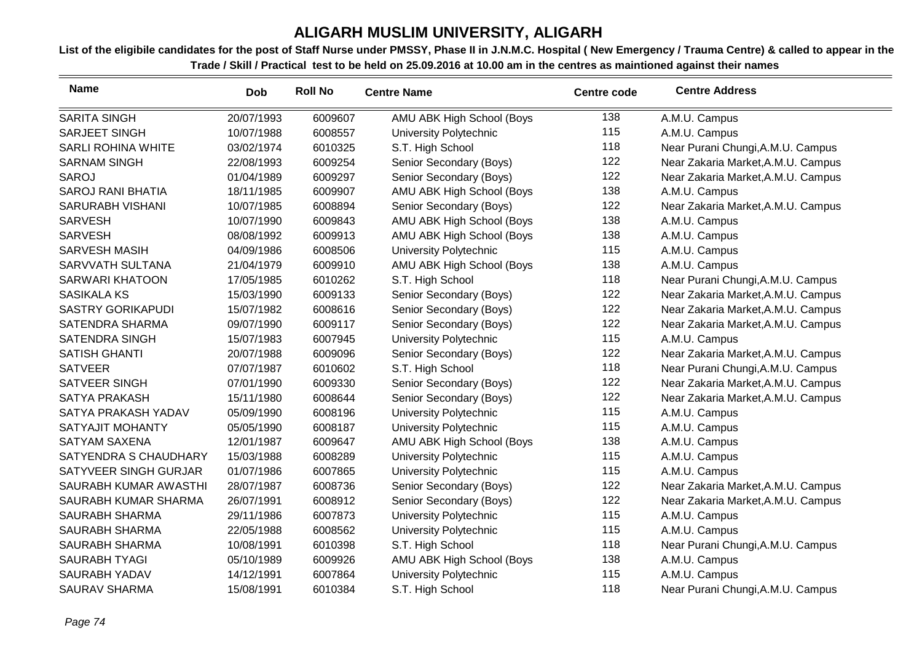| <b>Name</b>               | <b>Dob</b> | <b>Roll No</b> | <b>Centre Name</b>            | <b>Centre code</b> | <b>Centre Address</b>              |
|---------------------------|------------|----------------|-------------------------------|--------------------|------------------------------------|
| <b>SARITA SINGH</b>       | 20/07/1993 | 6009607        | AMU ABK High School (Boys     | 138                | A.M.U. Campus                      |
| <b>SARJEET SINGH</b>      | 10/07/1988 | 6008557        | <b>University Polytechnic</b> | 115                | A.M.U. Campus                      |
| <b>SARLI ROHINA WHITE</b> | 03/02/1974 | 6010325        | S.T. High School              | 118                | Near Purani Chungi, A.M.U. Campus  |
| <b>SARNAM SINGH</b>       | 22/08/1993 | 6009254        | Senior Secondary (Boys)       | 122                | Near Zakaria Market, A.M.U. Campus |
| <b>SAROJ</b>              | 01/04/1989 | 6009297        | Senior Secondary (Boys)       | 122                | Near Zakaria Market, A.M.U. Campus |
| <b>SAROJ RANI BHATIA</b>  | 18/11/1985 | 6009907        | AMU ABK High School (Boys     | 138                | A.M.U. Campus                      |
| <b>SARURABH VISHANI</b>   | 10/07/1985 | 6008894        | Senior Secondary (Boys)       | 122                | Near Zakaria Market, A.M.U. Campus |
| <b>SARVESH</b>            | 10/07/1990 | 6009843        | AMU ABK High School (Boys     | 138                | A.M.U. Campus                      |
| <b>SARVESH</b>            | 08/08/1992 | 6009913        | AMU ABK High School (Boys     | 138                | A.M.U. Campus                      |
| <b>SARVESH MASIH</b>      | 04/09/1986 | 6008506        | University Polytechnic        | 115                | A.M.U. Campus                      |
| SARVVATH SULTANA          | 21/04/1979 | 6009910        | AMU ABK High School (Boys     | 138                | A.M.U. Campus                      |
| <b>SARWARI KHATOON</b>    | 17/05/1985 | 6010262        | S.T. High School              | 118                | Near Purani Chungi, A.M.U. Campus  |
| <b>SASIKALA KS</b>        | 15/03/1990 | 6009133        | Senior Secondary (Boys)       | 122                | Near Zakaria Market, A.M.U. Campus |
| <b>SASTRY GORIKAPUDI</b>  | 15/07/1982 | 6008616        | Senior Secondary (Boys)       | 122                | Near Zakaria Market, A.M.U. Campus |
| <b>SATENDRA SHARMA</b>    | 09/07/1990 | 6009117        | Senior Secondary (Boys)       | 122                | Near Zakaria Market, A.M.U. Campus |
| <b>SATENDRA SINGH</b>     | 15/07/1983 | 6007945        | University Polytechnic        | 115                | A.M.U. Campus                      |
| <b>SATISH GHANTI</b>      | 20/07/1988 | 6009096        | Senior Secondary (Boys)       | 122                | Near Zakaria Market, A.M.U. Campus |
| <b>SATVEER</b>            | 07/07/1987 | 6010602        | S.T. High School              | 118                | Near Purani Chungi, A.M.U. Campus  |
| SATVEER SINGH             | 07/01/1990 | 6009330        | Senior Secondary (Boys)       | 122                | Near Zakaria Market, A.M.U. Campus |
| <b>SATYA PRAKASH</b>      | 15/11/1980 | 6008644        | Senior Secondary (Boys)       | 122                | Near Zakaria Market, A.M.U. Campus |
| SATYA PRAKASH YADAV       | 05/09/1990 | 6008196        | <b>University Polytechnic</b> | 115                | A.M.U. Campus                      |
| <b>SATYAJIT MOHANTY</b>   | 05/05/1990 | 6008187        | University Polytechnic        | 115                | A.M.U. Campus                      |
| <b>SATYAM SAXENA</b>      | 12/01/1987 | 6009647        | AMU ABK High School (Boys     | 138                | A.M.U. Campus                      |
| SATYENDRA S CHAUDHARY     | 15/03/1988 | 6008289        | <b>University Polytechnic</b> | 115                | A.M.U. Campus                      |
| SATYVEER SINGH GURJAR     | 01/07/1986 | 6007865        | University Polytechnic        | 115                | A.M.U. Campus                      |
| SAURABH KUMAR AWASTHI     | 28/07/1987 | 6008736        | Senior Secondary (Boys)       | 122                | Near Zakaria Market, A.M.U. Campus |
| SAURABH KUMAR SHARMA      | 26/07/1991 | 6008912        | Senior Secondary (Boys)       | 122                | Near Zakaria Market, A.M.U. Campus |
| <b>SAURABH SHARMA</b>     | 29/11/1986 | 6007873        | University Polytechnic        | 115                | A.M.U. Campus                      |
| <b>SAURABH SHARMA</b>     | 22/05/1988 | 6008562        | University Polytechnic        | 115                | A.M.U. Campus                      |
| <b>SAURABH SHARMA</b>     | 10/08/1991 | 6010398        | S.T. High School              | 118                | Near Purani Chungi, A.M.U. Campus  |
| <b>SAURABH TYAGI</b>      | 05/10/1989 | 6009926        | AMU ABK High School (Boys     | 138                | A.M.U. Campus                      |
| <b>SAURABH YADAV</b>      | 14/12/1991 | 6007864        | <b>University Polytechnic</b> | 115                | A.M.U. Campus                      |
| <b>SAURAV SHARMA</b>      | 15/08/1991 | 6010384        | S.T. High School              | 118                | Near Purani Chungi, A.M.U. Campus  |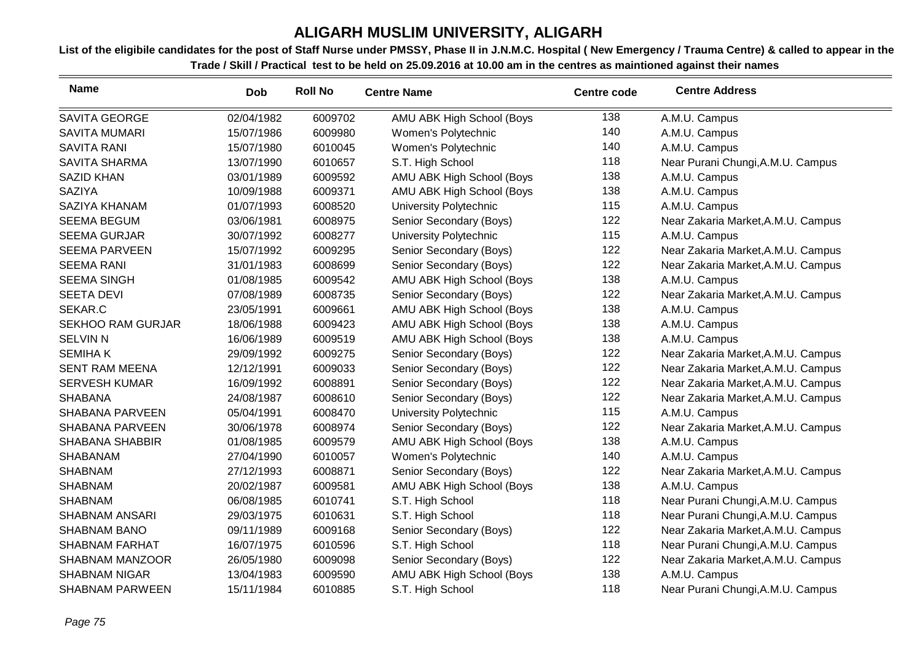| <b>Name</b>              | <b>Dob</b> | <b>Roll No</b> | <b>Centre Name</b>        | <b>Centre code</b> | <b>Centre Address</b>              |
|--------------------------|------------|----------------|---------------------------|--------------------|------------------------------------|
| <b>SAVITA GEORGE</b>     | 02/04/1982 | 6009702        | AMU ABK High School (Boys | 138                | A.M.U. Campus                      |
| <b>SAVITA MUMARI</b>     | 15/07/1986 | 6009980        | Women's Polytechnic       | 140                | A.M.U. Campus                      |
| <b>SAVITA RANI</b>       | 15/07/1980 | 6010045        | Women's Polytechnic       | 140                | A.M.U. Campus                      |
| <b>SAVITA SHARMA</b>     | 13/07/1990 | 6010657        | S.T. High School          | 118                | Near Purani Chungi, A.M.U. Campus  |
| <b>SAZID KHAN</b>        | 03/01/1989 | 6009592        | AMU ABK High School (Boys | 138                | A.M.U. Campus                      |
| <b>SAZIYA</b>            | 10/09/1988 | 6009371        | AMU ABK High School (Boys | 138                | A.M.U. Campus                      |
| SAZIYA KHANAM            | 01/07/1993 | 6008520        | University Polytechnic    | 115                | A.M.U. Campus                      |
| <b>SEEMA BEGUM</b>       | 03/06/1981 | 6008975        | Senior Secondary (Boys)   | 122                | Near Zakaria Market, A.M.U. Campus |
| <b>SEEMA GURJAR</b>      | 30/07/1992 | 6008277        | University Polytechnic    | 115                | A.M.U. Campus                      |
| <b>SEEMA PARVEEN</b>     | 15/07/1992 | 6009295        | Senior Secondary (Boys)   | 122                | Near Zakaria Market, A.M.U. Campus |
| <b>SEEMA RANI</b>        | 31/01/1983 | 6008699        | Senior Secondary (Boys)   | 122                | Near Zakaria Market, A.M.U. Campus |
| <b>SEEMA SINGH</b>       | 01/08/1985 | 6009542        | AMU ABK High School (Boys | 138                | A.M.U. Campus                      |
| <b>SEETA DEVI</b>        | 07/08/1989 | 6008735        | Senior Secondary (Boys)   | 122                | Near Zakaria Market, A.M.U. Campus |
| SEKAR.C                  | 23/05/1991 | 6009661        | AMU ABK High School (Boys | 138                | A.M.U. Campus                      |
| <b>SEKHOO RAM GURJAR</b> | 18/06/1988 | 6009423        | AMU ABK High School (Boys | 138                | A.M.U. Campus                      |
| <b>SELVIN N</b>          | 16/06/1989 | 6009519        | AMU ABK High School (Boys | 138                | A.M.U. Campus                      |
| <b>SEMIHAK</b>           | 29/09/1992 | 6009275        | Senior Secondary (Boys)   | 122                | Near Zakaria Market, A.M.U. Campus |
| <b>SENT RAM MEENA</b>    | 12/12/1991 | 6009033        | Senior Secondary (Boys)   | 122                | Near Zakaria Market, A.M.U. Campus |
| <b>SERVESH KUMAR</b>     | 16/09/1992 | 6008891        | Senior Secondary (Boys)   | 122                | Near Zakaria Market, A.M.U. Campus |
| <b>SHABANA</b>           | 24/08/1987 | 6008610        | Senior Secondary (Boys)   | 122                | Near Zakaria Market, A.M.U. Campus |
| <b>SHABANA PARVEEN</b>   | 05/04/1991 | 6008470        | University Polytechnic    | 115                | A.M.U. Campus                      |
| <b>SHABANA PARVEEN</b>   | 30/06/1978 | 6008974        | Senior Secondary (Boys)   | 122                | Near Zakaria Market, A.M.U. Campus |
| <b>SHABANA SHABBIR</b>   | 01/08/1985 | 6009579        | AMU ABK High School (Boys | 138                | A.M.U. Campus                      |
| <b>SHABANAM</b>          | 27/04/1990 | 6010057        | Women's Polytechnic       | 140                | A.M.U. Campus                      |
| <b>SHABNAM</b>           | 27/12/1993 | 6008871        | Senior Secondary (Boys)   | 122                | Near Zakaria Market, A.M.U. Campus |
| <b>SHABNAM</b>           | 20/02/1987 | 6009581        | AMU ABK High School (Boys | 138                | A.M.U. Campus                      |
| <b>SHABNAM</b>           | 06/08/1985 | 6010741        | S.T. High School          | 118                | Near Purani Chungi, A.M.U. Campus  |
| SHABNAM ANSARI           | 29/03/1975 | 6010631        | S.T. High School          | 118                | Near Purani Chungi, A.M.U. Campus  |
| <b>SHABNAM BANO</b>      | 09/11/1989 | 6009168        | Senior Secondary (Boys)   | 122                | Near Zakaria Market, A.M.U. Campus |
| <b>SHABNAM FARHAT</b>    | 16/07/1975 | 6010596        | S.T. High School          | 118                | Near Purani Chungi, A.M.U. Campus  |
| <b>SHABNAM MANZOOR</b>   | 26/05/1980 | 6009098        | Senior Secondary (Boys)   | 122                | Near Zakaria Market, A.M.U. Campus |
| <b>SHABNAM NIGAR</b>     | 13/04/1983 | 6009590        | AMU ABK High School (Boys | 138                | A.M.U. Campus                      |
| <b>SHABNAM PARWEEN</b>   | 15/11/1984 | 6010885        | S.T. High School          | 118                | Near Purani Chungi, A.M.U. Campus  |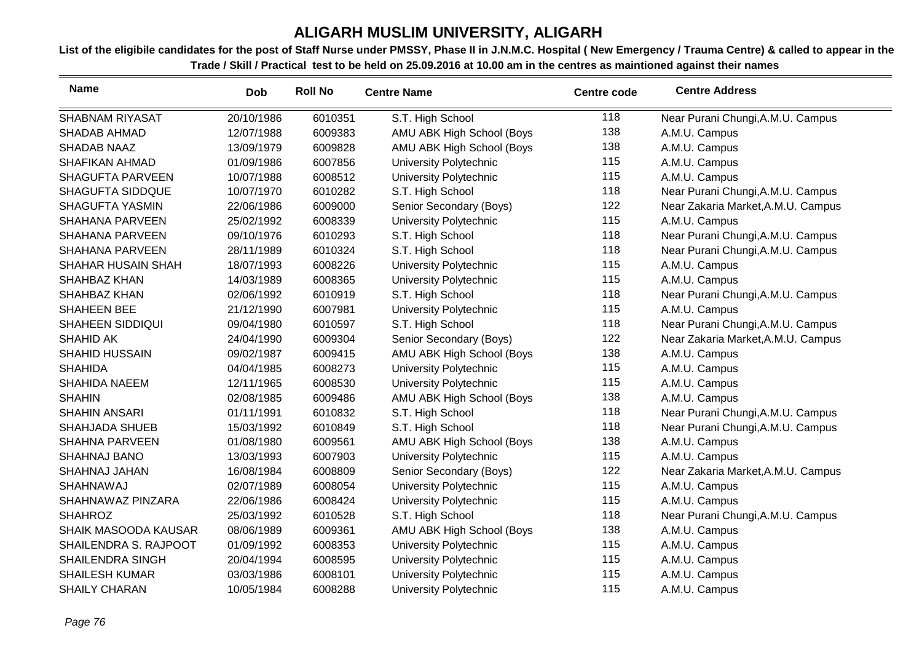| <b>Name</b>             | <b>Dob</b> | <b>Roll No</b> | <b>Centre Name</b>            | <b>Centre code</b> | <b>Centre Address</b>              |
|-------------------------|------------|----------------|-------------------------------|--------------------|------------------------------------|
| <b>SHABNAM RIYASAT</b>  | 20/10/1986 | 6010351        | S.T. High School              | 118                | Near Purani Chungi, A.M.U. Campus  |
| <b>SHADAB AHMAD</b>     | 12/07/1988 | 6009383        | AMU ABK High School (Boys     | 138                | A.M.U. Campus                      |
| <b>SHADAB NAAZ</b>      | 13/09/1979 | 6009828        | AMU ABK High School (Boys     | 138                | A.M.U. Campus                      |
| <b>SHAFIKAN AHMAD</b>   | 01/09/1986 | 6007856        | University Polytechnic        | 115                | A.M.U. Campus                      |
| <b>SHAGUFTA PARVEEN</b> | 10/07/1988 | 6008512        | University Polytechnic        | 115                | A.M.U. Campus                      |
| <b>SHAGUFTA SIDDQUE</b> | 10/07/1970 | 6010282        | S.T. High School              | 118                | Near Purani Chungi, A.M.U. Campus  |
| <b>SHAGUFTA YASMIN</b>  | 22/06/1986 | 6009000        | Senior Secondary (Boys)       | 122                | Near Zakaria Market, A.M.U. Campus |
| <b>SHAHANA PARVEEN</b>  | 25/02/1992 | 6008339        | <b>University Polytechnic</b> | 115                | A.M.U. Campus                      |
| <b>SHAHANA PARVEEN</b>  | 09/10/1976 | 6010293        | S.T. High School              | 118                | Near Purani Chungi, A.M.U. Campus  |
| <b>SHAHANA PARVEEN</b>  | 28/11/1989 | 6010324        | S.T. High School              | 118                | Near Purani Chungi, A.M.U. Campus  |
| SHAHAR HUSAIN SHAH      | 18/07/1993 | 6008226        | University Polytechnic        | 115                | A.M.U. Campus                      |
| SHAHBAZ KHAN            | 14/03/1989 | 6008365        | University Polytechnic        | 115                | A.M.U. Campus                      |
| SHAHBAZ KHAN            | 02/06/1992 | 6010919        | S.T. High School              | 118                | Near Purani Chungi, A.M.U. Campus  |
| SHAHEEN BEE             | 21/12/1990 | 6007981        | University Polytechnic        | 115                | A.M.U. Campus                      |
| <b>SHAHEEN SIDDIQUI</b> | 09/04/1980 | 6010597        | S.T. High School              | 118                | Near Purani Chungi, A.M.U. Campus  |
| <b>SHAHID AK</b>        | 24/04/1990 | 6009304        | Senior Secondary (Boys)       | 122                | Near Zakaria Market, A.M.U. Campus |
| <b>SHAHID HUSSAIN</b>   | 09/02/1987 | 6009415        | AMU ABK High School (Boys     | 138                | A.M.U. Campus                      |
| <b>SHAHIDA</b>          | 04/04/1985 | 6008273        | University Polytechnic        | 115                | A.M.U. Campus                      |
| <b>SHAHIDA NAEEM</b>    | 12/11/1965 | 6008530        | University Polytechnic        | 115                | A.M.U. Campus                      |
| <b>SHAHIN</b>           | 02/08/1985 | 6009486        | AMU ABK High School (Boys     | 138                | A.M.U. Campus                      |
| <b>SHAHIN ANSARI</b>    | 01/11/1991 | 6010832        | S.T. High School              | 118                | Near Purani Chungi, A.M.U. Campus  |
| <b>SHAHJADA SHUEB</b>   | 15/03/1992 | 6010849        | S.T. High School              | 118                | Near Purani Chungi, A.M.U. Campus  |
| <b>SHAHNA PARVEEN</b>   | 01/08/1980 | 6009561        | AMU ABK High School (Boys     | 138                | A.M.U. Campus                      |
| SHAHNAJ BANO            | 13/03/1993 | 6007903        | <b>University Polytechnic</b> | 115                | A.M.U. Campus                      |
| SHAHNAJ JAHAN           | 16/08/1984 | 6008809        | Senior Secondary (Boys)       | 122                | Near Zakaria Market, A.M.U. Campus |
| SHAHNAWAJ               | 02/07/1989 | 6008054        | University Polytechnic        | 115                | A.M.U. Campus                      |
| SHAHNAWAZ PINZARA       | 22/06/1986 | 6008424        | University Polytechnic        | 115                | A.M.U. Campus                      |
| <b>SHAHROZ</b>          | 25/03/1992 | 6010528        | S.T. High School              | 118                | Near Purani Chungi, A.M.U. Campus  |
| SHAIK MASOODA KAUSAR    | 08/06/1989 | 6009361        | AMU ABK High School (Boys     | 138                | A.M.U. Campus                      |
| SHAILENDRA S. RAJPOOT   | 01/09/1992 | 6008353        | University Polytechnic        | 115                | A.M.U. Campus                      |
| <b>SHAILENDRA SINGH</b> | 20/04/1994 | 6008595        | University Polytechnic        | 115                | A.M.U. Campus                      |
| <b>SHAILESH KUMAR</b>   | 03/03/1986 | 6008101        | University Polytechnic        | 115                | A.M.U. Campus                      |
| <b>SHAILY CHARAN</b>    | 10/05/1984 | 6008288        | <b>University Polytechnic</b> | 115                | A.M.U. Campus                      |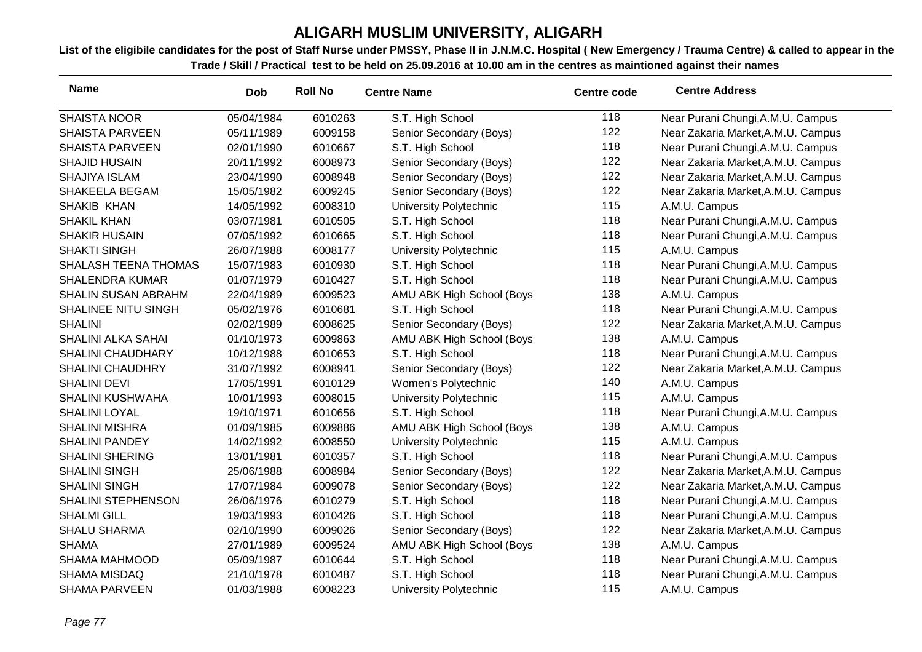| <b>Name</b>                | <b>Dob</b> | <b>Roll No</b> | <b>Centre Name</b>        | <b>Centre code</b> | <b>Centre Address</b>              |
|----------------------------|------------|----------------|---------------------------|--------------------|------------------------------------|
| <b>SHAISTA NOOR</b>        | 05/04/1984 | 6010263        | S.T. High School          | 118                | Near Purani Chungi, A.M.U. Campus  |
| <b>SHAISTA PARVEEN</b>     | 05/11/1989 | 6009158        | Senior Secondary (Boys)   | 122                | Near Zakaria Market, A.M.U. Campus |
| <b>SHAISTA PARVEEN</b>     | 02/01/1990 | 6010667        | S.T. High School          | 118                | Near Purani Chungi, A.M.U. Campus  |
| <b>SHAJID HUSAIN</b>       | 20/11/1992 | 6008973        | Senior Secondary (Boys)   | 122                | Near Zakaria Market, A.M.U. Campus |
| <b>SHAJIYA ISLAM</b>       | 23/04/1990 | 6008948        | Senior Secondary (Boys)   | 122                | Near Zakaria Market, A.M.U. Campus |
| SHAKEELA BEGAM             | 15/05/1982 | 6009245        | Senior Secondary (Boys)   | 122                | Near Zakaria Market, A.M.U. Campus |
| SHAKIB KHAN                | 14/05/1992 | 6008310        | University Polytechnic    | 115                | A.M.U. Campus                      |
| <b>SHAKIL KHAN</b>         | 03/07/1981 | 6010505        | S.T. High School          | 118                | Near Purani Chungi, A.M.U. Campus  |
| <b>SHAKIR HUSAIN</b>       | 07/05/1992 | 6010665        | S.T. High School          | 118                | Near Purani Chungi, A.M.U. Campus  |
| <b>SHAKTI SINGH</b>        | 26/07/1988 | 6008177        | University Polytechnic    | 115                | A.M.U. Campus                      |
| SHALASH TEENA THOMAS       | 15/07/1983 | 6010930        | S.T. High School          | 118                | Near Purani Chungi, A.M.U. Campus  |
| <b>SHALENDRA KUMAR</b>     | 01/07/1979 | 6010427        | S.T. High School          | 118                | Near Purani Chungi, A.M.U. Campus  |
| <b>SHALIN SUSAN ABRAHM</b> | 22/04/1989 | 6009523        | AMU ABK High School (Boys | 138                | A.M.U. Campus                      |
| <b>SHALINEE NITU SINGH</b> | 05/02/1976 | 6010681        | S.T. High School          | 118                | Near Purani Chungi, A.M.U. Campus  |
| <b>SHALINI</b>             | 02/02/1989 | 6008625        | Senior Secondary (Boys)   | 122                | Near Zakaria Market, A.M.U. Campus |
| SHALINI ALKA SAHAI         | 01/10/1973 | 6009863        | AMU ABK High School (Boys | 138                | A.M.U. Campus                      |
| <b>SHALINI CHAUDHARY</b>   | 10/12/1988 | 6010653        | S.T. High School          | 118                | Near Purani Chungi, A.M.U. Campus  |
| <b>SHALINI CHAUDHRY</b>    | 31/07/1992 | 6008941        | Senior Secondary (Boys)   | 122                | Near Zakaria Market, A.M.U. Campus |
| <b>SHALINI DEVI</b>        | 17/05/1991 | 6010129        | Women's Polytechnic       | 140                | A.M.U. Campus                      |
| <b>SHALINI KUSHWAHA</b>    | 10/01/1993 | 6008015        | University Polytechnic    | 115                | A.M.U. Campus                      |
| <b>SHALINI LOYAL</b>       | 19/10/1971 | 6010656        | S.T. High School          | 118                | Near Purani Chungi, A.M.U. Campus  |
| <b>SHALINI MISHRA</b>      | 01/09/1985 | 6009886        | AMU ABK High School (Boys | 138                | A.M.U. Campus                      |
| <b>SHALINI PANDEY</b>      | 14/02/1992 | 6008550        | University Polytechnic    | 115                | A.M.U. Campus                      |
| <b>SHALINI SHERING</b>     | 13/01/1981 | 6010357        | S.T. High School          | 118                | Near Purani Chungi, A.M.U. Campus  |
| <b>SHALINI SINGH</b>       | 25/06/1988 | 6008984        | Senior Secondary (Boys)   | 122                | Near Zakaria Market, A.M.U. Campus |
| <b>SHALINI SINGH</b>       | 17/07/1984 | 6009078        | Senior Secondary (Boys)   | 122                | Near Zakaria Market, A.M.U. Campus |
| <b>SHALINI STEPHENSON</b>  | 26/06/1976 | 6010279        | S.T. High School          | 118                | Near Purani Chungi, A.M.U. Campus  |
| <b>SHALMI GILL</b>         | 19/03/1993 | 6010426        | S.T. High School          | 118                | Near Purani Chungi, A.M.U. Campus  |
| <b>SHALU SHARMA</b>        | 02/10/1990 | 6009026        | Senior Secondary (Boys)   | 122                | Near Zakaria Market, A.M.U. Campus |
| <b>SHAMA</b>               | 27/01/1989 | 6009524        | AMU ABK High School (Boys | 138                | A.M.U. Campus                      |
| <b>SHAMA MAHMOOD</b>       | 05/09/1987 | 6010644        | S.T. High School          | 118                | Near Purani Chungi, A.M.U. Campus  |
| SHAMA MISDAQ               | 21/10/1978 | 6010487        | S.T. High School          | 118                | Near Purani Chungi, A.M.U. Campus  |
| <b>SHAMA PARVEEN</b>       | 01/03/1988 | 6008223        | University Polytechnic    | 115                | A.M.U. Campus                      |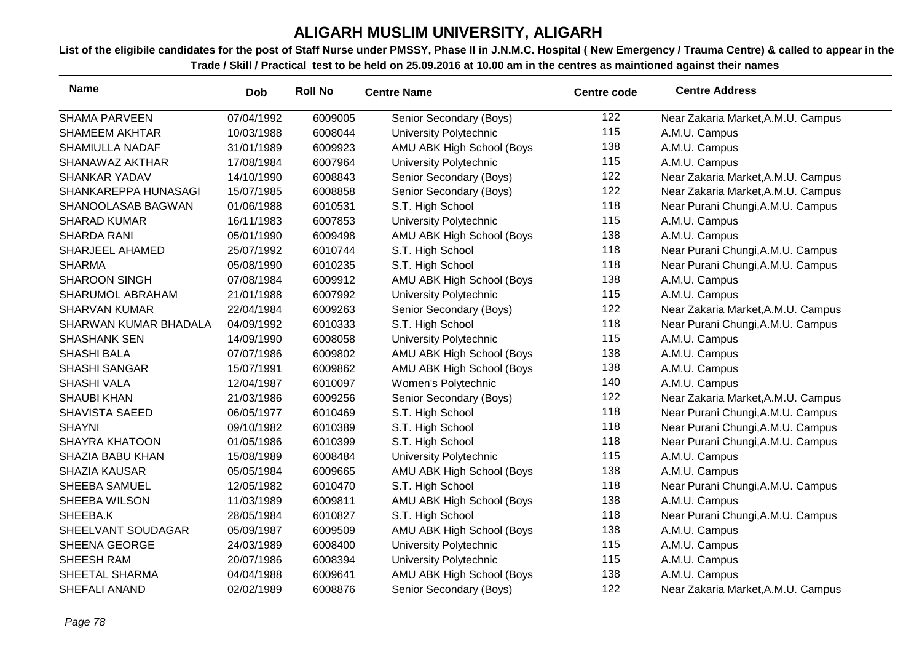| <b>Name</b>            | <b>Dob</b> | <b>Roll No</b> | <b>Centre Name</b>        | <b>Centre code</b> | <b>Centre Address</b>              |
|------------------------|------------|----------------|---------------------------|--------------------|------------------------------------|
| <b>SHAMA PARVEEN</b>   | 07/04/1992 | 6009005        | Senior Secondary (Boys)   | 122                | Near Zakaria Market, A.M.U. Campus |
| <b>SHAMEEM AKHTAR</b>  | 10/03/1988 | 6008044        | University Polytechnic    | 115                | A.M.U. Campus                      |
| <b>SHAMIULLA NADAF</b> | 31/01/1989 | 6009923        | AMU ABK High School (Boys | 138                | A.M.U. Campus                      |
| SHANAWAZ AKTHAR        | 17/08/1984 | 6007964        | University Polytechnic    | 115                | A.M.U. Campus                      |
| SHANKAR YADAV          | 14/10/1990 | 6008843        | Senior Secondary (Boys)   | 122                | Near Zakaria Market, A.M.U. Campus |
| SHANKAREPPA HUNASAGI   | 15/07/1985 | 6008858        | Senior Secondary (Boys)   | 122                | Near Zakaria Market, A.M.U. Campus |
| SHANOOLASAB BAGWAN     | 01/06/1988 | 6010531        | S.T. High School          | 118                | Near Purani Chungi, A.M.U. Campus  |
| <b>SHARAD KUMAR</b>    | 16/11/1983 | 6007853        | University Polytechnic    | 115                | A.M.U. Campus                      |
| <b>SHARDA RANI</b>     | 05/01/1990 | 6009498        | AMU ABK High School (Boys | 138                | A.M.U. Campus                      |
| SHARJEEL AHAMED        | 25/07/1992 | 6010744        | S.T. High School          | 118                | Near Purani Chungi, A.M.U. Campus  |
| <b>SHARMA</b>          | 05/08/1990 | 6010235        | S.T. High School          | 118                | Near Purani Chungi, A.M.U. Campus  |
| <b>SHAROON SINGH</b>   | 07/08/1984 | 6009912        | AMU ABK High School (Boys | 138                | A.M.U. Campus                      |
| SHARUMOL ABRAHAM       | 21/01/1988 | 6007992        | University Polytechnic    | 115                | A.M.U. Campus                      |
| <b>SHARVAN KUMAR</b>   | 22/04/1984 | 6009263        | Senior Secondary (Boys)   | 122                | Near Zakaria Market, A.M.U. Campus |
| SHARWAN KUMAR BHADALA  | 04/09/1992 | 6010333        | S.T. High School          | 118                | Near Purani Chungi, A.M.U. Campus  |
| <b>SHASHANK SEN</b>    | 14/09/1990 | 6008058        | University Polytechnic    | 115                | A.M.U. Campus                      |
| <b>SHASHI BALA</b>     | 07/07/1986 | 6009802        | AMU ABK High School (Boys | 138                | A.M.U. Campus                      |
| <b>SHASHI SANGAR</b>   | 15/07/1991 | 6009862        | AMU ABK High School (Boys | 138                | A.M.U. Campus                      |
| <b>SHASHI VALA</b>     | 12/04/1987 | 6010097        | Women's Polytechnic       | 140                | A.M.U. Campus                      |
| <b>SHAUBI KHAN</b>     | 21/03/1986 | 6009256        | Senior Secondary (Boys)   | 122                | Near Zakaria Market, A.M.U. Campus |
| <b>SHAVISTA SAEED</b>  | 06/05/1977 | 6010469        | S.T. High School          | 118                | Near Purani Chungi, A.M.U. Campus  |
| <b>SHAYNI</b>          | 09/10/1982 | 6010389        | S.T. High School          | 118                | Near Purani Chungi, A.M.U. Campus  |
| <b>SHAYRA KHATOON</b>  | 01/05/1986 | 6010399        | S.T. High School          | 118                | Near Purani Chungi, A.M.U. Campus  |
| SHAZIA BABU KHAN       | 15/08/1989 | 6008484        | University Polytechnic    | 115                | A.M.U. Campus                      |
| <b>SHAZIA KAUSAR</b>   | 05/05/1984 | 6009665        | AMU ABK High School (Boys | 138                | A.M.U. Campus                      |
| SHEEBA SAMUEL          | 12/05/1982 | 6010470        | S.T. High School          | 118                | Near Purani Chungi, A.M.U. Campus  |
| SHEEBA WILSON          | 11/03/1989 | 6009811        | AMU ABK High School (Boys | 138                | A.M.U. Campus                      |
| SHEEBA.K               | 28/05/1984 | 6010827        | S.T. High School          | 118                | Near Purani Chungi, A.M.U. Campus  |
| SHEELVANT SOUDAGAR     | 05/09/1987 | 6009509        | AMU ABK High School (Boys | 138                | A.M.U. Campus                      |
| SHEENA GEORGE          | 24/03/1989 | 6008400        | University Polytechnic    | 115                | A.M.U. Campus                      |
| <b>SHEESH RAM</b>      | 20/07/1986 | 6008394        | University Polytechnic    | 115                | A.M.U. Campus                      |
| SHEETAL SHARMA         | 04/04/1988 | 6009641        | AMU ABK High School (Boys | 138                | A.M.U. Campus                      |
| <b>SHEFALI ANAND</b>   | 02/02/1989 | 6008876        | Senior Secondary (Boys)   | 122                | Near Zakaria Market, A.M.U. Campus |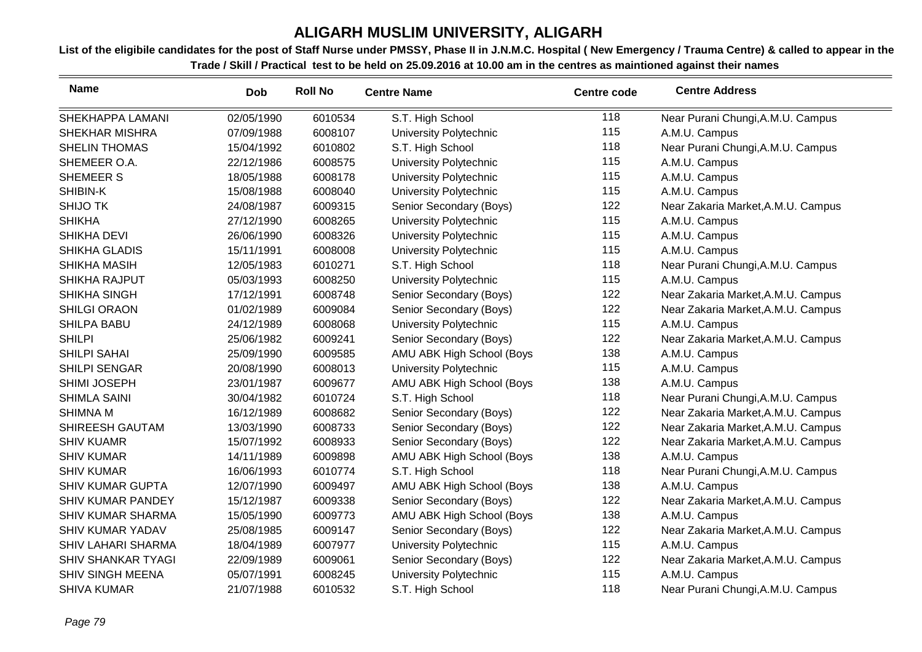| <b>Name</b>               | <b>Dob</b> | <b>Roll No</b> | <b>Centre Name</b>        | <b>Centre code</b> | <b>Centre Address</b>              |
|---------------------------|------------|----------------|---------------------------|--------------------|------------------------------------|
| SHEKHAPPA LAMANI          | 02/05/1990 | 6010534        | S.T. High School          | 118                | Near Purani Chungi, A.M.U. Campus  |
| <b>SHEKHAR MISHRA</b>     | 07/09/1988 | 6008107        | University Polytechnic    | 115                | A.M.U. Campus                      |
| <b>SHELIN THOMAS</b>      | 15/04/1992 | 6010802        | S.T. High School          | 118                | Near Purani Chungi, A.M.U. Campus  |
| SHEMEER O.A.              | 22/12/1986 | 6008575        | University Polytechnic    | 115                | A.M.U. Campus                      |
| <b>SHEMEER S</b>          | 18/05/1988 | 6008178        | University Polytechnic    | 115                | A.M.U. Campus                      |
| SHIBIN-K                  | 15/08/1988 | 6008040        | University Polytechnic    | 115                | A.M.U. Campus                      |
| <b>SHIJO TK</b>           | 24/08/1987 | 6009315        | Senior Secondary (Boys)   | 122                | Near Zakaria Market, A.M.U. Campus |
| <b>SHIKHA</b>             | 27/12/1990 | 6008265        | University Polytechnic    | 115                | A.M.U. Campus                      |
| <b>SHIKHA DEVI</b>        | 26/06/1990 | 6008326        | University Polytechnic    | 115                | A.M.U. Campus                      |
| <b>SHIKHA GLADIS</b>      | 15/11/1991 | 6008008        | University Polytechnic    | 115                | A.M.U. Campus                      |
| <b>SHIKHA MASIH</b>       | 12/05/1983 | 6010271        | S.T. High School          | 118                | Near Purani Chungi, A.M.U. Campus  |
| <b>SHIKHA RAJPUT</b>      | 05/03/1993 | 6008250        | University Polytechnic    | 115                | A.M.U. Campus                      |
| SHIKHA SINGH              | 17/12/1991 | 6008748        | Senior Secondary (Boys)   | 122                | Near Zakaria Market, A.M.U. Campus |
| <b>SHILGI ORAON</b>       | 01/02/1989 | 6009084        | Senior Secondary (Boys)   | 122                | Near Zakaria Market, A.M.U. Campus |
| <b>SHILPA BABU</b>        | 24/12/1989 | 6008068        | University Polytechnic    | 115                | A.M.U. Campus                      |
| <b>SHILPI</b>             | 25/06/1982 | 6009241        | Senior Secondary (Boys)   | 122                | Near Zakaria Market, A.M.U. Campus |
| <b>SHILPI SAHAI</b>       | 25/09/1990 | 6009585        | AMU ABK High School (Boys | 138                | A.M.U. Campus                      |
| SHILPI SENGAR             | 20/08/1990 | 6008013        | University Polytechnic    | 115                | A.M.U. Campus                      |
| SHIMI JOSEPH              | 23/01/1987 | 6009677        | AMU ABK High School (Boys | 138                | A.M.U. Campus                      |
| <b>SHIMLA SAINI</b>       | 30/04/1982 | 6010724        | S.T. High School          | 118                | Near Purani Chungi, A.M.U. Campus  |
| <b>SHIMNA M</b>           | 16/12/1989 | 6008682        | Senior Secondary (Boys)   | 122                | Near Zakaria Market, A.M.U. Campus |
| SHIREESH GAUTAM           | 13/03/1990 | 6008733        | Senior Secondary (Boys)   | 122                | Near Zakaria Market, A.M.U. Campus |
| <b>SHIV KUAMR</b>         | 15/07/1992 | 6008933        | Senior Secondary (Boys)   | 122                | Near Zakaria Market, A.M.U. Campus |
| <b>SHIV KUMAR</b>         | 14/11/1989 | 6009898        | AMU ABK High School (Boys | 138                | A.M.U. Campus                      |
| <b>SHIV KUMAR</b>         | 16/06/1993 | 6010774        | S.T. High School          | 118                | Near Purani Chungi, A.M.U. Campus  |
| <b>SHIV KUMAR GUPTA</b>   | 12/07/1990 | 6009497        | AMU ABK High School (Boys | 138                | A.M.U. Campus                      |
| <b>SHIV KUMAR PANDEY</b>  | 15/12/1987 | 6009338        | Senior Secondary (Boys)   | 122                | Near Zakaria Market, A.M.U. Campus |
| <b>SHIV KUMAR SHARMA</b>  | 15/05/1990 | 6009773        | AMU ABK High School (Boys | 138                | A.M.U. Campus                      |
| <b>SHIV KUMAR YADAV</b>   | 25/08/1985 | 6009147        | Senior Secondary (Boys)   | 122                | Near Zakaria Market, A.M.U. Campus |
| <b>SHIV LAHARI SHARMA</b> | 18/04/1989 | 6007977        | University Polytechnic    | 115                | A.M.U. Campus                      |
| <b>SHIV SHANKAR TYAGI</b> | 22/09/1989 | 6009061        | Senior Secondary (Boys)   | 122                | Near Zakaria Market, A.M.U. Campus |
| <b>SHIV SINGH MEENA</b>   | 05/07/1991 | 6008245        | University Polytechnic    | 115                | A.M.U. Campus                      |
| <b>SHIVA KUMAR</b>        | 21/07/1988 | 6010532        | S.T. High School          | 118                | Near Purani Chungi, A.M.U. Campus  |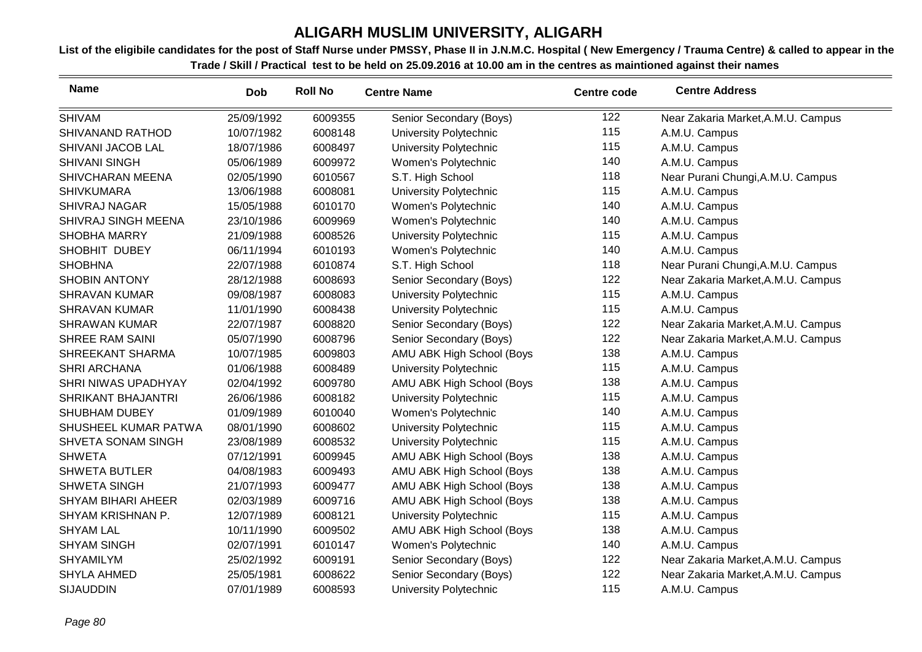| <b>Name</b>               | <b>Dob</b> | <b>Roll No</b> | <b>Centre Name</b>        | <b>Centre code</b> | <b>Centre Address</b>              |
|---------------------------|------------|----------------|---------------------------|--------------------|------------------------------------|
| <b>SHIVAM</b>             | 25/09/1992 | 6009355        | Senior Secondary (Boys)   | 122                | Near Zakaria Market, A.M.U. Campus |
| SHIVANAND RATHOD          | 10/07/1982 | 6008148        | University Polytechnic    | 115                | A.M.U. Campus                      |
| SHIVANI JACOB LAL         | 18/07/1986 | 6008497        | University Polytechnic    | 115                | A.M.U. Campus                      |
| <b>SHIVANI SINGH</b>      | 05/06/1989 | 6009972        | Women's Polytechnic       | 140                | A.M.U. Campus                      |
| <b>SHIVCHARAN MEENA</b>   | 02/05/1990 | 6010567        | S.T. High School          | 118                | Near Purani Chungi, A.M.U. Campus  |
| <b>SHIVKUMARA</b>         | 13/06/1988 | 6008081        | University Polytechnic    | 115                | A.M.U. Campus                      |
| <b>SHIVRAJ NAGAR</b>      | 15/05/1988 | 6010170        | Women's Polytechnic       | 140                | A.M.U. Campus                      |
| SHIVRAJ SINGH MEENA       | 23/10/1986 | 6009969        | Women's Polytechnic       | 140                | A.M.U. Campus                      |
| <b>SHOBHA MARRY</b>       | 21/09/1988 | 6008526        | University Polytechnic    | 115                | A.M.U. Campus                      |
| SHOBHIT DUBEY             | 06/11/1994 | 6010193        | Women's Polytechnic       | 140                | A.M.U. Campus                      |
| <b>SHOBHNA</b>            | 22/07/1988 | 6010874        | S.T. High School          | 118                | Near Purani Chungi, A.M.U. Campus  |
| <b>SHOBIN ANTONY</b>      | 28/12/1988 | 6008693        | Senior Secondary (Boys)   | 122                | Near Zakaria Market, A.M.U. Campus |
| <b>SHRAVAN KUMAR</b>      | 09/08/1987 | 6008083        | University Polytechnic    | 115                | A.M.U. Campus                      |
| <b>SHRAVAN KUMAR</b>      | 11/01/1990 | 6008438        | University Polytechnic    | 115                | A.M.U. Campus                      |
| <b>SHRAWAN KUMAR</b>      | 22/07/1987 | 6008820        | Senior Secondary (Boys)   | 122                | Near Zakaria Market, A.M.U. Campus |
| <b>SHREE RAM SAINI</b>    | 05/07/1990 | 6008796        | Senior Secondary (Boys)   | 122                | Near Zakaria Market, A.M.U. Campus |
| SHREEKANT SHARMA          | 10/07/1985 | 6009803        | AMU ABK High School (Boys | 138                | A.M.U. Campus                      |
| <b>SHRI ARCHANA</b>       | 01/06/1988 | 6008489        | University Polytechnic    | 115                | A.M.U. Campus                      |
| SHRI NIWAS UPADHYAY       | 02/04/1992 | 6009780        | AMU ABK High School (Boys | 138                | A.M.U. Campus                      |
| SHRIKANT BHAJANTRI        | 26/06/1986 | 6008182        | University Polytechnic    | 115                | A.M.U. Campus                      |
| <b>SHUBHAM DUBEY</b>      | 01/09/1989 | 6010040        | Women's Polytechnic       | 140                | A.M.U. Campus                      |
| SHUSHEEL KUMAR PATWA      | 08/01/1990 | 6008602        | University Polytechnic    | 115                | A.M.U. Campus                      |
| SHVETA SONAM SINGH        | 23/08/1989 | 6008532        | University Polytechnic    | 115                | A.M.U. Campus                      |
| <b>SHWETA</b>             | 07/12/1991 | 6009945        | AMU ABK High School (Boys | 138                | A.M.U. Campus                      |
| <b>SHWETA BUTLER</b>      | 04/08/1983 | 6009493        | AMU ABK High School (Boys | 138                | A.M.U. Campus                      |
| <b>SHWETA SINGH</b>       | 21/07/1993 | 6009477        | AMU ABK High School (Boys | 138                | A.M.U. Campus                      |
| <b>SHYAM BIHARI AHEER</b> | 02/03/1989 | 6009716        | AMU ABK High School (Boys | 138                | A.M.U. Campus                      |
| SHYAM KRISHNAN P.         | 12/07/1989 | 6008121        | University Polytechnic    | 115                | A.M.U. Campus                      |
| <b>SHYAM LAL</b>          | 10/11/1990 | 6009502        | AMU ABK High School (Boys | 138                | A.M.U. Campus                      |
| <b>SHYAM SINGH</b>        | 02/07/1991 | 6010147        | Women's Polytechnic       | 140                | A.M.U. Campus                      |
| <b>SHYAMILYM</b>          | 25/02/1992 | 6009191        | Senior Secondary (Boys)   | 122                | Near Zakaria Market, A.M.U. Campus |
| <b>SHYLA AHMED</b>        | 25/05/1981 | 6008622        | Senior Secondary (Boys)   | 122                | Near Zakaria Market, A.M.U. Campus |
| <b>SIJAUDDIN</b>          | 07/01/1989 | 6008593        | University Polytechnic    | 115                | A.M.U. Campus                      |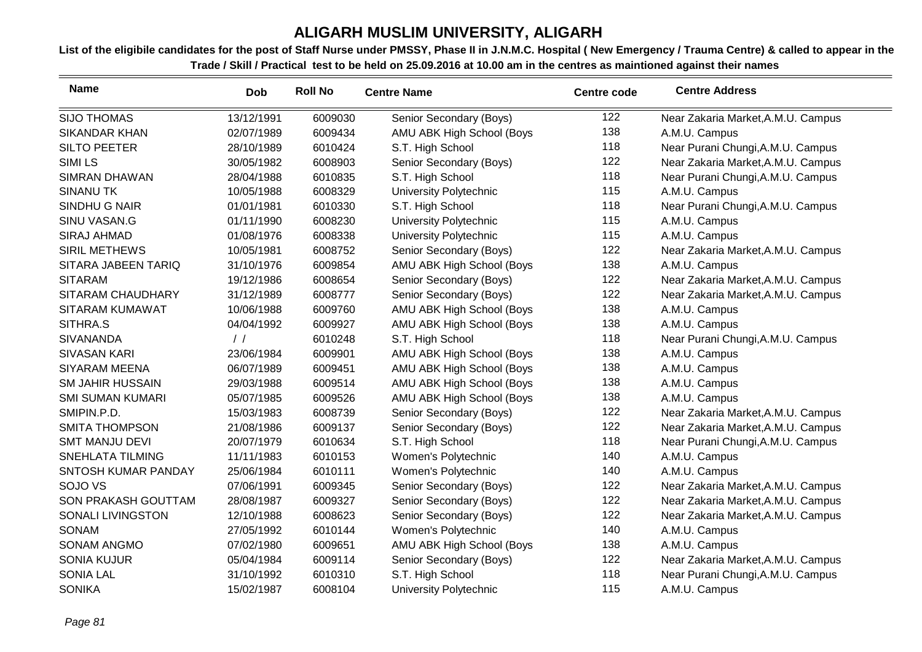| <b>Name</b>             | <b>Dob</b>    | <b>Roll No</b> | <b>Centre Name</b>        | <b>Centre code</b> | <b>Centre Address</b>              |
|-------------------------|---------------|----------------|---------------------------|--------------------|------------------------------------|
| <b>SIJO THOMAS</b>      | 13/12/1991    | 6009030        | Senior Secondary (Boys)   | 122                | Near Zakaria Market, A.M.U. Campus |
| <b>SIKANDAR KHAN</b>    | 02/07/1989    | 6009434        | AMU ABK High School (Boys | 138                | A.M.U. Campus                      |
| <b>SILTO PEETER</b>     | 28/10/1989    | 6010424        | S.T. High School          | 118                | Near Purani Chungi, A.M.U. Campus  |
| <b>SIMILS</b>           | 30/05/1982    | 6008903        | Senior Secondary (Boys)   | 122                | Near Zakaria Market, A.M.U. Campus |
| <b>SIMRAN DHAWAN</b>    | 28/04/1988    | 6010835        | S.T. High School          | 118                | Near Purani Chungi, A.M.U. Campus  |
| <b>SINANU TK</b>        | 10/05/1988    | 6008329        | University Polytechnic    | 115                | A.M.U. Campus                      |
| SINDHU G NAIR           | 01/01/1981    | 6010330        | S.T. High School          | 118                | Near Purani Chungi, A.M.U. Campus  |
| SINU VASAN.G            | 01/11/1990    | 6008230        | University Polytechnic    | 115                | A.M.U. Campus                      |
| <b>SIRAJ AHMAD</b>      | 01/08/1976    | 6008338        | University Polytechnic    | 115                | A.M.U. Campus                      |
| <b>SIRIL METHEWS</b>    | 10/05/1981    | 6008752        | Senior Secondary (Boys)   | 122                | Near Zakaria Market, A.M.U. Campus |
| SITARA JABEEN TARIQ     | 31/10/1976    | 6009854        | AMU ABK High School (Boys | 138                | A.M.U. Campus                      |
| <b>SITARAM</b>          | 19/12/1986    | 6008654        | Senior Secondary (Boys)   | 122                | Near Zakaria Market, A.M.U. Campus |
| SITARAM CHAUDHARY       | 31/12/1989    | 6008777        | Senior Secondary (Boys)   | 122                | Near Zakaria Market, A.M.U. Campus |
| SITARAM KUMAWAT         | 10/06/1988    | 6009760        | AMU ABK High School (Boys | 138                | A.M.U. Campus                      |
| SITHRA.S                | 04/04/1992    | 6009927        | AMU ABK High School (Boys | 138                | A.M.U. Campus                      |
| <b>SIVANANDA</b>        | $\frac{1}{2}$ | 6010248        | S.T. High School          | 118                | Near Purani Chungi, A.M.U. Campus  |
| <b>SIVASAN KARI</b>     | 23/06/1984    | 6009901        | AMU ABK High School (Boys | 138                | A.M.U. Campus                      |
| <b>SIYARAM MEENA</b>    | 06/07/1989    | 6009451        | AMU ABK High School (Boys | 138                | A.M.U. Campus                      |
| <b>SM JAHIR HUSSAIN</b> | 29/03/1988    | 6009514        | AMU ABK High School (Boys | 138                | A.M.U. Campus                      |
| <b>SMI SUMAN KUMARI</b> | 05/07/1985    | 6009526        | AMU ABK High School (Boys | 138                | A.M.U. Campus                      |
| SMIPIN.P.D.             | 15/03/1983    | 6008739        | Senior Secondary (Boys)   | 122                | Near Zakaria Market, A.M.U. Campus |
| <b>SMITA THOMPSON</b>   | 21/08/1986    | 6009137        | Senior Secondary (Boys)   | 122                | Near Zakaria Market, A.M.U. Campus |
| <b>SMT MANJU DEVI</b>   | 20/07/1979    | 6010634        | S.T. High School          | 118                | Near Purani Chungi, A.M.U. Campus  |
| <b>SNEHLATA TILMING</b> | 11/11/1983    | 6010153        | Women's Polytechnic       | 140                | A.M.U. Campus                      |
| SNTOSH KUMAR PANDAY     | 25/06/1984    | 6010111        | Women's Polytechnic       | 140                | A.M.U. Campus                      |
| SOJO VS                 | 07/06/1991    | 6009345        | Senior Secondary (Boys)   | 122                | Near Zakaria Market, A.M.U. Campus |
| SON PRAKASH GOUTTAM     | 28/08/1987    | 6009327        | Senior Secondary (Boys)   | 122                | Near Zakaria Market, A.M.U. Campus |
| SONALI LIVINGSTON       | 12/10/1988    | 6008623        | Senior Secondary (Boys)   | 122                | Near Zakaria Market, A.M.U. Campus |
| <b>SONAM</b>            | 27/05/1992    | 6010144        | Women's Polytechnic       | 140                | A.M.U. Campus                      |
| <b>SONAM ANGMO</b>      | 07/02/1980    | 6009651        | AMU ABK High School (Boys | 138                | A.M.U. Campus                      |
| <b>SONIA KUJUR</b>      | 05/04/1984    | 6009114        | Senior Secondary (Boys)   | 122                | Near Zakaria Market, A.M.U. Campus |
| <b>SONIA LAL</b>        | 31/10/1992    | 6010310        | S.T. High School          | 118                | Near Purani Chungi, A.M.U. Campus  |
| <b>SONIKA</b>           | 15/02/1987    | 6008104        | University Polytechnic    | 115                | A.M.U. Campus                      |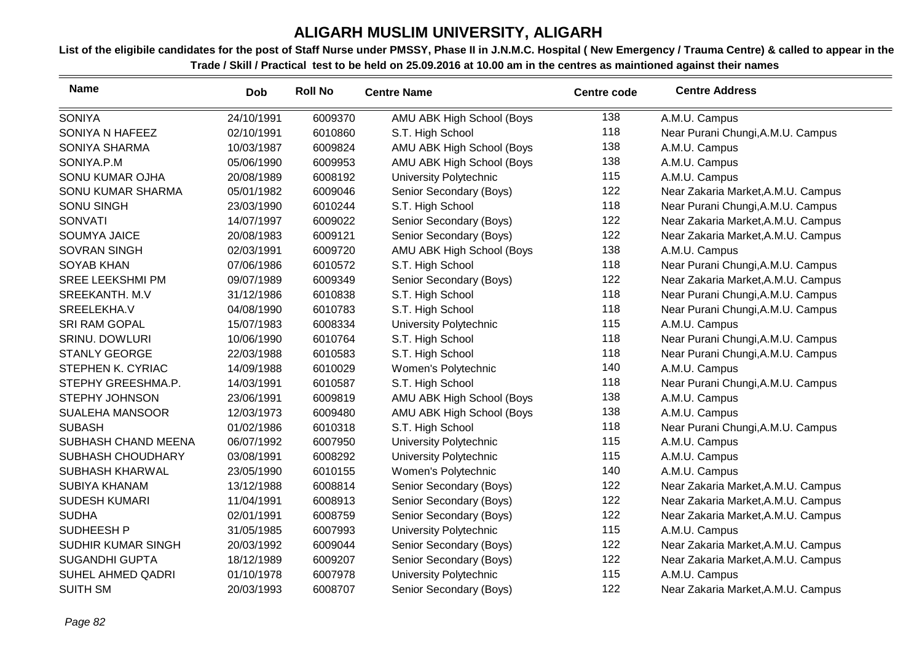| <b>Name</b>            | <b>Dob</b> | <b>Roll No</b> | <b>Centre Name</b>        | <b>Centre code</b> | <b>Centre Address</b>              |
|------------------------|------------|----------------|---------------------------|--------------------|------------------------------------|
| <b>SONIYA</b>          | 24/10/1991 | 6009370        | AMU ABK High School (Boys | 138                | A.M.U. Campus                      |
| SONIYA N HAFEEZ        | 02/10/1991 | 6010860        | S.T. High School          | 118                | Near Purani Chungi, A.M.U. Campus  |
| SONIYA SHARMA          | 10/03/1987 | 6009824        | AMU ABK High School (Boys | 138                | A.M.U. Campus                      |
| SONIYA.P.M             | 05/06/1990 | 6009953        | AMU ABK High School (Boys | 138                | A.M.U. Campus                      |
| SONU KUMAR OJHA        | 20/08/1989 | 6008192        | University Polytechnic    | 115                | A.M.U. Campus                      |
| SONU KUMAR SHARMA      | 05/01/1982 | 6009046        | Senior Secondary (Boys)   | 122                | Near Zakaria Market, A.M.U. Campus |
| <b>SONU SINGH</b>      | 23/03/1990 | 6010244        | S.T. High School          | 118                | Near Purani Chungi, A.M.U. Campus  |
| <b>SONVATI</b>         | 14/07/1997 | 6009022        | Senior Secondary (Boys)   | 122                | Near Zakaria Market, A.M.U. Campus |
| <b>SOUMYA JAICE</b>    | 20/08/1983 | 6009121        | Senior Secondary (Boys)   | 122                | Near Zakaria Market, A.M.U. Campus |
| <b>SOVRAN SINGH</b>    | 02/03/1991 | 6009720        | AMU ABK High School (Boys | 138                | A.M.U. Campus                      |
| <b>SOYAB KHAN</b>      | 07/06/1986 | 6010572        | S.T. High School          | 118                | Near Purani Chungi, A.M.U. Campus  |
| SREE LEEKSHMI PM       | 09/07/1989 | 6009349        | Senior Secondary (Boys)   | 122                | Near Zakaria Market, A.M.U. Campus |
| <b>SREEKANTH. M.V</b>  | 31/12/1986 | 6010838        | S.T. High School          | 118                | Near Purani Chungi, A.M.U. Campus  |
| SREELEKHA.V            | 04/08/1990 | 6010783        | S.T. High School          | 118                | Near Purani Chungi, A.M.U. Campus  |
| <b>SRI RAM GOPAL</b>   | 15/07/1983 | 6008334        | University Polytechnic    | 115                | A.M.U. Campus                      |
| <b>SRINU. DOWLURI</b>  | 10/06/1990 | 6010764        | S.T. High School          | 118                | Near Purani Chungi, A.M.U. Campus  |
| <b>STANLY GEORGE</b>   | 22/03/1988 | 6010583        | S.T. High School          | 118                | Near Purani Chungi, A.M.U. Campus  |
| STEPHEN K. CYRIAC      | 14/09/1988 | 6010029        | Women's Polytechnic       | 140                | A.M.U. Campus                      |
| STEPHY GREESHMA.P.     | 14/03/1991 | 6010587        | S.T. High School          | 118                | Near Purani Chungi, A.M.U. Campus  |
| <b>STEPHY JOHNSON</b>  | 23/06/1991 | 6009819        | AMU ABK High School (Boys | 138                | A.M.U. Campus                      |
| <b>SUALEHA MANSOOR</b> | 12/03/1973 | 6009480        | AMU ABK High School (Boys | 138                | A.M.U. Campus                      |
| <b>SUBASH</b>          | 01/02/1986 | 6010318        | S.T. High School          | 118                | Near Purani Chungi, A.M.U. Campus  |
| SUBHASH CHAND MEENA    | 06/07/1992 | 6007950        | University Polytechnic    | 115                | A.M.U. Campus                      |
| SUBHASH CHOUDHARY      | 03/08/1991 | 6008292        | University Polytechnic    | 115                | A.M.U. Campus                      |
| SUBHASH KHARWAL        | 23/05/1990 | 6010155        | Women's Polytechnic       | 140                | A.M.U. Campus                      |
| <b>SUBIYA KHANAM</b>   | 13/12/1988 | 6008814        | Senior Secondary (Boys)   | 122                | Near Zakaria Market, A.M.U. Campus |
| <b>SUDESH KUMARI</b>   | 11/04/1991 | 6008913        | Senior Secondary (Boys)   | 122                | Near Zakaria Market, A.M.U. Campus |
| <b>SUDHA</b>           | 02/01/1991 | 6008759        | Senior Secondary (Boys)   | 122                | Near Zakaria Market, A.M.U. Campus |
| SUDHEESH P             | 31/05/1985 | 6007993        | University Polytechnic    | 115                | A.M.U. Campus                      |
| SUDHIR KUMAR SINGH     | 20/03/1992 | 6009044        | Senior Secondary (Boys)   | 122                | Near Zakaria Market, A.M.U. Campus |
| <b>SUGANDHI GUPTA</b>  | 18/12/1989 | 6009207        | Senior Secondary (Boys)   | 122                | Near Zakaria Market, A.M.U. Campus |
| SUHEL AHMED QADRI      | 01/10/1978 | 6007978        | University Polytechnic    | 115                | A.M.U. Campus                      |
| <b>SUITH SM</b>        | 20/03/1993 | 6008707        | Senior Secondary (Boys)   | 122                | Near Zakaria Market, A.M.U. Campus |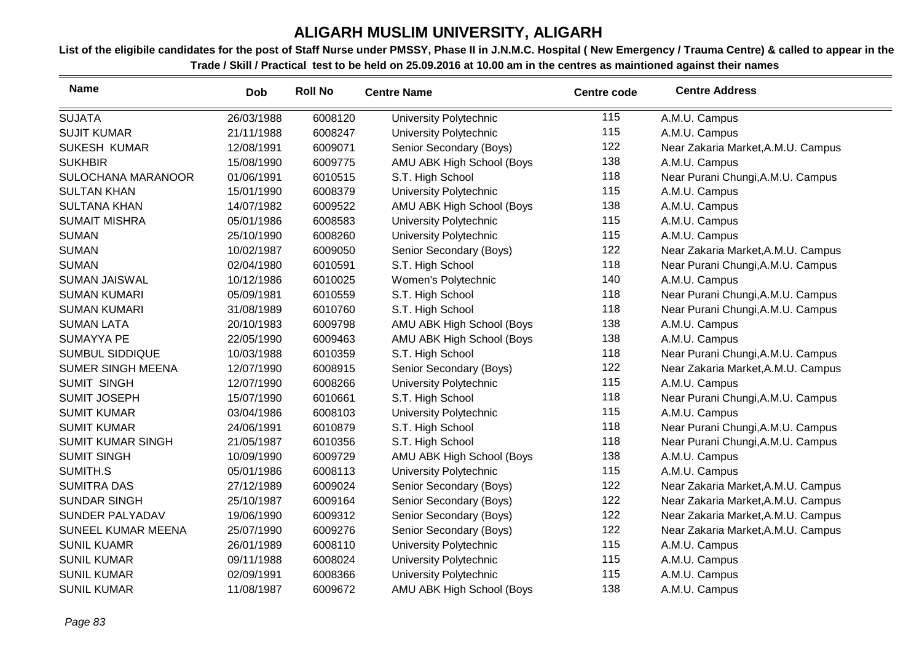| <b>Name</b>              | <b>Dob</b> | <b>Roll No</b> | <b>Centre Name</b>        | <b>Centre code</b> | <b>Centre Address</b>              |
|--------------------------|------------|----------------|---------------------------|--------------------|------------------------------------|
| <b>SUJATA</b>            | 26/03/1988 | 6008120        | University Polytechnic    | 115                | A.M.U. Campus                      |
| <b>SUJIT KUMAR</b>       | 21/11/1988 | 6008247        | University Polytechnic    | 115                | A.M.U. Campus                      |
| <b>SUKESH KUMAR</b>      | 12/08/1991 | 6009071        | Senior Secondary (Boys)   | 122                | Near Zakaria Market, A.M.U. Campus |
| <b>SUKHBIR</b>           | 15/08/1990 | 6009775        | AMU ABK High School (Boys | 138                | A.M.U. Campus                      |
| SULOCHANA MARANOOR       | 01/06/1991 | 6010515        | S.T. High School          | 118                | Near Purani Chungi, A.M.U. Campus  |
| <b>SULTAN KHAN</b>       | 15/01/1990 | 6008379        | University Polytechnic    | 115                | A.M.U. Campus                      |
| <b>SULTANA KHAN</b>      | 14/07/1982 | 6009522        | AMU ABK High School (Boys | 138                | A.M.U. Campus                      |
| <b>SUMAIT MISHRA</b>     | 05/01/1986 | 6008583        | University Polytechnic    | 115                | A.M.U. Campus                      |
| <b>SUMAN</b>             | 25/10/1990 | 6008260        | University Polytechnic    | 115                | A.M.U. Campus                      |
| <b>SUMAN</b>             | 10/02/1987 | 6009050        | Senior Secondary (Boys)   | 122                | Near Zakaria Market, A.M.U. Campus |
| <b>SUMAN</b>             | 02/04/1980 | 6010591        | S.T. High School          | 118                | Near Purani Chungi, A.M.U. Campus  |
| <b>SUMAN JAISWAL</b>     | 10/12/1986 | 6010025        | Women's Polytechnic       | 140                | A.M.U. Campus                      |
| <b>SUMAN KUMARI</b>      | 05/09/1981 | 6010559        | S.T. High School          | 118                | Near Purani Chungi, A.M.U. Campus  |
| <b>SUMAN KUMARI</b>      | 31/08/1989 | 6010760        | S.T. High School          | 118                | Near Purani Chungi, A.M.U. Campus  |
| <b>SUMAN LATA</b>        | 20/10/1983 | 6009798        | AMU ABK High School (Boys | 138                | A.M.U. Campus                      |
| <b>SUMAYYA PE</b>        | 22/05/1990 | 6009463        | AMU ABK High School (Boys | 138                | A.M.U. Campus                      |
| <b>SUMBUL SIDDIQUE</b>   | 10/03/1988 | 6010359        | S.T. High School          | 118                | Near Purani Chungi, A.M.U. Campus  |
| <b>SUMER SINGH MEENA</b> | 12/07/1990 | 6008915        | Senior Secondary (Boys)   | 122                | Near Zakaria Market, A.M.U. Campus |
| <b>SUMIT SINGH</b>       | 12/07/1990 | 6008266        | University Polytechnic    | 115                | A.M.U. Campus                      |
| <b>SUMIT JOSEPH</b>      | 15/07/1990 | 6010661        | S.T. High School          | 118                | Near Purani Chungi, A.M.U. Campus  |
| <b>SUMIT KUMAR</b>       | 03/04/1986 | 6008103        | University Polytechnic    | 115                | A.M.U. Campus                      |
| <b>SUMIT KUMAR</b>       | 24/06/1991 | 6010879        | S.T. High School          | 118                | Near Purani Chungi, A.M.U. Campus  |
| <b>SUMIT KUMAR SINGH</b> | 21/05/1987 | 6010356        | S.T. High School          | 118                | Near Purani Chungi, A.M.U. Campus  |
| <b>SUMIT SINGH</b>       | 10/09/1990 | 6009729        | AMU ABK High School (Boys | 138                | A.M.U. Campus                      |
| SUMITH.S                 | 05/01/1986 | 6008113        | University Polytechnic    | 115                | A.M.U. Campus                      |
| <b>SUMITRA DAS</b>       | 27/12/1989 | 6009024        | Senior Secondary (Boys)   | 122                | Near Zakaria Market, A.M.U. Campus |
| <b>SUNDAR SINGH</b>      | 25/10/1987 | 6009164        | Senior Secondary (Boys)   | 122                | Near Zakaria Market, A.M.U. Campus |
| SUNDER PALYADAV          | 19/06/1990 | 6009312        | Senior Secondary (Boys)   | 122                | Near Zakaria Market, A.M.U. Campus |
| SUNEEL KUMAR MEENA       | 25/07/1990 | 6009276        | Senior Secondary (Boys)   | 122                | Near Zakaria Market, A.M.U. Campus |
| <b>SUNIL KUAMR</b>       | 26/01/1989 | 6008110        | University Polytechnic    | 115                | A.M.U. Campus                      |
| <b>SUNIL KUMAR</b>       | 09/11/1988 | 6008024        | University Polytechnic    | 115                | A.M.U. Campus                      |
| <b>SUNIL KUMAR</b>       | 02/09/1991 | 6008366        | University Polytechnic    | 115                | A.M.U. Campus                      |
| <b>SUNIL KUMAR</b>       | 11/08/1987 | 6009672        | AMU ABK High School (Boys | 138                | A.M.U. Campus                      |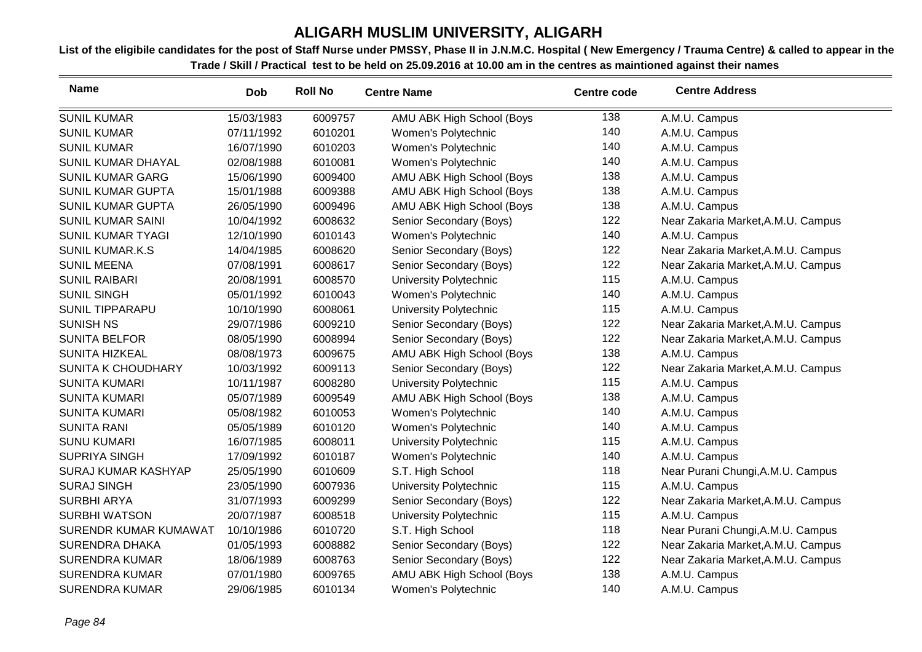| <b>Name</b>                | <b>Dob</b> | <b>Roll No</b> | <b>Centre Name</b>        | <b>Centre code</b> | <b>Centre Address</b>              |
|----------------------------|------------|----------------|---------------------------|--------------------|------------------------------------|
| <b>SUNIL KUMAR</b>         | 15/03/1983 | 6009757        | AMU ABK High School (Boys | 138                | A.M.U. Campus                      |
| <b>SUNIL KUMAR</b>         | 07/11/1992 | 6010201        | Women's Polytechnic       | 140                | A.M.U. Campus                      |
| <b>SUNIL KUMAR</b>         | 16/07/1990 | 6010203        | Women's Polytechnic       | 140                | A.M.U. Campus                      |
| SUNIL KUMAR DHAYAL         | 02/08/1988 | 6010081        | Women's Polytechnic       | 140                | A.M.U. Campus                      |
| <b>SUNIL KUMAR GARG</b>    | 15/06/1990 | 6009400        | AMU ABK High School (Boys | 138                | A.M.U. Campus                      |
| <b>SUNIL KUMAR GUPTA</b>   | 15/01/1988 | 6009388        | AMU ABK High School (Boys | 138                | A.M.U. Campus                      |
| <b>SUNIL KUMAR GUPTA</b>   | 26/05/1990 | 6009496        | AMU ABK High School (Boys | 138                | A.M.U. Campus                      |
| <b>SUNIL KUMAR SAINI</b>   | 10/04/1992 | 6008632        | Senior Secondary (Boys)   | 122                | Near Zakaria Market, A.M.U. Campus |
| <b>SUNIL KUMAR TYAGI</b>   | 12/10/1990 | 6010143        | Women's Polytechnic       | 140                | A.M.U. Campus                      |
| <b>SUNIL KUMAR.K.S</b>     | 14/04/1985 | 6008620        | Senior Secondary (Boys)   | 122                | Near Zakaria Market, A.M.U. Campus |
| <b>SUNIL MEENA</b>         | 07/08/1991 | 6008617        | Senior Secondary (Boys)   | 122                | Near Zakaria Market, A.M.U. Campus |
| <b>SUNIL RAIBARI</b>       | 20/08/1991 | 6008570        | University Polytechnic    | 115                | A.M.U. Campus                      |
| <b>SUNIL SINGH</b>         | 05/01/1992 | 6010043        | Women's Polytechnic       | 140                | A.M.U. Campus                      |
| <b>SUNIL TIPPARAPU</b>     | 10/10/1990 | 6008061        | University Polytechnic    | 115                | A.M.U. Campus                      |
| <b>SUNISH NS</b>           | 29/07/1986 | 6009210        | Senior Secondary (Boys)   | 122                | Near Zakaria Market, A.M.U. Campus |
| <b>SUNITA BELFOR</b>       | 08/05/1990 | 6008994        | Senior Secondary (Boys)   | 122                | Near Zakaria Market, A.M.U. Campus |
| SUNITA HIZKEAL             | 08/08/1973 | 6009675        | AMU ABK High School (Boys | 138                | A.M.U. Campus                      |
| <b>SUNITA K CHOUDHARY</b>  | 10/03/1992 | 6009113        | Senior Secondary (Boys)   | 122                | Near Zakaria Market, A.M.U. Campus |
| <b>SUNITA KUMARI</b>       | 10/11/1987 | 6008280        | University Polytechnic    | 115                | A.M.U. Campus                      |
| <b>SUNITA KUMARI</b>       | 05/07/1989 | 6009549        | AMU ABK High School (Boys | 138                | A.M.U. Campus                      |
| <b>SUNITA KUMARI</b>       | 05/08/1982 | 6010053        | Women's Polytechnic       | 140                | A.M.U. Campus                      |
| <b>SUNITA RANI</b>         | 05/05/1989 | 6010120        | Women's Polytechnic       | 140                | A.M.U. Campus                      |
| <b>SUNU KUMARI</b>         | 16/07/1985 | 6008011        | University Polytechnic    | 115                | A.M.U. Campus                      |
| <b>SUPRIYA SINGH</b>       | 17/09/1992 | 6010187        | Women's Polytechnic       | 140                | A.M.U. Campus                      |
| <b>SURAJ KUMAR KASHYAP</b> | 25/05/1990 | 6010609        | S.T. High School          | 118                | Near Purani Chungi, A.M.U. Campus  |
| <b>SURAJ SINGH</b>         | 23/05/1990 | 6007936        | University Polytechnic    | 115                | A.M.U. Campus                      |
| <b>SURBHI ARYA</b>         | 31/07/1993 | 6009299        | Senior Secondary (Boys)   | 122                | Near Zakaria Market, A.M.U. Campus |
| <b>SURBHI WATSON</b>       | 20/07/1987 | 6008518        | University Polytechnic    | 115                | A.M.U. Campus                      |
| SURENDR KUMAR KUMAWAT      | 10/10/1986 | 6010720        | S.T. High School          | 118                | Near Purani Chungi, A.M.U. Campus  |
| <b>SURENDRA DHAKA</b>      | 01/05/1993 | 6008882        | Senior Secondary (Boys)   | 122                | Near Zakaria Market, A.M.U. Campus |
| <b>SURENDRA KUMAR</b>      | 18/06/1989 | 6008763        | Senior Secondary (Boys)   | 122                | Near Zakaria Market, A.M.U. Campus |
| <b>SURENDRA KUMAR</b>      | 07/01/1980 | 6009765        | AMU ABK High School (Boys | 138                | A.M.U. Campus                      |
| <b>SURENDRA KUMAR</b>      | 29/06/1985 | 6010134        | Women's Polytechnic       | 140                | A.M.U. Campus                      |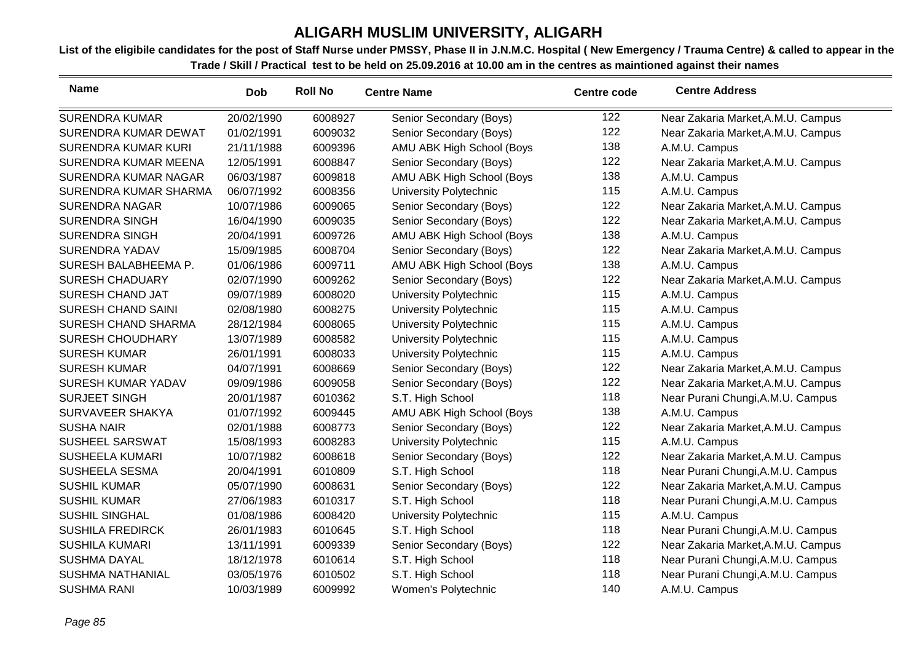| <b>Name</b>                | <b>Dob</b> | <b>Roll No</b> | <b>Centre Name</b>        | <b>Centre code</b> | <b>Centre Address</b>              |
|----------------------------|------------|----------------|---------------------------|--------------------|------------------------------------|
| <b>SURENDRA KUMAR</b>      | 20/02/1990 | 6008927        | Senior Secondary (Boys)   | 122                | Near Zakaria Market, A.M.U. Campus |
| SURENDRA KUMAR DEWAT       | 01/02/1991 | 6009032        | Senior Secondary (Boys)   | 122                | Near Zakaria Market, A.M.U. Campus |
| <b>SURENDRA KUMAR KURI</b> | 21/11/1988 | 6009396        | AMU ABK High School (Boys | 138                | A.M.U. Campus                      |
| SURENDRA KUMAR MEENA       | 12/05/1991 | 6008847        | Senior Secondary (Boys)   | 122                | Near Zakaria Market, A.M.U. Campus |
| SURENDRA KUMAR NAGAR       | 06/03/1987 | 6009818        | AMU ABK High School (Boys | 138                | A.M.U. Campus                      |
| SURENDRA KUMAR SHARMA      | 06/07/1992 | 6008356        | University Polytechnic    | 115                | A.M.U. Campus                      |
| <b>SURENDRA NAGAR</b>      | 10/07/1986 | 6009065        | Senior Secondary (Boys)   | 122                | Near Zakaria Market, A.M.U. Campus |
| <b>SURENDRA SINGH</b>      | 16/04/1990 | 6009035        | Senior Secondary (Boys)   | 122                | Near Zakaria Market, A.M.U. Campus |
| <b>SURENDRA SINGH</b>      | 20/04/1991 | 6009726        | AMU ABK High School (Boys | 138                | A.M.U. Campus                      |
| <b>SURENDRA YADAV</b>      | 15/09/1985 | 6008704        | Senior Secondary (Boys)   | 122                | Near Zakaria Market, A.M.U. Campus |
| SURESH BALABHEEMA P.       | 01/06/1986 | 6009711        | AMU ABK High School (Boys | 138                | A.M.U. Campus                      |
| <b>SURESH CHADUARY</b>     | 02/07/1990 | 6009262        | Senior Secondary (Boys)   | 122                | Near Zakaria Market, A.M.U. Campus |
| SURESH CHAND JAT           | 09/07/1989 | 6008020        | University Polytechnic    | 115                | A.M.U. Campus                      |
| SURESH CHAND SAINI         | 02/08/1980 | 6008275        | University Polytechnic    | 115                | A.M.U. Campus                      |
| SURESH CHAND SHARMA        | 28/12/1984 | 6008065        | University Polytechnic    | 115                | A.M.U. Campus                      |
| <b>SURESH CHOUDHARY</b>    | 13/07/1989 | 6008582        | University Polytechnic    | 115                | A.M.U. Campus                      |
| <b>SURESH KUMAR</b>        | 26/01/1991 | 6008033        | University Polytechnic    | 115                | A.M.U. Campus                      |
| <b>SURESH KUMAR</b>        | 04/07/1991 | 6008669        | Senior Secondary (Boys)   | 122                | Near Zakaria Market, A.M.U. Campus |
| <b>SURESH KUMAR YADAV</b>  | 09/09/1986 | 6009058        | Senior Secondary (Boys)   | 122                | Near Zakaria Market, A.M.U. Campus |
| <b>SURJEET SINGH</b>       | 20/01/1987 | 6010362        | S.T. High School          | 118                | Near Purani Chungi, A.M.U. Campus  |
| SURVAVEER SHAKYA           | 01/07/1992 | 6009445        | AMU ABK High School (Boys | 138                | A.M.U. Campus                      |
| <b>SUSHA NAIR</b>          | 02/01/1988 | 6008773        | Senior Secondary (Boys)   | 122                | Near Zakaria Market, A.M.U. Campus |
| SUSHEEL SARSWAT            | 15/08/1993 | 6008283        | University Polytechnic    | 115                | A.M.U. Campus                      |
| <b>SUSHEELA KUMARI</b>     | 10/07/1982 | 6008618        | Senior Secondary (Boys)   | 122                | Near Zakaria Market, A.M.U. Campus |
| SUSHEELA SESMA             | 20/04/1991 | 6010809        | S.T. High School          | 118                | Near Purani Chungi, A.M.U. Campus  |
| <b>SUSHIL KUMAR</b>        | 05/07/1990 | 6008631        | Senior Secondary (Boys)   | 122                | Near Zakaria Market, A.M.U. Campus |
| <b>SUSHIL KUMAR</b>        | 27/06/1983 | 6010317        | S.T. High School          | 118                | Near Purani Chungi, A.M.U. Campus  |
| <b>SUSHIL SINGHAL</b>      | 01/08/1986 | 6008420        | University Polytechnic    | 115                | A.M.U. Campus                      |
| <b>SUSHILA FREDIRCK</b>    | 26/01/1983 | 6010645        | S.T. High School          | 118                | Near Purani Chungi, A.M.U. Campus  |
| <b>SUSHILA KUMARI</b>      | 13/11/1991 | 6009339        | Senior Secondary (Boys)   | 122                | Near Zakaria Market, A.M.U. Campus |
| <b>SUSHMA DAYAL</b>        | 18/12/1978 | 6010614        | S.T. High School          | 118                | Near Purani Chungi, A.M.U. Campus  |
| <b>SUSHMA NATHANIAL</b>    | 03/05/1976 | 6010502        | S.T. High School          | 118                | Near Purani Chungi, A.M.U. Campus  |
| <b>SUSHMA RANI</b>         | 10/03/1989 | 6009992        | Women's Polytechnic       | 140                | A.M.U. Campus                      |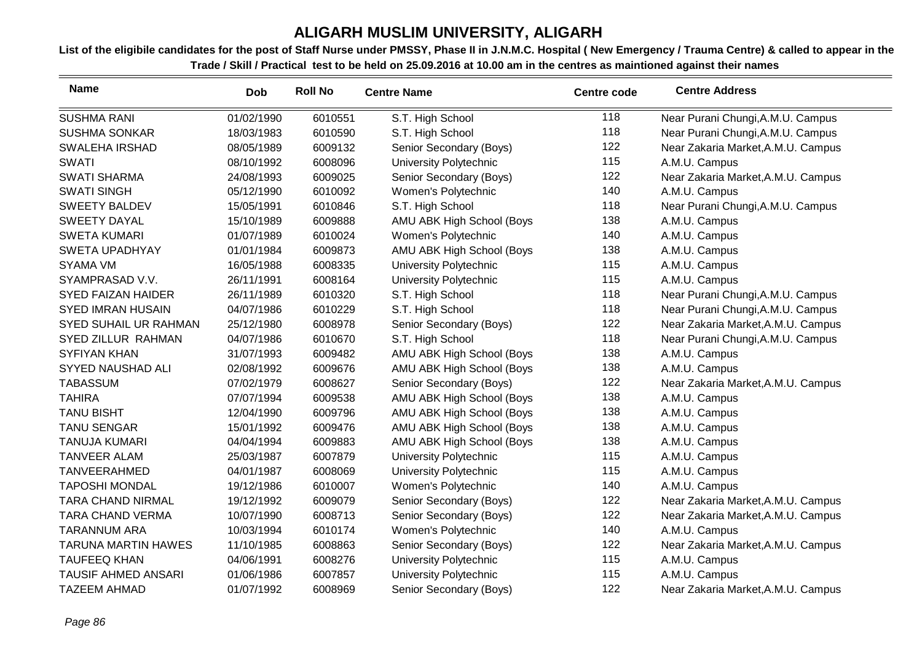| <b>Name</b>                | Dob        | <b>Roll No</b> | <b>Centre Name</b>        | <b>Centre code</b> | <b>Centre Address</b>              |
|----------------------------|------------|----------------|---------------------------|--------------------|------------------------------------|
| <b>SUSHMA RANI</b>         | 01/02/1990 | 6010551        | S.T. High School          | 118                | Near Purani Chungi, A.M.U. Campus  |
| <b>SUSHMA SONKAR</b>       | 18/03/1983 | 6010590        | S.T. High School          | 118                | Near Purani Chungi, A.M.U. Campus  |
| <b>SWALEHA IRSHAD</b>      | 08/05/1989 | 6009132        | Senior Secondary (Boys)   | 122                | Near Zakaria Market, A.M.U. Campus |
| <b>SWATI</b>               | 08/10/1992 | 6008096        | University Polytechnic    | 115                | A.M.U. Campus                      |
| <b>SWATI SHARMA</b>        | 24/08/1993 | 6009025        | Senior Secondary (Boys)   | 122                | Near Zakaria Market, A.M.U. Campus |
| <b>SWATI SINGH</b>         | 05/12/1990 | 6010092        | Women's Polytechnic       | 140                | A.M.U. Campus                      |
| <b>SWEETY BALDEV</b>       | 15/05/1991 | 6010846        | S.T. High School          | 118                | Near Purani Chungi, A.M.U. Campus  |
| <b>SWEETY DAYAL</b>        | 15/10/1989 | 6009888        | AMU ABK High School (Boys | 138                | A.M.U. Campus                      |
| <b>SWETA KUMARI</b>        | 01/07/1989 | 6010024        | Women's Polytechnic       | 140                | A.M.U. Campus                      |
| <b>SWETA UPADHYAY</b>      | 01/01/1984 | 6009873        | AMU ABK High School (Boys | 138                | A.M.U. Campus                      |
| <b>SYAMA VM</b>            | 16/05/1988 | 6008335        | University Polytechnic    | 115                | A.M.U. Campus                      |
| SYAMPRASAD V.V.            | 26/11/1991 | 6008164        | University Polytechnic    | 115                | A.M.U. Campus                      |
| <b>SYED FAIZAN HAIDER</b>  | 26/11/1989 | 6010320        | S.T. High School          | 118                | Near Purani Chungi, A.M.U. Campus  |
| <b>SYED IMRAN HUSAIN</b>   | 04/07/1986 | 6010229        | S.T. High School          | 118                | Near Purani Chungi, A.M.U. Campus  |
| SYED SUHAIL UR RAHMAN      | 25/12/1980 | 6008978        | Senior Secondary (Boys)   | 122                | Near Zakaria Market, A.M.U. Campus |
| SYED ZILLUR RAHMAN         | 04/07/1986 | 6010670        | S.T. High School          | 118                | Near Purani Chungi, A.M.U. Campus  |
| <b>SYFIYAN KHAN</b>        | 31/07/1993 | 6009482        | AMU ABK High School (Boys | 138                | A.M.U. Campus                      |
| SYYED NAUSHAD ALI          | 02/08/1992 | 6009676        | AMU ABK High School (Boys | 138                | A.M.U. Campus                      |
| <b>TABASSUM</b>            | 07/02/1979 | 6008627        | Senior Secondary (Boys)   | 122                | Near Zakaria Market, A.M.U. Campus |
| <b>TAHIRA</b>              | 07/07/1994 | 6009538        | AMU ABK High School (Boys | 138                | A.M.U. Campus                      |
| <b>TANU BISHT</b>          | 12/04/1990 | 6009796        | AMU ABK High School (Boys | 138                | A.M.U. Campus                      |
| <b>TANU SENGAR</b>         | 15/01/1992 | 6009476        | AMU ABK High School (Boys | 138                | A.M.U. Campus                      |
| <b>TANUJA KUMARI</b>       | 04/04/1994 | 6009883        | AMU ABK High School (Boys | 138                | A.M.U. Campus                      |
| <b>TANVEER ALAM</b>        | 25/03/1987 | 6007879        | University Polytechnic    | 115                | A.M.U. Campus                      |
| <b>TANVEERAHMED</b>        | 04/01/1987 | 6008069        | University Polytechnic    | 115                | A.M.U. Campus                      |
| <b>TAPOSHI MONDAL</b>      | 19/12/1986 | 6010007        | Women's Polytechnic       | 140                | A.M.U. Campus                      |
| TARA CHAND NIRMAL          | 19/12/1992 | 6009079        | Senior Secondary (Boys)   | 122                | Near Zakaria Market, A.M.U. Campus |
| <b>TARA CHAND VERMA</b>    | 10/07/1990 | 6008713        | Senior Secondary (Boys)   | 122                | Near Zakaria Market, A.M.U. Campus |
| <b>TARANNUM ARA</b>        | 10/03/1994 | 6010174        | Women's Polytechnic       | 140                | A.M.U. Campus                      |
| <b>TARUNA MARTIN HAWES</b> | 11/10/1985 | 6008863        | Senior Secondary (Boys)   | 122                | Near Zakaria Market, A.M.U. Campus |
| <b>TAUFEEQ KHAN</b>        | 04/06/1991 | 6008276        | University Polytechnic    | 115                | A.M.U. Campus                      |
| <b>TAUSIF AHMED ANSARI</b> | 01/06/1986 | 6007857        | University Polytechnic    | 115                | A.M.U. Campus                      |
| <b>TAZEEM AHMAD</b>        | 01/07/1992 | 6008969        | Senior Secondary (Boys)   | 122                | Near Zakaria Market, A.M.U. Campus |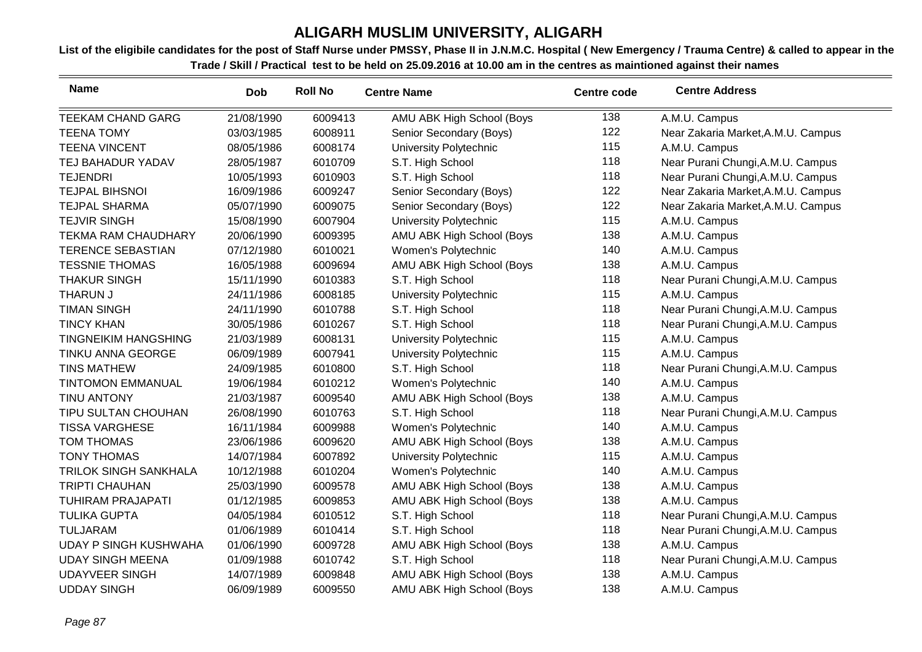| <b>Name</b>                  | <b>Dob</b> | <b>Roll No</b> | <b>Centre Name</b>        | <b>Centre code</b> | <b>Centre Address</b>              |
|------------------------------|------------|----------------|---------------------------|--------------------|------------------------------------|
| <b>TEEKAM CHAND GARG</b>     | 21/08/1990 | 6009413        | AMU ABK High School (Boys | 138                | A.M.U. Campus                      |
| <b>TEENA TOMY</b>            | 03/03/1985 | 6008911        | Senior Secondary (Boys)   | 122                | Near Zakaria Market, A.M.U. Campus |
| <b>TEENA VINCENT</b>         | 08/05/1986 | 6008174        | University Polytechnic    | 115                | A.M.U. Campus                      |
| TEJ BAHADUR YADAV            | 28/05/1987 | 6010709        | S.T. High School          | 118                | Near Purani Chungi, A.M.U. Campus  |
| <b>TEJENDRI</b>              | 10/05/1993 | 6010903        | S.T. High School          | 118                | Near Purani Chungi, A.M.U. Campus  |
| <b>TEJPAL BIHSNOI</b>        | 16/09/1986 | 6009247        | Senior Secondary (Boys)   | 122                | Near Zakaria Market, A.M.U. Campus |
| <b>TEJPAL SHARMA</b>         | 05/07/1990 | 6009075        | Senior Secondary (Boys)   | 122                | Near Zakaria Market, A.M.U. Campus |
| <b>TEJVIR SINGH</b>          | 15/08/1990 | 6007904        | University Polytechnic    | 115                | A.M.U. Campus                      |
| <b>TEKMA RAM CHAUDHARY</b>   | 20/06/1990 | 6009395        | AMU ABK High School (Boys | 138                | A.M.U. Campus                      |
| <b>TERENCE SEBASTIAN</b>     | 07/12/1980 | 6010021        | Women's Polytechnic       | 140                | A.M.U. Campus                      |
| <b>TESSNIE THOMAS</b>        | 16/05/1988 | 6009694        | AMU ABK High School (Boys | 138                | A.M.U. Campus                      |
| <b>THAKUR SINGH</b>          | 15/11/1990 | 6010383        | S.T. High School          | 118                | Near Purani Chungi, A.M.U. Campus  |
| <b>THARUN J</b>              | 24/11/1986 | 6008185        | University Polytechnic    | 115                | A.M.U. Campus                      |
| <b>TIMAN SINGH</b>           | 24/11/1990 | 6010788        | S.T. High School          | 118                | Near Purani Chungi, A.M.U. Campus  |
| <b>TINCY KHAN</b>            | 30/05/1986 | 6010267        | S.T. High School          | 118                | Near Purani Chungi, A.M.U. Campus  |
| <b>TINGNEIKIM HANGSHING</b>  | 21/03/1989 | 6008131        | University Polytechnic    | 115                | A.M.U. Campus                      |
| TINKU ANNA GEORGE            | 06/09/1989 | 6007941        | University Polytechnic    | 115                | A.M.U. Campus                      |
| <b>TINS MATHEW</b>           | 24/09/1985 | 6010800        | S.T. High School          | 118                | Near Purani Chungi, A.M.U. Campus  |
| <b>TINTOMON EMMANUAL</b>     | 19/06/1984 | 6010212        | Women's Polytechnic       | 140                | A.M.U. Campus                      |
| <b>TINU ANTONY</b>           | 21/03/1987 | 6009540        | AMU ABK High School (Boys | 138                | A.M.U. Campus                      |
| TIPU SULTAN CHOUHAN          | 26/08/1990 | 6010763        | S.T. High School          | 118                | Near Purani Chungi, A.M.U. Campus  |
| <b>TISSA VARGHESE</b>        | 16/11/1984 | 6009988        | Women's Polytechnic       | 140                | A.M.U. Campus                      |
| <b>TOM THOMAS</b>            | 23/06/1986 | 6009620        | AMU ABK High School (Boys | 138                | A.M.U. Campus                      |
| <b>TONY THOMAS</b>           | 14/07/1984 | 6007892        | University Polytechnic    | 115                | A.M.U. Campus                      |
| <b>TRILOK SINGH SANKHALA</b> | 10/12/1988 | 6010204        | Women's Polytechnic       | 140                | A.M.U. Campus                      |
| <b>TRIPTI CHAUHAN</b>        | 25/03/1990 | 6009578        | AMU ABK High School (Boys | 138                | A.M.U. Campus                      |
| <b>TUHIRAM PRAJAPATI</b>     | 01/12/1985 | 6009853        | AMU ABK High School (Boys | 138                | A.M.U. Campus                      |
| <b>TULIKA GUPTA</b>          | 04/05/1984 | 6010512        | S.T. High School          | 118                | Near Purani Chungi, A.M.U. Campus  |
| <b>TULJARAM</b>              | 01/06/1989 | 6010414        | S.T. High School          | 118                | Near Purani Chungi, A.M.U. Campus  |
| <b>UDAY P SINGH KUSHWAHA</b> | 01/06/1990 | 6009728        | AMU ABK High School (Boys | 138                | A.M.U. Campus                      |
| <b>UDAY SINGH MEENA</b>      | 01/09/1988 | 6010742        | S.T. High School          | 118                | Near Purani Chungi, A.M.U. Campus  |
| <b>UDAYVEER SINGH</b>        | 14/07/1989 | 6009848        | AMU ABK High School (Boys | 138                | A.M.U. Campus                      |
| <b>UDDAY SINGH</b>           | 06/09/1989 | 6009550        | AMU ABK High School (Boys | 138                | A.M.U. Campus                      |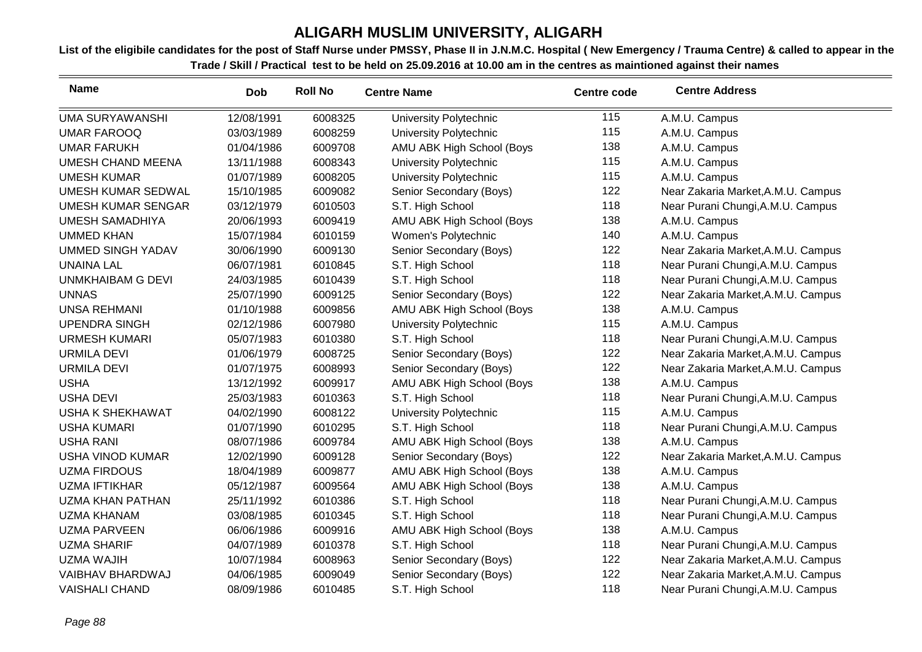| <b>Name</b>               | <b>Dob</b> | <b>Roll No</b> | <b>Centre Name</b>        | Centre code | <b>Centre Address</b>              |
|---------------------------|------------|----------------|---------------------------|-------------|------------------------------------|
| <b>UMA SURYAWANSHI</b>    | 12/08/1991 | 6008325        | University Polytechnic    | 115         | A.M.U. Campus                      |
| <b>UMAR FAROOQ</b>        | 03/03/1989 | 6008259        | University Polytechnic    | 115         | A.M.U. Campus                      |
| <b>UMAR FARUKH</b>        | 01/04/1986 | 6009708        | AMU ABK High School (Boys | 138         | A.M.U. Campus                      |
| <b>UMESH CHAND MEENA</b>  | 13/11/1988 | 6008343        | University Polytechnic    | 115         | A.M.U. Campus                      |
| <b>UMESH KUMAR</b>        | 01/07/1989 | 6008205        | University Polytechnic    | 115         | A.M.U. Campus                      |
| <b>UMESH KUMAR SEDWAL</b> | 15/10/1985 | 6009082        | Senior Secondary (Boys)   | 122         | Near Zakaria Market, A.M.U. Campus |
| <b>UMESH KUMAR SENGAR</b> | 03/12/1979 | 6010503        | S.T. High School          | 118         | Near Purani Chungi, A.M.U. Campus  |
| <b>UMESH SAMADHIYA</b>    | 20/06/1993 | 6009419        | AMU ABK High School (Boys | 138         | A.M.U. Campus                      |
| <b>UMMED KHAN</b>         | 15/07/1984 | 6010159        | Women's Polytechnic       | 140         | A.M.U. Campus                      |
| <b>UMMED SINGH YADAV</b>  | 30/06/1990 | 6009130        | Senior Secondary (Boys)   | 122         | Near Zakaria Market, A.M.U. Campus |
| <b>UNAINA LAL</b>         | 06/07/1981 | 6010845        | S.T. High School          | 118         | Near Purani Chungi, A.M.U. Campus  |
| <b>UNMKHAIBAM G DEVI</b>  | 24/03/1985 | 6010439        | S.T. High School          | 118         | Near Purani Chungi, A.M.U. Campus  |
| <b>UNNAS</b>              | 25/07/1990 | 6009125        | Senior Secondary (Boys)   | 122         | Near Zakaria Market, A.M.U. Campus |
| <b>UNSA REHMANI</b>       | 01/10/1988 | 6009856        | AMU ABK High School (Boys | 138         | A.M.U. Campus                      |
| <b>UPENDRA SINGH</b>      | 02/12/1986 | 6007980        | University Polytechnic    | 115         | A.M.U. Campus                      |
| <b>URMESH KUMARI</b>      | 05/07/1983 | 6010380        | S.T. High School          | 118         | Near Purani Chungi, A.M.U. Campus  |
| <b>URMILA DEVI</b>        | 01/06/1979 | 6008725        | Senior Secondary (Boys)   | 122         | Near Zakaria Market, A.M.U. Campus |
| <b>URMILA DEVI</b>        | 01/07/1975 | 6008993        | Senior Secondary (Boys)   | 122         | Near Zakaria Market, A.M.U. Campus |
| <b>USHA</b>               | 13/12/1992 | 6009917        | AMU ABK High School (Boys | 138         | A.M.U. Campus                      |
| <b>USHA DEVI</b>          | 25/03/1983 | 6010363        | S.T. High School          | 118         | Near Purani Chungi, A.M.U. Campus  |
| USHA K SHEKHAWAT          | 04/02/1990 | 6008122        | University Polytechnic    | 115         | A.M.U. Campus                      |
| <b>USHA KUMARI</b>        | 01/07/1990 | 6010295        | S.T. High School          | 118         | Near Purani Chungi, A.M.U. Campus  |
| <b>USHA RANI</b>          | 08/07/1986 | 6009784        | AMU ABK High School (Boys | 138         | A.M.U. Campus                      |
| <b>USHA VINOD KUMAR</b>   | 12/02/1990 | 6009128        | Senior Secondary (Boys)   | 122         | Near Zakaria Market, A.M.U. Campus |
| <b>UZMA FIRDOUS</b>       | 18/04/1989 | 6009877        | AMU ABK High School (Boys | 138         | A.M.U. Campus                      |
| <b>UZMA IFTIKHAR</b>      | 05/12/1987 | 6009564        | AMU ABK High School (Boys | 138         | A.M.U. Campus                      |
| <b>UZMA KHAN PATHAN</b>   | 25/11/1992 | 6010386        | S.T. High School          | 118         | Near Purani Chungi, A.M.U. Campus  |
| <b>UZMA KHANAM</b>        | 03/08/1985 | 6010345        | S.T. High School          | 118         | Near Purani Chungi, A.M.U. Campus  |
| <b>UZMA PARVEEN</b>       | 06/06/1986 | 6009916        | AMU ABK High School (Boys | 138         | A.M.U. Campus                      |
| <b>UZMA SHARIF</b>        | 04/07/1989 | 6010378        | S.T. High School          | 118         | Near Purani Chungi, A.M.U. Campus  |
| <b>UZMA WAJIH</b>         | 10/07/1984 | 6008963        | Senior Secondary (Boys)   | 122         | Near Zakaria Market, A.M.U. Campus |
| VAIBHAV BHARDWAJ          | 04/06/1985 | 6009049        | Senior Secondary (Boys)   | 122         | Near Zakaria Market, A.M.U. Campus |
| <b>VAISHALI CHAND</b>     | 08/09/1986 | 6010485        | S.T. High School          | 118         | Near Purani Chungi, A.M.U. Campus  |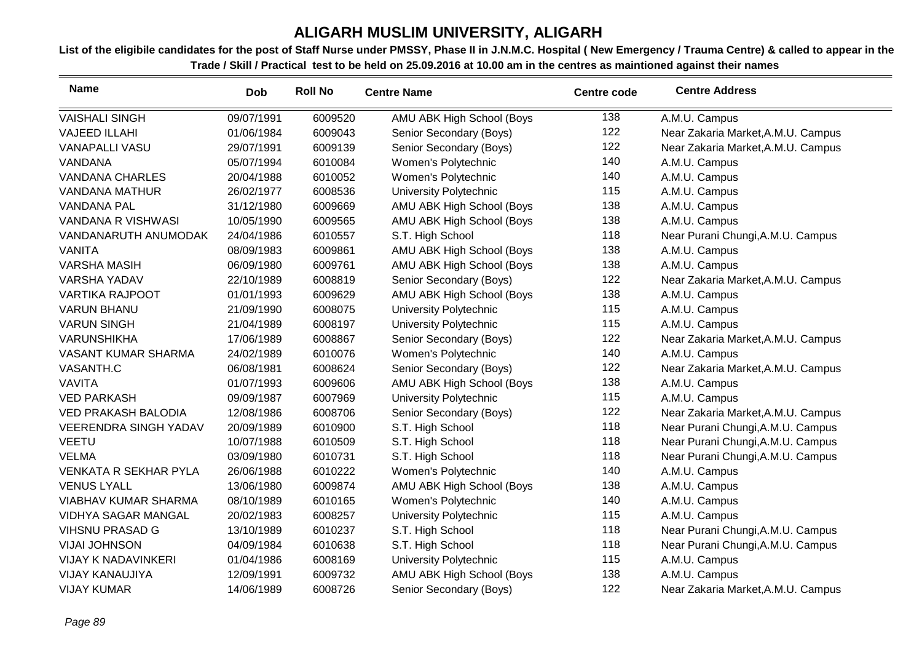| <b>Name</b>                  | <b>Dob</b> | <b>Roll No</b> | <b>Centre Name</b>        | <b>Centre code</b> | <b>Centre Address</b>              |
|------------------------------|------------|----------------|---------------------------|--------------------|------------------------------------|
| <b>VAISHALI SINGH</b>        | 09/07/1991 | 6009520        | AMU ABK High School (Boys | 138                | A.M.U. Campus                      |
| <b>VAJEED ILLAHI</b>         | 01/06/1984 | 6009043        | Senior Secondary (Boys)   | 122                | Near Zakaria Market, A.M.U. Campus |
| <b>VANAPALLI VASU</b>        | 29/07/1991 | 6009139        | Senior Secondary (Boys)   | 122                | Near Zakaria Market, A.M.U. Campus |
| VANDANA                      | 05/07/1994 | 6010084        | Women's Polytechnic       | 140                | A.M.U. Campus                      |
| <b>VANDANA CHARLES</b>       | 20/04/1988 | 6010052        | Women's Polytechnic       | 140                | A.M.U. Campus                      |
| <b>VANDANA MATHUR</b>        | 26/02/1977 | 6008536        | University Polytechnic    | 115                | A.M.U. Campus                      |
| <b>VANDANA PAL</b>           | 31/12/1980 | 6009669        | AMU ABK High School (Boys | 138                | A.M.U. Campus                      |
| <b>VANDANA R VISHWASI</b>    | 10/05/1990 | 6009565        | AMU ABK High School (Boys | 138                | A.M.U. Campus                      |
| VANDANARUTH ANUMODAK         | 24/04/1986 | 6010557        | S.T. High School          | 118                | Near Purani Chungi, A.M.U. Campus  |
| <b>VANITA</b>                | 08/09/1983 | 6009861        | AMU ABK High School (Boys | 138                | A.M.U. Campus                      |
| <b>VARSHA MASIH</b>          | 06/09/1980 | 6009761        | AMU ABK High School (Boys | 138                | A.M.U. Campus                      |
| <b>VARSHA YADAV</b>          | 22/10/1989 | 6008819        | Senior Secondary (Boys)   | 122                | Near Zakaria Market, A.M.U. Campus |
| <b>VARTIKA RAJPOOT</b>       | 01/01/1993 | 6009629        | AMU ABK High School (Boys | 138                | A.M.U. Campus                      |
| <b>VARUN BHANU</b>           | 21/09/1990 | 6008075        | University Polytechnic    | 115                | A.M.U. Campus                      |
| <b>VARUN SINGH</b>           | 21/04/1989 | 6008197        | University Polytechnic    | 115                | A.M.U. Campus                      |
| <b>VARUNSHIKHA</b>           | 17/06/1989 | 6008867        | Senior Secondary (Boys)   | 122                | Near Zakaria Market, A.M.U. Campus |
| VASANT KUMAR SHARMA          | 24/02/1989 | 6010076        | Women's Polytechnic       | 140                | A.M.U. Campus                      |
| VASANTH.C                    | 06/08/1981 | 6008624        | Senior Secondary (Boys)   | 122                | Near Zakaria Market, A.M.U. Campus |
| <b>VAVITA</b>                | 01/07/1993 | 6009606        | AMU ABK High School (Boys | 138                | A.M.U. Campus                      |
| <b>VED PARKASH</b>           | 09/09/1987 | 6007969        | University Polytechnic    | 115                | A.M.U. Campus                      |
| <b>VED PRAKASH BALODIA</b>   | 12/08/1986 | 6008706        | Senior Secondary (Boys)   | 122                | Near Zakaria Market, A.M.U. Campus |
| <b>VEERENDRA SINGH YADAV</b> | 20/09/1989 | 6010900        | S.T. High School          | 118                | Near Purani Chungi, A.M.U. Campus  |
| <b>VEETU</b>                 | 10/07/1988 | 6010509        | S.T. High School          | 118                | Near Purani Chungi, A.M.U. Campus  |
| <b>VELMA</b>                 | 03/09/1980 | 6010731        | S.T. High School          | 118                | Near Purani Chungi, A.M.U. Campus  |
| <b>VENKATA R SEKHAR PYLA</b> | 26/06/1988 | 6010222        | Women's Polytechnic       | 140                | A.M.U. Campus                      |
| <b>VENUS LYALL</b>           | 13/06/1980 | 6009874        | AMU ABK High School (Boys | 138                | A.M.U. Campus                      |
| <b>VIABHAV KUMAR SHARMA</b>  | 08/10/1989 | 6010165        | Women's Polytechnic       | 140                | A.M.U. Campus                      |
| <b>VIDHYA SAGAR MANGAL</b>   | 20/02/1983 | 6008257        | University Polytechnic    | 115                | A.M.U. Campus                      |
| <b>VIHSNU PRASAD G</b>       | 13/10/1989 | 6010237        | S.T. High School          | 118                | Near Purani Chungi, A.M.U. Campus  |
| <b>VIJAI JOHNSON</b>         | 04/09/1984 | 6010638        | S.T. High School          | 118                | Near Purani Chungi, A.M.U. Campus  |
| <b>VIJAY K NADAVINKERI</b>   | 01/04/1986 | 6008169        | University Polytechnic    | 115                | A.M.U. Campus                      |
| <b>VIJAY KANAUJIYA</b>       | 12/09/1991 | 6009732        | AMU ABK High School (Boys | 138                | A.M.U. Campus                      |
| <b>VIJAY KUMAR</b>           | 14/06/1989 | 6008726        | Senior Secondary (Boys)   | 122                | Near Zakaria Market, A.M.U. Campus |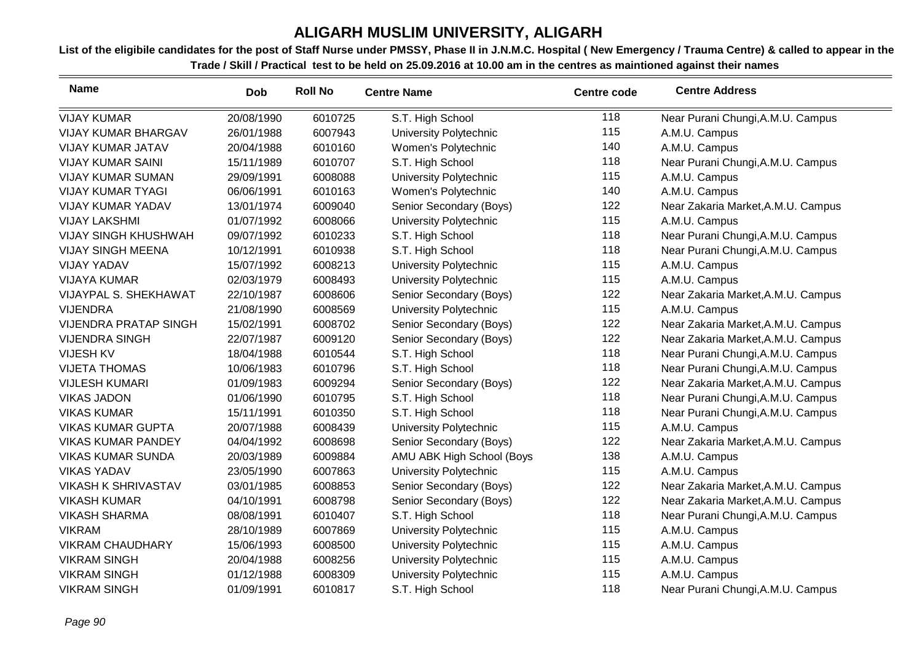| <b>Name</b>                  | <b>Dob</b> | <b>Roll No</b> | <b>Centre Name</b>        | <b>Centre code</b> | <b>Centre Address</b>              |
|------------------------------|------------|----------------|---------------------------|--------------------|------------------------------------|
| <b>VIJAY KUMAR</b>           | 20/08/1990 | 6010725        | S.T. High School          | 118                | Near Purani Chungi, A.M.U. Campus  |
| <b>VIJAY KUMAR BHARGAV</b>   | 26/01/1988 | 6007943        | University Polytechnic    | 115                | A.M.U. Campus                      |
| <b>VIJAY KUMAR JATAV</b>     | 20/04/1988 | 6010160        | Women's Polytechnic       | 140                | A.M.U. Campus                      |
| <b>VIJAY KUMAR SAINI</b>     | 15/11/1989 | 6010707        | S.T. High School          | 118                | Near Purani Chungi, A.M.U. Campus  |
| <b>VIJAY KUMAR SUMAN</b>     | 29/09/1991 | 6008088        | University Polytechnic    | 115                | A.M.U. Campus                      |
| <b>VIJAY KUMAR TYAGI</b>     | 06/06/1991 | 6010163        | Women's Polytechnic       | 140                | A.M.U. Campus                      |
| VIJAY KUMAR YADAV            | 13/01/1974 | 6009040        | Senior Secondary (Boys)   | 122                | Near Zakaria Market, A.M.U. Campus |
| <b>VIJAY LAKSHMI</b>         | 01/07/1992 | 6008066        | University Polytechnic    | 115                | A.M.U. Campus                      |
| <b>VIJAY SINGH KHUSHWAH</b>  | 09/07/1992 | 6010233        | S.T. High School          | 118                | Near Purani Chungi, A.M.U. Campus  |
| <b>VIJAY SINGH MEENA</b>     | 10/12/1991 | 6010938        | S.T. High School          | 118                | Near Purani Chungi, A.M.U. Campus  |
| <b>VIJAY YADAV</b>           | 15/07/1992 | 6008213        | University Polytechnic    | 115                | A.M.U. Campus                      |
| <b>VIJAYA KUMAR</b>          | 02/03/1979 | 6008493        | University Polytechnic    | 115                | A.M.U. Campus                      |
| VIJAYPAL S. SHEKHAWAT        | 22/10/1987 | 6008606        | Senior Secondary (Boys)   | 122                | Near Zakaria Market, A.M.U. Campus |
| <b>VIJENDRA</b>              | 21/08/1990 | 6008569        | University Polytechnic    | 115                | A.M.U. Campus                      |
| <b>VIJENDRA PRATAP SINGH</b> | 15/02/1991 | 6008702        | Senior Secondary (Boys)   | 122                | Near Zakaria Market, A.M.U. Campus |
| <b>VIJENDRA SINGH</b>        | 22/07/1987 | 6009120        | Senior Secondary (Boys)   | 122                | Near Zakaria Market, A.M.U. Campus |
| <b>VIJESH KV</b>             | 18/04/1988 | 6010544        | S.T. High School          | 118                | Near Purani Chungi, A.M.U. Campus  |
| <b>VIJETA THOMAS</b>         | 10/06/1983 | 6010796        | S.T. High School          | 118                | Near Purani Chungi, A.M.U. Campus  |
| <b>VIJLESH KUMARI</b>        | 01/09/1983 | 6009294        | Senior Secondary (Boys)   | 122                | Near Zakaria Market, A.M.U. Campus |
| <b>VIKAS JADON</b>           | 01/06/1990 | 6010795        | S.T. High School          | 118                | Near Purani Chungi, A.M.U. Campus  |
| <b>VIKAS KUMAR</b>           | 15/11/1991 | 6010350        | S.T. High School          | 118                | Near Purani Chungi, A.M.U. Campus  |
| <b>VIKAS KUMAR GUPTA</b>     | 20/07/1988 | 6008439        | University Polytechnic    | 115                | A.M.U. Campus                      |
| <b>VIKAS KUMAR PANDEY</b>    | 04/04/1992 | 6008698        | Senior Secondary (Boys)   | 122                | Near Zakaria Market, A.M.U. Campus |
| <b>VIKAS KUMAR SUNDA</b>     | 20/03/1989 | 6009884        | AMU ABK High School (Boys | 138                | A.M.U. Campus                      |
| <b>VIKAS YADAV</b>           | 23/05/1990 | 6007863        | University Polytechnic    | 115                | A.M.U. Campus                      |
| <b>VIKASH K SHRIVASTAV</b>   | 03/01/1985 | 6008853        | Senior Secondary (Boys)   | 122                | Near Zakaria Market, A.M.U. Campus |
| <b>VIKASH KUMAR</b>          | 04/10/1991 | 6008798        | Senior Secondary (Boys)   | 122                | Near Zakaria Market, A.M.U. Campus |
| <b>VIKASH SHARMA</b>         | 08/08/1991 | 6010407        | S.T. High School          | 118                | Near Purani Chungi, A.M.U. Campus  |
| <b>VIKRAM</b>                | 28/10/1989 | 6007869        | University Polytechnic    | 115                | A.M.U. Campus                      |
| <b>VIKRAM CHAUDHARY</b>      | 15/06/1993 | 6008500        | University Polytechnic    | 115                | A.M.U. Campus                      |
| <b>VIKRAM SINGH</b>          | 20/04/1988 | 6008256        | University Polytechnic    | 115                | A.M.U. Campus                      |
| <b>VIKRAM SINGH</b>          | 01/12/1988 | 6008309        | University Polytechnic    | 115                | A.M.U. Campus                      |
| <b>VIKRAM SINGH</b>          | 01/09/1991 | 6010817        | S.T. High School          | 118                | Near Purani Chungi, A.M.U. Campus  |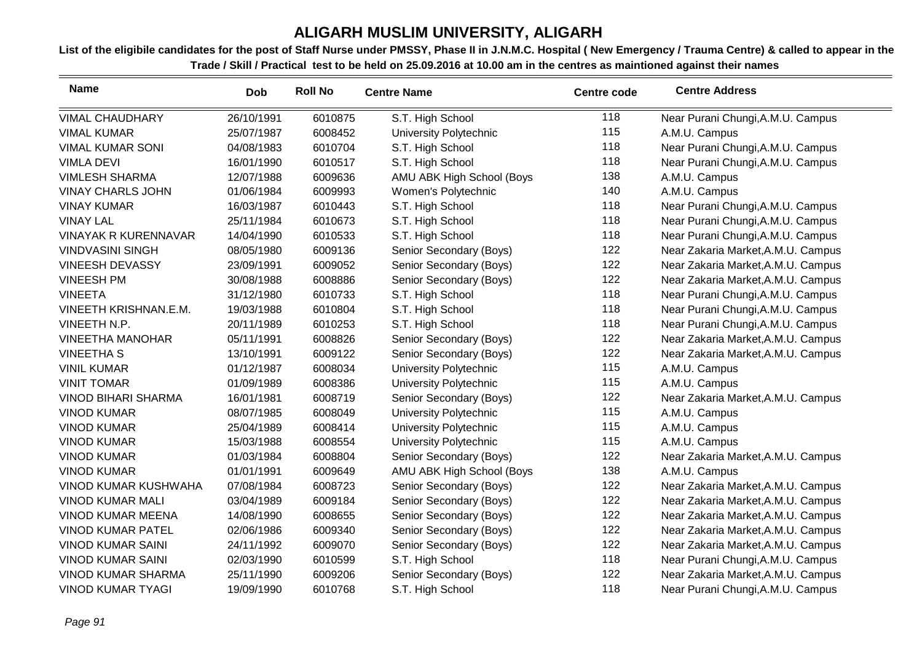| <b>Name</b>                 | <b>Dob</b> | <b>Roll No</b> | <b>Centre Name</b>        | <b>Centre code</b> | <b>Centre Address</b>              |
|-----------------------------|------------|----------------|---------------------------|--------------------|------------------------------------|
| <b>VIMAL CHAUDHARY</b>      | 26/10/1991 | 6010875        | S.T. High School          | 118                | Near Purani Chungi, A.M.U. Campus  |
| <b>VIMAL KUMAR</b>          | 25/07/1987 | 6008452        | University Polytechnic    | 115                | A.M.U. Campus                      |
| <b>VIMAL KUMAR SONI</b>     | 04/08/1983 | 6010704        | S.T. High School          | 118                | Near Purani Chungi, A.M.U. Campus  |
| <b>VIMLA DEVI</b>           | 16/01/1990 | 6010517        | S.T. High School          | 118                | Near Purani Chungi, A.M.U. Campus  |
| <b>VIMLESH SHARMA</b>       | 12/07/1988 | 6009636        | AMU ABK High School (Boys | 138                | A.M.U. Campus                      |
| <b>VINAY CHARLS JOHN</b>    | 01/06/1984 | 6009993        | Women's Polytechnic       | 140                | A.M.U. Campus                      |
| <b>VINAY KUMAR</b>          | 16/03/1987 | 6010443        | S.T. High School          | 118                | Near Purani Chungi, A.M.U. Campus  |
| <b>VINAY LAL</b>            | 25/11/1984 | 6010673        | S.T. High School          | 118                | Near Purani Chungi, A.M.U. Campus  |
| <b>VINAYAK R KURENNAVAR</b> | 14/04/1990 | 6010533        | S.T. High School          | 118                | Near Purani Chungi, A.M.U. Campus  |
| <b>VINDVASINI SINGH</b>     | 08/05/1980 | 6009136        | Senior Secondary (Boys)   | 122                | Near Zakaria Market, A.M.U. Campus |
| <b>VINEESH DEVASSY</b>      | 23/09/1991 | 6009052        | Senior Secondary (Boys)   | 122                | Near Zakaria Market, A.M.U. Campus |
| <b>VINEESH PM</b>           | 30/08/1988 | 6008886        | Senior Secondary (Boys)   | 122                | Near Zakaria Market, A.M.U. Campus |
| <b>VINEETA</b>              | 31/12/1980 | 6010733        | S.T. High School          | 118                | Near Purani Chungi, A.M.U. Campus  |
| VINEETH KRISHNAN.E.M.       | 19/03/1988 | 6010804        | S.T. High School          | 118                | Near Purani Chungi, A.M.U. Campus  |
| VINEETH N.P.                | 20/11/1989 | 6010253        | S.T. High School          | 118                | Near Purani Chungi, A.M.U. Campus  |
| <b>VINEETHA MANOHAR</b>     | 05/11/1991 | 6008826        | Senior Secondary (Boys)   | 122                | Near Zakaria Market, A.M.U. Campus |
| <b>VINEETHA S</b>           | 13/10/1991 | 6009122        | Senior Secondary (Boys)   | 122                | Near Zakaria Market, A.M.U. Campus |
| <b>VINIL KUMAR</b>          | 01/12/1987 | 6008034        | University Polytechnic    | 115                | A.M.U. Campus                      |
| <b>VINIT TOMAR</b>          | 01/09/1989 | 6008386        | University Polytechnic    | 115                | A.M.U. Campus                      |
| <b>VINOD BIHARI SHARMA</b>  | 16/01/1981 | 6008719        | Senior Secondary (Boys)   | 122                | Near Zakaria Market, A.M.U. Campus |
| <b>VINOD KUMAR</b>          | 08/07/1985 | 6008049        | University Polytechnic    | 115                | A.M.U. Campus                      |
| <b>VINOD KUMAR</b>          | 25/04/1989 | 6008414        | University Polytechnic    | 115                | A.M.U. Campus                      |
| <b>VINOD KUMAR</b>          | 15/03/1988 | 6008554        | University Polytechnic    | 115                | A.M.U. Campus                      |
| <b>VINOD KUMAR</b>          | 01/03/1984 | 6008804        | Senior Secondary (Boys)   | 122                | Near Zakaria Market, A.M.U. Campus |
| <b>VINOD KUMAR</b>          | 01/01/1991 | 6009649        | AMU ABK High School (Boys | 138                | A.M.U. Campus                      |
| <b>VINOD KUMAR KUSHWAHA</b> | 07/08/1984 | 6008723        | Senior Secondary (Boys)   | 122                | Near Zakaria Market, A.M.U. Campus |
| <b>VINOD KUMAR MALI</b>     | 03/04/1989 | 6009184        | Senior Secondary (Boys)   | 122                | Near Zakaria Market, A.M.U. Campus |
| <b>VINOD KUMAR MEENA</b>    | 14/08/1990 | 6008655        | Senior Secondary (Boys)   | 122                | Near Zakaria Market, A.M.U. Campus |
| <b>VINOD KUMAR PATEL</b>    | 02/06/1986 | 6009340        | Senior Secondary (Boys)   | 122                | Near Zakaria Market, A.M.U. Campus |
| <b>VINOD KUMAR SAINI</b>    | 24/11/1992 | 6009070        | Senior Secondary (Boys)   | 122                | Near Zakaria Market, A.M.U. Campus |
| <b>VINOD KUMAR SAINI</b>    | 02/03/1990 | 6010599        | S.T. High School          | 118                | Near Purani Chungi, A.M.U. Campus  |
| <b>VINOD KUMAR SHARMA</b>   | 25/11/1990 | 6009206        | Senior Secondary (Boys)   | 122                | Near Zakaria Market, A.M.U. Campus |
| <b>VINOD KUMAR TYAGI</b>    | 19/09/1990 | 6010768        | S.T. High School          | 118                | Near Purani Chungi, A.M.U. Campus  |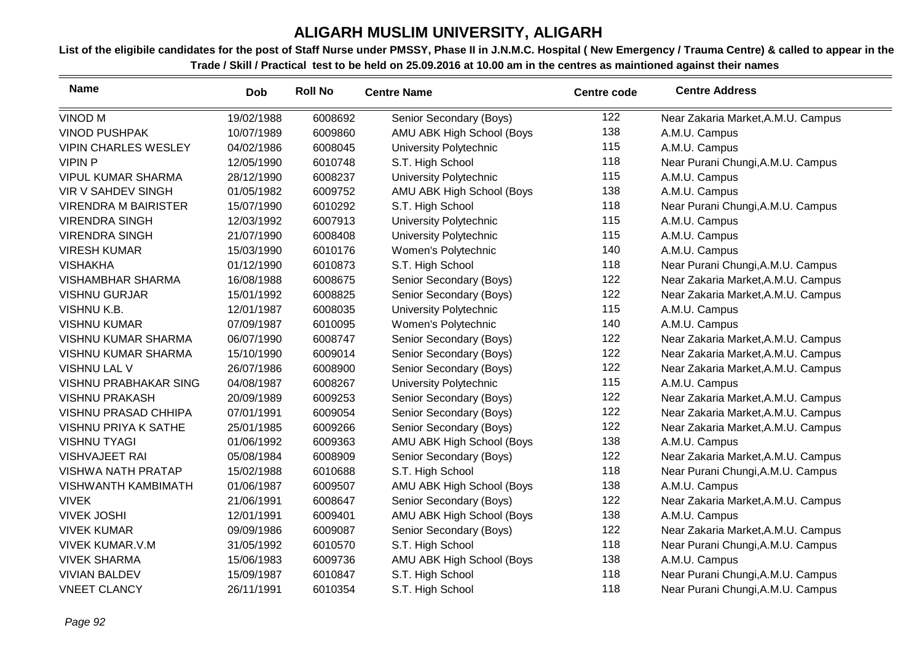| <b>Name</b>                  | <b>Dob</b> | <b>Roll No</b> | <b>Centre Name</b>        | <b>Centre code</b> | <b>Centre Address</b>              |
|------------------------------|------------|----------------|---------------------------|--------------------|------------------------------------|
| <b>VINOD M</b>               | 19/02/1988 | 6008692        | Senior Secondary (Boys)   | 122                | Near Zakaria Market, A.M.U. Campus |
| <b>VINOD PUSHPAK</b>         | 10/07/1989 | 6009860        | AMU ABK High School (Boys | 138                | A.M.U. Campus                      |
| <b>VIPIN CHARLES WESLEY</b>  | 04/02/1986 | 6008045        | University Polytechnic    | 115                | A.M.U. Campus                      |
| <b>VIPIN P</b>               | 12/05/1990 | 6010748        | S.T. High School          | 118                | Near Purani Chungi, A.M.U. Campus  |
| <b>VIPUL KUMAR SHARMA</b>    | 28/12/1990 | 6008237        | University Polytechnic    | 115                | A.M.U. Campus                      |
| VIR V SAHDEV SINGH           | 01/05/1982 | 6009752        | AMU ABK High School (Boys | 138                | A.M.U. Campus                      |
| <b>VIRENDRA M BAIRISTER</b>  | 15/07/1990 | 6010292        | S.T. High School          | 118                | Near Purani Chungi, A.M.U. Campus  |
| <b>VIRENDRA SINGH</b>        | 12/03/1992 | 6007913        | University Polytechnic    | 115                | A.M.U. Campus                      |
| <b>VIRENDRA SINGH</b>        | 21/07/1990 | 6008408        | University Polytechnic    | 115                | A.M.U. Campus                      |
| <b>VIRESH KUMAR</b>          | 15/03/1990 | 6010176        | Women's Polytechnic       | 140                | A.M.U. Campus                      |
| <b>VISHAKHA</b>              | 01/12/1990 | 6010873        | S.T. High School          | 118                | Near Purani Chungi, A.M.U. Campus  |
| <b>VISHAMBHAR SHARMA</b>     | 16/08/1988 | 6008675        | Senior Secondary (Boys)   | 122                | Near Zakaria Market, A.M.U. Campus |
| <b>VISHNU GURJAR</b>         | 15/01/1992 | 6008825        | Senior Secondary (Boys)   | 122                | Near Zakaria Market, A.M.U. Campus |
| VISHNU K.B.                  | 12/01/1987 | 6008035        | University Polytechnic    | 115                | A.M.U. Campus                      |
| <b>VISHNU KUMAR</b>          | 07/09/1987 | 6010095        | Women's Polytechnic       | 140                | A.M.U. Campus                      |
| <b>VISHNU KUMAR SHARMA</b>   | 06/07/1990 | 6008747        | Senior Secondary (Boys)   | 122                | Near Zakaria Market, A.M.U. Campus |
| VISHNU KUMAR SHARMA          | 15/10/1990 | 6009014        | Senior Secondary (Boys)   | 122                | Near Zakaria Market, A.M.U. Campus |
| VISHNU LAL V                 | 26/07/1986 | 6008900        | Senior Secondary (Boys)   | 122                | Near Zakaria Market, A.M.U. Campus |
| <b>VISHNU PRABHAKAR SING</b> | 04/08/1987 | 6008267        | University Polytechnic    | 115                | A.M.U. Campus                      |
| <b>VISHNU PRAKASH</b>        | 20/09/1989 | 6009253        | Senior Secondary (Boys)   | 122                | Near Zakaria Market, A.M.U. Campus |
| VISHNU PRASAD CHHIPA         | 07/01/1991 | 6009054        | Senior Secondary (Boys)   | 122                | Near Zakaria Market, A.M.U. Campus |
| <b>VISHNU PRIYA K SATHE</b>  | 25/01/1985 | 6009266        | Senior Secondary (Boys)   | 122                | Near Zakaria Market, A.M.U. Campus |
| <b>VISHNU TYAGI</b>          | 01/06/1992 | 6009363        | AMU ABK High School (Boys | 138                | A.M.U. Campus                      |
| <b>VISHVAJEET RAI</b>        | 05/08/1984 | 6008909        | Senior Secondary (Boys)   | 122                | Near Zakaria Market, A.M.U. Campus |
| <b>VISHWA NATH PRATAP</b>    | 15/02/1988 | 6010688        | S.T. High School          | 118                | Near Purani Chungi, A.M.U. Campus  |
| <b>VISHWANTH KAMBIMATH</b>   | 01/06/1987 | 6009507        | AMU ABK High School (Boys | 138                | A.M.U. Campus                      |
| <b>VIVEK</b>                 | 21/06/1991 | 6008647        | Senior Secondary (Boys)   | 122                | Near Zakaria Market, A.M.U. Campus |
| <b>VIVEK JOSHI</b>           | 12/01/1991 | 6009401        | AMU ABK High School (Boys | 138                | A.M.U. Campus                      |
| <b>VIVEK KUMAR</b>           | 09/09/1986 | 6009087        | Senior Secondary (Boys)   | 122                | Near Zakaria Market, A.M.U. Campus |
| <b>VIVEK KUMAR.V.M</b>       | 31/05/1992 | 6010570        | S.T. High School          | 118                | Near Purani Chungi, A.M.U. Campus  |
| <b>VIVEK SHARMA</b>          | 15/06/1983 | 6009736        | AMU ABK High School (Boys | 138                | A.M.U. Campus                      |
| <b>VIVIAN BALDEV</b>         | 15/09/1987 | 6010847        | S.T. High School          | 118                | Near Purani Chungi, A.M.U. Campus  |
| <b>VNEET CLANCY</b>          | 26/11/1991 | 6010354        | S.T. High School          | 118                | Near Purani Chungi, A.M.U. Campus  |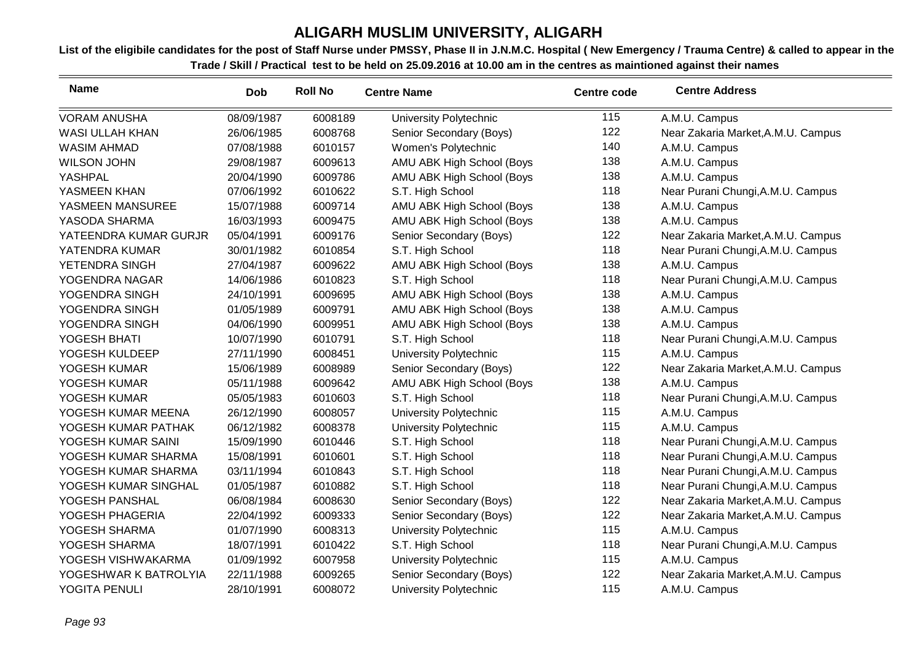| <b>Name</b>            | Dob        | <b>Roll No</b> | <b>Centre Name</b>        | <b>Centre code</b> | <b>Centre Address</b>              |
|------------------------|------------|----------------|---------------------------|--------------------|------------------------------------|
| <b>VORAM ANUSHA</b>    | 08/09/1987 | 6008189        | University Polytechnic    | 115                | A.M.U. Campus                      |
| <b>WASI ULLAH KHAN</b> | 26/06/1985 | 6008768        | Senior Secondary (Boys)   | 122                | Near Zakaria Market, A.M.U. Campus |
| <b>WASIM AHMAD</b>     | 07/08/1988 | 6010157        | Women's Polytechnic       | 140                | A.M.U. Campus                      |
| <b>WILSON JOHN</b>     | 29/08/1987 | 6009613        | AMU ABK High School (Boys | 138                | A.M.U. Campus                      |
| YASHPAL                | 20/04/1990 | 6009786        | AMU ABK High School (Boys | 138                | A.M.U. Campus                      |
| YASMEEN KHAN           | 07/06/1992 | 6010622        | S.T. High School          | 118                | Near Purani Chungi, A.M.U. Campus  |
| YASMEEN MANSUREE       | 15/07/1988 | 6009714        | AMU ABK High School (Boys | 138                | A.M.U. Campus                      |
| YASODA SHARMA          | 16/03/1993 | 6009475        | AMU ABK High School (Boys | 138                | A.M.U. Campus                      |
| YATEENDRA KUMAR GURJR  | 05/04/1991 | 6009176        | Senior Secondary (Boys)   | 122                | Near Zakaria Market, A.M.U. Campus |
| YATENDRA KUMAR         | 30/01/1982 | 6010854        | S.T. High School          | 118                | Near Purani Chungi, A.M.U. Campus  |
| YETENDRA SINGH         | 27/04/1987 | 6009622        | AMU ABK High School (Boys | 138                | A.M.U. Campus                      |
| YOGENDRA NAGAR         | 14/06/1986 | 6010823        | S.T. High School          | 118                | Near Purani Chungi, A.M.U. Campus  |
| YOGENDRA SINGH         | 24/10/1991 | 6009695        | AMU ABK High School (Boys | 138                | A.M.U. Campus                      |
| YOGENDRA SINGH         | 01/05/1989 | 6009791        | AMU ABK High School (Boys | 138                | A.M.U. Campus                      |
| YOGENDRA SINGH         | 04/06/1990 | 6009951        | AMU ABK High School (Boys | 138                | A.M.U. Campus                      |
| YOGESH BHATI           | 10/07/1990 | 6010791        | S.T. High School          | 118                | Near Purani Chungi, A.M.U. Campus  |
| YOGESH KULDEEP         | 27/11/1990 | 6008451        | University Polytechnic    | 115                | A.M.U. Campus                      |
| YOGESH KUMAR           | 15/06/1989 | 6008989        | Senior Secondary (Boys)   | 122                | Near Zakaria Market, A.M.U. Campus |
| YOGESH KUMAR           | 05/11/1988 | 6009642        | AMU ABK High School (Boys | 138                | A.M.U. Campus                      |
| YOGESH KUMAR           | 05/05/1983 | 6010603        | S.T. High School          | 118                | Near Purani Chungi, A.M.U. Campus  |
| YOGESH KUMAR MEENA     | 26/12/1990 | 6008057        | University Polytechnic    | 115                | A.M.U. Campus                      |
| YOGESH KUMAR PATHAK    | 06/12/1982 | 6008378        | University Polytechnic    | 115                | A.M.U. Campus                      |
| YOGESH KUMAR SAINI     | 15/09/1990 | 6010446        | S.T. High School          | 118                | Near Purani Chungi, A.M.U. Campus  |
| YOGESH KUMAR SHARMA    | 15/08/1991 | 6010601        | S.T. High School          | 118                | Near Purani Chungi, A.M.U. Campus  |
| YOGESH KUMAR SHARMA    | 03/11/1994 | 6010843        | S.T. High School          | 118                | Near Purani Chungi, A.M.U. Campus  |
| YOGESH KUMAR SINGHAL   | 01/05/1987 | 6010882        | S.T. High School          | 118                | Near Purani Chungi, A.M.U. Campus  |
| YOGESH PANSHAL         | 06/08/1984 | 6008630        | Senior Secondary (Boys)   | 122                | Near Zakaria Market, A.M.U. Campus |
| YOGESH PHAGERIA        | 22/04/1992 | 6009333        | Senior Secondary (Boys)   | 122                | Near Zakaria Market, A.M.U. Campus |
| YOGESH SHARMA          | 01/07/1990 | 6008313        | University Polytechnic    | 115                | A.M.U. Campus                      |
| YOGESH SHARMA          | 18/07/1991 | 6010422        | S.T. High School          | 118                | Near Purani Chungi, A.M.U. Campus  |
| YOGESH VISHWAKARMA     | 01/09/1992 | 6007958        | University Polytechnic    | 115                | A.M.U. Campus                      |
| YOGESHWAR K BATROLYIA  | 22/11/1988 | 6009265        | Senior Secondary (Boys)   | 122                | Near Zakaria Market, A.M.U. Campus |
| YOGITA PENULI          | 28/10/1991 | 6008072        | University Polytechnic    | 115                | A.M.U. Campus                      |